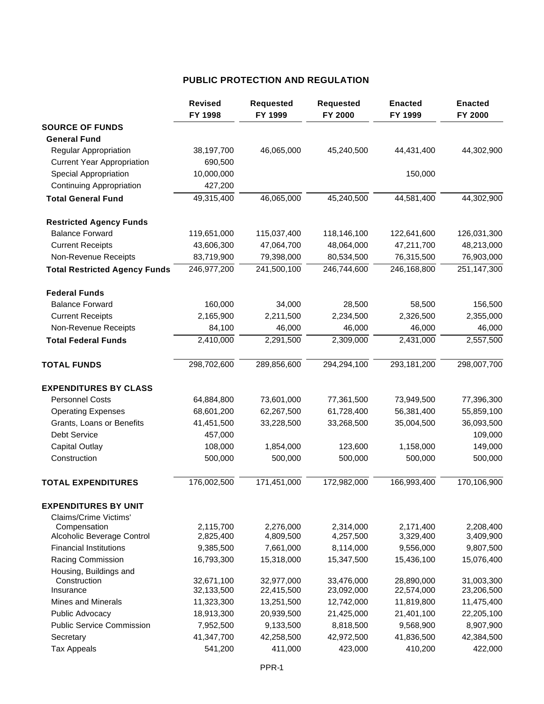# **PUBLIC PROTECTION AND REGULATION**

|                                            | <b>Revised</b><br>FY 1998 | <b>Requested</b><br>FY 1999 | <b>Requested</b><br>FY 2000 | <b>Enacted</b><br>FY 1999 | <b>Enacted</b><br>FY 2000 |
|--------------------------------------------|---------------------------|-----------------------------|-----------------------------|---------------------------|---------------------------|
| <b>SOURCE OF FUNDS</b>                     |                           |                             |                             |                           |                           |
| <b>General Fund</b>                        |                           |                             |                             |                           |                           |
| <b>Regular Appropriation</b>               | 38,197,700                | 46,065,000                  | 45,240,500                  | 44,431,400                | 44,302,900                |
| <b>Current Year Appropriation</b>          | 690,500                   |                             |                             |                           |                           |
| <b>Special Appropriation</b>               | 10,000,000                |                             |                             | 150,000                   |                           |
| <b>Continuing Appropriation</b>            | 427,200                   |                             |                             |                           |                           |
| <b>Total General Fund</b>                  | 49,315,400                | 46,065,000                  | 45,240,500                  | 44,581,400                | 44,302,900                |
| <b>Restricted Agency Funds</b>             |                           |                             |                             |                           |                           |
| <b>Balance Forward</b>                     | 119,651,000               | 115,037,400                 | 118,146,100                 | 122,641,600               | 126,031,300               |
| <b>Current Receipts</b>                    | 43,606,300                | 47,064,700                  | 48,064,000                  | 47,211,700                | 48,213,000                |
| Non-Revenue Receipts                       | 83,719,900                | 79,398,000                  | 80,534,500                  | 76,315,500                | 76,903,000                |
| <b>Total Restricted Agency Funds</b>       | 246,977,200               | 241,500,100                 | 246,744,600                 | 246,168,800               | 251,147,300               |
| <b>Federal Funds</b>                       |                           |                             |                             |                           |                           |
| <b>Balance Forward</b>                     | 160,000                   | 34,000                      | 28,500                      | 58,500                    | 156,500                   |
| <b>Current Receipts</b>                    | 2,165,900                 | 2,211,500                   | 2,234,500                   | 2,326,500                 | 2,355,000                 |
| Non-Revenue Receipts                       | 84,100                    | 46,000                      | 46,000                      | 46,000                    | 46,000                    |
| <b>Total Federal Funds</b>                 | 2,410,000                 | 2,291,500                   | 2,309,000                   | 2,431,000                 | 2,557,500                 |
| <b>TOTAL FUNDS</b>                         | 298,702,600               | 289,856,600                 | 294,294,100                 | 293,181,200               | 298,007,700               |
| <b>EXPENDITURES BY CLASS</b>               |                           |                             |                             |                           |                           |
| <b>Personnel Costs</b>                     | 64,884,800                | 73,601,000                  | 77,361,500                  | 73,949,500                | 77,396,300                |
| <b>Operating Expenses</b>                  | 68,601,200                | 62,267,500                  | 61,728,400                  | 56,381,400                | 55,859,100                |
| Grants, Loans or Benefits                  | 41,451,500                | 33,228,500                  | 33,268,500                  | 35,004,500                | 36,093,500                |
| <b>Debt Service</b>                        | 457,000                   |                             |                             |                           | 109,000                   |
| <b>Capital Outlay</b>                      | 108,000                   | 1,854,000                   | 123,600                     | 1,158,000                 | 149,000                   |
| Construction                               | 500,000                   | 500,000                     | 500,000                     | 500,000                   | 500,000                   |
| <b>TOTAL EXPENDITURES</b>                  | 176,002,500               | 171,451,000                 | 172,982,000                 | 166,993,400               | 170,106,900               |
| <b>EXPENDITURES BY UNIT</b>                |                           |                             |                             |                           |                           |
| Claims/Crime Victims'                      |                           |                             |                             |                           |                           |
| Compensation<br>Alcoholic Beverage Control | 2,115,700<br>2,825,400    | 2,276,000<br>4,809,500      | 2,314,000<br>4,257,500      | 2,171,400<br>3,329,400    | 2,208,400<br>3,409,900    |
| <b>Financial Institutions</b>              | 9,385,500                 | 7,661,000                   | 8,114,000                   | 9,556,000                 | 9,807,500                 |
| Racing Commission                          | 16,793,300                | 15,318,000                  | 15,347,500                  | 15,436,100                | 15,076,400                |
| Housing, Buildings and                     |                           |                             |                             |                           |                           |
| Construction                               | 32,671,100                | 32,977,000                  | 33,476,000                  | 28,890,000                | 31,003,300                |
| Insurance                                  | 32,133,500                | 22,415,500                  | 23,092,000                  | 22,574,000                | 23,206,500                |
| <b>Mines and Minerals</b>                  | 11,323,300                | 13,251,500                  | 12,742,000                  | 11,819,800                | 11,475,400                |
| Public Advocacy                            | 18,913,300                | 20,939,500                  | 21,425,000                  | 21,401,100                | 22,205,100                |
| <b>Public Service Commission</b>           | 7,952,500                 | 9,133,500                   | 8,818,500                   | 9,568,900                 | 8,907,900                 |
| Secretary                                  | 41,347,700                | 42,258,500                  | 42,972,500                  | 41,836,500                | 42,384,500                |
| <b>Tax Appeals</b>                         | 541,200                   | 411,000                     | 423,000                     | 410,200                   | 422,000                   |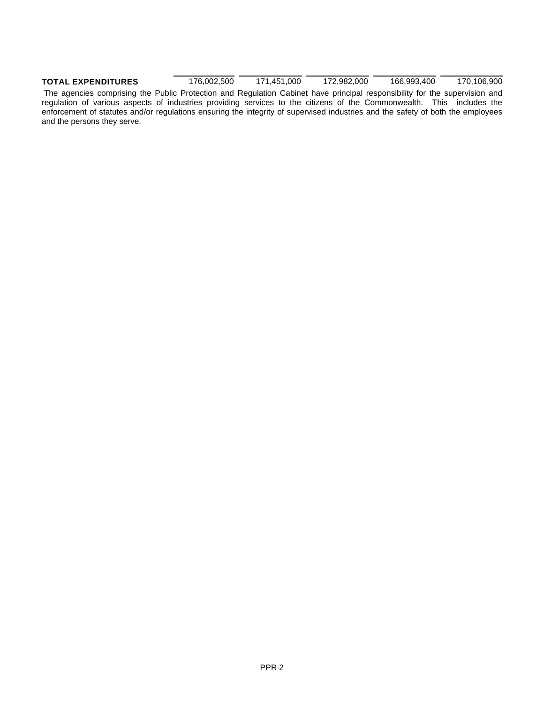# **TOTAL EXPENDITURES** 176,002,500 171,451,000 172,982,000 166,993,400 170,106,900

 The agencies comprising the Public Protection and Regulation Cabinet have principal responsibility for the supervision and regulation of various aspects of industries providing services to the citizens of the Commonwealth. This includes the enforcement of statutes and/or regulations ensuring the integrity of supervised industries and the safety of both the employees and the persons they serve.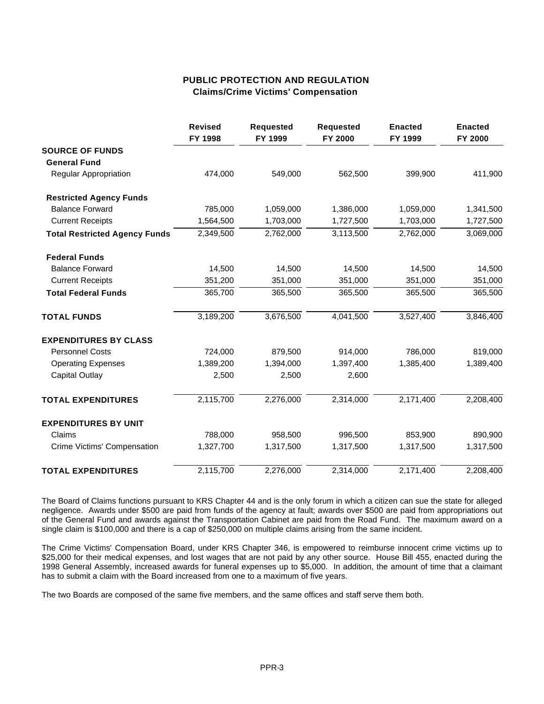## **PUBLIC PROTECTION AND REGULATION Claims/Crime Victims' Compensation**

|                                      | <b>Revised</b><br>FY 1998 | <b>Requested</b><br>FY 1999 | <b>Requested</b><br>FY 2000 | <b>Enacted</b><br>FY 1999 | <b>Enacted</b><br>FY 2000 |
|--------------------------------------|---------------------------|-----------------------------|-----------------------------|---------------------------|---------------------------|
| <b>SOURCE OF FUNDS</b>               |                           |                             |                             |                           |                           |
| <b>General Fund</b>                  |                           |                             |                             |                           |                           |
| Regular Appropriation                | 474,000                   | 549,000                     | 562,500                     | 399,900                   | 411,900                   |
| <b>Restricted Agency Funds</b>       |                           |                             |                             |                           |                           |
| <b>Balance Forward</b>               | 785,000                   | 1,059,000                   | 1,386,000                   | 1,059,000                 | 1,341,500                 |
| <b>Current Receipts</b>              | 1,564,500                 | 1,703,000                   | 1,727,500                   | 1,703,000                 | 1,727,500                 |
| <b>Total Restricted Agency Funds</b> | 2,349,500                 | 2,762,000                   | 3,113,500                   | 2,762,000                 | 3,069,000                 |
| <b>Federal Funds</b>                 |                           |                             |                             |                           |                           |
| <b>Balance Forward</b>               | 14,500                    | 14,500                      | 14,500                      | 14,500                    | 14,500                    |
| <b>Current Receipts</b>              | 351,200                   | 351,000                     | 351,000                     | 351,000                   | 351,000                   |
| <b>Total Federal Funds</b>           | 365,700                   | 365,500                     | 365,500                     | 365,500                   | 365,500                   |
| <b>TOTAL FUNDS</b>                   | 3,189,200                 | 3,676,500                   | 4,041,500                   | 3,527,400                 | 3,846,400                 |
| <b>EXPENDITURES BY CLASS</b>         |                           |                             |                             |                           |                           |
| <b>Personnel Costs</b>               | 724,000                   | 879,500                     | 914,000                     | 786,000                   | 819,000                   |
| <b>Operating Expenses</b>            | 1,389,200                 | 1,394,000                   | 1,397,400                   | 1,385,400                 | 1,389,400                 |
| <b>Capital Outlay</b>                | 2,500                     | 2,500                       | 2,600                       |                           |                           |
| <b>TOTAL EXPENDITURES</b>            | 2,115,700                 | 2,276,000                   | 2,314,000                   | 2,171,400                 | 2,208,400                 |
| <b>EXPENDITURES BY UNIT</b>          |                           |                             |                             |                           |                           |
| Claims                               | 788,000                   | 958,500                     | 996,500                     | 853,900                   | 890,900                   |
| Crime Victims' Compensation          | 1,327,700                 | 1,317,500                   | 1,317,500                   | 1,317,500                 | 1,317,500                 |
| <b>TOTAL EXPENDITURES</b>            | 2,115,700                 | 2,276,000                   | 2,314,000                   | 2,171,400                 | 2,208,400                 |

The Board of Claims functions pursuant to KRS Chapter 44 and is the only forum in which a citizen can sue the state for alleged negligence. Awards under \$500 are paid from funds of the agency at fault; awards over \$500 are paid from appropriations out of the General Fund and awards against the Transportation Cabinet are paid from the Road Fund. The maximum award on a single claim is \$100,000 and there is a cap of \$250,000 on multiple claims arising from the same incident.

The Crime Victims' Compensation Board, under KRS Chapter 346, is empowered to reimburse innocent crime victims up to \$25,000 for their medical expenses, and lost wages that are not paid by any other source. House Bill 455, enacted during the 1998 General Assembly, increased awards for funeral expenses up to \$5,000. In addition, the amount of time that a claimant has to submit a claim with the Board increased from one to a maximum of five years.

The two Boards are composed of the same five members, and the same offices and staff serve them both.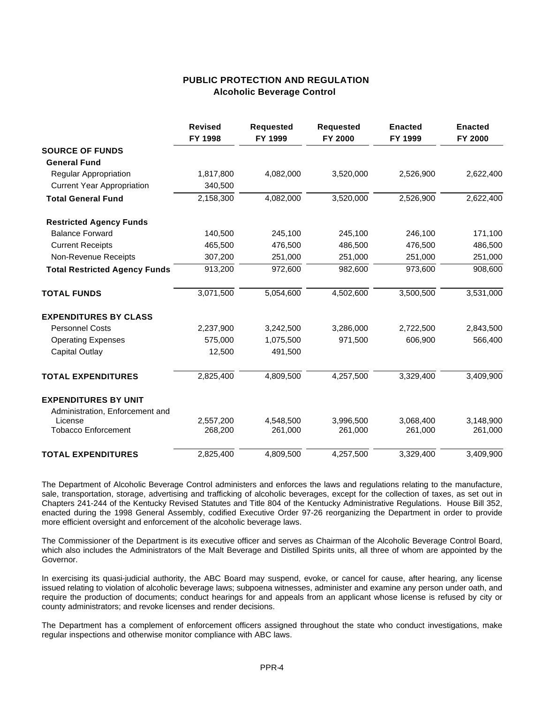### **PUBLIC PROTECTION AND REGULATION Alcoholic Beverage Control**

|                                      | <b>Revised</b><br>FY 1998 | <b>Requested</b><br>FY 1999 | <b>Requested</b><br><b>FY 2000</b> | <b>Enacted</b><br>FY 1999 | <b>Enacted</b><br>FY 2000 |
|--------------------------------------|---------------------------|-----------------------------|------------------------------------|---------------------------|---------------------------|
| <b>SOURCE OF FUNDS</b>               |                           |                             |                                    |                           |                           |
| <b>General Fund</b>                  |                           |                             |                                    |                           |                           |
| Regular Appropriation                | 1,817,800                 | 4,082,000                   | 3,520,000                          | 2,526,900                 | 2,622,400                 |
| <b>Current Year Appropriation</b>    | 340,500                   |                             |                                    |                           |                           |
| <b>Total General Fund</b>            | 2,158,300                 | 4,082,000                   | 3,520,000                          | 2,526,900                 | 2,622,400                 |
| <b>Restricted Agency Funds</b>       |                           |                             |                                    |                           |                           |
| <b>Balance Forward</b>               | 140,500                   | 245,100                     | 245,100                            | 246,100                   | 171,100                   |
| <b>Current Receipts</b>              | 465,500                   | 476,500                     | 486,500                            | 476,500                   | 486,500                   |
| Non-Revenue Receipts                 | 307,200                   | 251,000                     | 251,000                            | 251,000                   | 251,000                   |
| <b>Total Restricted Agency Funds</b> | 913,200                   | 972,600                     | 982,600                            | 973,600                   | 908,600                   |
| <b>TOTAL FUNDS</b>                   | 3,071,500                 | 5,054,600                   | 4,502,600                          | 3,500,500                 | 3,531,000                 |
| <b>EXPENDITURES BY CLASS</b>         |                           |                             |                                    |                           |                           |
| <b>Personnel Costs</b>               | 2,237,900                 | 3,242,500                   | 3,286,000                          | 2,722,500                 | 2,843,500                 |
| <b>Operating Expenses</b>            | 575.000                   | 1,075,500                   | 971,500                            | 606,900                   | 566,400                   |
| <b>Capital Outlay</b>                | 12,500                    | 491,500                     |                                    |                           |                           |
| <b>TOTAL EXPENDITURES</b>            | 2,825,400                 | 4,809,500                   | 4,257,500                          | 3,329,400                 | 3,409,900                 |
| <b>EXPENDITURES BY UNIT</b>          |                           |                             |                                    |                           |                           |
| Administration, Enforcement and      |                           |                             |                                    |                           |                           |
| License                              | 2,557,200                 | 4,548,500                   | 3,996,500                          | 3,068,400                 | 3,148,900                 |
| <b>Tobacco Enforcement</b>           | 268,200                   | 261,000                     | 261,000                            | 261,000                   | 261,000                   |
| <b>TOTAL EXPENDITURES</b>            | 2,825,400                 | 4,809,500                   | 4,257,500                          | 3,329,400                 | 3,409,900                 |

The Department of Alcoholic Beverage Control administers and enforces the laws and regulations relating to the manufacture, sale, transportation, storage, advertising and trafficking of alcoholic beverages, except for the collection of taxes, as set out in Chapters 241-244 of the Kentucky Revised Statutes and Title 804 of the Kentucky Administrative Regulations. House Bill 352, enacted during the 1998 General Assembly, codified Executive Order 97-26 reorganizing the Department in order to provide more efficient oversight and enforcement of the alcoholic beverage laws.

The Commissioner of the Department is its executive officer and serves as Chairman of the Alcoholic Beverage Control Board, which also includes the Administrators of the Malt Beverage and Distilled Spirits units, all three of whom are appointed by the Governor.

In exercising its quasi-judicial authority, the ABC Board may suspend, evoke, or cancel for cause, after hearing, any license issued relating to violation of alcoholic beverage laws; subpoena witnesses, administer and examine any person under oath, and require the production of documents; conduct hearings for and appeals from an applicant whose license is refused by city or county administrators; and revoke licenses and render decisions.

The Department has a complement of enforcement officers assigned throughout the state who conduct investigations, make regular inspections and otherwise monitor compliance with ABC laws.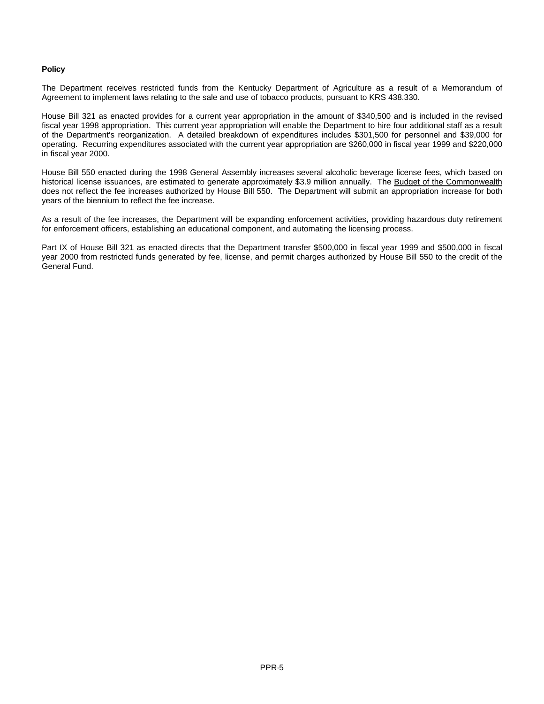#### **Policy**

The Department receives restricted funds from the Kentucky Department of Agriculture as a result of a Memorandum of Agreement to implement laws relating to the sale and use of tobacco products, pursuant to KRS 438.330.

House Bill 321 as enacted provides for a current year appropriation in the amount of \$340,500 and is included in the revised fiscal year 1998 appropriation. This current year appropriation will enable the Department to hire four additional staff as a result of the Department's reorganization. A detailed breakdown of expenditures includes \$301,500 for personnel and \$39,000 for operating. Recurring expenditures associated with the current year appropriation are \$260,000 in fiscal year 1999 and \$220,000 in fiscal year 2000.

House Bill 550 enacted during the 1998 General Assembly increases several alcoholic beverage license fees, which based on historical license issuances, are estimated to generate approximately \$3.9 million annually. The Budget of the Commonwealth does not reflect the fee increases authorized by House Bill 550. The Department will submit an appropriation increase for both years of the biennium to reflect the fee increase.

As a result of the fee increases, the Department will be expanding enforcement activities, providing hazardous duty retirement for enforcement officers, establishing an educational component, and automating the licensing process.

Part IX of House Bill 321 as enacted directs that the Department transfer \$500,000 in fiscal year 1999 and \$500,000 in fiscal year 2000 from restricted funds generated by fee, license, and permit charges authorized by House Bill 550 to the credit of the General Fund.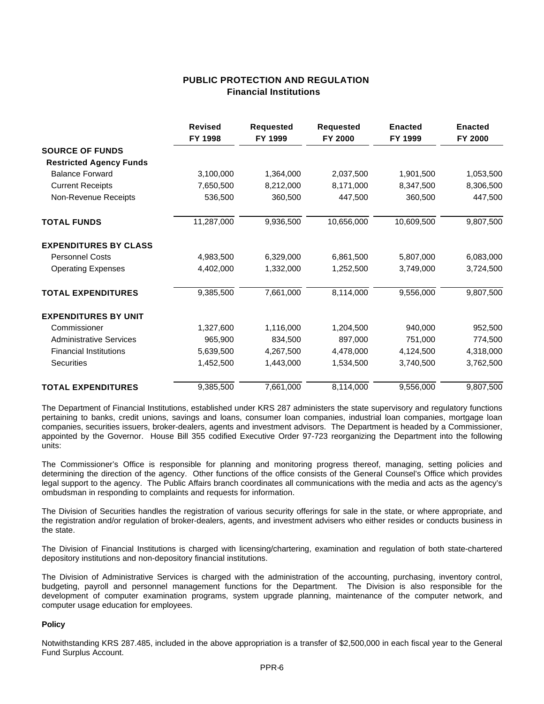### **PUBLIC PROTECTION AND REGULATION Financial Institutions**

|                                | <b>Revised</b><br>FY 1998 | <b>Requested</b><br>FY 1999 | <b>Requested</b><br>FY 2000 | <b>Enacted</b><br>FY 1999 | <b>Enacted</b><br>FY 2000 |
|--------------------------------|---------------------------|-----------------------------|-----------------------------|---------------------------|---------------------------|
| <b>SOURCE OF FUNDS</b>         |                           |                             |                             |                           |                           |
| <b>Restricted Agency Funds</b> |                           |                             |                             |                           |                           |
| <b>Balance Forward</b>         | 3,100,000                 | 1,364,000                   | 2,037,500                   | 1,901,500                 | 1,053,500                 |
| <b>Current Receipts</b>        | 7,650,500                 | 8,212,000                   | 8,171,000                   | 8,347,500                 | 8,306,500                 |
| Non-Revenue Receipts           | 536,500                   | 360,500                     | 447,500                     | 360,500                   | 447,500                   |
| <b>TOTAL FUNDS</b>             | 11,287,000                | 9,936,500                   | 10,656,000                  | 10,609,500                | 9,807,500                 |
| <b>EXPENDITURES BY CLASS</b>   |                           |                             |                             |                           |                           |
| <b>Personnel Costs</b>         | 4,983,500                 | 6,329,000                   | 6,861,500                   | 5,807,000                 | 6,083,000                 |
| <b>Operating Expenses</b>      | 4,402,000                 | 1,332,000                   | 1,252,500                   | 3,749,000                 | 3,724,500                 |
| <b>TOTAL EXPENDITURES</b>      | 9,385,500                 | 7,661,000                   | 8,114,000                   | 9,556,000                 | 9,807,500                 |
| <b>EXPENDITURES BY UNIT</b>    |                           |                             |                             |                           |                           |
| Commissioner                   | 1,327,600                 | 1,116,000                   | 1,204,500                   | 940,000                   | 952,500                   |
| <b>Administrative Services</b> | 965,900                   | 834,500                     | 897,000                     | 751,000                   | 774,500                   |
| <b>Financial Institutions</b>  | 5,639,500                 | 4,267,500                   | 4,478,000                   | 4,124,500                 | 4,318,000                 |
| <b>Securities</b>              | 1,452,500                 | 1,443,000                   | 1,534,500                   | 3,740,500                 | 3,762,500                 |
| <b>TOTAL EXPENDITURES</b>      | 9,385,500                 | 7,661,000                   | 8,114,000                   | 9,556,000                 | 9,807,500                 |

The Department of Financial Institutions, established under KRS 287 administers the state supervisory and regulatory functions pertaining to banks, credit unions, savings and loans, consumer loan companies, industrial loan companies, mortgage loan companies, securities issuers, broker-dealers, agents and investment advisors. The Department is headed by a Commissioner, appointed by the Governor. House Bill 355 codified Executive Order 97-723 reorganizing the Department into the following units:

The Commissioner's Office is responsible for planning and monitoring progress thereof, managing, setting policies and determining the direction of the agency. Other functions of the office consists of the General Counsel's Office which provides legal support to the agency. The Public Affairs branch coordinates all communications with the media and acts as the agency's ombudsman in responding to complaints and requests for information.

The Division of Securities handles the registration of various security offerings for sale in the state, or where appropriate, and the registration and/or regulation of broker-dealers, agents, and investment advisers who either resides or conducts business in the state.

The Division of Financial Institutions is charged with licensing/chartering, examination and regulation of both state-chartered depository institutions and non-depository financial institutions.

The Division of Administrative Services is charged with the administration of the accounting, purchasing, inventory control, budgeting, payroll and personnel management functions for the Department. The Division is also responsible for the development of computer examination programs, system upgrade planning, maintenance of the computer network, and computer usage education for employees.

#### **Policy**

Notwithstanding KRS 287.485, included in the above appropriation is a transfer of \$2,500,000 in each fiscal year to the General Fund Surplus Account.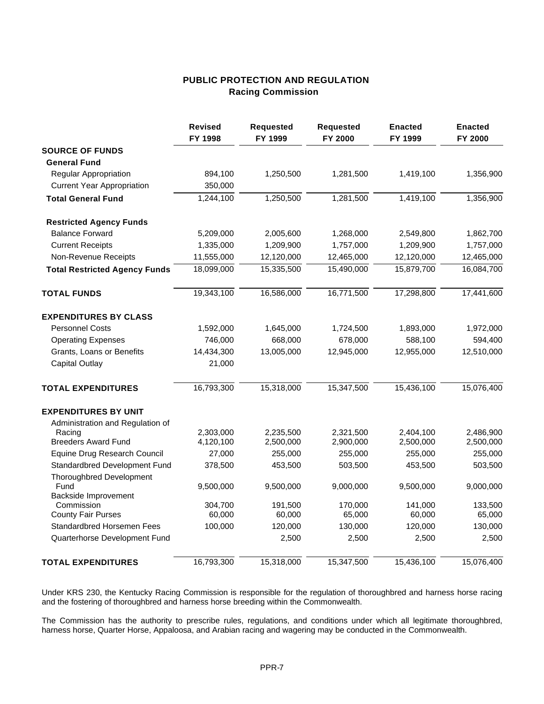# **PUBLIC PROTECTION AND REGULATION Racing Commission**

|                                         | <b>Revised</b><br>FY 1998 | <b>Requested</b><br>FY 1999 | <b>Requested</b><br>FY 2000 | <b>Enacted</b><br>FY 1999 | <b>Enacted</b><br>FY 2000 |
|-----------------------------------------|---------------------------|-----------------------------|-----------------------------|---------------------------|---------------------------|
| <b>SOURCE OF FUNDS</b>                  |                           |                             |                             |                           |                           |
| <b>General Fund</b>                     |                           |                             |                             |                           |                           |
| Regular Appropriation                   | 894,100                   | 1,250,500                   | 1,281,500                   | 1,419,100                 | 1,356,900                 |
| <b>Current Year Appropriation</b>       | 350,000                   |                             |                             |                           |                           |
| <b>Total General Fund</b>               | 1,244,100                 | 1,250,500                   | 1,281,500                   | 1,419,100                 | 1,356,900                 |
| <b>Restricted Agency Funds</b>          |                           |                             |                             |                           |                           |
| <b>Balance Forward</b>                  | 5,209,000                 | 2,005,600                   | 1,268,000                   | 2,549,800                 | 1,862,700                 |
| <b>Current Receipts</b>                 | 1,335,000                 | 1,209,900                   | 1,757,000                   | 1,209,900                 | 1,757,000                 |
| Non-Revenue Receipts                    | 11,555,000                | 12,120,000                  | 12,465,000                  | 12,120,000                | 12,465,000                |
| <b>Total Restricted Agency Funds</b>    | 18,099,000                | 15,335,500                  | 15,490,000                  | 15,879,700                | 16,084,700                |
| <b>TOTAL FUNDS</b>                      | 19,343,100                | 16,586,000                  | 16,771,500                  | 17,298,800                | 17,441,600                |
| <b>EXPENDITURES BY CLASS</b>            |                           |                             |                             |                           |                           |
| <b>Personnel Costs</b>                  | 1,592,000                 | 1,645,000                   | 1,724,500                   | 1,893,000                 | 1,972,000                 |
| <b>Operating Expenses</b>               | 746,000                   | 668,000                     | 678,000                     | 588,100                   | 594,400                   |
| Grants, Loans or Benefits               | 14,434,300                | 13,005,000                  | 12,945,000                  | 12,955,000                | 12,510,000                |
| <b>Capital Outlay</b>                   | 21,000                    |                             |                             |                           |                           |
| <b>TOTAL EXPENDITURES</b>               | 16,793,300                | 15,318,000                  | 15,347,500                  | 15,436,100                | 15,076,400                |
| <b>EXPENDITURES BY UNIT</b>             |                           |                             |                             |                           |                           |
| Administration and Regulation of        |                           |                             |                             |                           |                           |
| Racing                                  | 2,303,000                 | 2,235,500                   | 2,321,500                   | 2,404,100                 | 2,486,900                 |
| <b>Breeders Award Fund</b>              | 4,120,100                 | 2,500,000                   | 2,900,000                   | 2,500,000                 | 2,500,000                 |
| Equine Drug Research Council            | 27,000                    | 255,000                     | 255,000                     | 255,000                   | 255,000                   |
| Standardbred Development Fund           | 378,500                   | 453,500                     | 503,500                     | 453,500                   | 503,500                   |
| <b>Thoroughbred Development</b><br>Fund | 9,500,000                 | 9,500,000                   | 9,000,000                   | 9,500,000                 | 9,000,000                 |
| Backside Improvement                    |                           |                             |                             |                           |                           |
| Commission                              | 304,700                   | 191,500                     | 170,000                     | 141,000                   | 133,500                   |
| <b>County Fair Purses</b>               | 60,000                    | 60,000                      | 65,000                      | 60,000                    | 65,000                    |
| <b>Standardbred Horsemen Fees</b>       | 100,000                   | 120,000                     | 130,000                     | 120,000                   | 130,000                   |
| Quarterhorse Development Fund           |                           | 2,500                       | 2,500                       | 2,500                     | 2,500                     |
| <b>TOTAL EXPENDITURES</b>               | 16,793,300                | 15,318,000                  | 15,347,500                  | 15,436,100                | 15,076,400                |

Under KRS 230, the Kentucky Racing Commission is responsible for the regulation of thoroughbred and harness horse racing and the fostering of thoroughbred and harness horse breeding within the Commonwealth.

The Commission has the authority to prescribe rules, regulations, and conditions under which all legitimate thoroughbred, harness horse, Quarter Horse, Appaloosa, and Arabian racing and wagering may be conducted in the Commonwealth.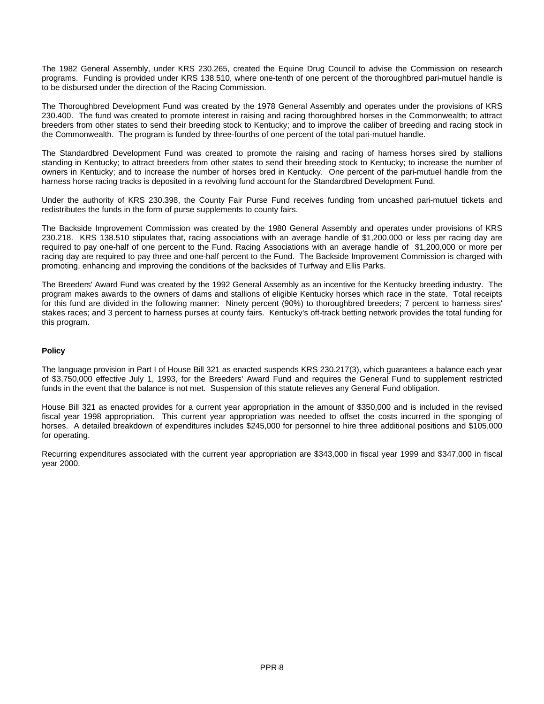The 1982 General Assembly, under KRS 230.265, created the Equine Drug Council to advise the Commission on research programs. Funding is provided under KRS 138.510, where one-tenth of one percent of the thoroughbred pari-mutuel handle is to be disbursed under the direction of the Racing Commission.

The Thoroughbred Development Fund was created by the 1978 General Assembly and operates under the provisions of KRS 230.400. The fund was created to promote interest in raising and racing thoroughbred horses in the Commonwealth; to attract breeders from other states to send their breeding stock to Kentucky; and to improve the caliber of breeding and racing stock in the Commonwealth. The program is funded by three-fourths of one percent of the total pari-mutuel handle.

The Standardbred Development Fund was created to promote the raising and racing of harness horses sired by stallions standing in Kentucky; to attract breeders from other states to send their breeding stock to Kentucky; to increase the number of owners in Kentucky; and to increase the number of horses bred in Kentucky. One percent of the pari-mutuel handle from the harness horse racing tracks is deposited in a revolving fund account for the Standardbred Development Fund.

Under the authority of KRS 230.398, the County Fair Purse Fund receives funding from uncashed pari-mutuel tickets and redistributes the funds in the form of purse supplements to county fairs.

The Backside Improvement Commission was created by the 1980 General Assembly and operates under provisions of KRS 230.218. KRS 138.510 stipulates that, racing associations with an average handle of \$1,200,000 or less per racing day are required to pay one-half of one percent to the Fund. Racing Associations with an average handle of \$1,200,000 or more per racing day are required to pay three and one-half percent to the Fund. The Backside Improvement Commission is charged with promoting, enhancing and improving the conditions of the backsides of Turfway and Ellis Parks.

The Breeders' Award Fund was created by the 1992 General Assembly as an incentive for the Kentucky breeding industry. The program makes awards to the owners of dams and stallions of eligible Kentucky horses which race in the state. Total receipts for this fund are divided in the following manner: Ninety percent (90%) to thoroughbred breeders; 7 percent to harness sires' stakes races; and 3 percent to harness purses at county fairs. Kentucky's off-track betting network provides the total funding for this program.

#### **Policy**

The language provision in Part I of House Bill 321 as enacted suspends KRS 230.217(3), which guarantees a balance each year of \$3,750,000 effective July 1, 1993, for the Breeders' Award Fund and requires the General Fund to supplement restricted funds in the event that the balance is not met. Suspension of this statute relieves any General Fund obligation.

House Bill 321 as enacted provides for a current year appropriation in the amount of \$350,000 and is included in the revised fiscal year 1998 appropriation. This current year appropriation was needed to offset the costs incurred in the sponging of horses. A detailed breakdown of expenditures includes \$245,000 for personnel to hire three additional positions and \$105,000 for operating.

Recurring expenditures associated with the current year appropriation are \$343,000 in fiscal year 1999 and \$347,000 in fiscal year 2000.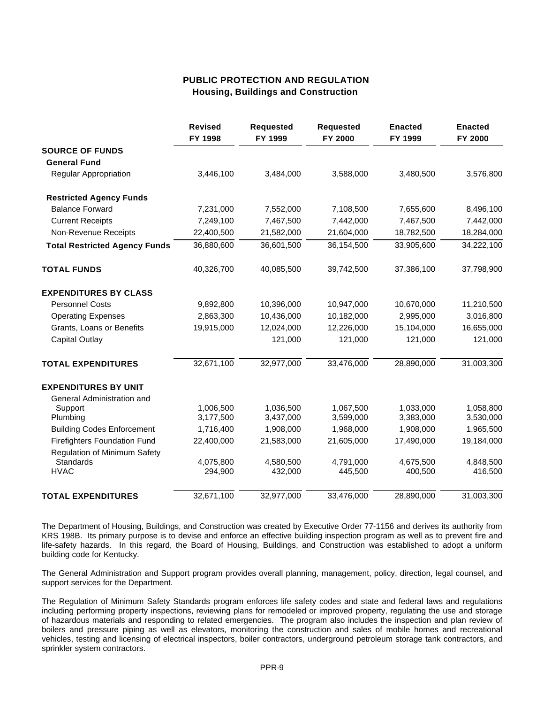### **PUBLIC PROTECTION AND REGULATION Housing, Buildings and Construction**

|                                                  | <b>Revised</b><br>FY 1998 | <b>Requested</b><br>FY 1999 | <b>Requested</b><br>FY 2000 | <b>Enacted</b><br>FY 1999 | <b>Enacted</b><br>FY 2000 |
|--------------------------------------------------|---------------------------|-----------------------------|-----------------------------|---------------------------|---------------------------|
| <b>SOURCE OF FUNDS</b>                           |                           |                             |                             |                           |                           |
| <b>General Fund</b>                              |                           |                             |                             |                           |                           |
| <b>Regular Appropriation</b>                     | 3,446,100                 | 3,484,000                   | 3,588,000                   | 3,480,500                 | 3,576,800                 |
| <b>Restricted Agency Funds</b>                   |                           |                             |                             |                           |                           |
| <b>Balance Forward</b>                           | 7,231,000                 | 7,552,000                   | 7,108,500                   | 7,655,600                 | 8,496,100                 |
| <b>Current Receipts</b>                          | 7,249,100                 | 7,467,500                   | 7,442,000                   | 7,467,500                 | 7,442,000                 |
| Non-Revenue Receipts                             | 22,400,500                | 21,582,000                  | 21,604,000                  | 18,782,500                | 18,284,000                |
| <b>Total Restricted Agency Funds</b>             | 36,880,600                | 36,601,500                  | 36,154,500                  | 33,905,600                | 34,222,100                |
| <b>TOTAL FUNDS</b>                               | 40,326,700                | 40,085,500                  | 39,742,500                  | 37,386,100                | 37,798,900                |
| <b>EXPENDITURES BY CLASS</b>                     |                           |                             |                             |                           |                           |
| <b>Personnel Costs</b>                           | 9,892,800                 | 10,396,000                  | 10,947,000                  | 10,670,000                | 11,210,500                |
| <b>Operating Expenses</b>                        | 2,863,300                 | 10,436,000                  | 10,182,000                  | 2,995,000                 | 3,016,800                 |
| Grants, Loans or Benefits                        | 19,915,000                | 12,024,000                  | 12,226,000                  | 15,104,000                | 16,655,000                |
| <b>Capital Outlay</b>                            |                           | 121,000                     | 121,000                     | 121,000                   | 121,000                   |
| <b>TOTAL EXPENDITURES</b>                        | 32,671,100                | 32,977,000                  | 33,476,000                  | 28,890,000                | 31,003,300                |
| <b>EXPENDITURES BY UNIT</b>                      |                           |                             |                             |                           |                           |
| General Administration and                       |                           |                             |                             |                           |                           |
| Support                                          | 1,006,500                 | 1,036,500                   | 1,067,500                   | 1,033,000                 | 1,058,800                 |
| Plumbing                                         | 3,177,500                 | 3,437,000                   | 3,599,000                   | 3,383,000                 | 3,530,000                 |
| <b>Building Codes Enforcement</b>                | 1,716,400                 | 1,908,000                   | 1,968,000                   | 1,908,000                 | 1,965,500                 |
| <b>Firefighters Foundation Fund</b>              | 22,400,000                | 21,583,000                  | 21,605,000                  | 17,490,000                | 19,184,000                |
| <b>Regulation of Minimum Safety</b><br>Standards | 4,075,800                 | 4,580,500                   | 4,791,000                   | 4,675,500                 | 4,848,500                 |
| <b>HVAC</b>                                      | 294,900                   | 432,000                     | 445,500                     | 400,500                   | 416,500                   |
| <b>TOTAL EXPENDITURES</b>                        | 32,671,100                | 32,977,000                  | 33,476,000                  | 28,890,000                | 31,003,300                |

The Department of Housing, Buildings, and Construction was created by Executive Order 77-1156 and derives its authority from KRS 198B. Its primary purpose is to devise and enforce an effective building inspection program as well as to prevent fire and life-safety hazards. In this regard, the Board of Housing, Buildings, and Construction was established to adopt a uniform building code for Kentucky.

The General Administration and Support program provides overall planning, management, policy, direction, legal counsel, and support services for the Department.

The Regulation of Minimum Safety Standards program enforces life safety codes and state and federal laws and regulations including performing property inspections, reviewing plans for remodeled or improved property, regulating the use and storage of hazardous materials and responding to related emergencies. The program also includes the inspection and plan review of boilers and pressure piping as well as elevators, monitoring the construction and sales of mobile homes and recreational vehicles, testing and licensing of electrical inspectors, boiler contractors, underground petroleum storage tank contractors, and sprinkler system contractors.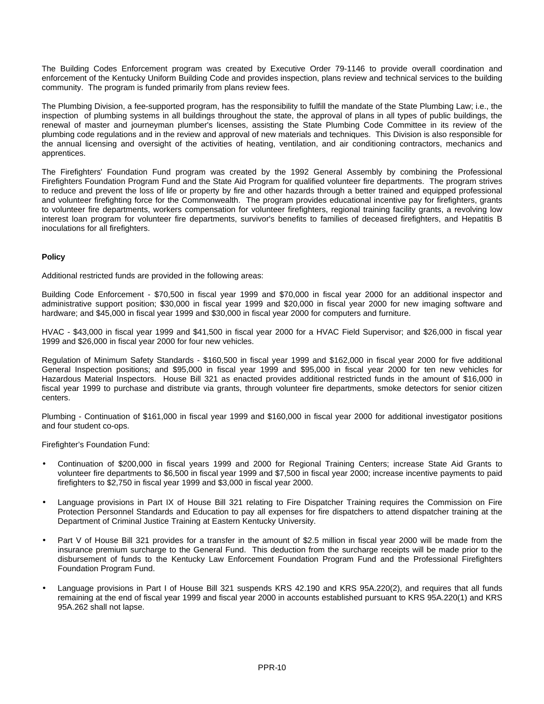The Building Codes Enforcement program was created by Executive Order 79-1146 to provide overall coordination and enforcement of the Kentucky Uniform Building Code and provides inspection, plans review and technical services to the building community. The program is funded primarily from plans review fees.

The Plumbing Division, a fee-supported program, has the responsibility to fulfill the mandate of the State Plumbing Law; i.e., the inspection of plumbing systems in all buildings throughout the state, the approval of plans in all types of public buildings, the renewal of master and journeyman plumber's licenses, assisting the State Plumbing Code Committee in its review of the plumbing code regulations and in the review and approval of new materials and techniques. This Division is also responsible for the annual licensing and oversight of the activities of heating, ventilation, and air conditioning contractors, mechanics and apprentices.

The Firefighters' Foundation Fund program was created by the 1992 General Assembly by combining the Professional Firefighters Foundation Program Fund and the State Aid Program for qualified volunteer fire departments. The program strives to reduce and prevent the loss of life or property by fire and other hazards through a better trained and equipped professional and volunteer firefighting force for the Commonwealth. The program provides educational incentive pay for firefighters, grants to volunteer fire departments, workers compensation for volunteer firefighters, regional training facility grants, a revolving low interest loan program for volunteer fire departments, survivor's benefits to families of deceased firefighters, and Hepatitis B inoculations for all firefighters.

#### **Policy**

Additional restricted funds are provided in the following areas:

Building Code Enforcement - \$70,500 in fiscal year 1999 and \$70,000 in fiscal year 2000 for an additional inspector and administrative support position; \$30,000 in fiscal year 1999 and \$20,000 in fiscal year 2000 for new imaging software and hardware; and \$45,000 in fiscal year 1999 and \$30,000 in fiscal year 2000 for computers and furniture.

HVAC - \$43,000 in fiscal year 1999 and \$41,500 in fiscal year 2000 for a HVAC Field Supervisor; and \$26,000 in fiscal year 1999 and \$26,000 in fiscal year 2000 for four new vehicles.

Regulation of Minimum Safety Standards - \$160,500 in fiscal year 1999 and \$162,000 in fiscal year 2000 for five additional General Inspection positions; and \$95,000 in fiscal year 1999 and \$95,000 in fiscal year 2000 for ten new vehicles for Hazardous Material Inspectors. House Bill 321 as enacted provides additional restricted funds in the amount of \$16,000 in fiscal year 1999 to purchase and distribute via grants, through volunteer fire departments, smoke detectors for senior citizen centers.

Plumbing - Continuation of \$161,000 in fiscal year 1999 and \$160,000 in fiscal year 2000 for additional investigator positions and four student co-ops.

Firefighter's Foundation Fund:

- Continuation of \$200,000 in fiscal years 1999 and 2000 for Regional Training Centers; increase State Aid Grants to volunteer fire departments to \$6,500 in fiscal year 1999 and \$7,500 in fiscal year 2000; increase incentive payments to paid firefighters to \$2,750 in fiscal year 1999 and \$3,000 in fiscal year 2000.
- Language provisions in Part IX of House Bill 321 relating to Fire Dispatcher Training requires the Commission on Fire Protection Personnel Standards and Education to pay all expenses for fire dispatchers to attend dispatcher training at the Department of Criminal Justice Training at Eastern Kentucky University.
- Part V of House Bill 321 provides for a transfer in the amount of \$2.5 million in fiscal year 2000 will be made from the insurance premium surcharge to the General Fund. This deduction from the surcharge receipts will be made prior to the disbursement of funds to the Kentucky Law Enforcement Foundation Program Fund and the Professional Firefighters Foundation Program Fund.
- Language provisions in Part I of House Bill 321 suspends KRS 42.190 and KRS 95A.220(2), and requires that all funds remaining at the end of fiscal year 1999 and fiscal year 2000 in accounts established pursuant to KRS 95A.220(1) and KRS 95A.262 shall not lapse.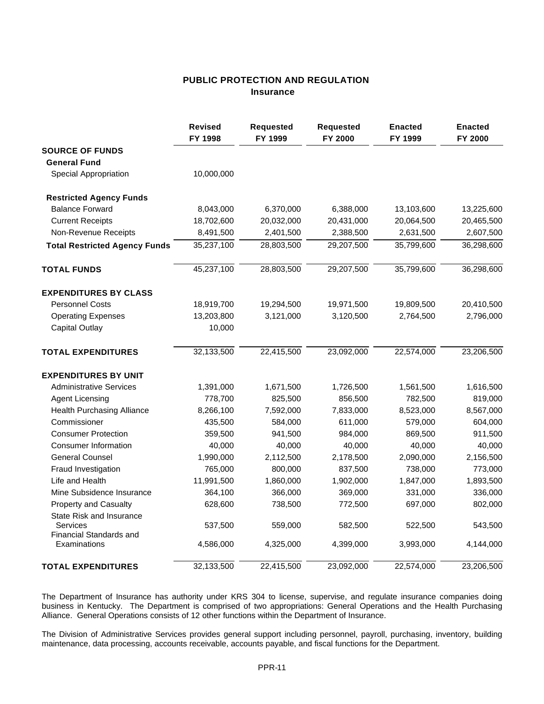### **PUBLIC PROTECTION AND REGULATION Insurance**

|                                                                 | <b>Revised</b><br>FY 1998 | <b>Requested</b><br>FY 1999 | Requested<br>FY 2000 | <b>Enacted</b><br>FY 1999 | <b>Enacted</b><br>FY 2000 |
|-----------------------------------------------------------------|---------------------------|-----------------------------|----------------------|---------------------------|---------------------------|
| <b>SOURCE OF FUNDS</b>                                          |                           |                             |                      |                           |                           |
| <b>General Fund</b>                                             |                           |                             |                      |                           |                           |
| Special Appropriation                                           | 10,000,000                |                             |                      |                           |                           |
| <b>Restricted Agency Funds</b>                                  |                           |                             |                      |                           |                           |
| <b>Balance Forward</b>                                          | 8,043,000                 | 6,370,000                   | 6,388,000            | 13,103,600                | 13,225,600                |
| <b>Current Receipts</b>                                         | 18,702,600                | 20,032,000                  | 20,431,000           | 20,064,500                | 20,465,500                |
| Non-Revenue Receipts                                            | 8,491,500                 | 2,401,500                   | 2,388,500            | 2,631,500                 | 2,607,500                 |
| <b>Total Restricted Agency Funds</b>                            | 35,237,100                | 28,803,500                  | 29,207,500           | 35,799,600                | 36,298,600                |
| <b>TOTAL FUNDS</b>                                              | 45,237,100                | 28,803,500                  | 29,207,500           | 35,799,600                | 36,298,600                |
| <b>EXPENDITURES BY CLASS</b>                                    |                           |                             |                      |                           |                           |
| <b>Personnel Costs</b>                                          | 18,919,700                | 19,294,500                  | 19,971,500           | 19,809,500                | 20,410,500                |
| <b>Operating Expenses</b>                                       | 13,203,800                | 3,121,000                   | 3,120,500            | 2,764,500                 | 2,796,000                 |
| <b>Capital Outlay</b>                                           | 10,000                    |                             |                      |                           |                           |
| <b>TOTAL EXPENDITURES</b>                                       | 32,133,500                | 22,415,500                  | 23,092,000           | 22,574,000                | 23,206,500                |
| <b>EXPENDITURES BY UNIT</b>                                     |                           |                             |                      |                           |                           |
| <b>Administrative Services</b>                                  | 1,391,000                 | 1,671,500                   | 1,726,500            | 1,561,500                 | 1,616,500                 |
| <b>Agent Licensing</b>                                          | 778,700                   | 825,500                     | 856,500              | 782,500                   | 819,000                   |
| <b>Health Purchasing Alliance</b>                               | 8,266,100                 | 7,592,000                   | 7,833,000            | 8,523,000                 | 8,567,000                 |
| Commissioner                                                    | 435,500                   | 584,000                     | 611,000              | 579,000                   | 604,000                   |
| <b>Consumer Protection</b>                                      | 359,500                   | 941,500                     | 984,000              | 869,500                   | 911,500                   |
| <b>Consumer Information</b>                                     | 40,000                    | 40,000                      | 40,000               | 40,000                    | 40,000                    |
| <b>General Counsel</b>                                          | 1,990,000                 | 2,112,500                   | 2,178,500            | 2,090,000                 | 2,156,500                 |
| Fraud Investigation                                             | 765,000                   | 800,000                     | 837,500              | 738,000                   | 773,000                   |
| Life and Health                                                 | 11,991,500                | 1,860,000                   | 1,902,000            | 1,847,000                 | 1,893,500                 |
| Mine Subsidence Insurance                                       | 364,100                   | 366,000                     | 369,000              | 331,000                   | 336,000                   |
| <b>Property and Casualty</b>                                    | 628,600                   | 738,500                     | 772,500              | 697,000                   | 802,000                   |
| State Risk and Insurance<br>Services<br>Financial Standards and | 537,500                   | 559,000                     | 582,500              | 522,500                   | 543,500                   |
| Examinations                                                    | 4,586,000                 | 4,325,000                   | 4,399,000            | 3,993,000                 | 4,144,000                 |
| <b>TOTAL EXPENDITURES</b>                                       | 32,133,500                | 22,415,500                  | 23,092,000           | 22,574,000                | 23,206,500                |

The Department of Insurance has authority under KRS 304 to license, supervise, and regulate insurance companies doing business in Kentucky. The Department is comprised of two appropriations: General Operations and the Health Purchasing Alliance. General Operations consists of 12 other functions within the Department of Insurance.

The Division of Administrative Services provides general support including personnel, payroll, purchasing, inventory, building maintenance, data processing, accounts receivable, accounts payable, and fiscal functions for the Department.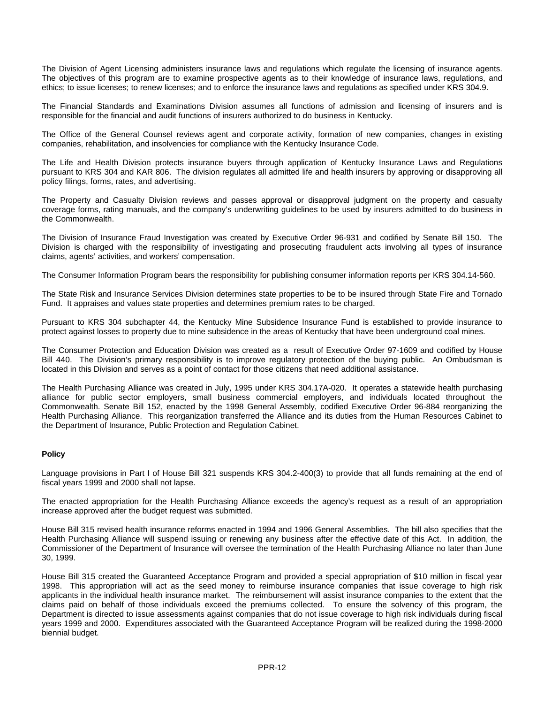The Division of Agent Licensing administers insurance laws and regulations which regulate the licensing of insurance agents. The objectives of this program are to examine prospective agents as to their knowledge of insurance laws, regulations, and ethics; to issue licenses; to renew licenses; and to enforce the insurance laws and regulations as specified under KRS 304.9.

The Financial Standards and Examinations Division assumes all functions of admission and licensing of insurers and is responsible for the financial and audit functions of insurers authorized to do business in Kentucky.

The Office of the General Counsel reviews agent and corporate activity, formation of new companies, changes in existing companies, rehabilitation, and insolvencies for compliance with the Kentucky Insurance Code.

The Life and Health Division protects insurance buyers through application of Kentucky Insurance Laws and Regulations pursuant to KRS 304 and KAR 806. The division regulates all admitted life and health insurers by approving or disapproving all policy filings, forms, rates, and advertising.

The Property and Casualty Division reviews and passes approval or disapproval judgment on the property and casualty coverage forms, rating manuals, and the company's underwriting guidelines to be used by insurers admitted to do business in the Commonwealth.

The Division of Insurance Fraud Investigation was created by Executive Order 96-931 and codified by Senate Bill 150. The Division is charged with the responsibility of investigating and prosecuting fraudulent acts involving all types of insurance claims, agents' activities, and workers' compensation.

The Consumer Information Program bears the responsibility for publishing consumer information reports per KRS 304.14-560.

The State Risk and Insurance Services Division determines state properties to be to be insured through State Fire and Tornado Fund. It appraises and values state properties and determines premium rates to be charged.

Pursuant to KRS 304 subchapter 44, the Kentucky Mine Subsidence Insurance Fund is established to provide insurance to protect against losses to property due to mine subsidence in the areas of Kentucky that have been underground coal mines.

The Consumer Protection and Education Division was created as a result of Executive Order 97-1609 and codified by House Bill 440. The Division's primary responsibility is to improve regulatory protection of the buying public. An Ombudsman is located in this Division and serves as a point of contact for those citizens that need additional assistance.

The Health Purchasing Alliance was created in July, 1995 under KRS 304.17A-020. It operates a statewide health purchasing alliance for public sector employers, small business commercial employers, and individuals located throughout the Commonwealth. Senate Bill 152, enacted by the 1998 General Assembly, codified Executive Order 96-884 reorganizing the Health Purchasing Alliance. This reorganization transferred the Alliance and its duties from the Human Resources Cabinet to the Department of Insurance, Public Protection and Regulation Cabinet.

#### **Policy**

Language provisions in Part I of House Bill 321 suspends KRS 304.2-400(3) to provide that all funds remaining at the end of fiscal years 1999 and 2000 shall not lapse.

The enacted appropriation for the Health Purchasing Alliance exceeds the agency's request as a result of an appropriation increase approved after the budget request was submitted.

House Bill 315 revised health insurance reforms enacted in 1994 and 1996 General Assemblies. The bill also specifies that the Health Purchasing Alliance will suspend issuing or renewing any business after the effective date of this Act. In addition, the Commissioner of the Department of Insurance will oversee the termination of the Health Purchasing Alliance no later than June 30, 1999.

House Bill 315 created the Guaranteed Acceptance Program and provided a special appropriation of \$10 million in fiscal year 1998. This appropriation will act as the seed money to reimburse insurance companies that issue coverage to high risk applicants in the individual health insurance market. The reimbursement will assist insurance companies to the extent that the claims paid on behalf of those individuals exceed the premiums collected. To ensure the solvency of this program, the Department is directed to issue assessments against companies that do not issue coverage to high risk individuals during fiscal years 1999 and 2000. Expenditures associated with the Guaranteed Acceptance Program will be realized during the 1998-2000 biennial budget.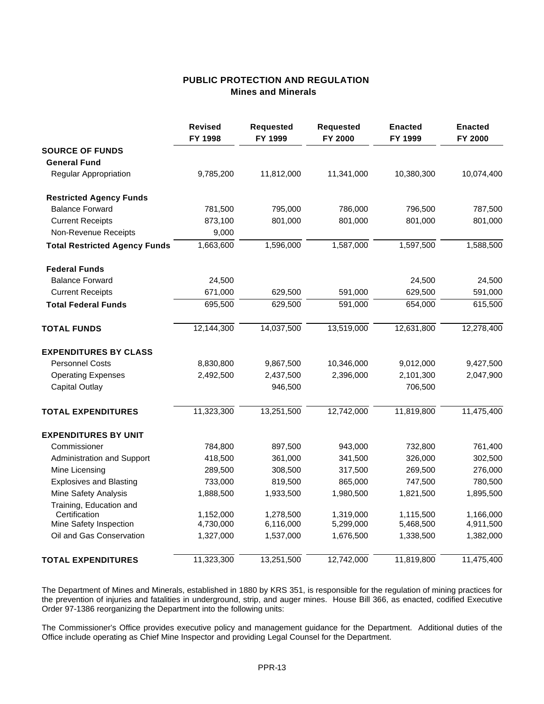# **PUBLIC PROTECTION AND REGULATION Mines and Minerals**

|                                      | <b>Revised</b><br>FY 1998 | <b>Requested</b><br>FY 1999 | <b>Requested</b><br>FY 2000 | <b>Enacted</b><br>FY 1999 | <b>Enacted</b><br>FY 2000 |
|--------------------------------------|---------------------------|-----------------------------|-----------------------------|---------------------------|---------------------------|
| <b>SOURCE OF FUNDS</b>               |                           |                             |                             |                           |                           |
| <b>General Fund</b>                  |                           |                             |                             |                           |                           |
| <b>Regular Appropriation</b>         | 9,785,200                 | 11,812,000                  | 11,341,000                  | 10,380,300                | 10,074,400                |
| <b>Restricted Agency Funds</b>       |                           |                             |                             |                           |                           |
| <b>Balance Forward</b>               | 781,500                   | 795,000                     | 786,000                     | 796,500                   | 787,500                   |
| <b>Current Receipts</b>              | 873,100                   | 801,000                     | 801,000                     | 801,000                   | 801,000                   |
| Non-Revenue Receipts                 | 9,000                     |                             |                             |                           |                           |
| <b>Total Restricted Agency Funds</b> | 1,663,600                 | 1,596,000                   | 1,587,000                   | 1,597,500                 | 1,588,500                 |
| <b>Federal Funds</b>                 |                           |                             |                             |                           |                           |
| <b>Balance Forward</b>               | 24,500                    |                             |                             | 24,500                    | 24,500                    |
| <b>Current Receipts</b>              | 671,000                   | 629,500                     | 591,000                     | 629,500                   | 591,000                   |
| <b>Total Federal Funds</b>           | 695,500                   | 629,500                     | 591,000                     | 654,000                   | 615,500                   |
| <b>TOTAL FUNDS</b>                   | 12,144,300                | 14,037,500                  | 13,519,000                  | 12,631,800                | 12,278,400                |
| <b>EXPENDITURES BY CLASS</b>         |                           |                             |                             |                           |                           |
| <b>Personnel Costs</b>               | 8,830,800                 | 9,867,500                   | 10,346,000                  | 9,012,000                 | 9,427,500                 |
| <b>Operating Expenses</b>            | 2,492,500                 | 2,437,500                   | 2,396,000                   | 2,101,300                 | 2,047,900                 |
| Capital Outlay                       |                           | 946,500                     |                             | 706,500                   |                           |
| <b>TOTAL EXPENDITURES</b>            | 11,323,300                | 13,251,500                  | 12,742,000                  | 11,819,800                | 11,475,400                |
| <b>EXPENDITURES BY UNIT</b>          |                           |                             |                             |                           |                           |
| Commissioner                         | 784,800                   | 897,500                     | 943,000                     | 732,800                   | 761,400                   |
| Administration and Support           | 418,500                   | 361,000                     | 341,500                     | 326,000                   | 302,500                   |
| Mine Licensing                       | 289,500                   | 308,500                     | 317,500                     | 269,500                   | 276,000                   |
| <b>Explosives and Blasting</b>       | 733,000                   | 819,500                     | 865,000                     | 747,500                   | 780,500                   |
| Mine Safety Analysis                 | 1,888,500                 | 1,933,500                   | 1,980,500                   | 1,821,500                 | 1,895,500                 |
| Training, Education and              |                           |                             |                             |                           |                           |
| Certification                        | 1,152,000                 | 1,278,500                   | 1,319,000                   | 1,115,500                 | 1,166,000                 |
| Mine Safety Inspection               | 4,730,000                 | 6,116,000                   | 5,299,000                   | 5,468,500                 | 4,911,500                 |
| Oil and Gas Conservation             | 1,327,000                 | 1,537,000                   | 1,676,500                   | 1,338,500                 | 1,382,000                 |
| <b>TOTAL EXPENDITURES</b>            | 11,323,300                | 13,251,500                  | 12,742,000                  | 11,819,800                | 11,475,400                |

The Department of Mines and Minerals, established in 1880 by KRS 351, is responsible for the regulation of mining practices for the prevention of injuries and fatalities in underground, strip, and auger mines. House Bill 366, as enacted, codified Executive Order 97-1386 reorganizing the Department into the following units:

The Commissioner's Office provides executive policy and management guidance for the Department. Additional duties of the Office include operating as Chief Mine Inspector and providing Legal Counsel for the Department.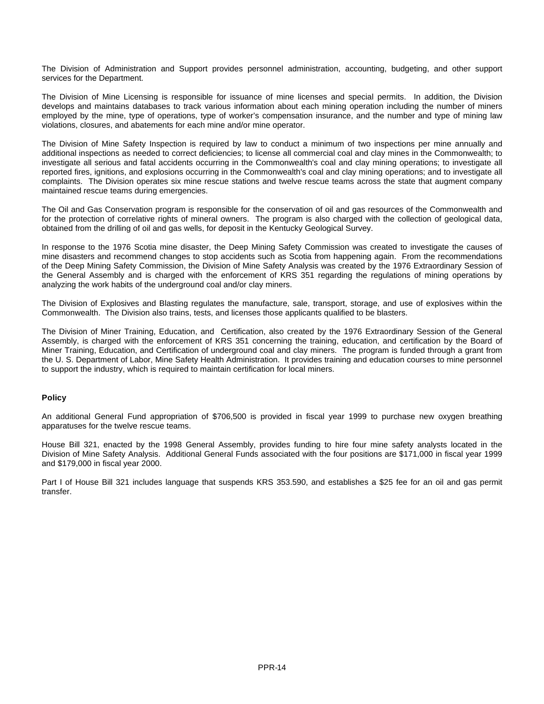The Division of Administration and Support provides personnel administration, accounting, budgeting, and other support services for the Department.

The Division of Mine Licensing is responsible for issuance of mine licenses and special permits. In addition, the Division develops and maintains databases to track various information about each mining operation including the number of miners employed by the mine, type of operations, type of worker's compensation insurance, and the number and type of mining law violations, closures, and abatements for each mine and/or mine operator.

The Division of Mine Safety Inspection is required by law to conduct a minimum of two inspections per mine annually and additional inspections as needed to correct deficiencies; to license all commercial coal and clay mines in the Commonwealth; to investigate all serious and fatal accidents occurring in the Commonwealth's coal and clay mining operations; to investigate all reported fires, ignitions, and explosions occurring in the Commonwealth's coal and clay mining operations; and to investigate all complaints. The Division operates six mine rescue stations and twelve rescue teams across the state that augment company maintained rescue teams during emergencies.

The Oil and Gas Conservation program is responsible for the conservation of oil and gas resources of the Commonwealth and for the protection of correlative rights of mineral owners. The program is also charged with the collection of geological data, obtained from the drilling of oil and gas wells, for deposit in the Kentucky Geological Survey.

In response to the 1976 Scotia mine disaster, the Deep Mining Safety Commission was created to investigate the causes of mine disasters and recommend changes to stop accidents such as Scotia from happening again. From the recommendations of the Deep Mining Safety Commission, the Division of Mine Safety Analysis was created by the 1976 Extraordinary Session of the General Assembly and is charged with the enforcement of KRS 351 regarding the regulations of mining operations by analyzing the work habits of the underground coal and/or clay miners.

The Division of Explosives and Blasting regulates the manufacture, sale, transport, storage, and use of explosives within the Commonwealth. The Division also trains, tests, and licenses those applicants qualified to be blasters.

The Division of Miner Training, Education, and Certification, also created by the 1976 Extraordinary Session of the General Assembly, is charged with the enforcement of KRS 351 concerning the training, education, and certification by the Board of Miner Training, Education, and Certification of underground coal and clay miners. The program is funded through a grant from the U. S. Department of Labor, Mine Safety Health Administration. It provides training and education courses to mine personnel to support the industry, which is required to maintain certification for local miners.

#### **Policy**

An additional General Fund appropriation of \$706,500 is provided in fiscal year 1999 to purchase new oxygen breathing apparatuses for the twelve rescue teams.

House Bill 321, enacted by the 1998 General Assembly, provides funding to hire four mine safety analysts located in the Division of Mine Safety Analysis. Additional General Funds associated with the four positions are \$171,000 in fiscal year 1999 and \$179,000 in fiscal year 2000.

Part I of House Bill 321 includes language that suspends KRS 353.590, and establishes a \$25 fee for an oil and gas permit transfer.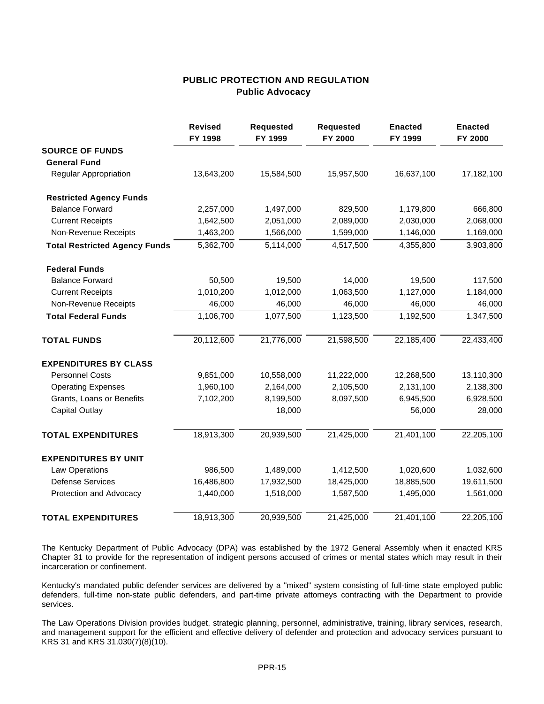### **PUBLIC PROTECTION AND REGULATION Public Advocacy**

|                                      | <b>Revised</b><br>FY 1998 | <b>Requested</b><br>FY 1999 | <b>Requested</b><br>FY 2000 | <b>Enacted</b><br>FY 1999 | <b>Enacted</b><br>FY 2000 |
|--------------------------------------|---------------------------|-----------------------------|-----------------------------|---------------------------|---------------------------|
| <b>SOURCE OF FUNDS</b>               |                           |                             |                             |                           |                           |
| <b>General Fund</b>                  |                           |                             |                             |                           |                           |
| Regular Appropriation                | 13,643,200                | 15,584,500                  | 15,957,500                  | 16,637,100                | 17,182,100                |
| <b>Restricted Agency Funds</b>       |                           |                             |                             |                           |                           |
| <b>Balance Forward</b>               | 2,257,000                 | 1,497,000                   | 829,500                     | 1,179,800                 | 666,800                   |
| <b>Current Receipts</b>              | 1,642,500                 | 2,051,000                   | 2,089,000                   | 2,030,000                 | 2,068,000                 |
| Non-Revenue Receipts                 | 1,463,200                 | 1,566,000                   | 1,599,000                   | 1,146,000                 | 1,169,000                 |
| <b>Total Restricted Agency Funds</b> | 5,362,700                 | 5,114,000                   | 4,517,500                   | 4,355,800                 | 3,903,800                 |
| <b>Federal Funds</b>                 |                           |                             |                             |                           |                           |
| <b>Balance Forward</b>               | 50,500                    | 19,500                      | 14,000                      | 19,500                    | 117,500                   |
| <b>Current Receipts</b>              | 1,010,200                 | 1,012,000                   | 1,063,500                   | 1,127,000                 | 1,184,000                 |
| Non-Revenue Receipts                 | 46,000                    | 46,000                      | 46,000                      | 46,000                    | 46,000                    |
| <b>Total Federal Funds</b>           | 1,106,700                 | 1,077,500                   | 1,123,500                   | 1,192,500                 | 1,347,500                 |
| <b>TOTAL FUNDS</b>                   | 20,112,600                | 21,776,000                  | 21,598,500                  | 22,185,400                | 22,433,400                |
| <b>EXPENDITURES BY CLASS</b>         |                           |                             |                             |                           |                           |
| <b>Personnel Costs</b>               | 9,851,000                 | 10,558,000                  | 11,222,000                  | 12,268,500                | 13,110,300                |
| <b>Operating Expenses</b>            | 1,960,100                 | 2,164,000                   | 2,105,500                   | 2,131,100                 | 2,138,300                 |
| Grants, Loans or Benefits            | 7,102,200                 | 8,199,500                   | 8,097,500                   | 6,945,500                 | 6,928,500                 |
| <b>Capital Outlay</b>                |                           | 18,000                      |                             | 56,000                    | 28,000                    |
| <b>TOTAL EXPENDITURES</b>            | 18,913,300                | 20,939,500                  | 21,425,000                  | 21,401,100                | 22,205,100                |
| <b>EXPENDITURES BY UNIT</b>          |                           |                             |                             |                           |                           |
| <b>Law Operations</b>                | 986,500                   | 1,489,000                   | 1,412,500                   | 1,020,600                 | 1,032,600                 |
| <b>Defense Services</b>              | 16,486,800                | 17,932,500                  | 18,425,000                  | 18,885,500                | 19,611,500                |
| Protection and Advocacy              | 1,440,000                 | 1,518,000                   | 1,587,500                   | 1,495,000                 | 1,561,000                 |
| <b>TOTAL EXPENDITURES</b>            | 18,913,300                | 20,939,500                  | 21,425,000                  | 21,401,100                | 22,205,100                |

The Kentucky Department of Public Advocacy (DPA) was established by the 1972 General Assembly when it enacted KRS Chapter 31 to provide for the representation of indigent persons accused of crimes or mental states which may result in their incarceration or confinement.

Kentucky's mandated public defender services are delivered by a "mixed" system consisting of full-time state employed public defenders, full-time non-state public defenders, and part-time private attorneys contracting with the Department to provide services.

The Law Operations Division provides budget, strategic planning, personnel, administrative, training, library services, research, and management support for the efficient and effective delivery of defender and protection and advocacy services pursuant to KRS 31 and KRS 31.030(7)(8)(10).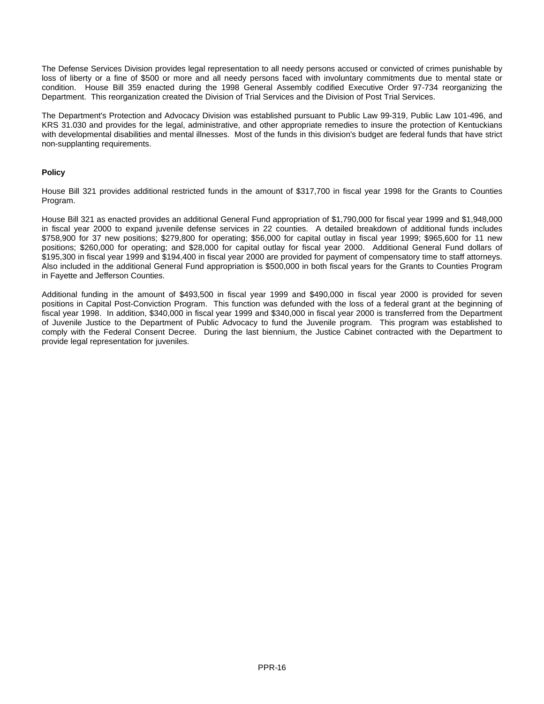The Defense Services Division provides legal representation to all needy persons accused or convicted of crimes punishable by loss of liberty or a fine of \$500 or more and all needy persons faced with involuntary commitments due to mental state or condition. House Bill 359 enacted during the 1998 General Assembly codified Executive Order 97-734 reorganizing the Department. This reorganization created the Division of Trial Services and the Division of Post Trial Services.

The Department's Protection and Advocacy Division was established pursuant to Public Law 99-319, Public Law 101-496, and KRS 31.030 and provides for the legal, administrative, and other appropriate remedies to insure the protection of Kentuckians with developmental disabilities and mental illnesses. Most of the funds in this division's budget are federal funds that have strict non-supplanting requirements.

#### **Policy**

House Bill 321 provides additional restricted funds in the amount of \$317,700 in fiscal year 1998 for the Grants to Counties Program.

House Bill 321 as enacted provides an additional General Fund appropriation of \$1,790,000 for fiscal year 1999 and \$1,948,000 in fiscal year 2000 to expand juvenile defense services in 22 counties. A detailed breakdown of additional funds includes \$758,900 for 37 new positions; \$279,800 for operating; \$56,000 for capital outlay in fiscal year 1999; \$965,600 for 11 new positions; \$260,000 for operating; and \$28,000 for capital outlay for fiscal year 2000. Additional General Fund dollars of \$195,300 in fiscal year 1999 and \$194,400 in fiscal year 2000 are provided for payment of compensatory time to staff attorneys. Also included in the additional General Fund appropriation is \$500,000 in both fiscal years for the Grants to Counties Program in Fayette and Jefferson Counties.

Additional funding in the amount of \$493,500 in fiscal year 1999 and \$490,000 in fiscal year 2000 is provided for seven positions in Capital Post-Conviction Program. This function was defunded with the loss of a federal grant at the beginning of fiscal year 1998. In addition, \$340,000 in fiscal year 1999 and \$340,000 in fiscal year 2000 is transferred from the Department of Juvenile Justice to the Department of Public Advocacy to fund the Juvenile program. This program was established to comply with the Federal Consent Decree. During the last biennium, the Justice Cabinet contracted with the Department to provide legal representation for juveniles.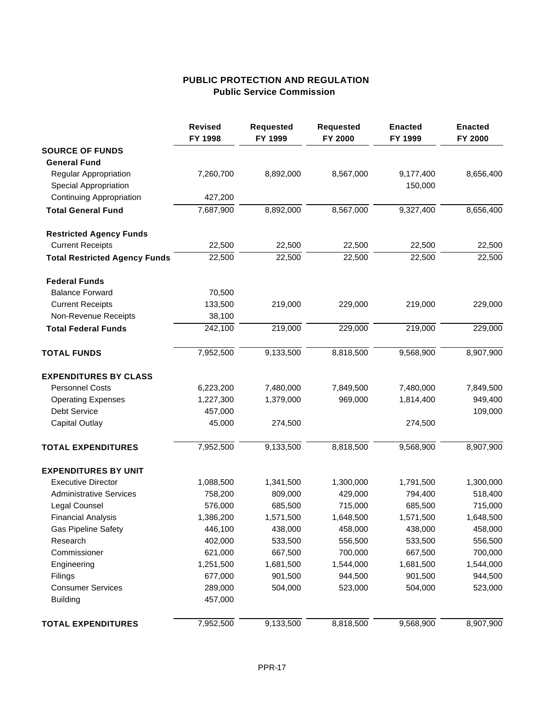# **PUBLIC PROTECTION AND REGULATION Public Service Commission**

|                                      | <b>Revised</b><br>FY 1998 | <b>Requested</b><br>FY 1999 | <b>Requested</b><br>FY 2000 | <b>Enacted</b><br>FY 1999 | <b>Enacted</b><br>FY 2000 |
|--------------------------------------|---------------------------|-----------------------------|-----------------------------|---------------------------|---------------------------|
| <b>SOURCE OF FUNDS</b>               |                           |                             |                             |                           |                           |
| <b>General Fund</b>                  |                           |                             |                             |                           |                           |
| Regular Appropriation                | 7,260,700                 | 8,892,000                   | 8,567,000                   | 9,177,400                 | 8,656,400                 |
| <b>Special Appropriation</b>         |                           |                             |                             | 150,000                   |                           |
| <b>Continuing Appropriation</b>      | 427,200                   |                             |                             |                           |                           |
| <b>Total General Fund</b>            | 7,687,900                 | 8,892,000                   | 8,567,000                   | 9,327,400                 | 8,656,400                 |
| <b>Restricted Agency Funds</b>       |                           |                             |                             |                           |                           |
| <b>Current Receipts</b>              | 22,500                    | 22,500                      | 22,500                      | 22,500                    | 22,500                    |
| <b>Total Restricted Agency Funds</b> | 22,500                    | 22,500                      | 22,500                      | 22,500                    | 22,500                    |
| <b>Federal Funds</b>                 |                           |                             |                             |                           |                           |
| <b>Balance Forward</b>               | 70,500                    |                             |                             |                           |                           |
| <b>Current Receipts</b>              | 133,500                   | 219,000                     | 229,000                     | 219,000                   | 229,000                   |
| Non-Revenue Receipts                 | 38,100                    |                             |                             |                           |                           |
| <b>Total Federal Funds</b>           | 242,100                   | 219,000                     | 229,000                     | 219,000                   | 229,000                   |
| <b>TOTAL FUNDS</b>                   | 7,952,500                 | 9,133,500                   | 8,818,500                   | 9,568,900                 | 8,907,900                 |
| <b>EXPENDITURES BY CLASS</b>         |                           |                             |                             |                           |                           |
| <b>Personnel Costs</b>               | 6,223,200                 | 7,480,000                   | 7,849,500                   | 7,480,000                 | 7,849,500                 |
| <b>Operating Expenses</b>            | 1,227,300                 | 1,379,000                   | 969,000                     | 1,814,400                 | 949,400                   |
| Debt Service                         | 457,000                   |                             |                             |                           | 109,000                   |
| <b>Capital Outlay</b>                | 45,000                    | 274,500                     |                             | 274,500                   |                           |
| <b>TOTAL EXPENDITURES</b>            | 7,952,500                 | 9,133,500                   | 8,818,500                   | 9,568,900                 | 8,907,900                 |
| <b>EXPENDITURES BY UNIT</b>          |                           |                             |                             |                           |                           |
| <b>Executive Director</b>            | 1,088,500                 | 1,341,500                   | 1,300,000                   | 1,791,500                 | 1,300,000                 |
| <b>Administrative Services</b>       | 758,200                   | 809,000                     | 429,000                     | 794,400                   | 518,400                   |
| Legal Counsel                        | 576,000                   | 685,500                     | 715,000                     | 685,500                   | 715,000                   |
| <b>Financial Analysis</b>            | 1,386,200                 | 1,571,500                   | 1,648,500                   | 1,571,500                 | 1,648,500                 |
| <b>Gas Pipeline Safety</b>           | 446,100                   | 438,000                     | 458,000                     | 438,000                   | 458,000                   |
| Research                             | 402,000                   | 533,500                     | 556,500                     | 533,500                   | 556,500                   |
| Commissioner                         | 621,000                   | 667,500                     | 700,000                     | 667,500                   | 700,000                   |
| Engineering                          | 1,251,500                 | 1,681,500                   | 1,544,000                   | 1,681,500                 | 1,544,000                 |
| Filings                              | 677,000                   | 901,500                     | 944,500                     | 901,500                   | 944,500                   |
| <b>Consumer Services</b>             | 289,000                   | 504,000                     | 523,000                     | 504,000                   | 523,000                   |
| <b>Building</b>                      | 457,000                   |                             |                             |                           |                           |
| <b>TOTAL EXPENDITURES</b>            | 7,952,500                 | 9,133,500                   | 8,818,500                   | 9,568,900                 | 8,907,900                 |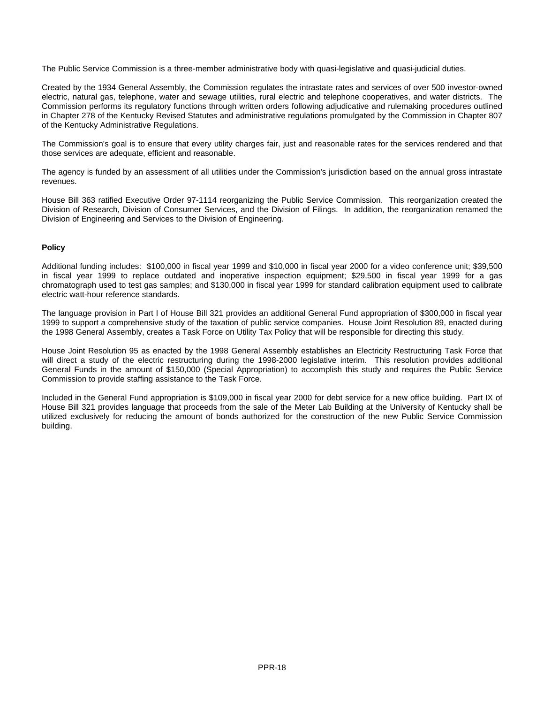The Public Service Commission is a three-member administrative body with quasi-legislative and quasi-judicial duties.

Created by the 1934 General Assembly, the Commission regulates the intrastate rates and services of over 500 investor-owned electric, natural gas, telephone, water and sewage utilities, rural electric and telephone cooperatives, and water districts. The Commission performs its regulatory functions through written orders following adjudicative and rulemaking procedures outlined in Chapter 278 of the Kentucky Revised Statutes and administrative regulations promulgated by the Commission in Chapter 807 of the Kentucky Administrative Regulations.

The Commission's goal is to ensure that every utility charges fair, just and reasonable rates for the services rendered and that those services are adequate, efficient and reasonable.

The agency is funded by an assessment of all utilities under the Commission's jurisdiction based on the annual gross intrastate revenues.

House Bill 363 ratified Executive Order 97-1114 reorganizing the Public Service Commission. This reorganization created the Division of Research, Division of Consumer Services, and the Division of Filings. In addition, the reorganization renamed the Division of Engineering and Services to the Division of Engineering.

#### **Policy**

Additional funding includes: \$100,000 in fiscal year 1999 and \$10,000 in fiscal year 2000 for a video conference unit; \$39,500 in fiscal year 1999 to replace outdated and inoperative inspection equipment; \$29,500 in fiscal year 1999 for a gas chromatograph used to test gas samples; and \$130,000 in fiscal year 1999 for standard calibration equipment used to calibrate electric watt-hour reference standards.

The language provision in Part I of House Bill 321 provides an additional General Fund appropriation of \$300,000 in fiscal year 1999 to support a comprehensive study of the taxation of public service companies. House Joint Resolution 89, enacted during the 1998 General Assembly, creates a Task Force on Utility Tax Policy that will be responsible for directing this study.

House Joint Resolution 95 as enacted by the 1998 General Assembly establishes an Electricity Restructuring Task Force that will direct a study of the electric restructuring during the 1998-2000 legislative interim. This resolution provides additional General Funds in the amount of \$150,000 (Special Appropriation) to accomplish this study and requires the Public Service Commission to provide staffing assistance to the Task Force.

Included in the General Fund appropriation is \$109,000 in fiscal year 2000 for debt service for a new office building. Part IX of House Bill 321 provides language that proceeds from the sale of the Meter Lab Building at the University of Kentucky shall be utilized exclusively for reducing the amount of bonds authorized for the construction of the new Public Service Commission building.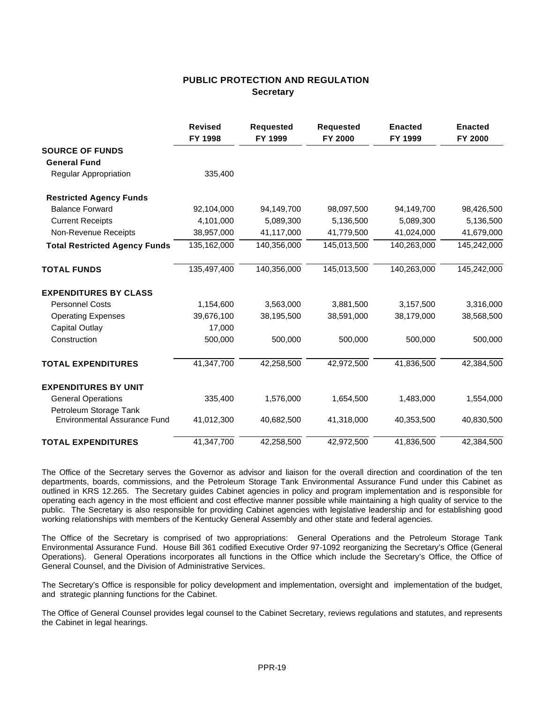### **PUBLIC PROTECTION AND REGULATION Secretary**

|                                                               | <b>Revised</b><br>FY 1998 | <b>Requested</b><br>FY 1999 | <b>Requested</b><br>FY 2000 | <b>Enacted</b><br>FY 1999 | <b>Enacted</b><br>FY 2000 |
|---------------------------------------------------------------|---------------------------|-----------------------------|-----------------------------|---------------------------|---------------------------|
| <b>SOURCE OF FUNDS</b>                                        |                           |                             |                             |                           |                           |
| <b>General Fund</b>                                           |                           |                             |                             |                           |                           |
| Regular Appropriation                                         | 335,400                   |                             |                             |                           |                           |
| <b>Restricted Agency Funds</b>                                |                           |                             |                             |                           |                           |
| <b>Balance Forward</b>                                        | 92,104,000                | 94,149,700                  | 98,097,500                  | 94,149,700                | 98,426,500                |
| <b>Current Receipts</b>                                       | 4,101,000                 | 5,089,300                   | 5,136,500                   | 5,089,300                 | 5,136,500                 |
| Non-Revenue Receipts                                          | 38,957,000                | 41,117,000                  | 41,779,500                  | 41,024,000                | 41,679,000                |
| <b>Total Restricted Agency Funds</b>                          | 135,162,000               | 140,356,000                 | 145,013,500                 | 140,263,000               | 145,242,000               |
| <b>TOTAL FUNDS</b>                                            | 135,497,400               | 140,356,000                 | 145,013,500                 | 140,263,000               | 145,242,000               |
| <b>EXPENDITURES BY CLASS</b>                                  |                           |                             |                             |                           |                           |
| <b>Personnel Costs</b>                                        | 1,154,600                 | 3,563,000                   | 3,881,500                   | 3,157,500                 | 3,316,000                 |
| <b>Operating Expenses</b>                                     | 39,676,100                | 38,195,500                  | 38,591,000                  | 38,179,000                | 38,568,500                |
| <b>Capital Outlay</b>                                         | 17,000                    |                             |                             |                           |                           |
| Construction                                                  | 500,000                   | 500,000                     | 500,000                     | 500,000                   | 500,000                   |
| <b>TOTAL EXPENDITURES</b>                                     | 41,347,700                | 42,258,500                  | 42,972,500                  | 41,836,500                | 42,384,500                |
| <b>EXPENDITURES BY UNIT</b>                                   |                           |                             |                             |                           |                           |
| <b>General Operations</b>                                     | 335,400                   | 1,576,000                   | 1,654,500                   | 1,483,000                 | 1,554,000                 |
| Petroleum Storage Tank<br><b>Environmental Assurance Fund</b> | 41,012,300                | 40,682,500                  | 41,318,000                  | 40,353,500                | 40,830,500                |
| <b>TOTAL EXPENDITURES</b>                                     | 41,347,700                | 42,258,500                  | 42,972,500                  | 41,836,500                | 42,384,500                |

The Office of the Secretary serves the Governor as advisor and liaison for the overall direction and coordination of the ten departments, boards, commissions, and the Petroleum Storage Tank Environmental Assurance Fund under this Cabinet as outlined in KRS 12.265. The Secretary guides Cabinet agencies in policy and program implementation and is responsible for operating each agency in the most efficient and cost effective manner possible while maintaining a high quality of service to the public. The Secretary is also responsible for providing Cabinet agencies with legislative leadership and for establishing good working relationships with members of the Kentucky General Assembly and other state and federal agencies.

The Office of the Secretary is comprised of two appropriations: General Operations and the Petroleum Storage Tank Environmental Assurance Fund. House Bill 361 codified Executive Order 97-1092 reorganizing the Secretary's Office (General Operations). General Operations incorporates all functions in the Office which include the Secretary's Office, the Office of General Counsel, and the Division of Administrative Services.

The Secretary's Office is responsible for policy development and implementation, oversight and implementation of the budget, and strategic planning functions for the Cabinet.

The Office of General Counsel provides legal counsel to the Cabinet Secretary, reviews regulations and statutes, and represents the Cabinet in legal hearings.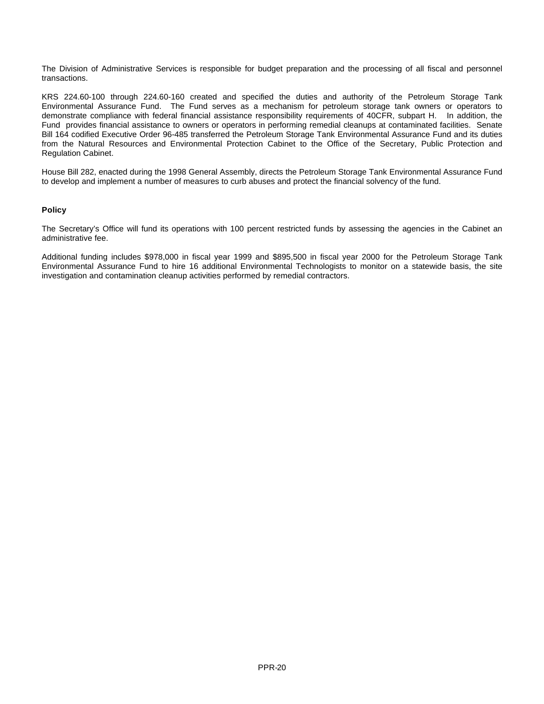The Division of Administrative Services is responsible for budget preparation and the processing of all fiscal and personnel transactions.

KRS 224.60-100 through 224.60-160 created and specified the duties and authority of the Petroleum Storage Tank Environmental Assurance Fund. The Fund serves as a mechanism for petroleum storage tank owners or operators to demonstrate compliance with federal financial assistance responsibility requirements of 40CFR, subpart H. In addition, the Fund provides financial assistance to owners or operators in performing remedial cleanups at contaminated facilities. Senate Bill 164 codified Executive Order 96-485 transferred the Petroleum Storage Tank Environmental Assurance Fund and its duties from the Natural Resources and Environmental Protection Cabinet to the Office of the Secretary, Public Protection and Regulation Cabinet.

House Bill 282, enacted during the 1998 General Assembly, directs the Petroleum Storage Tank Environmental Assurance Fund to develop and implement a number of measures to curb abuses and protect the financial solvency of the fund.

#### **Policy**

The Secretary's Office will fund its operations with 100 percent restricted funds by assessing the agencies in the Cabinet an administrative fee.

Additional funding includes \$978,000 in fiscal year 1999 and \$895,500 in fiscal year 2000 for the Petroleum Storage Tank Environmental Assurance Fund to hire 16 additional Environmental Technologists to monitor on a statewide basis, the site investigation and contamination cleanup activities performed by remedial contractors.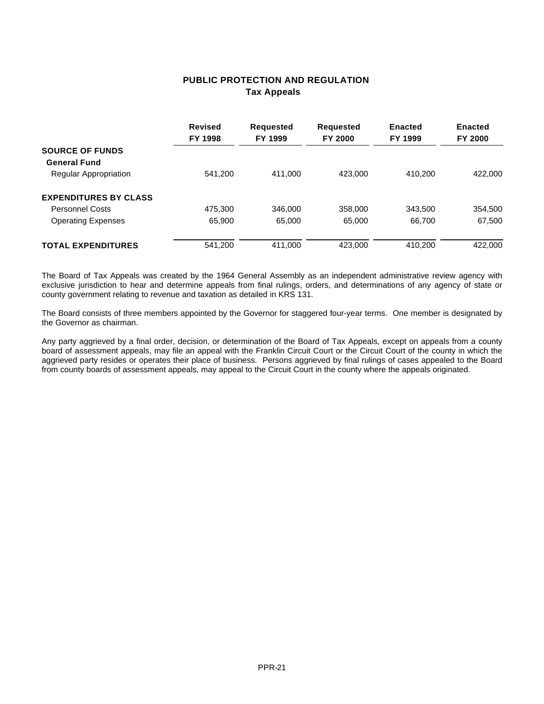### **PUBLIC PROTECTION AND REGULATION Tax Appeals**

|                              | <b>Revised</b><br>FY 1998 | <b>Requested</b><br>FY 1999 | <b>Requested</b><br><b>FY 2000</b> | <b>Enacted</b><br>FY 1999 | <b>Enacted</b><br>FY 2000 |
|------------------------------|---------------------------|-----------------------------|------------------------------------|---------------------------|---------------------------|
| <b>SOURCE OF FUNDS</b>       |                           |                             |                                    |                           |                           |
| <b>General Fund</b>          |                           |                             |                                    |                           |                           |
| Regular Appropriation        | 541.200                   | 411,000                     | 423.000                            | 410.200                   | 422,000                   |
| <b>EXPENDITURES BY CLASS</b> |                           |                             |                                    |                           |                           |
| <b>Personnel Costs</b>       | 475,300                   | 346,000                     | 358,000                            | 343.500                   | 354,500                   |
| <b>Operating Expenses</b>    | 65,900                    | 65,000                      | 65.000                             | 66,700                    | 67,500                    |
| <b>TOTAL EXPENDITURES</b>    | 541.200                   | 411.000                     | 423.000                            | 410.200                   | 422,000                   |

The Board of Tax Appeals was created by the 1964 General Assembly as an independent administrative review agency with exclusive jurisdiction to hear and determine appeals from final rulings, orders, and determinations of any agency of state or county government relating to revenue and taxation as detailed in KRS 131.

The Board consists of three members appointed by the Governor for staggered four-year terms. One member is designated by the Governor as chairman.

Any party aggrieved by a final order, decision, or determination of the Board of Tax Appeals, except on appeals from a county board of assessment appeals, may file an appeal with the Franklin Circuit Court or the Circuit Court of the county in which the aggrieved party resides or operates their place of business. Persons aggrieved by final rulings of cases appealed to the Board from county boards of assessment appeals, may appeal to the Circuit Court in the county where the appeals originated.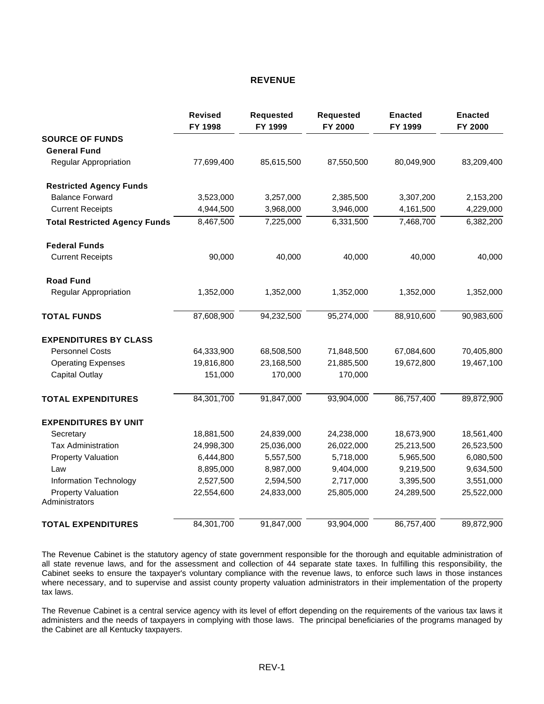### **REVENUE**

|                                             | <b>Revised</b><br>FY 1998 | <b>Requested</b><br>FY 1999 | <b>Requested</b><br>FY 2000 | <b>Enacted</b><br>FY 1999 | <b>Enacted</b><br>FY 2000 |
|---------------------------------------------|---------------------------|-----------------------------|-----------------------------|---------------------------|---------------------------|
| <b>SOURCE OF FUNDS</b>                      |                           |                             |                             |                           |                           |
| <b>General Fund</b>                         |                           |                             |                             |                           |                           |
| <b>Regular Appropriation</b>                | 77,699,400                | 85,615,500                  | 87,550,500                  | 80,049,900                | 83,209,400                |
| <b>Restricted Agency Funds</b>              |                           |                             |                             |                           |                           |
| <b>Balance Forward</b>                      | 3,523,000                 | 3,257,000                   | 2,385,500                   | 3,307,200                 | 2,153,200                 |
| <b>Current Receipts</b>                     | 4,944,500                 | 3,968,000                   | 3,946,000                   | 4,161,500                 | 4,229,000                 |
| <b>Total Restricted Agency Funds</b>        | 8,467,500                 | 7,225,000                   | 6,331,500                   | 7,468,700                 | 6,382,200                 |
| <b>Federal Funds</b>                        |                           |                             |                             |                           |                           |
| <b>Current Receipts</b>                     | 90,000                    | 40,000                      | 40,000                      | 40,000                    | 40,000                    |
| <b>Road Fund</b>                            |                           |                             |                             |                           |                           |
| <b>Regular Appropriation</b>                | 1,352,000                 | 1,352,000                   | 1,352,000                   | 1,352,000                 | 1,352,000                 |
| <b>TOTAL FUNDS</b>                          | 87,608,900                | 94,232,500                  | 95,274,000                  | 88,910,600                | 90,983,600                |
| <b>EXPENDITURES BY CLASS</b>                |                           |                             |                             |                           |                           |
| <b>Personnel Costs</b>                      | 64,333,900                | 68,508,500                  | 71,848,500                  | 67,084,600                | 70,405,800                |
| <b>Operating Expenses</b>                   | 19,816,800                | 23,168,500                  | 21,885,500                  | 19,672,800                | 19,467,100                |
| <b>Capital Outlay</b>                       | 151,000                   | 170,000                     | 170,000                     |                           |                           |
| <b>TOTAL EXPENDITURES</b>                   | 84,301,700                | 91,847,000                  | 93,904,000                  | 86,757,400                | 89,872,900                |
| <b>EXPENDITURES BY UNIT</b>                 |                           |                             |                             |                           |                           |
| Secretary                                   | 18,881,500                | 24,839,000                  | 24,238,000                  | 18,673,900                | 18,561,400                |
| <b>Tax Administration</b>                   | 24,998,300                | 25,036,000                  | 26,022,000                  | 25,213,500                | 26,523,500                |
| <b>Property Valuation</b>                   | 6,444,800                 | 5,557,500                   | 5,718,000                   | 5,965,500                 | 6,080,500                 |
| Law                                         | 8,895,000                 | 8,987,000                   | 9,404,000                   | 9,219,500                 | 9,634,500                 |
| Information Technology                      | 2,527,500                 | 2,594,500                   | 2,717,000                   | 3,395,500                 | 3,551,000                 |
| <b>Property Valuation</b><br>Administrators | 22,554,600                | 24,833,000                  | 25,805,000                  | 24,289,500                | 25,522,000                |
| <b>TOTAL EXPENDITURES</b>                   | 84,301,700                | 91,847,000                  | 93,904,000                  | 86,757,400                | 89,872,900                |

The Revenue Cabinet is the statutory agency of state government responsible for the thorough and equitable administration of all state revenue laws, and for the assessment and collection of 44 separate state taxes. In fulfilling this responsibility, the Cabinet seeks to ensure the taxpayer's voluntary compliance with the revenue laws, to enforce such laws in those instances where necessary, and to supervise and assist county property valuation administrators in their implementation of the property tax laws.

The Revenue Cabinet is a central service agency with its level of effort depending on the requirements of the various tax laws it administers and the needs of taxpayers in complying with those laws. The principal beneficiaries of the programs managed by the Cabinet are all Kentucky taxpayers.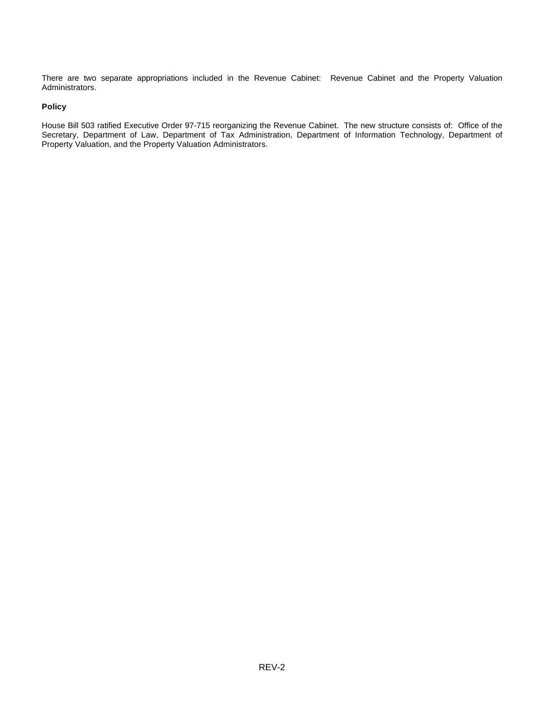There are two separate appropriations included in the Revenue Cabinet: Revenue Cabinet and the Property Valuation Administrators.

#### **Policy**

House Bill 503 ratified Executive Order 97-715 reorganizing the Revenue Cabinet. The new structure consists of: Office of the Secretary, Department of Law, Department of Tax Administration, Department of Information Technology, Department of Property Valuation, and the Property Valuation Administrators.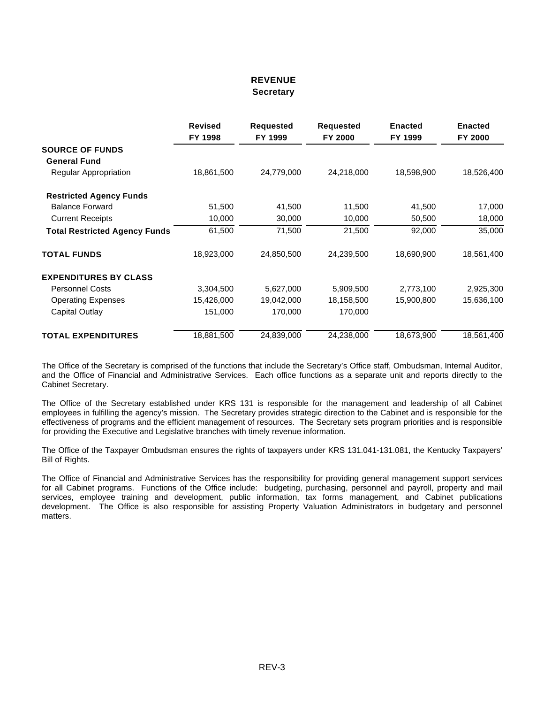### **REVENUE Secretary**

|                                      | <b>Revised</b><br>FY 1998 | <b>Requested</b><br>FY 1999 | <b>Requested</b><br>FY 2000 | <b>Enacted</b><br>FY 1999 | <b>Enacted</b><br>FY 2000 |
|--------------------------------------|---------------------------|-----------------------------|-----------------------------|---------------------------|---------------------------|
| <b>SOURCE OF FUNDS</b>               |                           |                             |                             |                           |                           |
| <b>General Fund</b>                  |                           |                             |                             |                           |                           |
| Regular Appropriation                | 18,861,500                | 24,779,000                  | 24,218,000                  | 18,598,900                | 18,526,400                |
| <b>Restricted Agency Funds</b>       |                           |                             |                             |                           |                           |
| <b>Balance Forward</b>               | 51,500                    | 41,500                      | 11,500                      | 41,500                    | 17,000                    |
| <b>Current Receipts</b>              | 10,000                    | 30,000                      | 10,000                      | 50,500                    | 18,000                    |
| <b>Total Restricted Agency Funds</b> | 61,500                    | 71,500                      | 21,500                      | 92,000                    | 35,000                    |
| <b>TOTAL FUNDS</b>                   | 18,923,000                | 24,850,500                  | 24,239,500                  | 18,690,900                | 18,561,400                |
| <b>EXPENDITURES BY CLASS</b>         |                           |                             |                             |                           |                           |
| <b>Personnel Costs</b>               | 3,304,500                 | 5,627,000                   | 5,909,500                   | 2,773,100                 | 2,925,300                 |
| <b>Operating Expenses</b>            | 15,426,000                | 19,042,000                  | 18,158,500                  | 15,900,800                | 15,636,100                |
| Capital Outlay                       | 151,000                   | 170,000                     | 170,000                     |                           |                           |
| <b>TOTAL EXPENDITURES</b>            | 18,881,500                | 24,839,000                  | 24,238,000                  | 18,673,900                | 18,561,400                |

The Office of the Secretary is comprised of the functions that include the Secretary's Office staff, Ombudsman, Internal Auditor, and the Office of Financial and Administrative Services. Each office functions as a separate unit and reports directly to the Cabinet Secretary.

The Office of the Secretary established under KRS 131 is responsible for the management and leadership of all Cabinet employees in fulfilling the agency's mission. The Secretary provides strategic direction to the Cabinet and is responsible for the effectiveness of programs and the efficient management of resources. The Secretary sets program priorities and is responsible for providing the Executive and Legislative branches with timely revenue information.

The Office of the Taxpayer Ombudsman ensures the rights of taxpayers under KRS 131.041-131.081, the Kentucky Taxpayers' Bill of Rights.

The Office of Financial and Administrative Services has the responsibility for providing general management support services for all Cabinet programs. Functions of the Office include: budgeting, purchasing, personnel and payroll, property and mail services, employee training and development, public information, tax forms management, and Cabinet publications development. The Office is also responsible for assisting Property Valuation Administrators in budgetary and personnel matters.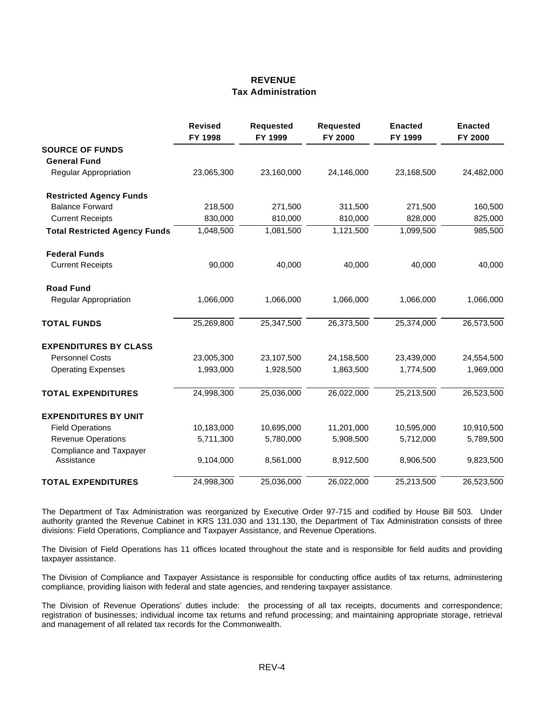### **REVENUE Tax Administration**

|                                              | <b>Revised</b><br>FY 1998 | <b>Requested</b><br>FY 1999 | <b>Requested</b><br>FY 2000 | <b>Enacted</b><br>FY 1999 | <b>Enacted</b><br>FY 2000 |
|----------------------------------------------|---------------------------|-----------------------------|-----------------------------|---------------------------|---------------------------|
| <b>SOURCE OF FUNDS</b>                       |                           |                             |                             |                           |                           |
| <b>General Fund</b>                          |                           |                             |                             |                           |                           |
| Regular Appropriation                        | 23,065,300                | 23,160,000                  | 24,146,000                  | 23,168,500                | 24,482,000                |
| <b>Restricted Agency Funds</b>               |                           |                             |                             |                           |                           |
| <b>Balance Forward</b>                       | 218,500                   | 271,500                     | 311,500                     | 271,500                   | 160,500                   |
| <b>Current Receipts</b>                      | 830,000                   | 810,000                     | 810,000                     | 828,000                   | 825,000                   |
| <b>Total Restricted Agency Funds</b>         | 1,048,500                 | 1,081,500                   | 1,121,500                   | 1,099,500                 | 985,500                   |
| <b>Federal Funds</b>                         |                           |                             |                             |                           |                           |
| <b>Current Receipts</b>                      | 90,000                    | 40,000                      | 40,000                      | 40,000                    | 40,000                    |
| <b>Road Fund</b>                             |                           |                             |                             |                           |                           |
| Regular Appropriation                        | 1,066,000                 | 1,066,000                   | 1,066,000                   | 1,066,000                 | 1,066,000                 |
| <b>TOTAL FUNDS</b>                           | 25,269,800                | 25,347,500                  | 26,373,500                  | 25,374,000                | 26,573,500                |
| <b>EXPENDITURES BY CLASS</b>                 |                           |                             |                             |                           |                           |
| <b>Personnel Costs</b>                       | 23,005,300                | 23,107,500                  | 24,158,500                  | 23,439,000                | 24,554,500                |
| <b>Operating Expenses</b>                    | 1,993,000                 | 1,928,500                   | 1,863,500                   | 1,774,500                 | 1,969,000                 |
| <b>TOTAL EXPENDITURES</b>                    | 24,998,300                | 25,036,000                  | 26,022,000                  | 25,213,500                | 26,523,500                |
| <b>EXPENDITURES BY UNIT</b>                  |                           |                             |                             |                           |                           |
| <b>Field Operations</b>                      | 10,183,000                | 10,695,000                  | 11,201,000                  | 10,595,000                | 10,910,500                |
| Revenue Operations                           | 5,711,300                 | 5,780,000                   | 5,908,500                   | 5,712,000                 | 5,789,500                 |
| <b>Compliance and Taxpayer</b><br>Assistance | 9,104,000                 | 8,561,000                   | 8,912,500                   | 8,906,500                 | 9,823,500                 |
| <b>TOTAL EXPENDITURES</b>                    | 24,998,300                | 25,036,000                  | 26,022,000                  | 25,213,500                | 26,523,500                |

The Department of Tax Administration was reorganized by Executive Order 97-715 and codified by House Bill 503. Under authority granted the Revenue Cabinet in KRS 131.030 and 131.130, the Department of Tax Administration consists of three divisions: Field Operations, Compliance and Taxpayer Assistance, and Revenue Operations.

The Division of Field Operations has 11 offices located throughout the state and is responsible for field audits and providing taxpayer assistance.

The Division of Compliance and Taxpayer Assistance is responsible for conducting office audits of tax returns, administering compliance, providing liaison with federal and state agencies, and rendering taxpayer assistance.

The Division of Revenue Operations' duties include: the processing of all tax receipts, documents and correspondence; registration of businesses; individual income tax returns and refund processing; and maintaining appropriate storage, retrieval and management of all related tax records for the Commonwealth.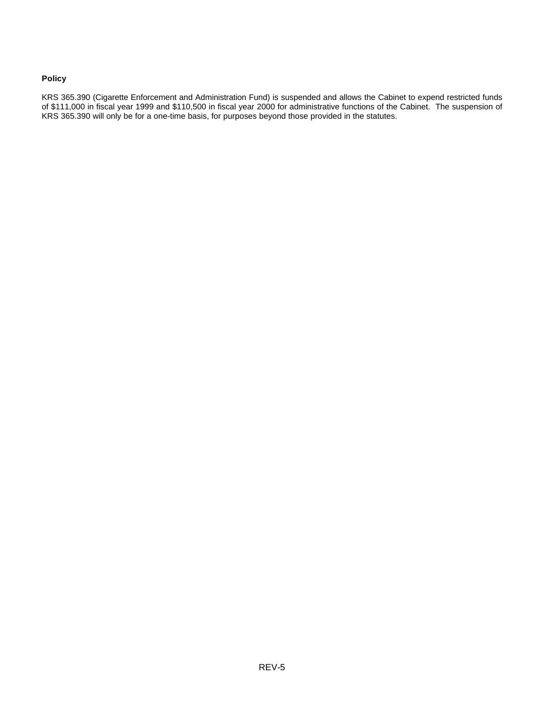#### **Policy**

KRS 365.390 (Cigarette Enforcement and Administration Fund) is suspended and allows the Cabinet to expend restricted funds of \$111,000 in fiscal year 1999 and \$110,500 in fiscal year 2000 for administrative functions of the Cabinet. The suspension of KRS 365.390 will only be for a one-time basis, for purposes beyond those provided in the statutes.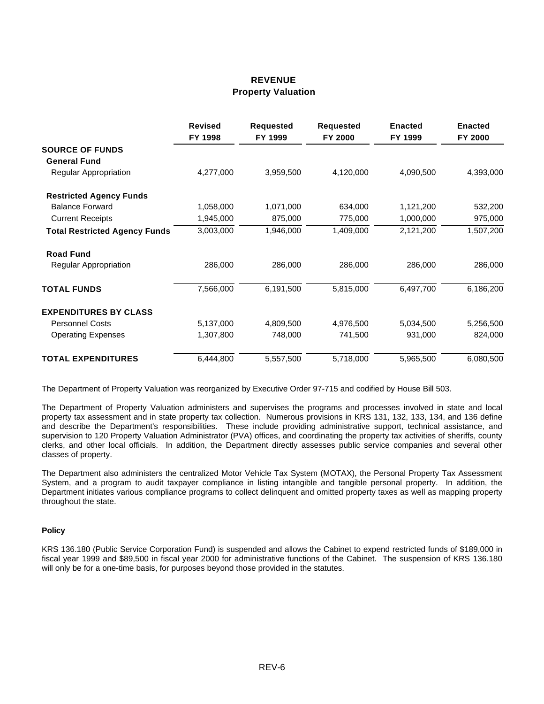### **REVENUE Property Valuation**

|                                      | <b>Revised</b><br>FY 1998 | <b>Requested</b><br>FY 1999 | <b>Requested</b><br>FY 2000 | <b>Enacted</b><br>FY 1999 | <b>Enacted</b><br>FY 2000 |
|--------------------------------------|---------------------------|-----------------------------|-----------------------------|---------------------------|---------------------------|
| <b>SOURCE OF FUNDS</b>               |                           |                             |                             |                           |                           |
| <b>General Fund</b>                  |                           |                             |                             |                           |                           |
| <b>Regular Appropriation</b>         | 4,277,000                 | 3,959,500                   | 4,120,000                   | 4,090,500                 | 4,393,000                 |
| <b>Restricted Agency Funds</b>       |                           |                             |                             |                           |                           |
| <b>Balance Forward</b>               | 1,058,000                 | 1,071,000                   | 634,000                     | 1,121,200                 | 532,200                   |
| <b>Current Receipts</b>              | 1,945,000                 | 875,000                     | 775,000                     | 1,000,000                 | 975,000                   |
| <b>Total Restricted Agency Funds</b> | 3,003,000                 | 1,946,000                   | 1,409,000                   | 2,121,200                 | 1,507,200                 |
| <b>Road Fund</b>                     |                           |                             |                             |                           |                           |
| <b>Regular Appropriation</b>         | 286,000                   | 286,000                     | 286,000                     | 286,000                   | 286,000                   |
| <b>TOTAL FUNDS</b>                   | 7,566,000                 | 6,191,500                   | 5,815,000                   | 6,497,700                 | 6,186,200                 |
| <b>EXPENDITURES BY CLASS</b>         |                           |                             |                             |                           |                           |
| <b>Personnel Costs</b>               | 5,137,000                 | 4,809,500                   | 4,976,500                   | 5,034,500                 | 5,256,500                 |
| <b>Operating Expenses</b>            | 1,307,800                 | 748,000                     | 741,500                     | 931,000                   | 824,000                   |
| <b>TOTAL EXPENDITURES</b>            | 6,444,800                 | 5,557,500                   | 5,718,000                   | 5,965,500                 | 6,080,500                 |

The Department of Property Valuation was reorganized by Executive Order 97-715 and codified by House Bill 503.

The Department of Property Valuation administers and supervises the programs and processes involved in state and local property tax assessment and in state property tax collection. Numerous provisions in KRS 131, 132, 133, 134, and 136 define and describe the Department's responsibilities. These include providing administrative support, technical assistance, and supervision to 120 Property Valuation Administrator (PVA) offices, and coordinating the property tax activities of sheriffs, county clerks, and other local officials. In addition, the Department directly assesses public service companies and several other classes of property.

The Department also administers the centralized Motor Vehicle Tax System (MOTAX), the Personal Property Tax Assessment System, and a program to audit taxpayer compliance in listing intangible and tangible personal property. In addition, the Department initiates various compliance programs to collect delinquent and omitted property taxes as well as mapping property throughout the state.

#### **Policy**

KRS 136.180 (Public Service Corporation Fund) is suspended and allows the Cabinet to expend restricted funds of \$189,000 in fiscal year 1999 and \$89,500 in fiscal year 2000 for administrative functions of the Cabinet. The suspension of KRS 136.180 will only be for a one-time basis, for purposes beyond those provided in the statutes.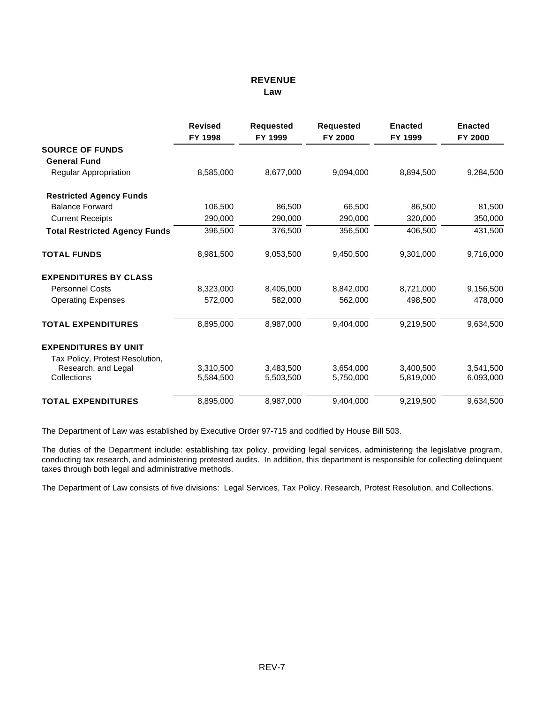### **REVENUE Law**

|                                      | <b>Revised</b><br>FY 1998 | <b>Requested</b><br>FY 1999 | <b>Requested</b><br>FY 2000 | <b>Enacted</b><br>FY 1999 | <b>Enacted</b><br>FY 2000 |
|--------------------------------------|---------------------------|-----------------------------|-----------------------------|---------------------------|---------------------------|
| <b>SOURCE OF FUNDS</b>               |                           |                             |                             |                           |                           |
| <b>General Fund</b>                  |                           |                             |                             |                           |                           |
| <b>Regular Appropriation</b>         | 8,585,000                 | 8,677,000                   | 9,094,000                   | 8,894,500                 | 9,284,500                 |
| <b>Restricted Agency Funds</b>       |                           |                             |                             |                           |                           |
| <b>Balance Forward</b>               | 106,500                   | 86,500                      | 66,500                      | 86,500                    | 81,500                    |
| <b>Current Receipts</b>              | 290,000                   | 290,000                     | 290,000                     | 320,000                   | 350,000                   |
| <b>Total Restricted Agency Funds</b> | 396,500                   | 376,500                     | 356,500                     | 406,500                   | 431,500                   |
| <b>TOTAL FUNDS</b>                   | 8,981,500                 | 9,053,500                   | 9,450,500                   | 9,301,000                 | 9,716,000                 |
| <b>EXPENDITURES BY CLASS</b>         |                           |                             |                             |                           |                           |
| <b>Personnel Costs</b>               | 8,323,000                 | 8,405,000                   | 8,842,000                   | 8,721,000                 | 9,156,500                 |
| <b>Operating Expenses</b>            | 572,000                   | 582,000                     | 562,000                     | 498,500                   | 478,000                   |
| <b>TOTAL EXPENDITURES</b>            | 8,895,000                 | 8,987,000                   | 9,404,000                   | 9,219,500                 | 9,634,500                 |
| <b>EXPENDITURES BY UNIT</b>          |                           |                             |                             |                           |                           |
| Tax Policy, Protest Resolution,      |                           |                             |                             |                           |                           |
| Research, and Legal                  | 3,310,500                 | 3.483.500                   | 3,654,000                   | 3.400.500                 | 3,541,500                 |
| Collections                          | 5,584,500                 | 5,503,500                   | 5,750,000                   | 5,819,000                 | 6,093,000                 |
| <b>TOTAL EXPENDITURES</b>            | 8,895,000                 | 8.987.000                   | 9.404.000                   | 9,219,500                 | 9,634,500                 |

The Department of Law was established by Executive Order 97-715 and codified by House Bill 503.

The duties of the Department include: establishing tax policy, providing legal services, administering the legislative program, conducting tax research, and administering protested audits. In addition, this department is responsible for collecting delinquent taxes through both legal and administrative methods.

The Department of Law consists of five divisions: Legal Services, Tax Policy, Research, Protest Resolution, and Collections.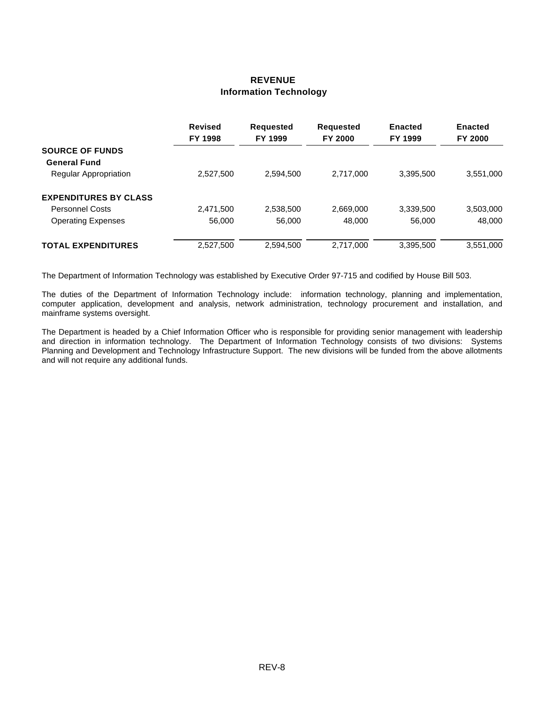# **REVENUE Information Technology**

|                              | <b>Revised</b><br>FY 1998 | <b>Requested</b><br>FY 1999 | <b>Requested</b><br><b>FY 2000</b> | <b>Enacted</b><br>FY 1999 | <b>Enacted</b><br>FY 2000 |
|------------------------------|---------------------------|-----------------------------|------------------------------------|---------------------------|---------------------------|
| <b>SOURCE OF FUNDS</b>       |                           |                             |                                    |                           |                           |
| <b>General Fund</b>          |                           |                             |                                    |                           |                           |
| <b>Regular Appropriation</b> | 2,527,500                 | 2,594,500                   | 2,717,000                          | 3,395,500                 | 3,551,000                 |
| <b>EXPENDITURES BY CLASS</b> |                           |                             |                                    |                           |                           |
| <b>Personnel Costs</b>       | 2,471,500                 | 2,538,500                   | 2,669,000                          | 3,339,500                 | 3,503,000                 |
| <b>Operating Expenses</b>    | 56,000                    | 56,000                      | 48,000                             | 56,000                    | 48,000                    |
| <b>TOTAL EXPENDITURES</b>    | 2,527,500                 | 2,594,500                   | 2.717.000                          | 3,395,500                 | 3,551,000                 |

The Department of Information Technology was established by Executive Order 97-715 and codified by House Bill 503.

The duties of the Department of Information Technology include: information technology, planning and implementation, computer application, development and analysis, network administration, technology procurement and installation, and mainframe systems oversight.

The Department is headed by a Chief Information Officer who is responsible for providing senior management with leadership and direction in information technology. The Department of Information Technology consists of two divisions: Systems Planning and Development and Technology Infrastructure Support. The new divisions will be funded from the above allotments and will not require any additional funds.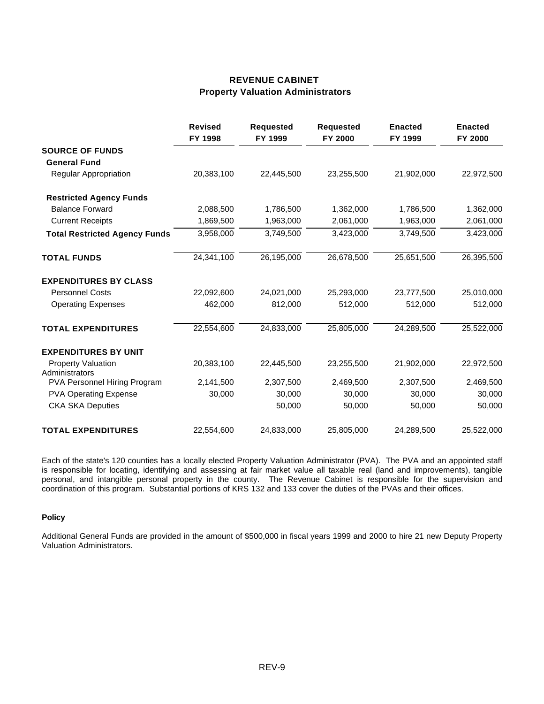# **REVENUE CABINET Property Valuation Administrators**

|                                      | <b>Revised</b><br>FY 1998 | <b>Requested</b><br>FY 1999 | <b>Requested</b><br>FY 2000 | <b>Enacted</b><br>FY 1999 | <b>Enacted</b><br>FY 2000 |
|--------------------------------------|---------------------------|-----------------------------|-----------------------------|---------------------------|---------------------------|
| <b>SOURCE OF FUNDS</b>               |                           |                             |                             |                           |                           |
| <b>General Fund</b>                  |                           |                             |                             |                           |                           |
| Regular Appropriation                | 20,383,100                | 22,445,500                  | 23,255,500                  | 21,902,000                | 22,972,500                |
| <b>Restricted Agency Funds</b>       |                           |                             |                             |                           |                           |
| <b>Balance Forward</b>               | 2,088,500                 | 1,786,500                   | 1,362,000                   | 1,786,500                 | 1,362,000                 |
| <b>Current Receipts</b>              | 1,869,500                 | 1,963,000                   | 2,061,000                   | 1,963,000                 | 2,061,000                 |
| <b>Total Restricted Agency Funds</b> | 3,958,000                 | 3,749,500                   | 3,423,000                   | 3,749,500                 | 3,423,000                 |
| <b>TOTAL FUNDS</b>                   | 24,341,100                | 26,195,000                  | 26,678,500                  | 25,651,500                | 26,395,500                |
| <b>EXPENDITURES BY CLASS</b>         |                           |                             |                             |                           |                           |
| <b>Personnel Costs</b>               | 22,092,600                | 24,021,000                  | 25,293,000                  | 23,777,500                | 25,010,000                |
| <b>Operating Expenses</b>            | 462,000                   | 812,000                     | 512,000                     | 512,000                   | 512,000                   |
| <b>TOTAL EXPENDITURES</b>            | 22,554,600                | 24,833,000                  | 25,805,000                  | 24,289,500                | 25,522,000                |
| <b>EXPENDITURES BY UNIT</b>          |                           |                             |                             |                           |                           |
| <b>Property Valuation</b>            | 20,383,100                | 22,445,500                  | 23,255,500                  | 21,902,000                | 22,972,500                |
| Administrators                       |                           |                             |                             |                           |                           |
| PVA Personnel Hiring Program         | 2,141,500                 | 2,307,500                   | 2,469,500                   | 2,307,500                 | 2,469,500                 |
| <b>PVA Operating Expense</b>         | 30,000                    | 30,000                      | 30,000                      | 30,000                    | 30,000                    |
| <b>CKA SKA Deputies</b>              |                           | 50,000                      | 50,000                      | 50,000                    | 50,000                    |
| <b>TOTAL EXPENDITURES</b>            | 22,554,600                | 24,833,000                  | 25,805,000                  | 24,289,500                | 25,522,000                |

Each of the state's 120 counties has a locally elected Property Valuation Administrator (PVA). The PVA and an appointed staff is responsible for locating, identifying and assessing at fair market value all taxable real (land and improvements), tangible personal, and intangible personal property in the county. The Revenue Cabinet is responsible for the supervision and coordination of this program. Substantial portions of KRS 132 and 133 cover the duties of the PVAs and their offices.

#### **Policy**

Additional General Funds are provided in the amount of \$500,000 in fiscal years 1999 and 2000 to hire 21 new Deputy Property Valuation Administrators.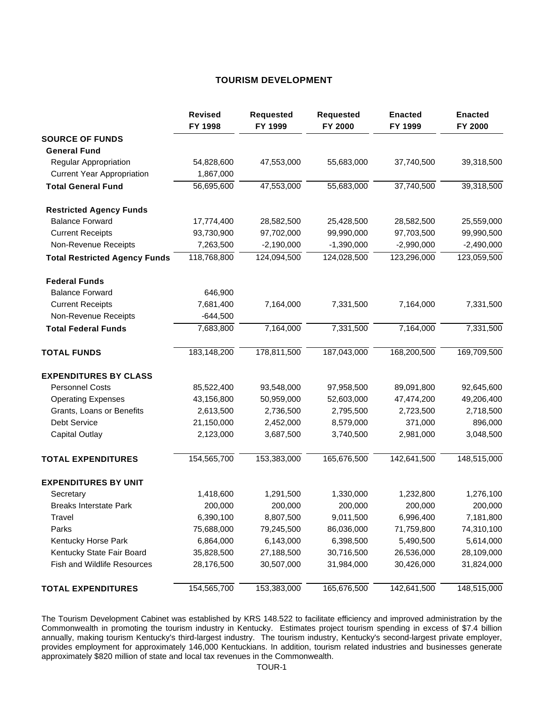### **TOURISM DEVELOPMENT**

|                                      | <b>Revised</b><br>FY 1998 | <b>Requested</b><br>FY 1999 | <b>Requested</b><br>FY 2000 | <b>Enacted</b><br>FY 1999 | <b>Enacted</b><br>FY 2000 |
|--------------------------------------|---------------------------|-----------------------------|-----------------------------|---------------------------|---------------------------|
| <b>SOURCE OF FUNDS</b>               |                           |                             |                             |                           |                           |
| <b>General Fund</b>                  |                           |                             |                             |                           |                           |
| <b>Regular Appropriation</b>         | 54,828,600                | 47,553,000                  | 55,683,000                  | 37,740,500                | 39,318,500                |
| <b>Current Year Appropriation</b>    | 1,867,000                 |                             |                             |                           |                           |
| <b>Total General Fund</b>            | 56,695,600                | 47,553,000                  | 55,683,000                  | 37,740,500                | 39,318,500                |
| <b>Restricted Agency Funds</b>       |                           |                             |                             |                           |                           |
| <b>Balance Forward</b>               | 17,774,400                | 28,582,500                  | 25,428,500                  | 28,582,500                | 25,559,000                |
| <b>Current Receipts</b>              | 93,730,900                | 97,702,000                  | 99,990,000                  | 97,703,500                | 99,990,500                |
| Non-Revenue Receipts                 | 7,263,500                 | $-2,190,000$                | $-1,390,000$                | $-2,990,000$              | $-2,490,000$              |
| <b>Total Restricted Agency Funds</b> | 118,768,800               | 124,094,500                 | 124,028,500                 | 123,296,000               | 123,059,500               |
| <b>Federal Funds</b>                 |                           |                             |                             |                           |                           |
| <b>Balance Forward</b>               | 646,900                   |                             |                             |                           |                           |
| <b>Current Receipts</b>              | 7,681,400                 | 7,164,000                   | 7,331,500                   | 7,164,000                 | 7,331,500                 |
| Non-Revenue Receipts                 | $-644,500$                |                             |                             |                           |                           |
| <b>Total Federal Funds</b>           | 7,683,800                 | 7,164,000                   | 7,331,500                   | 7,164,000                 | 7,331,500                 |
| <b>TOTAL FUNDS</b>                   | 183,148,200               | 178,811,500                 | 187,043,000                 | 168,200,500               | 169,709,500               |
| <b>EXPENDITURES BY CLASS</b>         |                           |                             |                             |                           |                           |
| <b>Personnel Costs</b>               | 85,522,400                | 93,548,000                  | 97,958,500                  | 89,091,800                | 92,645,600                |
| <b>Operating Expenses</b>            | 43,156,800                | 50,959,000                  | 52,603,000                  | 47,474,200                | 49,206,400                |
| Grants, Loans or Benefits            | 2,613,500                 | 2,736,500                   | 2,795,500                   | 2,723,500                 | 2,718,500                 |
| Debt Service                         | 21,150,000                | 2,452,000                   | 8,579,000                   | 371,000                   | 896,000                   |
| <b>Capital Outlay</b>                | 2,123,000                 | 3,687,500                   | 3,740,500                   | 2,981,000                 | 3,048,500                 |
| <b>TOTAL EXPENDITURES</b>            | 154,565,700               | 153,383,000                 | 165,676,500                 | 142,641,500               | 148,515,000               |
| <b>EXPENDITURES BY UNIT</b>          |                           |                             |                             |                           |                           |
| Secretary                            | 1,418,600                 | 1,291,500                   | 1,330,000                   | 1,232,800                 | 1,276,100                 |
| <b>Breaks Interstate Park</b>        | 200,000                   | 200,000                     | 200,000                     | 200,000                   | 200,000                   |
| Travel                               | 6,390,100                 | 8,807,500                   | 9,011,500                   | 6,996,400                 | 7,181,800                 |
| Parks                                | 75,688,000                | 79,245,500                  | 86,036,000                  | 71,759,800                | 74,310,100                |
| Kentucky Horse Park                  | 6,864,000                 | 6,143,000                   | 6,398,500                   | 5,490,500                 | 5,614,000                 |
| Kentucky State Fair Board            | 35,828,500                | 27,188,500                  | 30,716,500                  | 26,536,000                | 28,109,000                |
| Fish and Wildlife Resources          | 28,176,500                | 30,507,000                  | 31,984,000                  | 30,426,000                | 31,824,000                |
| <b>TOTAL EXPENDITURES</b>            | 154,565,700               | 153,383,000                 | 165,676,500                 | 142,641,500               | 148,515,000               |

The Tourism Development Cabinet was established by KRS 148.522 to facilitate efficiency and improved administration by the Commonwealth in promoting the tourism industry in Kentucky. Estimates project tourism spending in excess of \$7.4 billion annually, making tourism Kentucky's third-largest industry. The tourism industry, Kentucky's second-largest private employer, provides employment for approximately 146,000 Kentuckians. In addition, tourism related industries and businesses generate approximately \$820 million of state and local tax revenues in the Commonwealth.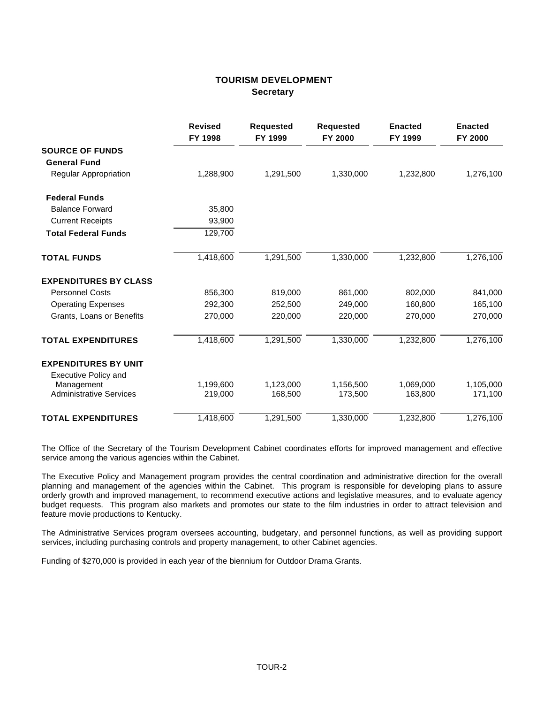### **TOURISM DEVELOPMENT Secretary**

|                                | <b>Revised</b><br>FY 1998 | <b>Requested</b><br>FY 1999 | <b>Requested</b><br>FY 2000 | <b>Enacted</b><br>FY 1999 | <b>Enacted</b><br>FY 2000 |
|--------------------------------|---------------------------|-----------------------------|-----------------------------|---------------------------|---------------------------|
| <b>SOURCE OF FUNDS</b>         |                           |                             |                             |                           |                           |
| <b>General Fund</b>            |                           |                             |                             |                           |                           |
| Regular Appropriation          | 1,288,900                 | 1,291,500                   | 1,330,000                   | 1,232,800                 | 1,276,100                 |
| <b>Federal Funds</b>           |                           |                             |                             |                           |                           |
| <b>Balance Forward</b>         | 35,800                    |                             |                             |                           |                           |
| <b>Current Receipts</b>        | 93,900                    |                             |                             |                           |                           |
| <b>Total Federal Funds</b>     | 129,700                   |                             |                             |                           |                           |
| <b>TOTAL FUNDS</b>             | 1,418,600                 | 1,291,500                   | 1,330,000                   | 1,232,800                 | 1,276,100                 |
| <b>EXPENDITURES BY CLASS</b>   |                           |                             |                             |                           |                           |
| <b>Personnel Costs</b>         | 856.300                   | 819,000                     | 861.000                     | 802,000                   | 841,000                   |
| <b>Operating Expenses</b>      | 292,300                   | 252,500                     | 249,000                     | 160,800                   | 165,100                   |
| Grants, Loans or Benefits      | 270,000                   | 220,000                     | 220,000                     | 270,000                   | 270,000                   |
| <b>TOTAL EXPENDITURES</b>      | 1,418,600                 | 1,291,500                   | 1,330,000                   | 1,232,800                 | 1,276,100                 |
| <b>EXPENDITURES BY UNIT</b>    |                           |                             |                             |                           |                           |
| <b>Executive Policy and</b>    |                           |                             |                             |                           |                           |
| Management                     | 1.199.600                 | 1,123,000                   | 1,156,500                   | 1,069,000                 | 1,105,000                 |
| <b>Administrative Services</b> | 219,000                   | 168,500                     | 173,500                     | 163,800                   | 171,100                   |
| <b>TOTAL EXPENDITURES</b>      | 1,418,600                 | 1,291,500                   | 1,330,000                   | 1,232,800                 | 1,276,100                 |

The Office of the Secretary of the Tourism Development Cabinet coordinates efforts for improved management and effective service among the various agencies within the Cabinet.

The Executive Policy and Management program provides the central coordination and administrative direction for the overall planning and management of the agencies within the Cabinet. This program is responsible for developing plans to assure orderly growth and improved management, to recommend executive actions and legislative measures, and to evaluate agency budget requests. This program also markets and promotes our state to the film industries in order to attract television and feature movie productions to Kentucky.

The Administrative Services program oversees accounting, budgetary, and personnel functions, as well as providing support services, including purchasing controls and property management, to other Cabinet agencies.

Funding of \$270,000 is provided in each year of the biennium for Outdoor Drama Grants.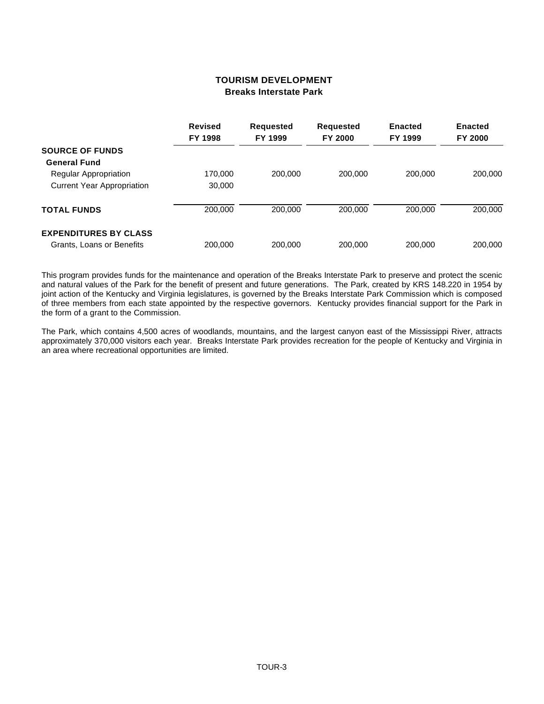### **TOURISM DEVELOPMENT Breaks Interstate Park**

|                                   | <b>Revised</b><br>FY 1998 | Requested<br>FY 1999 | <b>Requested</b><br><b>FY 2000</b> | <b>Enacted</b><br>FY 1999 | <b>Enacted</b><br><b>FY 2000</b> |
|-----------------------------------|---------------------------|----------------------|------------------------------------|---------------------------|----------------------------------|
|                                   |                           |                      |                                    |                           |                                  |
| <b>SOURCE OF FUNDS</b>            |                           |                      |                                    |                           |                                  |
| <b>General Fund</b>               |                           |                      |                                    |                           |                                  |
| <b>Regular Appropriation</b>      | 170,000                   | 200,000              | 200,000                            | 200.000                   | 200,000                          |
| <b>Current Year Appropriation</b> | 30,000                    |                      |                                    |                           |                                  |
| <b>TOTAL FUNDS</b>                | 200,000                   | 200,000              | 200,000                            | 200,000                   | 200,000                          |
| <b>EXPENDITURES BY CLASS</b>      |                           |                      |                                    |                           |                                  |
| Grants, Loans or Benefits         | 200,000                   | 200,000              | 200,000                            | 200,000                   | 200,000                          |

This program provides funds for the maintenance and operation of the Breaks Interstate Park to preserve and protect the scenic and natural values of the Park for the benefit of present and future generations. The Park, created by KRS 148.220 in 1954 by joint action of the Kentucky and Virginia legislatures, is governed by the Breaks Interstate Park Commission which is composed of three members from each state appointed by the respective governors. Kentucky provides financial support for the Park in the form of a grant to the Commission.

The Park, which contains 4,500 acres of woodlands, mountains, and the largest canyon east of the Mississippi River, attracts approximately 370,000 visitors each year. Breaks Interstate Park provides recreation for the people of Kentucky and Virginia in an area where recreational opportunities are limited.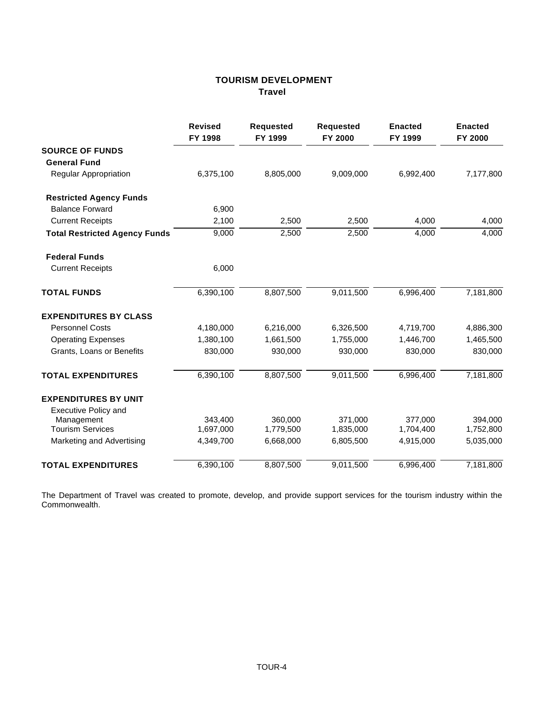# **TOURISM DEVELOPMENT Travel**

|                                      | <b>Revised</b><br>FY 1998 | <b>Requested</b><br>FY 1999 | <b>Requested</b><br>FY 2000 | <b>Enacted</b><br>FY 1999 | <b>Enacted</b><br>FY 2000 |
|--------------------------------------|---------------------------|-----------------------------|-----------------------------|---------------------------|---------------------------|
| <b>SOURCE OF FUNDS</b>               |                           |                             |                             |                           |                           |
| <b>General Fund</b>                  |                           |                             |                             |                           |                           |
| <b>Regular Appropriation</b>         | 6,375,100                 | 8,805,000                   | 9,009,000                   | 6,992,400                 | 7,177,800                 |
| <b>Restricted Agency Funds</b>       |                           |                             |                             |                           |                           |
| <b>Balance Forward</b>               | 6,900                     |                             |                             |                           |                           |
| <b>Current Receipts</b>              | 2,100                     | 2,500                       | 2,500                       | 4,000                     | 4,000                     |
| <b>Total Restricted Agency Funds</b> | 9,000                     | 2,500                       | 2,500                       | 4,000                     | 4,000                     |
| <b>Federal Funds</b>                 |                           |                             |                             |                           |                           |
| <b>Current Receipts</b>              | 6,000                     |                             |                             |                           |                           |
| <b>TOTAL FUNDS</b>                   | 6,390,100                 | 8,807,500                   | 9,011,500                   | 6,996,400                 | 7,181,800                 |
| <b>EXPENDITURES BY CLASS</b>         |                           |                             |                             |                           |                           |
| <b>Personnel Costs</b>               | 4,180,000                 | 6,216,000                   | 6,326,500                   | 4,719,700                 | 4,886,300                 |
| <b>Operating Expenses</b>            | 1,380,100                 | 1,661,500                   | 1,755,000                   | 1,446,700                 | 1,465,500                 |
| Grants, Loans or Benefits            | 830,000                   | 930,000                     | 930,000                     | 830,000                   | 830,000                   |
| <b>TOTAL EXPENDITURES</b>            | 6,390,100                 | 8,807,500                   | 9,011,500                   | 6,996,400                 | 7,181,800                 |
| <b>EXPENDITURES BY UNIT</b>          |                           |                             |                             |                           |                           |
| <b>Executive Policy and</b>          |                           |                             |                             |                           |                           |
| Management                           | 343.400                   | 360,000                     | 371,000                     | 377,000                   | 394,000                   |
| <b>Tourism Services</b>              | 1,697,000                 | 1,779,500                   | 1,835,000                   | 1,704,400                 | 1,752,800                 |
| Marketing and Advertising            | 4,349,700                 | 6,668,000                   | 6,805,500                   | 4,915,000                 | 5,035,000                 |
| <b>TOTAL EXPENDITURES</b>            | 6,390,100                 | 8,807,500                   | 9,011,500                   | 6,996,400                 | 7,181,800                 |

The Department of Travel was created to promote, develop, and provide support services for the tourism industry within the Commonwealth.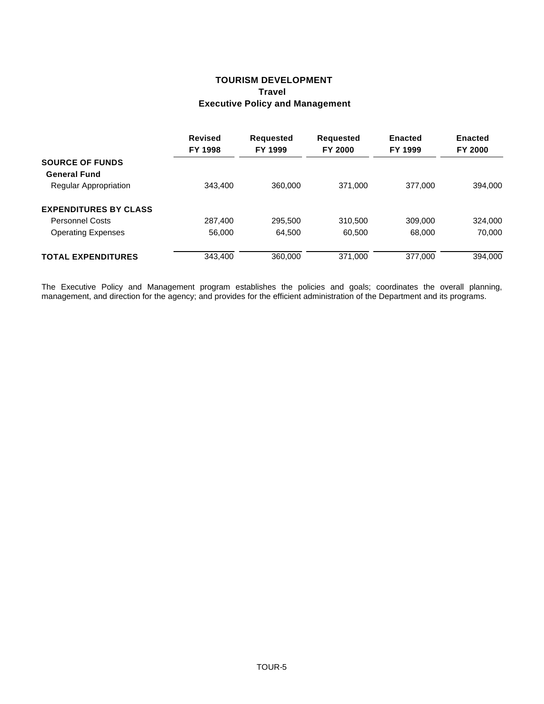# **TOURISM DEVELOPMENT Travel Executive Policy and Management**

|                              | <b>Revised</b><br>FY 1998 | <b>Requested</b><br>FY 1999 | <b>Requested</b><br><b>FY 2000</b> | <b>Enacted</b><br>FY 1999 | <b>Enacted</b><br>FY 2000 |
|------------------------------|---------------------------|-----------------------------|------------------------------------|---------------------------|---------------------------|
| <b>SOURCE OF FUNDS</b>       |                           |                             |                                    |                           |                           |
| <b>General Fund</b>          |                           |                             |                                    |                           |                           |
| Regular Appropriation        | 343,400                   | 360,000                     | 371,000                            | 377,000                   | 394.000                   |
| <b>EXPENDITURES BY CLASS</b> |                           |                             |                                    |                           |                           |
| <b>Personnel Costs</b>       | 287,400                   | 295,500                     | 310,500                            | 309,000                   | 324,000                   |
| <b>Operating Expenses</b>    | 56,000                    | 64.500                      | 60,500                             | 68,000                    | 70.000                    |
| <b>TOTAL EXPENDITURES</b>    | 343,400                   | 360,000                     | 371.000                            | 377.000                   | 394.000                   |

The Executive Policy and Management program establishes the policies and goals; coordinates the overall planning, management, and direction for the agency; and provides for the efficient administration of the Department and its programs.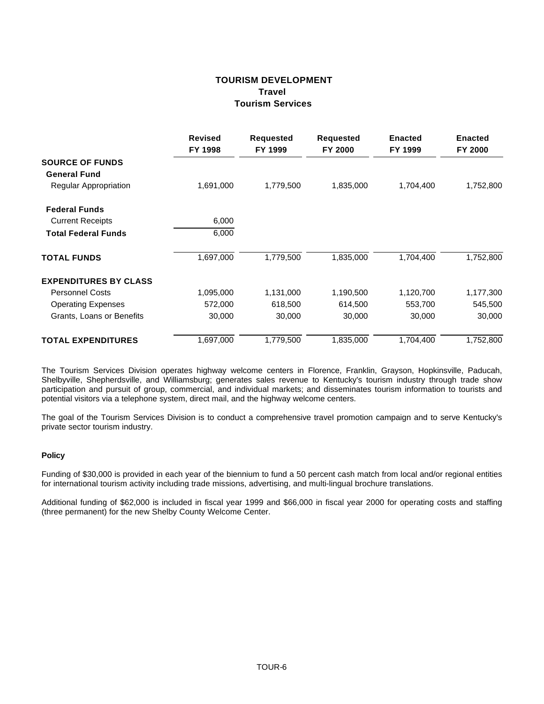### **TOURISM DEVELOPMENT Travel Tourism Services**

|                              | <b>Revised</b><br>FY 1998 | <b>Requested</b><br>FY 1999 | <b>Requested</b><br>FY 2000 | <b>Enacted</b><br>FY 1999 | <b>Enacted</b><br>FY 2000 |
|------------------------------|---------------------------|-----------------------------|-----------------------------|---------------------------|---------------------------|
| <b>SOURCE OF FUNDS</b>       |                           |                             |                             |                           |                           |
| <b>General Fund</b>          |                           |                             |                             |                           |                           |
| Regular Appropriation        | 1,691,000                 | 1,779,500                   | 1,835,000                   | 1,704,400                 | 1,752,800                 |
| <b>Federal Funds</b>         |                           |                             |                             |                           |                           |
| <b>Current Receipts</b>      | 6,000                     |                             |                             |                           |                           |
| <b>Total Federal Funds</b>   | 6,000                     |                             |                             |                           |                           |
| <b>TOTAL FUNDS</b>           | 1,697,000                 | 1,779,500                   | 1,835,000                   | 1,704,400                 | 1,752,800                 |
| <b>EXPENDITURES BY CLASS</b> |                           |                             |                             |                           |                           |
| <b>Personnel Costs</b>       | 1,095,000                 | 1,131,000                   | 1,190,500                   | 1,120,700                 | 1,177,300                 |
| <b>Operating Expenses</b>    | 572,000                   | 618,500                     | 614,500                     | 553,700                   | 545,500                   |
| Grants, Loans or Benefits    | 30,000                    | 30,000                      | 30,000                      | 30,000                    | 30,000                    |
| <b>TOTAL EXPENDITURES</b>    | 1,697,000                 | 1,779,500                   | 1,835,000                   | 1,704,400                 | 1,752,800                 |

The Tourism Services Division operates highway welcome centers in Florence, Franklin, Grayson, Hopkinsville, Paducah, Shelbyville, Shepherdsville, and Williamsburg; generates sales revenue to Kentucky's tourism industry through trade show participation and pursuit of group, commercial, and individual markets; and disseminates tourism information to tourists and potential visitors via a telephone system, direct mail, and the highway welcome centers.

The goal of the Tourism Services Division is to conduct a comprehensive travel promotion campaign and to serve Kentucky's private sector tourism industry.

#### **Policy**

Funding of \$30,000 is provided in each year of the biennium to fund a 50 percent cash match from local and/or regional entities for international tourism activity including trade missions, advertising, and multi-lingual brochure translations.

Additional funding of \$62,000 is included in fiscal year 1999 and \$66,000 in fiscal year 2000 for operating costs and staffing (three permanent) for the new Shelby County Welcome Center.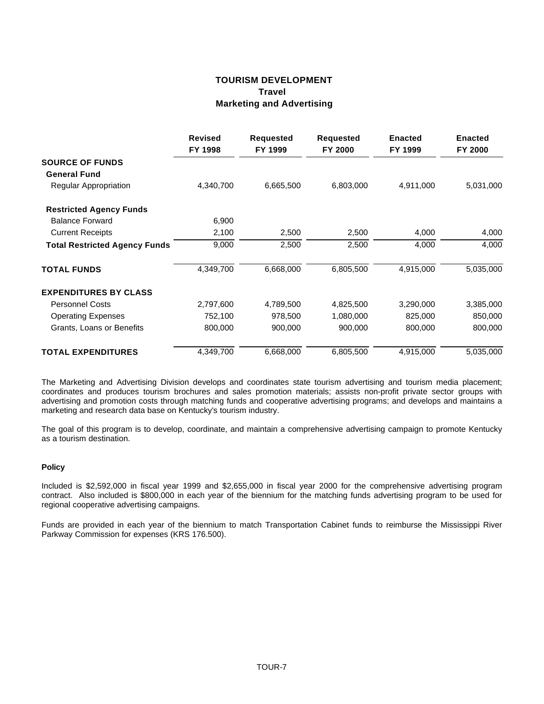# **TOURISM DEVELOPMENT Travel Marketing and Advertising**

|                                      | <b>Revised</b><br>FY 1998 | <b>Requested</b><br>FY 1999 | <b>Requested</b><br>FY 2000 | <b>Enacted</b><br>FY 1999 | <b>Enacted</b><br>FY 2000 |
|--------------------------------------|---------------------------|-----------------------------|-----------------------------|---------------------------|---------------------------|
| <b>SOURCE OF FUNDS</b>               |                           |                             |                             |                           |                           |
| <b>General Fund</b>                  |                           |                             |                             |                           |                           |
| Regular Appropriation                | 4,340,700                 | 6,665,500                   | 6,803,000                   | 4,911,000                 | 5,031,000                 |
| <b>Restricted Agency Funds</b>       |                           |                             |                             |                           |                           |
| <b>Balance Forward</b>               | 6,900                     |                             |                             |                           |                           |
| <b>Current Receipts</b>              | 2,100                     | 2,500                       | 2,500                       | 4,000                     | 4,000                     |
| <b>Total Restricted Agency Funds</b> | 9,000                     | 2,500                       | 2,500                       | 4,000                     | 4,000                     |
| <b>TOTAL FUNDS</b>                   | 4,349,700                 | 6,668,000                   | 6,805,500                   | 4,915,000                 | 5,035,000                 |
| <b>EXPENDITURES BY CLASS</b>         |                           |                             |                             |                           |                           |
| <b>Personnel Costs</b>               | 2,797,600                 | 4,789,500                   | 4,825,500                   | 3,290,000                 | 3,385,000                 |
| <b>Operating Expenses</b>            | 752,100                   | 978,500                     | 1,080,000                   | 825,000                   | 850,000                   |
| Grants, Loans or Benefits            | 800,000                   | 900,000                     | 900,000                     | 800,000                   | 800,000                   |
| <b>TOTAL EXPENDITURES</b>            | 4,349,700                 | 6,668,000                   | 6,805,500                   | 4,915,000                 | 5,035,000                 |

The Marketing and Advertising Division develops and coordinates state tourism advertising and tourism media placement; coordinates and produces tourism brochures and sales promotion materials; assists non-profit private sector groups with advertising and promotion costs through matching funds and cooperative advertising programs; and develops and maintains a marketing and research data base on Kentucky's tourism industry.

The goal of this program is to develop, coordinate, and maintain a comprehensive advertising campaign to promote Kentucky as a tourism destination.

#### **Policy**

Included is \$2,592,000 in fiscal year 1999 and \$2,655,000 in fiscal year 2000 for the comprehensive advertising program contract. Also included is \$800,000 in each year of the biennium for the matching funds advertising program to be used for regional cooperative advertising campaigns.

Funds are provided in each year of the biennium to match Transportation Cabinet funds to reimburse the Mississippi River Parkway Commission for expenses (KRS 176.500).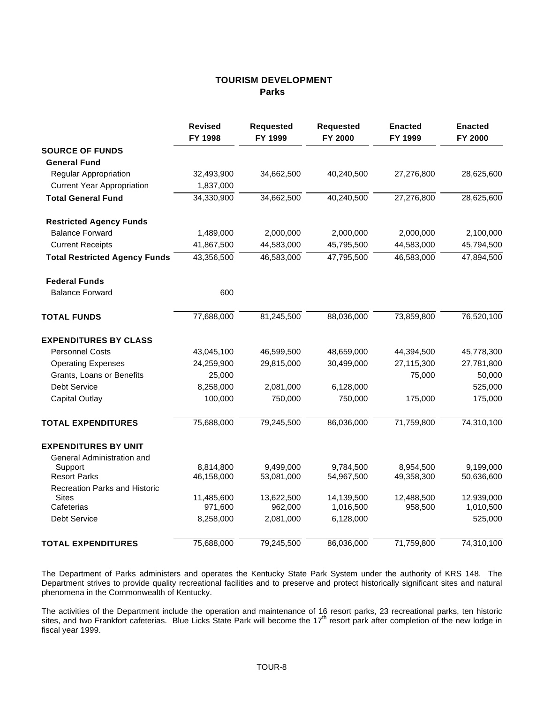# **TOURISM DEVELOPMENT Parks**

|                                                      | <b>Revised</b><br>FY 1998 | <b>Requested</b><br>FY 1999 | <b>Requested</b><br>FY 2000 | <b>Enacted</b><br>FY 1999 | <b>Enacted</b><br>FY 2000 |
|------------------------------------------------------|---------------------------|-----------------------------|-----------------------------|---------------------------|---------------------------|
| <b>SOURCE OF FUNDS</b>                               |                           |                             |                             |                           |                           |
| <b>General Fund</b>                                  |                           |                             |                             |                           |                           |
| Regular Appropriation                                | 32,493,900                | 34,662,500                  | 40,240,500                  | 27,276,800                | 28,625,600                |
| <b>Current Year Appropriation</b>                    | 1,837,000                 |                             |                             |                           |                           |
| <b>Total General Fund</b>                            | 34,330,900                | 34,662,500                  | 40,240,500                  | 27,276,800                | 28,625,600                |
| <b>Restricted Agency Funds</b>                       |                           |                             |                             |                           |                           |
| <b>Balance Forward</b>                               | 1,489,000                 | 2,000,000                   | 2,000,000                   | 2,000,000                 | 2,100,000                 |
| <b>Current Receipts</b>                              | 41,867,500                | 44,583,000                  | 45,795,500                  | 44,583,000                | 45,794,500                |
| <b>Total Restricted Agency Funds</b>                 | 43,356,500                | 46,583,000                  | 47,795,500                  | 46,583,000                | 47,894,500                |
| <b>Federal Funds</b>                                 |                           |                             |                             |                           |                           |
| <b>Balance Forward</b>                               | 600                       |                             |                             |                           |                           |
| <b>TOTAL FUNDS</b>                                   | 77,688,000                | 81,245,500                  | 88,036,000                  | 73,859,800                | 76,520,100                |
| <b>EXPENDITURES BY CLASS</b>                         |                           |                             |                             |                           |                           |
| <b>Personnel Costs</b>                               | 43,045,100                | 46,599,500                  | 48,659,000                  | 44,394,500                | 45,778,300                |
| <b>Operating Expenses</b>                            | 24,259,900                | 29,815,000                  | 30,499,000                  | 27,115,300                | 27,781,800                |
| Grants, Loans or Benefits                            | 25,000                    |                             |                             | 75,000                    | 50,000                    |
| Debt Service                                         | 8,258,000                 | 2,081,000                   | 6,128,000                   |                           | 525,000                   |
| <b>Capital Outlay</b>                                | 100,000                   | 750,000                     | 750,000                     | 175,000                   | 175,000                   |
| <b>TOTAL EXPENDITURES</b>                            | 75,688,000                | 79,245,500                  | 86,036,000                  | 71,759,800                | 74,310,100                |
| <b>EXPENDITURES BY UNIT</b>                          |                           |                             |                             |                           |                           |
| General Administration and                           |                           |                             |                             |                           |                           |
| Support                                              | 8,814,800                 | 9,499,000                   | 9,784,500                   | 8,954,500                 | 9,199,000                 |
| <b>Resort Parks</b>                                  | 46,158,000                | 53,081,000                  | 54,967,500                  | 49,358,300                | 50,636,600                |
| <b>Recreation Parks and Historic</b><br><b>Sites</b> |                           |                             |                             |                           | 12,939,000                |
| Cafeterias                                           | 11,485,600<br>971,600     | 13,622,500<br>962,000       | 14,139,500<br>1,016,500     | 12,488,500<br>958,500     | 1,010,500                 |
| Debt Service                                         | 8,258,000                 | 2,081,000                   | 6,128,000                   |                           | 525,000                   |
|                                                      |                           |                             |                             |                           |                           |
| <b>TOTAL EXPENDITURES</b>                            | 75,688,000                | 79,245,500                  | 86,036,000                  | 71,759,800                | 74,310,100                |

The Department of Parks administers and operates the Kentucky State Park System under the authority of KRS 148. The Department strives to provide quality recreational facilities and to preserve and protect historically significant sites and natural phenomena in the Commonwealth of Kentucky.

The activities of the Department include the operation and maintenance of 16 resort parks, 23 recreational parks, ten historic sites, and two Frankfort cafeterias. Blue Licks State Park will become the 17<sup>th</sup> resort park after completion of the new lodge in fiscal year 1999.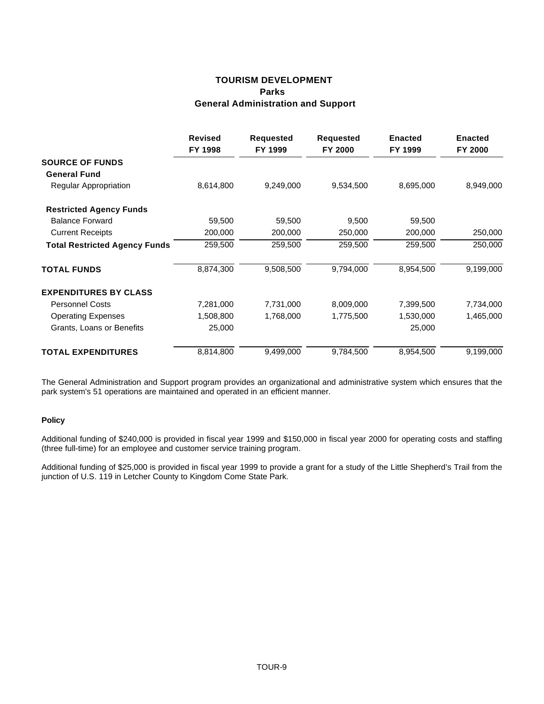# **TOURISM DEVELOPMENT Parks General Administration and Support**

|                                      | <b>Revised</b><br>FY 1998 | <b>Requested</b><br>FY 1999 | <b>Requested</b><br>FY 2000 | <b>Enacted</b><br>FY 1999 | <b>Enacted</b><br>FY 2000 |
|--------------------------------------|---------------------------|-----------------------------|-----------------------------|---------------------------|---------------------------|
| <b>SOURCE OF FUNDS</b>               |                           |                             |                             |                           |                           |
| <b>General Fund</b>                  |                           |                             |                             |                           |                           |
| Regular Appropriation                | 8,614,800                 | 9,249,000                   | 9,534,500                   | 8,695,000                 | 8,949,000                 |
| <b>Restricted Agency Funds</b>       |                           |                             |                             |                           |                           |
| <b>Balance Forward</b>               | 59,500                    | 59,500                      | 9,500                       | 59,500                    |                           |
| <b>Current Receipts</b>              | 200,000                   | 200,000                     | 250,000                     | 200,000                   | 250,000                   |
| <b>Total Restricted Agency Funds</b> | 259,500                   | 259,500                     | 259,500                     | 259,500                   | 250,000                   |
| <b>TOTAL FUNDS</b>                   | 8,874,300                 | 9,508,500                   | 9,794,000                   | 8,954,500                 | 9,199,000                 |
| <b>EXPENDITURES BY CLASS</b>         |                           |                             |                             |                           |                           |
| <b>Personnel Costs</b>               | 7,281,000                 | 7,731,000                   | 8,009,000                   | 7,399,500                 | 7,734,000                 |
| <b>Operating Expenses</b>            | 1,508,800                 | 1,768,000                   | 1,775,500                   | 1,530,000                 | 1,465,000                 |
| Grants, Loans or Benefits            | 25,000                    |                             |                             | 25,000                    |                           |
| <b>TOTAL EXPENDITURES</b>            | 8,814,800                 | 9,499,000                   | 9,784,500                   | 8,954,500                 | 9,199,000                 |

The General Administration and Support program provides an organizational and administrative system which ensures that the park system's 51 operations are maintained and operated in an efficient manner.

## **Policy**

Additional funding of \$240,000 is provided in fiscal year 1999 and \$150,000 in fiscal year 2000 for operating costs and staffing (three full-time) for an employee and customer service training program.

Additional funding of \$25,000 is provided in fiscal year 1999 to provide a grant for a study of the Little Shepherd's Trail from the junction of U.S. 119 in Letcher County to Kingdom Come State Park.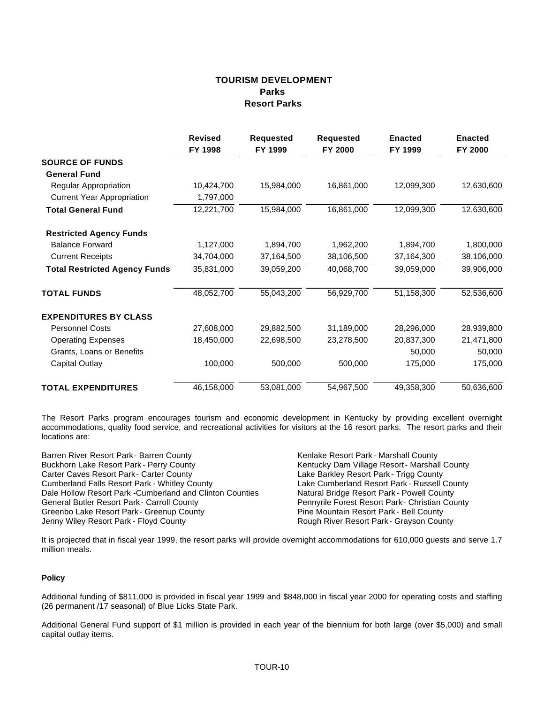# **TOURISM DEVELOPMENT Parks Resort Parks**

|                                      | <b>Revised</b><br>FY 1998 | <b>Requested</b><br>FY 1999 | <b>Requested</b><br>FY 2000 | <b>Enacted</b><br>FY 1999 | <b>Enacted</b><br>FY 2000 |
|--------------------------------------|---------------------------|-----------------------------|-----------------------------|---------------------------|---------------------------|
| <b>SOURCE OF FUNDS</b>               |                           |                             |                             |                           |                           |
| <b>General Fund</b>                  |                           |                             |                             |                           |                           |
| Regular Appropriation                | 10,424,700                | 15,984,000                  | 16,861,000                  | 12,099,300                | 12,630,600                |
| <b>Current Year Appropriation</b>    | 1,797,000                 |                             |                             |                           |                           |
| <b>Total General Fund</b>            | 12,221,700                | 15,984,000                  | 16,861,000                  | 12,099,300                | 12,630,600                |
| <b>Restricted Agency Funds</b>       |                           |                             |                             |                           |                           |
| <b>Balance Forward</b>               | 1,127,000                 | 1,894,700                   | 1,962,200                   | 1,894,700                 | 1,800,000                 |
| <b>Current Receipts</b>              | 34,704,000                | 37,164,500                  | 38,106,500                  | 37,164,300                | 38,106,000                |
| <b>Total Restricted Agency Funds</b> | 35,831,000                | 39,059,200                  | 40,068,700                  | 39,059,000                | 39,906,000                |
| <b>TOTAL FUNDS</b>                   | 48,052,700                | 55,043,200                  | 56,929,700                  | 51,158,300                | 52,536,600                |
| <b>EXPENDITURES BY CLASS</b>         |                           |                             |                             |                           |                           |
| <b>Personnel Costs</b>               | 27,608,000                | 29,882,500                  | 31,189,000                  | 28,296,000                | 28,939,800                |
| <b>Operating Expenses</b>            | 18,450,000                | 22,698,500                  | 23,278,500                  | 20,837,300                | 21,471,800                |
| Grants, Loans or Benefits            |                           |                             |                             | 50,000                    | 50,000                    |
| Capital Outlay                       | 100,000                   | 500,000                     | 500,000                     | 175,000                   | 175,000                   |
| <b>TOTAL EXPENDITURES</b>            | 46,158,000                | 53,081,000                  | 54,967,500                  | 49,358,300                | 50,636,600                |

The Resort Parks program encourages tourism and economic development in Kentucky by providing excellent overnight accommodations, quality food service, and recreational activities for visitors at the 16 resort parks. The resort parks and their locations are:

Barren River Resort Park - Barren County **Frank County Exercise Resort Park - Marshall County County County Resort Park - Network Buckhorn Lake Resort Park - Perry County Frank County Kentucky Dam Village Resort - Marshall** Carter Caves Resort Park - Carter County<br>Cumberland Falls Resort Park - Whitley County **Lake Cumberland Resort Park - Russell County** Cumberland Falls Resort Park - Whitley County Lake Cumberland Resort Park - Russell County<br>
Dale Hollow Resort Park - Cumberland and Clinton Counties Matural Bridge Resort Park - Powell County Dale Hollow Resort Park - Cumberland and Clinton Counties General Butler Resort Park - Carroll County **Pennyrile Forest Resort Park - Christian County** Pennyrile Forest Resort Park - Christian County Greenbo Lake Resort Park - Greenup County **Pine Mountain Resort Park - Bell County** Jenny Wiley Resort Park - Floyd County **Rough River Resort Park - Grayson County** 

Kentucky Dam Village Resort - Marshall County<br>Lake Barkley Resort Park - Trigg County

It is projected that in fiscal year 1999, the resort parks will provide overnight accommodations for 610,000 guests and serve 1.7 million meals.

## **Policy**

Additional funding of \$811,000 is provided in fiscal year 1999 and \$848,000 in fiscal year 2000 for operating costs and staffing (26 permanent /17 seasonal) of Blue Licks State Park.

Additional General Fund support of \$1 million is provided in each year of the biennium for both large (over \$5,000) and small capital outlay items.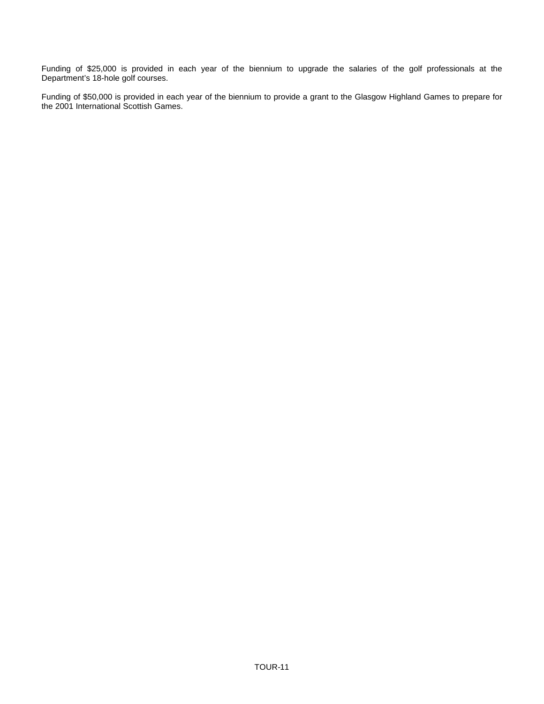Funding of \$25,000 is provided in each year of the biennium to upgrade the salaries of the golf professionals at the Department's 18-hole golf courses.

Funding of \$50,000 is provided in each year of the biennium to provide a grant to the Glasgow Highland Games to prepare for the 2001 International Scottish Games.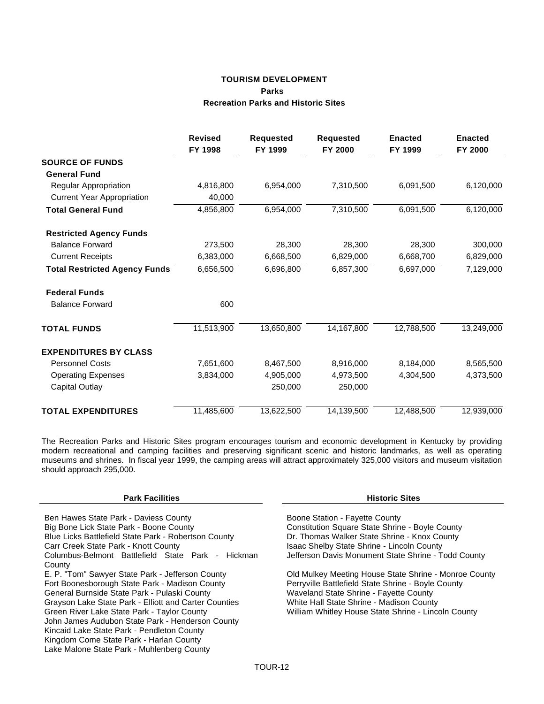## **TOURISM DEVELOPMENT Parks Recreation Parks and Historic Sites**

|                                      | <b>Revised</b><br>FY 1998 | <b>Requested</b><br>FY 1999 | <b>Requested</b><br>FY 2000 | <b>Enacted</b><br>FY 1999 | <b>Enacted</b><br>FY 2000 |
|--------------------------------------|---------------------------|-----------------------------|-----------------------------|---------------------------|---------------------------|
| <b>SOURCE OF FUNDS</b>               |                           |                             |                             |                           |                           |
| <b>General Fund</b>                  |                           |                             |                             |                           |                           |
| Regular Appropriation                | 4,816,800                 | 6,954,000                   | 7,310,500                   | 6,091,500                 | 6,120,000                 |
| <b>Current Year Appropriation</b>    | 40,000                    |                             |                             |                           |                           |
| <b>Total General Fund</b>            | 4,856,800                 | 6,954,000                   | 7,310,500                   | 6,091,500                 | 6,120,000                 |
| <b>Restricted Agency Funds</b>       |                           |                             |                             |                           |                           |
| <b>Balance Forward</b>               | 273,500                   | 28,300                      | 28,300                      | 28,300                    | 300,000                   |
| <b>Current Receipts</b>              | 6,383,000                 | 6,668,500                   | 6,829,000                   | 6,668,700                 | 6,829,000                 |
| <b>Total Restricted Agency Funds</b> | 6,656,500                 | 6,696,800                   | 6,857,300                   | 6,697,000                 | 7,129,000                 |
| <b>Federal Funds</b>                 |                           |                             |                             |                           |                           |
| <b>Balance Forward</b>               | 600                       |                             |                             |                           |                           |
| <b>TOTAL FUNDS</b>                   | 11,513,900                | 13,650,800                  | 14,167,800                  | 12,788,500                | 13,249,000                |
| <b>EXPENDITURES BY CLASS</b>         |                           |                             |                             |                           |                           |
| <b>Personnel Costs</b>               | 7,651,600                 | 8,467,500                   | 8,916,000                   | 8,184,000                 | 8,565,500                 |
| <b>Operating Expenses</b>            | 3,834,000                 | 4,905,000                   | 4,973,500                   | 4,304,500                 | 4,373,500                 |
| <b>Capital Outlay</b>                |                           | 250,000                     | 250,000                     |                           |                           |
| <b>TOTAL EXPENDITURES</b>            | 11,485,600                | 13,622,500                  | 14,139,500                  | 12,488,500                | 12,939,000                |

The Recreation Parks and Historic Sites program encourages tourism and economic development in Kentucky by providing modern recreational and camping facilities and preserving significant scenic and historic landmarks, as well as operating museums and shrines. In fiscal year 1999, the camping areas will attract approximately 325,000 visitors and museum visitation should approach 295,000.

#### **Park Facilities Historic Sites**

Ben Hawes State Park - Daviess County<br>
Big Bone Lick State Park - Boone County<br>
Constitution Square State Shrine Blue Licks Battlefield State Park - Robertson County<br>Carr Creek State Park - Knott County Columbus-Belmont Battlefield State Park - Hickman County<br>E. P. "Tom" Sawyer State Park - Jefferson County Fort Boonesborough State Park - Madison County **Perryville Battlefield State Shrine - Boyle** County County County County County County County County County County General Burnside State Park - Pulaski County<br>Grayson Lake State Park - Elliott and Carter Counties White Hall State Shrine - Madison County Grayson Lake State Park - Elliott and Carter Counties<br>Green River Lake State Park - Taylor County John James Audubon State Park - Henderson County Kincaid Lake State Park - Pendleton County Kingdom Come State Park - Harlan County Lake Malone State Park - Muhlenberg County

Constitution Square State Shrine - Boyle County<br>Dr. Thomas Walker State Shrine - Knox County Isaac Shelby State Shrine - Lincoln County Jefferson Davis Monument State Shrine - Todd County

Old Mulkey Meeting House State Shrine - Monroe County<br>Perryville Battlefield State Shrine - Boyle County William Whitley House State Shrine - Lincoln County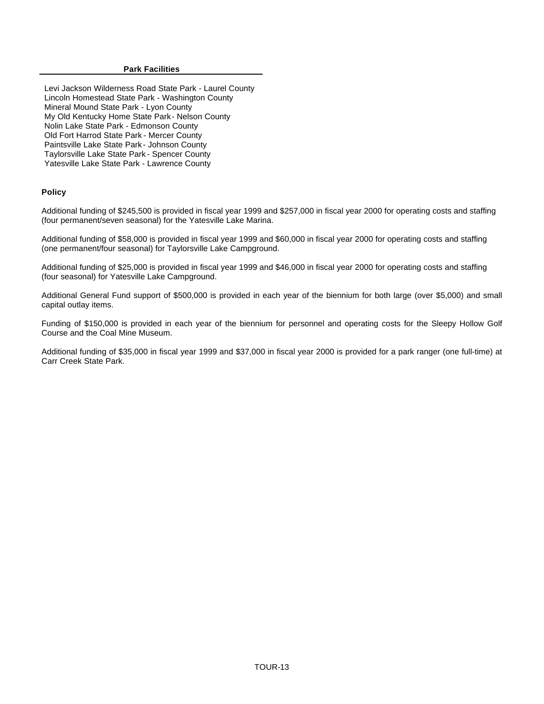#### **Park Facilities**

Levi Jackson Wilderness Road State Park - Laurel County Lincoln Homestead State Park - Washington County Mineral Mound State Park - Lyon County My Old Kentucky Home State Park - Nelson County Nolin Lake State Park - Edmonson County Old Fort Harrod State Park - Mercer County Paintsville Lake State Park - Johnson County Taylorsville Lake State Park - Spencer County Yatesville Lake State Park - Lawrence County

## **Policy**

Additional funding of \$245,500 is provided in fiscal year 1999 and \$257,000 in fiscal year 2000 for operating costs and staffing (four permanent/seven seasonal) for the Yatesville Lake Marina.

Additional funding of \$58,000 is provided in fiscal year 1999 and \$60,000 in fiscal year 2000 for operating costs and staffing (one permanent/four seasonal) for Taylorsville Lake Campground.

Additional funding of \$25,000 is provided in fiscal year 1999 and \$46,000 in fiscal year 2000 for operating costs and staffing (four seasonal) for Yatesville Lake Campground.

Additional General Fund support of \$500,000 is provided in each year of the biennium for both large (over \$5,000) and small capital outlay items.

Funding of \$150,000 is provided in each year of the biennium for personnel and operating costs for the Sleepy Hollow Golf Course and the Coal Mine Museum.

Additional funding of \$35,000 in fiscal year 1999 and \$37,000 in fiscal year 2000 is provided for a park ranger (one full-time) at Carr Creek State Park.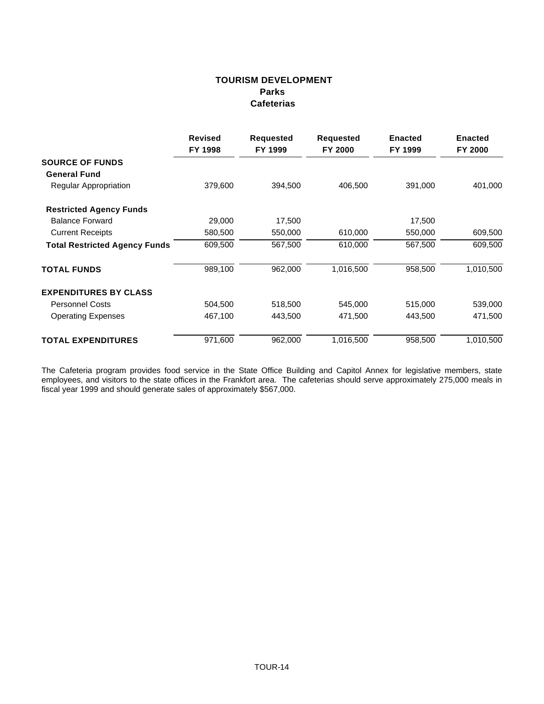# **TOURISM DEVELOPMENT Parks Cafeterias**

|                                      | <b>Revised</b><br>FY 1998 | <b>Requested</b><br>FY 1999 | Requested<br>FY 2000 | <b>Enacted</b><br>FY 1999 | <b>Enacted</b><br>FY 2000 |
|--------------------------------------|---------------------------|-----------------------------|----------------------|---------------------------|---------------------------|
| <b>SOURCE OF FUNDS</b>               |                           |                             |                      |                           |                           |
| <b>General Fund</b>                  |                           |                             |                      |                           |                           |
| Regular Appropriation                | 379,600                   | 394,500                     | 406,500              | 391,000                   | 401,000                   |
| <b>Restricted Agency Funds</b>       |                           |                             |                      |                           |                           |
| <b>Balance Forward</b>               | 29,000                    | 17,500                      |                      | 17,500                    |                           |
| <b>Current Receipts</b>              | 580,500                   | 550,000                     | 610,000              | 550,000                   | 609,500                   |
| <b>Total Restricted Agency Funds</b> | 609,500                   | 567,500                     | 610,000              | 567,500                   | 609,500                   |
| <b>TOTAL FUNDS</b>                   | 989,100                   | 962,000                     | 1,016,500            | 958,500                   | 1,010,500                 |
| <b>EXPENDITURES BY CLASS</b>         |                           |                             |                      |                           |                           |
| <b>Personnel Costs</b>               | 504,500                   | 518,500                     | 545,000              | 515,000                   | 539,000                   |
| <b>Operating Expenses</b>            | 467,100                   | 443,500                     | 471,500              | 443,500                   | 471,500                   |
| <b>TOTAL EXPENDITURES</b>            | 971,600                   | 962,000                     | 1,016,500            | 958,500                   | 1,010,500                 |

The Cafeteria program provides food service in the State Office Building and Capitol Annex for legislative members, state employees, and visitors to the state offices in the Frankfort area. The cafeterias should serve approximately 275,000 meals in fiscal year 1999 and should generate sales of approximately \$567,000.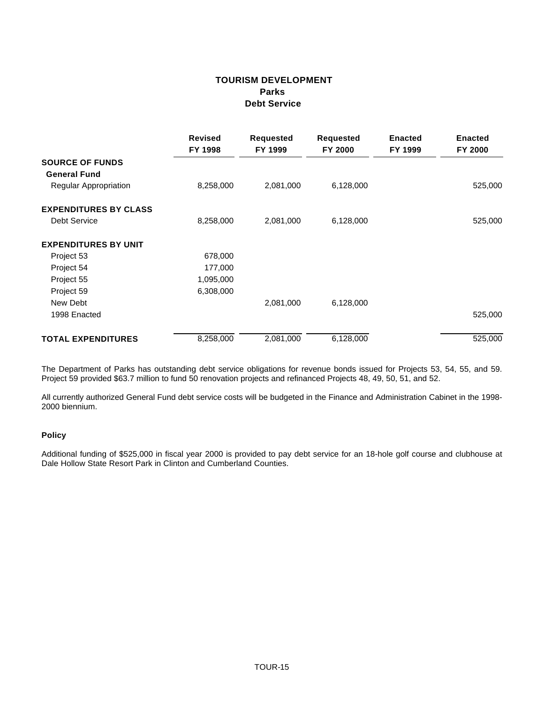# **TOURISM DEVELOPMENT Parks Debt Service**

|                              | <b>Revised</b><br>FY 1998 | <b>Requested</b><br>FY 1999 | <b>Requested</b><br>FY 2000 | <b>Enacted</b><br>FY 1999 | <b>Enacted</b><br>FY 2000 |
|------------------------------|---------------------------|-----------------------------|-----------------------------|---------------------------|---------------------------|
| <b>SOURCE OF FUNDS</b>       |                           |                             |                             |                           |                           |
| <b>General Fund</b>          |                           |                             |                             |                           |                           |
| Regular Appropriation        | 8,258,000                 | 2,081,000                   | 6,128,000                   |                           | 525,000                   |
| <b>EXPENDITURES BY CLASS</b> |                           |                             |                             |                           |                           |
| Debt Service                 | 8,258,000                 | 2,081,000                   | 6,128,000                   |                           | 525,000                   |
| <b>EXPENDITURES BY UNIT</b>  |                           |                             |                             |                           |                           |
| Project 53                   | 678,000                   |                             |                             |                           |                           |
| Project 54                   | 177,000                   |                             |                             |                           |                           |
| Project 55                   | 1,095,000                 |                             |                             |                           |                           |
| Project 59                   | 6,308,000                 |                             |                             |                           |                           |
| New Debt                     |                           | 2,081,000                   | 6,128,000                   |                           |                           |
| 1998 Enacted                 |                           |                             |                             |                           | 525,000                   |
| <b>TOTAL EXPENDITURES</b>    | 8,258,000                 | 2,081,000                   | 6,128,000                   |                           | 525,000                   |

The Department of Parks has outstanding debt service obligations for revenue bonds issued for Projects 53, 54, 55, and 59. Project 59 provided \$63.7 million to fund 50 renovation projects and refinanced Projects 48, 49, 50, 51, and 52.

All currently authorized General Fund debt service costs will be budgeted in the Finance and Administration Cabinet in the 1998- 2000 biennium.

## **Policy**

Additional funding of \$525,000 in fiscal year 2000 is provided to pay debt service for an 18-hole golf course and clubhouse at Dale Hollow State Resort Park in Clinton and Cumberland Counties.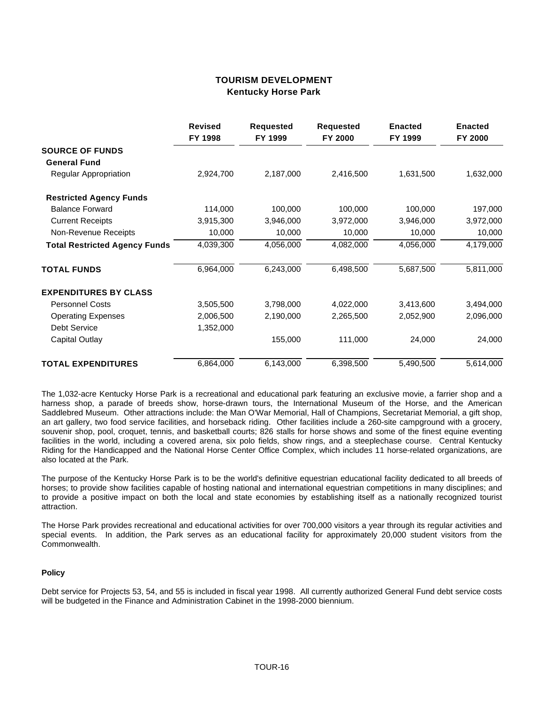## **TOURISM DEVELOPMENT Kentucky Horse Park**

|                                      | <b>Revised</b><br>FY 1998 | <b>Requested</b><br>FY 1999 | <b>Requested</b><br>FY 2000 | <b>Enacted</b><br>FY 1999 | <b>Enacted</b><br>FY 2000 |
|--------------------------------------|---------------------------|-----------------------------|-----------------------------|---------------------------|---------------------------|
| <b>SOURCE OF FUNDS</b>               |                           |                             |                             |                           |                           |
| <b>General Fund</b>                  |                           |                             |                             |                           |                           |
| Regular Appropriation                | 2,924,700                 | 2,187,000                   | 2,416,500                   | 1,631,500                 | 1,632,000                 |
| <b>Restricted Agency Funds</b>       |                           |                             |                             |                           |                           |
| <b>Balance Forward</b>               | 114,000                   | 100,000                     | 100,000                     | 100,000                   | 197,000                   |
| <b>Current Receipts</b>              | 3,915,300                 | 3,946,000                   | 3,972,000                   | 3,946,000                 | 3,972,000                 |
| Non-Revenue Receipts                 | 10,000                    | 10,000                      | 10,000                      | 10,000                    | 10,000                    |
| <b>Total Restricted Agency Funds</b> | 4,039,300                 | 4,056,000                   | 4,082,000                   | 4,056,000                 | 4,179,000                 |
| <b>TOTAL FUNDS</b>                   | 6,964,000                 | 6,243,000                   | 6,498,500                   | 5,687,500                 | 5,811,000                 |
| <b>EXPENDITURES BY CLASS</b>         |                           |                             |                             |                           |                           |
| <b>Personnel Costs</b>               | 3,505,500                 | 3,798,000                   | 4,022,000                   | 3,413,600                 | 3,494,000                 |
| <b>Operating Expenses</b>            | 2,006,500                 | 2,190,000                   | 2,265,500                   | 2,052,900                 | 2,096,000                 |
| <b>Debt Service</b>                  | 1,352,000                 |                             |                             |                           |                           |
| <b>Capital Outlay</b>                |                           | 155,000                     | 111,000                     | 24,000                    | 24,000                    |
| <b>TOTAL EXPENDITURES</b>            | 6,864,000                 | 6,143,000                   | 6,398,500                   | 5,490,500                 | 5,614,000                 |

The 1,032-acre Kentucky Horse Park is a recreational and educational park featuring an exclusive movie, a farrier shop and a harness shop, a parade of breeds show, horse-drawn tours, the International Museum of the Horse, and the American Saddlebred Museum. Other attractions include: the Man O'War Memorial, Hall of Champions, Secretariat Memorial, a gift shop, an art gallery, two food service facilities, and horseback riding. Other facilities include a 260-site campground with a grocery, souvenir shop, pool, croquet, tennis, and basketball courts; 826 stalls for horse shows and some of the finest equine eventing facilities in the world, including a covered arena, six polo fields, show rings, and a steeplechase course. Central Kentucky Riding for the Handicapped and the National Horse Center Office Complex, which includes 11 horse-related organizations, are also located at the Park.

The purpose of the Kentucky Horse Park is to be the world's definitive equestrian educational facility dedicated to all breeds of horses; to provide show facilities capable of hosting national and international equestrian competitions in many disciplines; and to provide a positive impact on both the local and state economies by establishing itself as a nationally recognized tourist attraction.

The Horse Park provides recreational and educational activities for over 700,000 visitors a year through its regular activities and special events. In addition, the Park serves as an educational facility for approximately 20,000 student visitors from the Commonwealth.

#### **Policy**

Debt service for Projects 53, 54, and 55 is included in fiscal year 1998. All currently authorized General Fund debt service costs will be budgeted in the Finance and Administration Cabinet in the 1998-2000 biennium.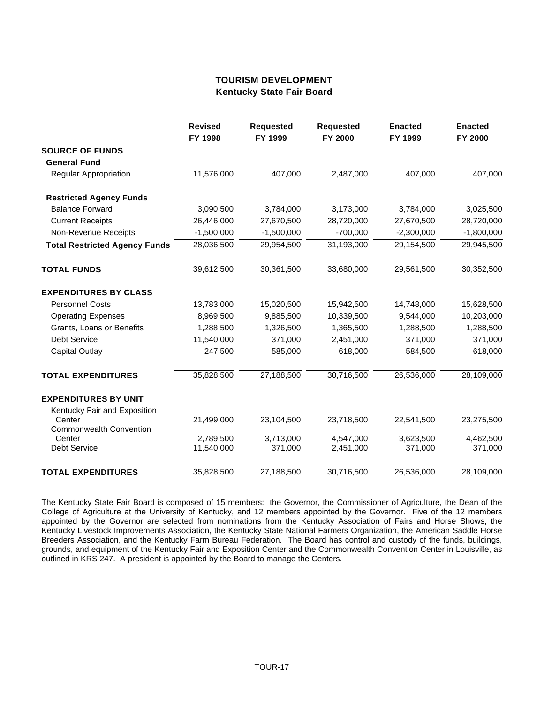## **TOURISM DEVELOPMENT Kentucky State Fair Board**

|                                        | <b>Revised</b><br>FY 1998 | <b>Requested</b><br>FY 1999 | <b>Requested</b><br>FY 2000 | <b>Enacted</b><br>FY 1999 | <b>Enacted</b><br>FY 2000 |
|----------------------------------------|---------------------------|-----------------------------|-----------------------------|---------------------------|---------------------------|
| <b>SOURCE OF FUNDS</b>                 |                           |                             |                             |                           |                           |
| <b>General Fund</b>                    |                           |                             |                             |                           |                           |
| <b>Regular Appropriation</b>           | 11,576,000                | 407,000                     | 2,487,000                   | 407,000                   | 407,000                   |
| <b>Restricted Agency Funds</b>         |                           |                             |                             |                           |                           |
| <b>Balance Forward</b>                 | 3,090,500                 | 3,784,000                   | 3,173,000                   | 3,784,000                 | 3,025,500                 |
| <b>Current Receipts</b>                | 26,446,000                | 27,670,500                  | 28,720,000                  | 27,670,500                | 28,720,000                |
| Non-Revenue Receipts                   | $-1,500,000$              | $-1,500,000$                | $-700,000$                  | $-2,300,000$              | $-1,800,000$              |
| <b>Total Restricted Agency Funds</b>   | 28,036,500                | 29,954,500                  | 31,193,000                  | 29,154,500                | 29,945,500                |
| <b>TOTAL FUNDS</b>                     | 39,612,500                | 30,361,500                  | 33,680,000                  | 29,561,500                | 30,352,500                |
| <b>EXPENDITURES BY CLASS</b>           |                           |                             |                             |                           |                           |
| <b>Personnel Costs</b>                 | 13,783,000                | 15,020,500                  | 15,942,500                  | 14,748,000                | 15,628,500                |
| <b>Operating Expenses</b>              | 8,969,500                 | 9,885,500                   | 10,339,500                  | 9,544,000                 | 10,203,000                |
| Grants, Loans or Benefits              | 1,288,500                 | 1,326,500                   | 1,365,500                   | 1,288,500                 | 1,288,500                 |
| <b>Debt Service</b>                    | 11,540,000                | 371,000                     | 2,451,000                   | 371,000                   | 371,000                   |
| <b>Capital Outlay</b>                  | 247,500                   | 585,000                     | 618,000                     | 584,500                   | 618,000                   |
| <b>TOTAL EXPENDITURES</b>              | 35,828,500                | 27,188,500                  | 30,716,500                  | 26,536,000                | 28,109,000                |
| <b>EXPENDITURES BY UNIT</b>            |                           |                             |                             |                           |                           |
| Kentucky Fair and Exposition<br>Center | 21,499,000                | 23,104,500                  | 23,718,500                  | 22,541,500                | 23,275,500                |
| <b>Commonwealth Convention</b>         |                           |                             |                             |                           |                           |
| Center<br><b>Debt Service</b>          | 2,789,500<br>11,540,000   | 3,713,000<br>371,000        | 4,547,000<br>2,451,000      | 3,623,500<br>371,000      | 4,462,500<br>371,000      |
| <b>TOTAL EXPENDITURES</b>              | 35,828,500                | 27,188,500                  | 30,716,500                  | 26,536,000                | 28,109,000                |

The Kentucky State Fair Board is composed of 15 members: the Governor, the Commissioner of Agriculture, the Dean of the College of Agriculture at the University of Kentucky, and 12 members appointed by the Governor. Five of the 12 members appointed by the Governor are selected from nominations from the Kentucky Association of Fairs and Horse Shows, the Kentucky Livestock Improvements Association, the Kentucky State National Farmers Organization, the American Saddle Horse Breeders Association, and the Kentucky Farm Bureau Federation. The Board has control and custody of the funds, buildings, grounds, and equipment of the Kentucky Fair and Exposition Center and the Commonwealth Convention Center in Louisville, as outlined in KRS 247. A president is appointed by the Board to manage the Centers.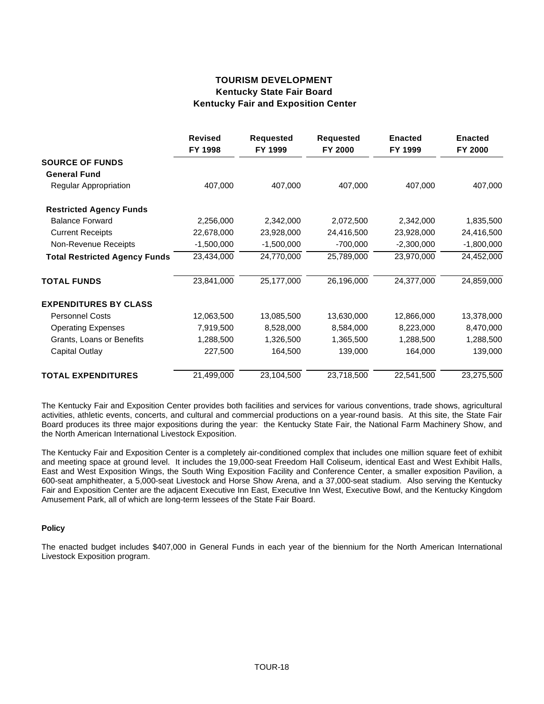# **TOURISM DEVELOPMENT Kentucky State Fair Board Kentucky Fair and Exposition Center**

|                                      | <b>Revised</b><br>FY 1998 | <b>Requested</b><br>FY 1999 | <b>Requested</b><br>FY 2000 | <b>Enacted</b><br>FY 1999 | <b>Enacted</b><br>FY 2000 |
|--------------------------------------|---------------------------|-----------------------------|-----------------------------|---------------------------|---------------------------|
| <b>SOURCE OF FUNDS</b>               |                           |                             |                             |                           |                           |
| <b>General Fund</b>                  |                           |                             |                             |                           |                           |
| Regular Appropriation                | 407,000                   | 407,000                     | 407,000                     | 407,000                   | 407,000                   |
| <b>Restricted Agency Funds</b>       |                           |                             |                             |                           |                           |
| <b>Balance Forward</b>               | 2,256,000                 | 2,342,000                   | 2,072,500                   | 2,342,000                 | 1,835,500                 |
| <b>Current Receipts</b>              | 22,678,000                | 23,928,000                  | 24,416,500                  | 23,928,000                | 24,416,500                |
| Non-Revenue Receipts                 | $-1,500,000$              | $-1,500,000$                | $-700,000$                  | $-2,300,000$              | $-1,800,000$              |
| <b>Total Restricted Agency Funds</b> | 23,434,000                | 24,770,000                  | 25,789,000                  | 23,970,000                | 24,452,000                |
| <b>TOTAL FUNDS</b>                   | 23,841,000                | 25,177,000                  | 26,196,000                  | 24,377,000                | 24,859,000                |
| <b>EXPENDITURES BY CLASS</b>         |                           |                             |                             |                           |                           |
| <b>Personnel Costs</b>               | 12,063,500                | 13,085,500                  | 13,630,000                  | 12,866,000                | 13,378,000                |
| <b>Operating Expenses</b>            | 7,919,500                 | 8,528,000                   | 8,584,000                   | 8,223,000                 | 8,470,000                 |
| Grants, Loans or Benefits            | 1,288,500                 | 1,326,500                   | 1,365,500                   | 1,288,500                 | 1,288,500                 |
| <b>Capital Outlay</b>                | 227,500                   | 164,500                     | 139,000                     | 164,000                   | 139,000                   |
| <b>TOTAL EXPENDITURES</b>            | 21,499,000                | 23,104,500                  | 23,718,500                  | 22,541,500                | 23,275,500                |

The Kentucky Fair and Exposition Center provides both facilities and services for various conventions, trade shows, agricultural activities, athletic events, concerts, and cultural and commercial productions on a year-round basis. At this site, the State Fair Board produces its three major expositions during the year: the Kentucky State Fair, the National Farm Machinery Show, and the North American International Livestock Exposition.

The Kentucky Fair and Exposition Center is a completely air-conditioned complex that includes one million square feet of exhibit and meeting space at ground level. It includes the 19,000-seat Freedom Hall Coliseum, identical East and West Exhibit Halls, East and West Exposition Wings, the South Wing Exposition Facility and Conference Center, a smaller exposition Pavilion, a 600-seat amphitheater, a 5,000-seat Livestock and Horse Show Arena, and a 37,000-seat stadium. Also serving the Kentucky Fair and Exposition Center are the adjacent Executive Inn East, Executive Inn West, Executive Bowl, and the Kentucky Kingdom Amusement Park, all of which are long-term lessees of the State Fair Board.

## **Policy**

The enacted budget includes \$407,000 in General Funds in each year of the biennium for the North American International Livestock Exposition program.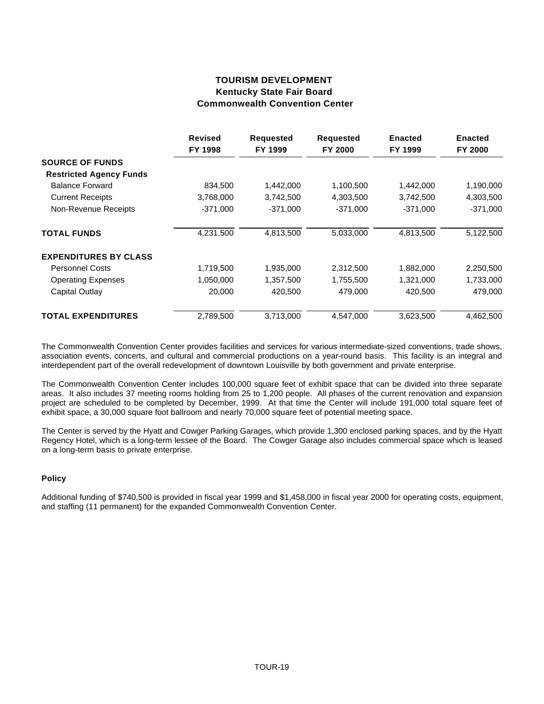# **TOURISM DEVELOPMENT Kentucky State Fair Board Commonwealth Convention Center**

|                                | <b>Revised</b><br>FY 1998 | <b>Requested</b><br>FY 1999 | <b>Requested</b><br>FY 2000 | <b>Enacted</b><br>FY 1999 | <b>Enacted</b><br>FY 2000 |
|--------------------------------|---------------------------|-----------------------------|-----------------------------|---------------------------|---------------------------|
| <b>SOURCE OF FUNDS</b>         |                           |                             |                             |                           |                           |
| <b>Restricted Agency Funds</b> |                           |                             |                             |                           |                           |
| <b>Balance Forward</b>         | 834,500                   | 1,442,000                   | 1,100,500                   | 1,442,000                 | 1,190,000                 |
| <b>Current Receipts</b>        | 3,768,000                 | 3,742,500                   | 4,303,500                   | 3,742,500                 | 4,303,500                 |
| Non-Revenue Receipts           | $-371,000$                | $-371.000$                  | $-371.000$                  | $-371.000$                | $-371,000$                |
| <b>TOTAL FUNDS</b>             | 4,231,500                 | 4,813,500                   | 5,033,000                   | 4,813,500                 | 5,122,500                 |
| <b>EXPENDITURES BY CLASS</b>   |                           |                             |                             |                           |                           |
| <b>Personnel Costs</b>         | 1,719,500                 | 1,935,000                   | 2,312,500                   | 1,882,000                 | 2,250,500                 |
| <b>Operating Expenses</b>      | 1,050,000                 | 1,357,500                   | 1,755,500                   | 1,321,000                 | 1,733,000                 |
| Capital Outlay                 | 20,000                    | 420,500                     | 479,000                     | 420,500                   | 479,000                   |
| <b>TOTAL EXPENDITURES</b>      | 2,789,500                 | 3,713,000                   | 4.547.000                   | 3,623,500                 | 4.462.500                 |

The Commonwealth Convention Center provides facilities and services for various intermediate-sized conventions, trade shows, association events, concerts, and cultural and commercial productions on a year-round basis. This facility is an integral and interdependent part of the overall redevelopment of downtown Louisville by both government and private enterprise.

The Commonwealth Convention Center includes 100,000 square feet of exhibit space that can be divided into three separate areas. It also includes 37 meeting rooms holding from 25 to 1,200 people. All phases of the current renovation and expansion project are scheduled to be completed by December, 1999. At that time the Center will include 191,000 total square feet of exhibit space, a 30,000 square foot ballroom and nearly 70,000 square feet of potential meeting space.

The Center is served by the Hyatt and Cowger Parking Garages, which provide 1,300 enclosed parking spaces, and by the Hyatt Regency Hotel, which is a long-term lessee of the Board. The Cowger Garage also includes commercial space which is leased on a long-term basis to private enterprise.

## **Policy**

Additional funding of \$740,500 is provided in fiscal year 1999 and \$1,458,000 in fiscal year 2000 for operating costs, equipment, and staffing (11 permanent) for the expanded Commonwealth Convention Center.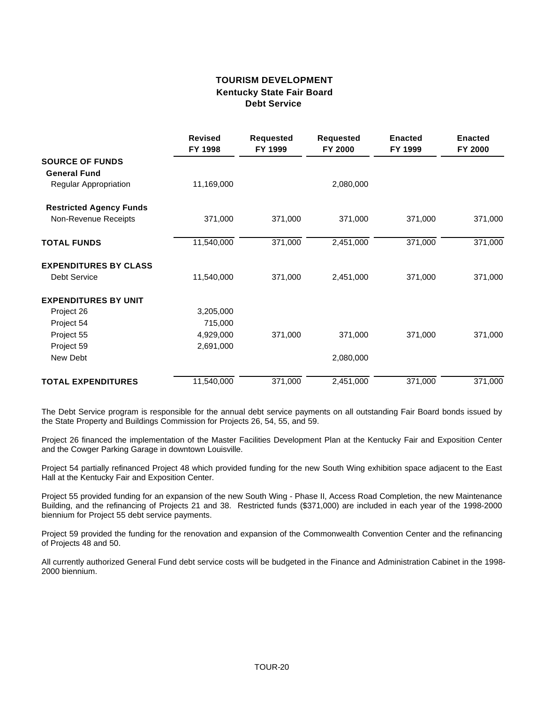# **TOURISM DEVELOPMENT Kentucky State Fair Board Debt Service**

|                                               | <b>Revised</b><br>FY 1998 | <b>Requested</b><br>FY 1999 | <b>Requested</b><br>FY 2000 | <b>Enacted</b><br>FY 1999 | <b>Enacted</b><br>FY 2000 |
|-----------------------------------------------|---------------------------|-----------------------------|-----------------------------|---------------------------|---------------------------|
| <b>SOURCE OF FUNDS</b><br><b>General Fund</b> |                           |                             |                             |                           |                           |
| Regular Appropriation                         | 11,169,000                |                             | 2,080,000                   |                           |                           |
| <b>Restricted Agency Funds</b>                |                           |                             |                             |                           |                           |
| Non-Revenue Receipts                          | 371,000                   | 371,000                     | 371,000                     | 371,000                   | 371,000                   |
| <b>TOTAL FUNDS</b>                            | 11,540,000                | 371,000                     | 2,451,000                   | 371,000                   | 371,000                   |
| <b>EXPENDITURES BY CLASS</b>                  |                           |                             |                             |                           |                           |
| <b>Debt Service</b>                           | 11,540,000                | 371,000                     | 2,451,000                   | 371,000                   | 371,000                   |
| <b>EXPENDITURES BY UNIT</b>                   |                           |                             |                             |                           |                           |
| Project 26                                    | 3,205,000                 |                             |                             |                           |                           |
| Project 54                                    | 715,000                   |                             |                             |                           |                           |
| Project 55                                    | 4,929,000                 | 371,000                     | 371,000                     | 371,000                   | 371,000                   |
| Project 59                                    | 2,691,000                 |                             |                             |                           |                           |
| New Debt                                      |                           |                             | 2,080,000                   |                           |                           |
| <b>TOTAL EXPENDITURES</b>                     | 11,540,000                | 371,000                     | 2,451,000                   | 371,000                   | 371,000                   |

The Debt Service program is responsible for the annual debt service payments on all outstanding Fair Board bonds issued by the State Property and Buildings Commission for Projects 26, 54, 55, and 59.

Project 26 financed the implementation of the Master Facilities Development Plan at the Kentucky Fair and Exposition Center and the Cowger Parking Garage in downtown Louisville.

Project 54 partially refinanced Project 48 which provided funding for the new South Wing exhibition space adjacent to the East Hall at the Kentucky Fair and Exposition Center.

Project 55 provided funding for an expansion of the new South Wing - Phase II, Access Road Completion, the new Maintenance Building, and the refinancing of Projects 21 and 38. Restricted funds (\$371,000) are included in each year of the 1998-2000 biennium for Project 55 debt service payments.

Project 59 provided the funding for the renovation and expansion of the Commonwealth Convention Center and the refinancing of Projects 48 and 50.

All currently authorized General Fund debt service costs will be budgeted in the Finance and Administration Cabinet in the 1998- 2000 biennium.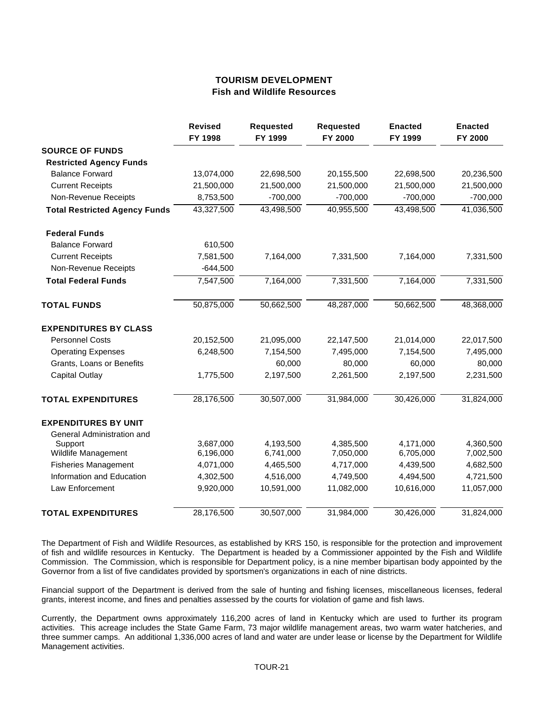## **TOURISM DEVELOPMENT Fish and Wildlife Resources**

|                                      | <b>Revised</b><br>FY 1998 | <b>Requested</b><br>FY 1999 | <b>Requested</b><br>FY 2000 | <b>Enacted</b><br>FY 1999 | <b>Enacted</b><br>FY 2000 |
|--------------------------------------|---------------------------|-----------------------------|-----------------------------|---------------------------|---------------------------|
| <b>SOURCE OF FUNDS</b>               |                           |                             |                             |                           |                           |
| <b>Restricted Agency Funds</b>       |                           |                             |                             |                           |                           |
| <b>Balance Forward</b>               | 13,074,000                | 22,698,500                  | 20,155,500                  | 22,698,500                | 20,236,500                |
| <b>Current Receipts</b>              | 21,500,000                | 21,500,000                  | 21,500,000                  | 21,500,000                | 21,500,000                |
| Non-Revenue Receipts                 | 8,753,500                 | $-700,000$                  | $-700,000$                  | $-700,000$                | $-700,000$                |
| <b>Total Restricted Agency Funds</b> | 43,327,500                | 43,498,500                  | 40,955,500                  | 43,498,500                | 41,036,500                |
| <b>Federal Funds</b>                 |                           |                             |                             |                           |                           |
| <b>Balance Forward</b>               | 610,500                   |                             |                             |                           |                           |
| <b>Current Receipts</b>              | 7,581,500                 | 7,164,000                   | 7,331,500                   | 7,164,000                 | 7,331,500                 |
| Non-Revenue Receipts                 | $-644,500$                |                             |                             |                           |                           |
| <b>Total Federal Funds</b>           | 7,547,500                 | 7,164,000                   | 7,331,500                   | 7,164,000                 | 7,331,500                 |
| <b>TOTAL FUNDS</b>                   | 50,875,000                | 50,662,500                  | 48,287,000                  | 50,662,500                | 48,368,000                |
| <b>EXPENDITURES BY CLASS</b>         |                           |                             |                             |                           |                           |
| <b>Personnel Costs</b>               | 20,152,500                | 21,095,000                  | 22,147,500                  | 21,014,000                | 22,017,500                |
| <b>Operating Expenses</b>            | 6,248,500                 | 7,154,500                   | 7,495,000                   | 7,154,500                 | 7,495,000                 |
| Grants, Loans or Benefits            |                           | 60,000                      | 80,000                      | 60,000                    | 80,000                    |
| <b>Capital Outlay</b>                | 1,775,500                 | 2,197,500                   | 2,261,500                   | 2,197,500                 | 2,231,500                 |
| <b>TOTAL EXPENDITURES</b>            | 28,176,500                | 30,507,000                  | 31,984,000                  | 30,426,000                | 31,824,000                |
| <b>EXPENDITURES BY UNIT</b>          |                           |                             |                             |                           |                           |
| General Administration and           |                           |                             |                             |                           |                           |
| Support                              | 3,687,000                 | 4,193,500                   | 4,385,500                   | 4,171,000                 | 4,360,500                 |
| Wildlife Management                  | 6,196,000                 | 6,741,000                   | 7,050,000                   | 6,705,000                 | 7,002,500                 |
| <b>Fisheries Management</b>          | 4,071,000                 | 4,465,500                   | 4,717,000                   | 4,439,500                 | 4,682,500                 |
| Information and Education            | 4,302,500                 | 4,516,000                   | 4,749,500                   | 4,494,500                 | 4,721,500                 |
| Law Enforcement                      | 9,920,000                 | 10,591,000                  | 11,082,000                  | 10,616,000                | 11,057,000                |
| <b>TOTAL EXPENDITURES</b>            | 28,176,500                | 30,507,000                  | 31,984,000                  | 30,426,000                | 31,824,000                |

The Department of Fish and Wildlife Resources, as established by KRS 150, is responsible for the protection and improvement of fish and wildlife resources in Kentucky. The Department is headed by a Commissioner appointed by the Fish and Wildlife Commission. The Commission, which is responsible for Department policy, is a nine member bipartisan body appointed by the Governor from a list of five candidates provided by sportsmen's organizations in each of nine districts.

Financial support of the Department is derived from the sale of hunting and fishing licenses, miscellaneous licenses, federal grants, interest income, and fines and penalties assessed by the courts for violation of game and fish laws.

Currently, the Department owns approximately 116,200 acres of land in Kentucky which are used to further its program activities. This acreage includes the State Game Farm, 73 major wildlife management areas, two warm water hatcheries, and three summer camps. An additional 1,336,000 acres of land and water are under lease or license by the Department for Wildlife Management activities.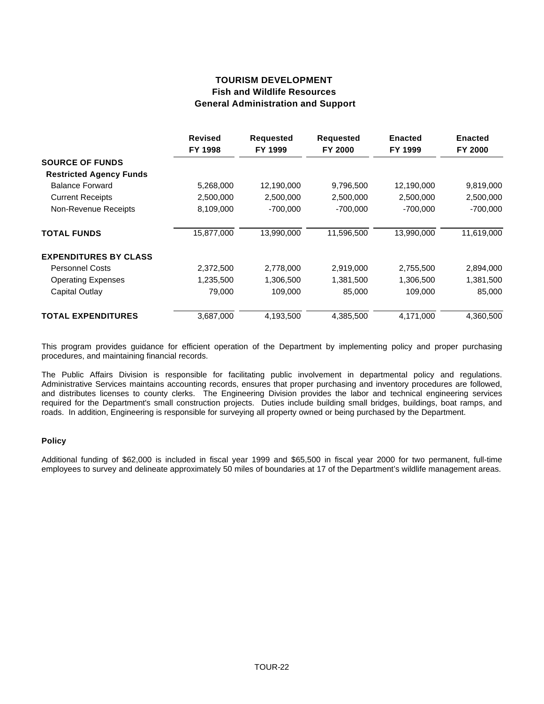# **TOURISM DEVELOPMENT Fish and Wildlife Resources General Administration and Support**

|                                | <b>Revised</b><br>FY 1998 | <b>Requested</b><br>FY 1999 | <b>Requested</b><br>FY 2000 | <b>Enacted</b><br>FY 1999 | <b>Enacted</b><br>FY 2000 |
|--------------------------------|---------------------------|-----------------------------|-----------------------------|---------------------------|---------------------------|
| <b>SOURCE OF FUNDS</b>         |                           |                             |                             |                           |                           |
| <b>Restricted Agency Funds</b> |                           |                             |                             |                           |                           |
| <b>Balance Forward</b>         | 5,268,000                 | 12,190,000                  | 9,796,500                   | 12,190,000                | 9,819,000                 |
| <b>Current Receipts</b>        | 2,500,000                 | 2,500,000                   | 2,500,000                   | 2,500,000                 | 2,500,000                 |
| Non-Revenue Receipts           | 8,109,000                 | $-700,000$                  | $-700,000$                  | $-700,000$                | $-700,000$                |
| <b>TOTAL FUNDS</b>             | 15,877,000                | 13,990,000                  | 11,596,500                  | 13,990,000                | 11,619,000                |
| <b>EXPENDITURES BY CLASS</b>   |                           |                             |                             |                           |                           |
| <b>Personnel Costs</b>         | 2,372,500                 | 2,778,000                   | 2,919,000                   | 2,755,500                 | 2,894,000                 |
| <b>Operating Expenses</b>      | 1,235,500                 | 1,306,500                   | 1,381,500                   | 1,306,500                 | 1,381,500                 |
| Capital Outlay                 | 79,000                    | 109,000                     | 85,000                      | 109,000                   | 85,000                    |
| <b>TOTAL EXPENDITURES</b>      | 3,687,000                 | 4,193,500                   | 4,385,500                   | 4,171,000                 | 4,360,500                 |

This program provides guidance for efficient operation of the Department by implementing policy and proper purchasing procedures, and maintaining financial records.

The Public Affairs Division is responsible for facilitating public involvement in departmental policy and regulations. Administrative Services maintains accounting records, ensures that proper purchasing and inventory procedures are followed, and distributes licenses to county clerks. The Engineering Division provides the labor and technical engineering services required for the Department's small construction projects. Duties include building small bridges, buildings, boat ramps, and roads. In addition, Engineering is responsible for surveying all property owned or being purchased by the Department.

## **Policy**

Additional funding of \$62,000 is included in fiscal year 1999 and \$65,500 in fiscal year 2000 for two permanent, full-time employees to survey and delineate approximately 50 miles of boundaries at 17 of the Department's wildlife management areas.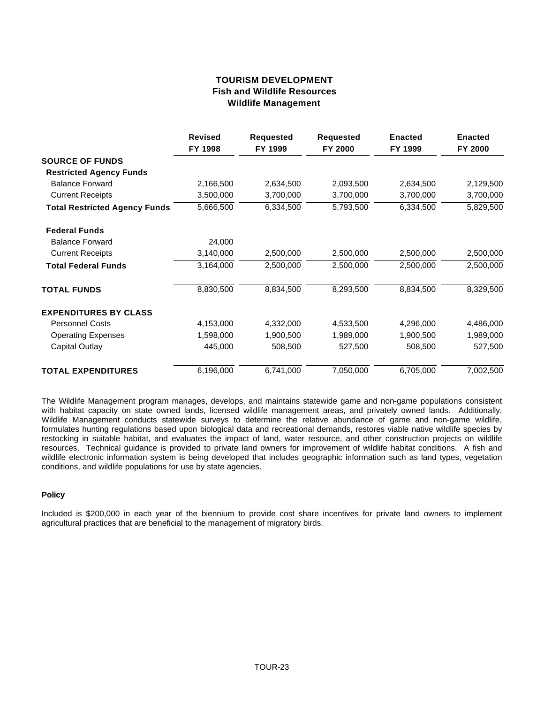# **TOURISM DEVELOPMENT Fish and Wildlife Resources Wildlife Management**

|                                      | <b>Revised</b><br>FY 1998 | <b>Requested</b><br>FY 1999 | <b>Requested</b><br>FY 2000 | <b>Enacted</b><br>FY 1999 | <b>Enacted</b><br>FY 2000 |
|--------------------------------------|---------------------------|-----------------------------|-----------------------------|---------------------------|---------------------------|
| <b>SOURCE OF FUNDS</b>               |                           |                             |                             |                           |                           |
| <b>Restricted Agency Funds</b>       |                           |                             |                             |                           |                           |
| <b>Balance Forward</b>               | 2,166,500                 | 2,634,500                   | 2,093,500                   | 2,634,500                 | 2,129,500                 |
| <b>Current Receipts</b>              | 3,500,000                 | 3,700,000                   | 3,700,000                   | 3,700,000                 | 3,700,000                 |
| <b>Total Restricted Agency Funds</b> | 5,666,500                 | 6,334,500                   | 5,793,500                   | 6,334,500                 | 5,829,500                 |
| <b>Federal Funds</b>                 |                           |                             |                             |                           |                           |
| <b>Balance Forward</b>               | 24,000                    |                             |                             |                           |                           |
| <b>Current Receipts</b>              | 3,140,000                 | 2,500,000                   | 2,500,000                   | 2,500,000                 | 2,500,000                 |
| <b>Total Federal Funds</b>           | 3,164,000                 | 2,500,000                   | 2,500,000                   | 2,500,000                 | 2,500,000                 |
| <b>TOTAL FUNDS</b>                   | 8,830,500                 | 8,834,500                   | 8,293,500                   | 8,834,500                 | 8,329,500                 |
| <b>EXPENDITURES BY CLASS</b>         |                           |                             |                             |                           |                           |
| <b>Personnel Costs</b>               | 4,153,000                 | 4,332,000                   | 4,533,500                   | 4,296,000                 | 4,486,000                 |
| <b>Operating Expenses</b>            | 1,598,000                 | 1,900,500                   | 1,989,000                   | 1,900,500                 | 1,989,000                 |
| Capital Outlay                       | 445,000                   | 508,500                     | 527,500                     | 508,500                   | 527,500                   |
| <b>TOTAL EXPENDITURES</b>            | 6,196,000                 | 6,741,000                   | 7,050,000                   | 6,705,000                 | 7,002,500                 |

The Wildlife Management program manages, develops, and maintains statewide game and non-game populations consistent with habitat capacity on state owned lands, licensed wildlife management areas, and privately owned lands. Additionally, Wildlife Management conducts statewide surveys to determine the relative abundance of game and non-game wildlife, formulates hunting regulations based upon biological data and recreational demands, restores viable native wildlife species by restocking in suitable habitat, and evaluates the impact of land, water resource, and other construction projects on wildlife resources. Technical guidance is provided to private land owners for improvement of wildlife habitat conditions. A fish and wildlife electronic information system is being developed that includes geographic information such as land types, vegetation conditions, and wildlife populations for use by state agencies.

## **Policy**

Included is \$200,000 in each year of the biennium to provide cost share incentives for private land owners to implement agricultural practices that are beneficial to the management of migratory birds.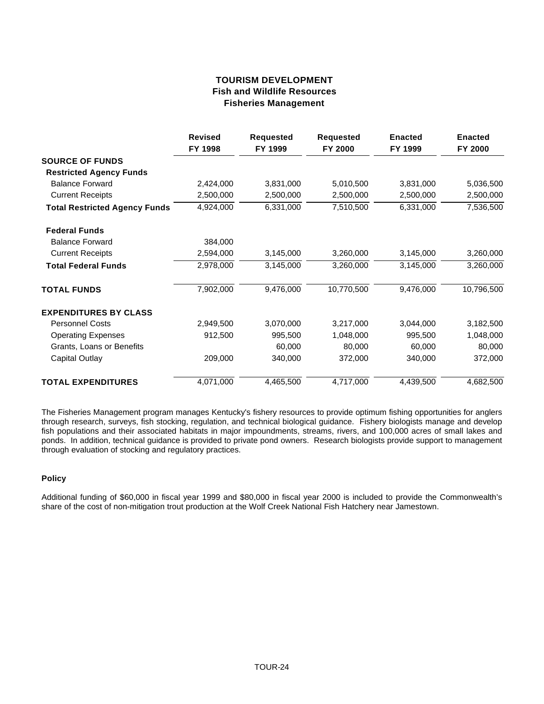# **TOURISM DEVELOPMENT Fish and Wildlife Resources Fisheries Management**

|                                      | <b>Revised</b><br>FY 1998 | <b>Requested</b><br>FY 1999 | <b>Requested</b><br>FY 2000 | <b>Enacted</b><br>FY 1999 | <b>Enacted</b><br>FY 2000 |
|--------------------------------------|---------------------------|-----------------------------|-----------------------------|---------------------------|---------------------------|
| <b>SOURCE OF FUNDS</b>               |                           |                             |                             |                           |                           |
| <b>Restricted Agency Funds</b>       |                           |                             |                             |                           |                           |
| <b>Balance Forward</b>               | 2,424,000                 | 3,831,000                   | 5,010,500                   | 3,831,000                 | 5,036,500                 |
| <b>Current Receipts</b>              | 2,500,000                 | 2,500,000                   | 2,500,000                   | 2,500,000                 | 2,500,000                 |
| <b>Total Restricted Agency Funds</b> | 4,924,000                 | 6,331,000                   | 7,510,500                   | 6,331,000                 | 7,536,500                 |
| <b>Federal Funds</b>                 |                           |                             |                             |                           |                           |
| <b>Balance Forward</b>               | 384,000                   |                             |                             |                           |                           |
| <b>Current Receipts</b>              | 2,594,000                 | 3,145,000                   | 3,260,000                   | 3,145,000                 | 3,260,000                 |
| <b>Total Federal Funds</b>           | 2,978,000                 | 3,145,000                   | 3,260,000                   | 3,145,000                 | 3,260,000                 |
| <b>TOTAL FUNDS</b>                   | 7,902,000                 | 9,476,000                   | 10,770,500                  | 9,476,000                 | 10,796,500                |
| <b>EXPENDITURES BY CLASS</b>         |                           |                             |                             |                           |                           |
| <b>Personnel Costs</b>               | 2,949,500                 | 3,070,000                   | 3,217,000                   | 3,044,000                 | 3,182,500                 |
| <b>Operating Expenses</b>            | 912,500                   | 995,500                     | 1,048,000                   | 995,500                   | 1,048,000                 |
| Grants, Loans or Benefits            |                           | 60,000                      | 80,000                      | 60,000                    | 80,000                    |
| <b>Capital Outlay</b>                | 209,000                   | 340,000                     | 372,000                     | 340,000                   | 372,000                   |
| <b>TOTAL EXPENDITURES</b>            | 4,071,000                 | 4,465,500                   | 4,717,000                   | 4,439,500                 | 4,682,500                 |

The Fisheries Management program manages Kentucky's fishery resources to provide optimum fishing opportunities for anglers through research, surveys, fish stocking, regulation, and technical biological guidance. Fishery biologists manage and develop fish populations and their associated habitats in major impoundments, streams, rivers, and 100,000 acres of small lakes and ponds. In addition, technical guidance is provided to private pond owners. Research biologists provide support to management through evaluation of stocking and regulatory practices.

## **Policy**

Additional funding of \$60,000 in fiscal year 1999 and \$80,000 in fiscal year 2000 is included to provide the Commonwealth's share of the cost of non-mitigation trout production at the Wolf Creek National Fish Hatchery near Jamestown.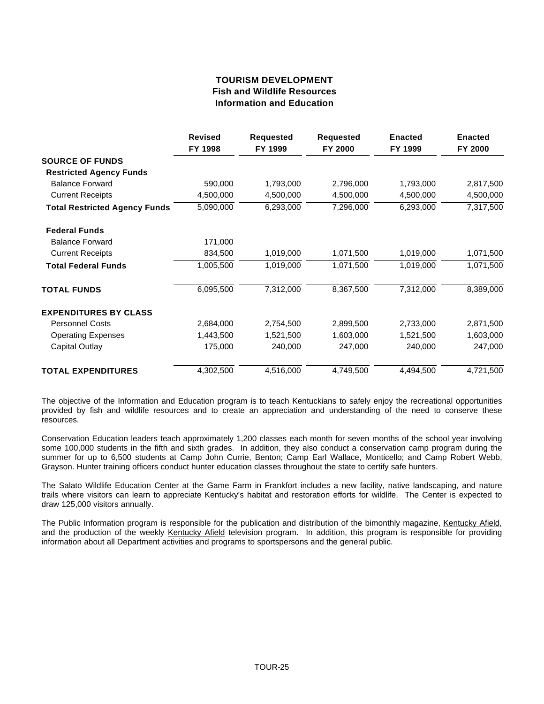# **TOURISM DEVELOPMENT Fish and Wildlife Resources Information and Education**

|                                      | <b>Revised</b><br>FY 1998 | <b>Requested</b><br>FY 1999 | <b>Requested</b><br>FY 2000 | <b>Enacted</b><br>FY 1999 | <b>Enacted</b><br>FY 2000 |
|--------------------------------------|---------------------------|-----------------------------|-----------------------------|---------------------------|---------------------------|
| <b>SOURCE OF FUNDS</b>               |                           |                             |                             |                           |                           |
| <b>Restricted Agency Funds</b>       |                           |                             |                             |                           |                           |
| <b>Balance Forward</b>               | 590,000                   | 1,793,000                   | 2,796,000                   | 1,793,000                 | 2,817,500                 |
| <b>Current Receipts</b>              | 4,500,000                 | 4,500,000                   | 4,500,000                   | 4,500,000                 | 4,500,000                 |
| <b>Total Restricted Agency Funds</b> | 5,090,000                 | 6,293,000                   | 7,296,000                   | 6,293,000                 | 7,317,500                 |
| <b>Federal Funds</b>                 |                           |                             |                             |                           |                           |
| <b>Balance Forward</b>               | 171,000                   |                             |                             |                           |                           |
| <b>Current Receipts</b>              | 834,500                   | 1,019,000                   | 1,071,500                   | 1,019,000                 | 1,071,500                 |
| <b>Total Federal Funds</b>           | 1,005,500                 | 1,019,000                   | 1,071,500                   | 1,019,000                 | 1,071,500                 |
| <b>TOTAL FUNDS</b>                   | 6,095,500                 | 7,312,000                   | 8,367,500                   | 7,312,000                 | 8,389,000                 |
| <b>EXPENDITURES BY CLASS</b>         |                           |                             |                             |                           |                           |
| <b>Personnel Costs</b>               | 2,684,000                 | 2,754,500                   | 2,899,500                   | 2,733,000                 | 2,871,500                 |
| <b>Operating Expenses</b>            | 1,443,500                 | 1,521,500                   | 1,603,000                   | 1,521,500                 | 1,603,000                 |
| Capital Outlay                       | 175,000                   | 240,000                     | 247,000                     | 240,000                   | 247,000                   |
| <b>TOTAL EXPENDITURES</b>            | 4,302,500                 | 4,516,000                   | 4,749,500                   | 4,494,500                 | 4,721,500                 |

The objective of the Information and Education program is to teach Kentuckians to safely enjoy the recreational opportunities provided by fish and wildlife resources and to create an appreciation and understanding of the need to conserve these resources.

Conservation Education leaders teach approximately 1,200 classes each month for seven months of the school year involving some 100,000 students in the fifth and sixth grades. In addition, they also conduct a conservation camp program during the summer for up to 6,500 students at Camp John Currie, Benton; Camp Earl Wallace, Monticello; and Camp Robert Webb, Grayson. Hunter training officers conduct hunter education classes throughout the state to certify safe hunters.

The Salato Wildlife Education Center at the Game Farm in Frankfort includes a new facility, native landscaping, and nature trails where visitors can learn to appreciate Kentucky's habitat and restoration efforts for wildlife. The Center is expected to draw 125,000 visitors annually.

The Public Information program is responsible for the publication and distribution of the bimonthly magazine, Kentucky Afield, and the production of the weekly Kentucky Afield television program. In addition, this program is responsible for providing information about all Department activities and programs to sportspersons and the general public.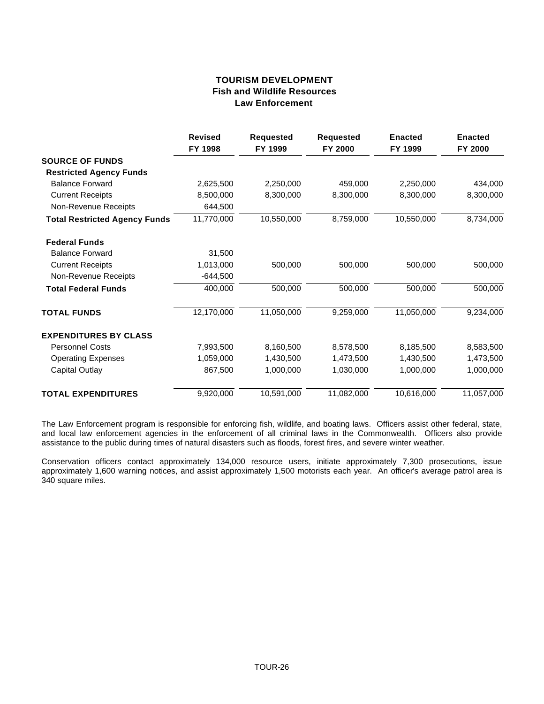# **TOURISM DEVELOPMENT Fish and Wildlife Resources Law Enforcement**

|                                      | <b>Revised</b><br>FY 1998 | <b>Requested</b><br>FY 1999 | <b>Requested</b><br>FY 2000 | <b>Enacted</b><br>FY 1999 | <b>Enacted</b><br>FY 2000 |
|--------------------------------------|---------------------------|-----------------------------|-----------------------------|---------------------------|---------------------------|
| <b>SOURCE OF FUNDS</b>               |                           |                             |                             |                           |                           |
| <b>Restricted Agency Funds</b>       |                           |                             |                             |                           |                           |
| <b>Balance Forward</b>               | 2,625,500                 | 2,250,000                   | 459,000                     | 2,250,000                 | 434,000                   |
| <b>Current Receipts</b>              | 8,500,000                 | 8,300,000                   | 8,300,000                   | 8,300,000                 | 8,300,000                 |
| Non-Revenue Receipts                 | 644,500                   |                             |                             |                           |                           |
| <b>Total Restricted Agency Funds</b> | 11,770,000                | 10,550,000                  | 8,759,000                   | 10,550,000                | 8,734,000                 |
| <b>Federal Funds</b>                 |                           |                             |                             |                           |                           |
| <b>Balance Forward</b>               | 31,500                    |                             |                             |                           |                           |
| <b>Current Receipts</b>              | 1,013,000                 | 500,000                     | 500,000                     | 500,000                   | 500,000                   |
| Non-Revenue Receipts                 | $-644,500$                |                             |                             |                           |                           |
| <b>Total Federal Funds</b>           | 400,000                   | 500,000                     | 500,000                     | 500,000                   | 500,000                   |
| <b>TOTAL FUNDS</b>                   | 12,170,000                | 11,050,000                  | 9,259,000                   | 11,050,000                | 9,234,000                 |
| <b>EXPENDITURES BY CLASS</b>         |                           |                             |                             |                           |                           |
| <b>Personnel Costs</b>               | 7,993,500                 | 8,160,500                   | 8,578,500                   | 8,185,500                 | 8,583,500                 |
| <b>Operating Expenses</b>            | 1,059,000                 | 1,430,500                   | 1,473,500                   | 1,430,500                 | 1,473,500                 |
| Capital Outlay                       | 867,500                   | 1,000,000                   | 1,030,000                   | 1,000,000                 | 1,000,000                 |
| <b>TOTAL EXPENDITURES</b>            | 9,920,000                 | 10,591,000                  | 11,082,000                  | 10,616,000                | 11,057,000                |

The Law Enforcement program is responsible for enforcing fish, wildlife, and boating laws. Officers assist other federal, state, and local law enforcement agencies in the enforcement of all criminal laws in the Commonwealth. Officers also provide assistance to the public during times of natural disasters such as floods, forest fires, and severe winter weather.

Conservation officers contact approximately 134,000 resource users, initiate approximately 7,300 prosecutions, issue approximately 1,600 warning notices, and assist approximately 1,500 motorists each year. An officer's average patrol area is 340 square miles.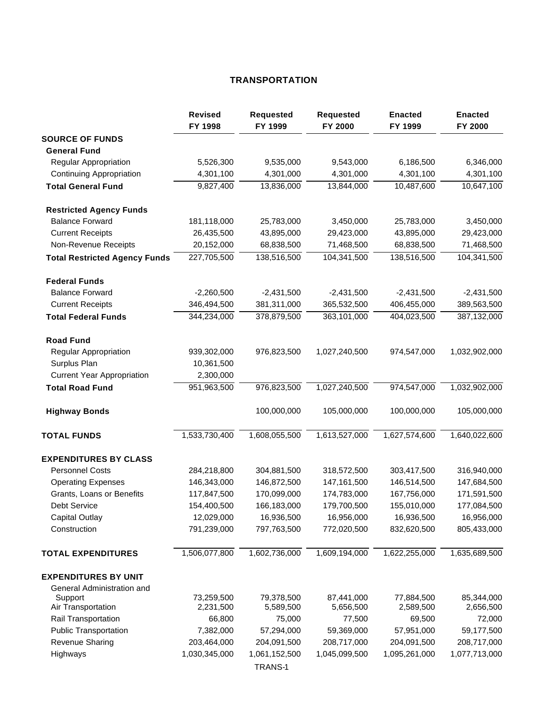# **TRANSPORTATION**

|                                      | <b>Revised</b><br>FY 1998 | <b>Requested</b><br>FY 1999    | <b>Requested</b><br>FY 2000 | <b>Enacted</b><br>FY 1999 | <b>Enacted</b><br>FY 2000 |
|--------------------------------------|---------------------------|--------------------------------|-----------------------------|---------------------------|---------------------------|
| <b>SOURCE OF FUNDS</b>               |                           |                                |                             |                           |                           |
| <b>General Fund</b>                  |                           |                                |                             |                           |                           |
| Regular Appropriation                | 5,526,300                 | 9,535,000                      | 9,543,000                   | 6,186,500                 | 6,346,000                 |
| Continuing Appropriation             | 4,301,100                 | 4,301,000                      | 4,301,000                   | 4,301,100                 | 4,301,100                 |
| <b>Total General Fund</b>            | 9,827,400                 | 13,836,000                     | 13,844,000                  | 10,487,600                | 10,647,100                |
| <b>Restricted Agency Funds</b>       |                           |                                |                             |                           |                           |
| <b>Balance Forward</b>               | 181,118,000               | 25,783,000                     | 3,450,000                   | 25,783,000                | 3,450,000                 |
| <b>Current Receipts</b>              | 26,435,500                | 43,895,000                     | 29,423,000                  | 43,895,000                | 29,423,000                |
| Non-Revenue Receipts                 | 20,152,000                | 68,838,500                     | 71,468,500                  | 68,838,500                | 71,468,500                |
| <b>Total Restricted Agency Funds</b> | 227,705,500               | 138,516,500                    | 104,341,500                 | 138,516,500               | 104,341,500               |
| <b>Federal Funds</b>                 |                           |                                |                             |                           |                           |
| <b>Balance Forward</b>               | $-2,260,500$              | $-2,431,500$                   | $-2,431,500$                | $-2,431,500$              | $-2,431,500$              |
| <b>Current Receipts</b>              | 346,494,500               | 381,311,000                    | 365,532,500                 | 406,455,000               | 389,563,500               |
| <b>Total Federal Funds</b>           | 344,234,000               | 378,879,500                    | 363,101,000                 | 404,023,500               | 387,132,000               |
| <b>Road Fund</b>                     |                           |                                |                             |                           |                           |
| Regular Appropriation                | 939,302,000               | 976,823,500                    | 1,027,240,500               | 974,547,000               | 1,032,902,000             |
| Surplus Plan                         | 10,361,500                |                                |                             |                           |                           |
| <b>Current Year Appropriation</b>    | 2,300,000                 |                                |                             |                           |                           |
| <b>Total Road Fund</b>               | 951,963,500               | 976,823,500                    | 1,027,240,500               | 974,547,000               | 1,032,902,000             |
| <b>Highway Bonds</b>                 |                           | 100,000,000                    | 105,000,000                 | 100,000,000               | 105,000,000               |
| <b>TOTAL FUNDS</b>                   | 1,533,730,400             | 1,608,055,500                  | 1,613,527,000               | 1,627,574,600             | 1,640,022,600             |
| <b>EXPENDITURES BY CLASS</b>         |                           |                                |                             |                           |                           |
| <b>Personnel Costs</b>               | 284,218,800               | 304,881,500                    | 318,572,500                 | 303,417,500               | 316,940,000               |
| <b>Operating Expenses</b>            | 146,343,000               | 146,872,500                    | 147, 161, 500               | 146,514,500               | 147,684,500               |
| Grants, Loans or Benefits            | 117,847,500               | 170,099,000                    | 174,783,000                 | 167,756,000               | 171,591,500               |
| Debt Service                         | 154,400,500               | 166,183,000                    | 179,700,500                 | 155,010,000               | 177,084,500               |
| <b>Capital Outlay</b>                | 12,029,000                | 16,936,500                     | 16,956,000                  | 16,936,500                | 16,956,000                |
| Construction                         | 791,239,000               | 797,763,500                    | 772,020,500                 | 832,620,500               | 805,433,000               |
| <b>TOTAL EXPENDITURES</b>            | 1,506,077,800             | 1,602,736,000                  | 1,609,194,000               | 1,622,255,000             | 1,635,689,500             |
| <b>EXPENDITURES BY UNIT</b>          |                           |                                |                             |                           |                           |
| General Administration and           |                           |                                |                             |                           |                           |
| Support                              | 73,259,500                | 79,378,500                     | 87,441,000                  | 77,884,500                | 85,344,000                |
| Air Transportation                   | 2,231,500                 | 5,589,500                      | 5,656,500                   | 2,589,500                 | 2,656,500                 |
| Rail Transportation                  | 66,800                    | 75,000                         | 77,500                      | 69,500                    | 72,000                    |
| <b>Public Transportation</b>         | 7,382,000                 | 57,294,000                     | 59,369,000                  | 57,951,000                | 59,177,500                |
| <b>Revenue Sharing</b>               | 203,464,000               | 204,091,500                    | 208,717,000                 | 204,091,500               | 208,717,000               |
| Highways                             | 1,030,345,000             | 1,061,152,500<br><b>TDANC4</b> | 1,045,099,500               | 1,095,261,000             | 1,077,713,000             |
|                                      |                           |                                |                             |                           |                           |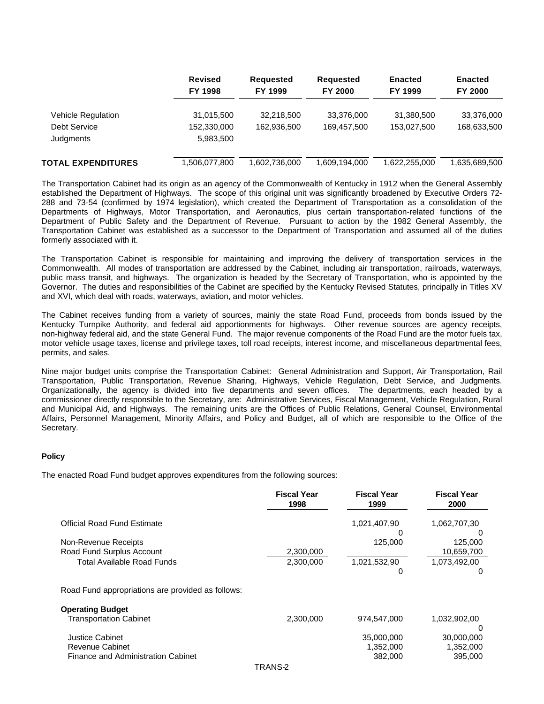|                           | <b>Revised</b><br>FY 1998 | <b>Requested</b><br>FY 1999 | <b>Requested</b><br><b>FY 2000</b> | <b>Enacted</b><br>FY 1999 | <b>Enacted</b><br><b>FY 2000</b> |
|---------------------------|---------------------------|-----------------------------|------------------------------------|---------------------------|----------------------------------|
| Vehicle Regulation        | 31,015,500                | 32,218,500                  | 33,376,000                         | 31,380,500                | 33,376,000                       |
| Debt Service              | 152.330.000               | 162.936.500                 | 169.457.500                        | 153.027.500               | 168,633,500                      |
| Judgments                 | 5,983,500                 |                             |                                    |                           |                                  |
| <b>TOTAL EXPENDITURES</b> | 1,506,077,800             | 1,602,736,000               | 1,609,194,000                      | 1,622,255,000             | 1,635,689,500                    |

The Transportation Cabinet had its origin as an agency of the Commonwealth of Kentucky in 1912 when the General Assembly established the Department of Highways. The scope of this original unit was significantly broadened by Executive Orders 72- 288 and 73-54 (confirmed by 1974 legislation), which created the Department of Transportation as a consolidation of the Departments of Highways, Motor Transportation, and Aeronautics, plus certain transportation-related functions of the Department of Public Safety and the Department of Revenue. Pursuant to action by the 1982 General Assembly, the Transportation Cabinet was established as a successor to the Department of Transportation and assumed all of the duties formerly associated with it.

The Transportation Cabinet is responsible for maintaining and improving the delivery of transportation services in the Commonwealth. All modes of transportation are addressed by the Cabinet, including air transportation, railroads, waterways, public mass transit, and highways. The organization is headed by the Secretary of Transportation, who is appointed by the Governor. The duties and responsibilities of the Cabinet are specified by the Kentucky Revised Statutes, principally in Titles XV and XVI, which deal with roads, waterways, aviation, and motor vehicles.

The Cabinet receives funding from a variety of sources, mainly the state Road Fund, proceeds from bonds issued by the Kentucky Turnpike Authority, and federal aid apportionments for highways. Other revenue sources are agency receipts, non-highway federal aid, and the state General Fund. The major revenue components of the Road Fund are the motor fuels tax, motor vehicle usage taxes, license and privilege taxes, toll road receipts, interest income, and miscellaneous departmental fees, permits, and sales.

Nine major budget units comprise the Transportation Cabinet: General Administration and Support, Air Transportation, Rail Transportation, Public Transportation, Revenue Sharing, Highways, Vehicle Regulation, Debt Service, and Judgments. Organizationally, the agency is divided into five departments and seven offices. The departments, each headed by a commissioner directly responsible to the Secretary, are: Administrative Services, Fiscal Management, Vehicle Regulation, Rural and Municipal Aid, and Highways. The remaining units are the Offices of Public Relations, General Counsel, Environmental Affairs, Personnel Management, Minority Affairs, and Policy and Budget, all of which are responsible to the Office of the Secretary.

## **Policy**

The enacted Road Fund budget approves expenditures from the following sources:

|                                                   | <b>Fiscal Year</b><br>1998 | <b>Fiscal Year</b><br>1999 | <b>Fiscal Year</b><br>2000 |
|---------------------------------------------------|----------------------------|----------------------------|----------------------------|
| <b>Official Road Fund Estimate</b>                |                            | 1,021,407,90               | 1,062,707,30               |
|                                                   |                            |                            | -0                         |
| Non-Revenue Receipts                              |                            | 125.000                    | 125,000                    |
| Road Fund Surplus Account                         | 2,300,000                  |                            | 10,659,700                 |
| Total Available Road Funds                        | 2,300,000                  | 1,021,532,90               | 1,073,492,00               |
|                                                   |                            | O                          | 0                          |
| Road Fund appropriations are provided as follows: |                            |                            |                            |
| <b>Operating Budget</b>                           |                            |                            |                            |
| <b>Transportation Cabinet</b>                     | 2,300,000                  | 974,547,000                | 1,032,902,00               |
|                                                   |                            |                            | 0                          |
| <b>Justice Cabinet</b>                            |                            | 35,000,000                 | 30,000,000                 |
| <b>Revenue Cabinet</b>                            |                            | 1,352,000                  | 1,352,000                  |
| Finance and Administration Cabinet                |                            | 382,000                    | 395,000                    |
|                                                   |                            |                            |                            |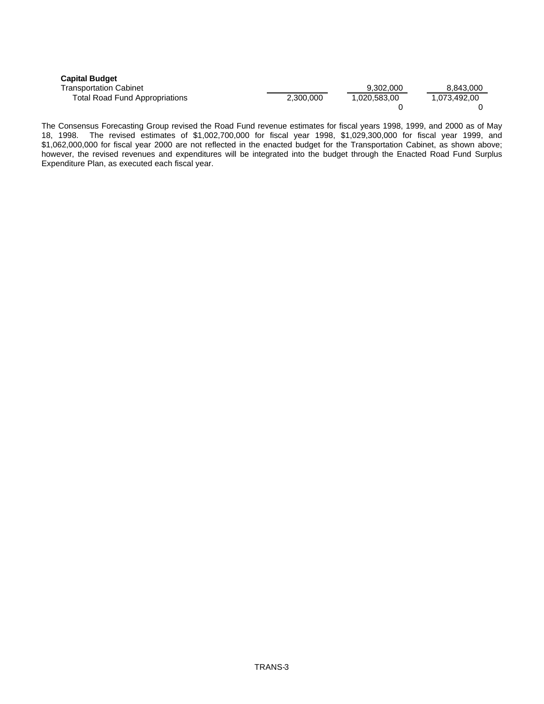| <b>Capital Budget</b>                 |           |              |              |
|---------------------------------------|-----------|--------------|--------------|
| Transportation Cabinet                |           | 9.302.000    | 8,843,000    |
| <b>Total Road Fund Appropriations</b> | 2.300.000 | 1.020.583.00 | 1.073.492.00 |
|                                       |           |              |              |

The Consensus Forecasting Group revised the Road Fund revenue estimates for fiscal years 1998, 1999, and 2000 as of May 18, 1998. The revised estimates of \$1,002,700,000 for fiscal year 1998, \$1,029,300,000 for fiscal year 1999, and \$1,062,000,000 for fiscal year 2000 are not reflected in the enacted budget for the Transportation Cabinet, as shown above; however, the revised revenues and expenditures will be integrated into the budget through the Enacted Road Fund Surplus Expenditure Plan, as executed each fiscal year.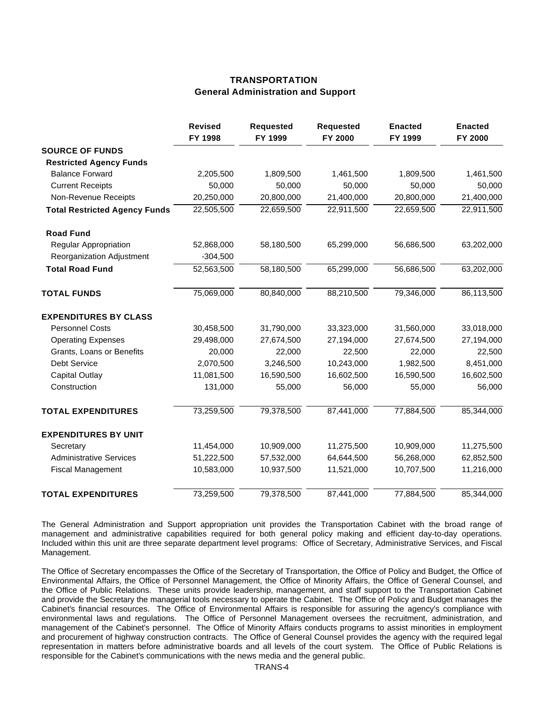# **TRANSPORTATION General Administration and Support**

|                                      | <b>Revised</b><br>FY 1998 | <b>Requested</b><br>FY 1999 | <b>Requested</b><br>FY 2000 | <b>Enacted</b><br>FY 1999 | <b>Enacted</b><br>FY 2000 |
|--------------------------------------|---------------------------|-----------------------------|-----------------------------|---------------------------|---------------------------|
| <b>SOURCE OF FUNDS</b>               |                           |                             |                             |                           |                           |
| <b>Restricted Agency Funds</b>       |                           |                             |                             |                           |                           |
| <b>Balance Forward</b>               | 2,205,500                 | 1,809,500                   | 1,461,500                   | 1,809,500                 | 1,461,500                 |
| <b>Current Receipts</b>              | 50,000                    | 50,000                      | 50,000                      | 50,000                    | 50,000                    |
| Non-Revenue Receipts                 | 20,250,000                | 20,800,000                  | 21,400,000                  | 20,800,000                | 21,400,000                |
| <b>Total Restricted Agency Funds</b> | 22,505,500                | 22,659,500                  | 22,911,500                  | 22,659,500                | 22,911,500                |
| <b>Road Fund</b>                     |                           |                             |                             |                           |                           |
| <b>Regular Appropriation</b>         | 52,868,000                | 58,180,500                  | 65,299,000                  | 56,686,500                | 63,202,000                |
| Reorganization Adjustment            | $-304,500$                |                             |                             |                           |                           |
| <b>Total Road Fund</b>               | 52,563,500                | 58,180,500                  | 65,299,000                  | 56,686,500                | 63,202,000                |
| <b>TOTAL FUNDS</b>                   | 75,069,000                | 80,840,000                  | 88,210,500                  | 79,346,000                | 86,113,500                |
| <b>EXPENDITURES BY CLASS</b>         |                           |                             |                             |                           |                           |
| <b>Personnel Costs</b>               | 30,458,500                | 31,790,000                  | 33,323,000                  | 31,560,000                | 33,018,000                |
| <b>Operating Expenses</b>            | 29,498,000                | 27,674,500                  | 27,194,000                  | 27,674,500                | 27,194,000                |
| Grants, Loans or Benefits            | 20,000                    | 22,000                      | 22,500                      | 22,000                    | 22,500                    |
| <b>Debt Service</b>                  | 2,070,500                 | 3,246,500                   | 10,243,000                  | 1,982,500                 | 8,451,000                 |
| <b>Capital Outlay</b>                | 11,081,500                | 16,590,500                  | 16,602,500                  | 16,590,500                | 16,602,500                |
| Construction                         | 131,000                   | 55,000                      | 56,000                      | 55,000                    | 56,000                    |
| <b>TOTAL EXPENDITURES</b>            | 73,259,500                | 79,378,500                  | 87,441,000                  | 77,884,500                | 85,344,000                |
| <b>EXPENDITURES BY UNIT</b>          |                           |                             |                             |                           |                           |
| Secretary                            | 11,454,000                | 10,909,000                  | 11,275,500                  | 10,909,000                | 11,275,500                |
| <b>Administrative Services</b>       | 51,222,500                | 57,532,000                  | 64,644,500                  | 56,268,000                | 62,852,500                |
| <b>Fiscal Management</b>             | 10,583,000                | 10,937,500                  | 11,521,000                  | 10,707,500                | 11,216,000                |
| <b>TOTAL EXPENDITURES</b>            | 73,259,500                | 79,378,500                  | 87,441,000                  | 77,884,500                | 85,344,000                |

The General Administration and Support appropriation unit provides the Transportation Cabinet with the broad range of management and administrative capabilities required for both general policy making and efficient day-to-day operations. Included within this unit are three separate department level programs: Office of Secretary, Administrative Services, and Fiscal Management.

The Office of Secretary encompasses the Office of the Secretary of Transportation, the Office of Policy and Budget, the Office of Environmental Affairs, the Office of Personnel Management, the Office of Minority Affairs, the Office of General Counsel, and the Office of Public Relations. These units provide leadership, management, and staff support to the Transportation Cabinet and provide the Secretary the managerial tools necessary to operate the Cabinet. The Office of Policy and Budget manages the Cabinet's financial resources. The Office of Environmental Affairs is responsible for assuring the agency's compliance with environmental laws and regulations. The Office of Personnel Management oversees the recruitment, administration, and management of the Cabinet's personnel. The Office of Minority Affairs conducts programs to assist minorities in employment and procurement of highway construction contracts. The Office of General Counsel provides the agency with the required legal representation in matters before administrative boards and all levels of the court system. The Office of Public Relations is responsible for the Cabinet's communications with the news media and the general public.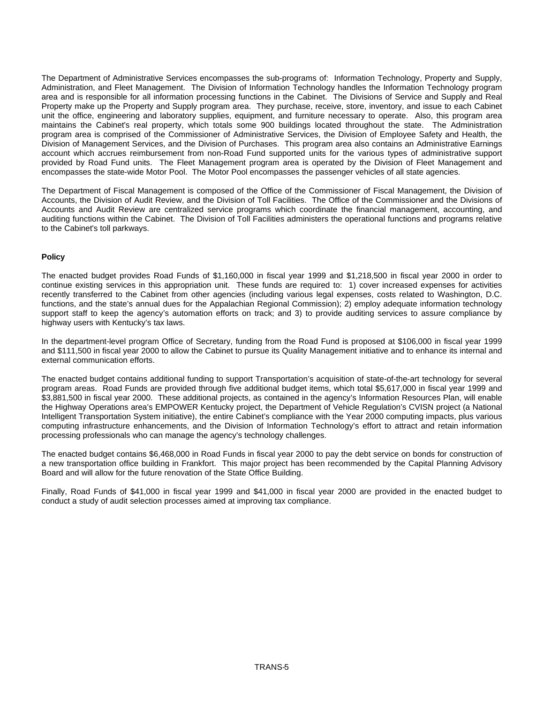The Department of Administrative Services encompasses the sub-programs of: Information Technology, Property and Supply, Administration, and Fleet Management. The Division of Information Technology handles the Information Technology program area and is responsible for all information processing functions in the Cabinet. The Divisions of Service and Supply and Real Property make up the Property and Supply program area. They purchase, receive, store, inventory, and issue to each Cabinet unit the office, engineering and laboratory supplies, equipment, and furniture necessary to operate. Also, this program area maintains the Cabinet's real property, which totals some 900 buildings located throughout the state. The Administration program area is comprised of the Commissioner of Administrative Services, the Division of Employee Safety and Health, the Division of Management Services, and the Division of Purchases. This program area also contains an Administrative Earnings account which accrues reimbursement from non-Road Fund supported units for the various types of administrative support provided by Road Fund units. The Fleet Management program area is operated by the Division of Fleet Management and encompasses the state-wide Motor Pool. The Motor Pool encompasses the passenger vehicles of all state agencies.

The Department of Fiscal Management is composed of the Office of the Commissioner of Fiscal Management, the Division of Accounts, the Division of Audit Review, and the Division of Toll Facilities. The Office of the Commissioner and the Divisions of Accounts and Audit Review are centralized service programs which coordinate the financial management, accounting, and auditing functions within the Cabinet. The Division of Toll Facilities administers the operational functions and programs relative to the Cabinet's toll parkways.

#### **Policy**

The enacted budget provides Road Funds of \$1,160,000 in fiscal year 1999 and \$1,218,500 in fiscal year 2000 in order to continue existing services in this appropriation unit. These funds are required to: 1) cover increased expenses for activities recently transferred to the Cabinet from other agencies (including various legal expenses, costs related to Washington, D.C. functions, and the state's annual dues for the Appalachian Regional Commission); 2) employ adequate information technology support staff to keep the agency's automation efforts on track; and 3) to provide auditing services to assure compliance by highway users with Kentucky's tax laws.

In the department-level program Office of Secretary, funding from the Road Fund is proposed at \$106,000 in fiscal year 1999 and \$111,500 in fiscal year 2000 to allow the Cabinet to pursue its Quality Management initiative and to enhance its internal and external communication efforts.

The enacted budget contains additional funding to support Transportation's acquisition of state-of-the-art technology for several program areas. Road Funds are provided through five additional budget items, which total \$5,617,000 in fiscal year 1999 and \$3,881,500 in fiscal year 2000. These additional projects, as contained in the agency's Information Resources Plan, will enable the Highway Operations area's EMPOWER Kentucky project, the Department of Vehicle Regulation's CVISN project (a National Intelligent Transportation System initiative), the entire Cabinet's compliance with the Year 2000 computing impacts, plus various computing infrastructure enhancements, and the Division of Information Technology's effort to attract and retain information processing professionals who can manage the agency's technology challenges.

The enacted budget contains \$6,468,000 in Road Funds in fiscal year 2000 to pay the debt service on bonds for construction of a new transportation office building in Frankfort. This major project has been recommended by the Capital Planning Advisory Board and will allow for the future renovation of the State Office Building.

Finally, Road Funds of \$41,000 in fiscal year 1999 and \$41,000 in fiscal year 2000 are provided in the enacted budget to conduct a study of audit selection processes aimed at improving tax compliance.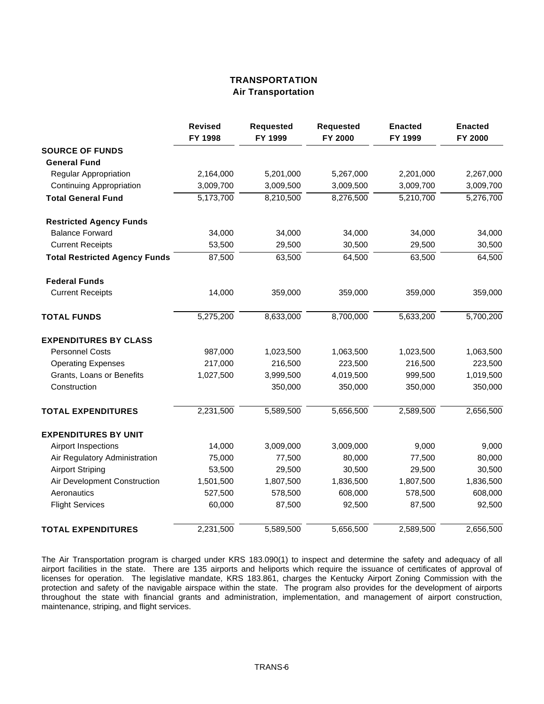## **TRANSPORTATION Air Transportation**

|                                      | <b>Revised</b><br>FY 1998 | <b>Requested</b><br>FY 1999 | <b>Requested</b><br>FY 2000 | <b>Enacted</b><br>FY 1999 | <b>Enacted</b><br>FY 2000 |
|--------------------------------------|---------------------------|-----------------------------|-----------------------------|---------------------------|---------------------------|
| <b>SOURCE OF FUNDS</b>               |                           |                             |                             |                           |                           |
| <b>General Fund</b>                  |                           |                             |                             |                           |                           |
| <b>Regular Appropriation</b>         | 2,164,000                 | 5,201,000                   | 5,267,000                   | 2,201,000                 | 2,267,000                 |
| <b>Continuing Appropriation</b>      | 3,009,700                 | 3,009,500                   | 3,009,500                   | 3,009,700                 | 3,009,700                 |
| <b>Total General Fund</b>            | 5,173,700                 | 8,210,500                   | 8,276,500                   | 5,210,700                 | 5,276,700                 |
| <b>Restricted Agency Funds</b>       |                           |                             |                             |                           |                           |
| <b>Balance Forward</b>               | 34,000                    | 34,000                      | 34,000                      | 34,000                    | 34,000                    |
| <b>Current Receipts</b>              | 53,500                    | 29,500                      | 30,500                      | 29,500                    | 30,500                    |
| <b>Total Restricted Agency Funds</b> | 87,500                    | 63,500                      | 64,500                      | 63,500                    | 64,500                    |
| <b>Federal Funds</b>                 |                           |                             |                             |                           |                           |
| <b>Current Receipts</b>              | 14,000                    | 359,000                     | 359,000                     | 359,000                   | 359,000                   |
| <b>TOTAL FUNDS</b>                   | 5,275,200                 | 8,633,000                   | 8,700,000                   | 5,633,200                 | 5,700,200                 |
| <b>EXPENDITURES BY CLASS</b>         |                           |                             |                             |                           |                           |
| <b>Personnel Costs</b>               | 987,000                   | 1,023,500                   | 1,063,500                   | 1,023,500                 | 1,063,500                 |
| <b>Operating Expenses</b>            | 217,000                   | 216,500                     | 223,500                     | 216,500                   | 223,500                   |
| Grants, Loans or Benefits            | 1,027,500                 | 3,999,500                   | 4,019,500                   | 999,500                   | 1,019,500                 |
| Construction                         |                           | 350,000                     | 350,000                     | 350,000                   | 350,000                   |
| <b>TOTAL EXPENDITURES</b>            | 2,231,500                 | 5,589,500                   | 5,656,500                   | 2,589,500                 | 2,656,500                 |
| <b>EXPENDITURES BY UNIT</b>          |                           |                             |                             |                           |                           |
| Airport Inspections                  | 14,000                    | 3,009,000                   | 3,009,000                   | 9,000                     | 9,000                     |
| Air Regulatory Administration        | 75,000                    | 77,500                      | 80,000                      | 77,500                    | 80,000                    |
| <b>Airport Striping</b>              | 53,500                    | 29,500                      | 30,500                      | 29,500                    | 30,500                    |
| Air Development Construction         | 1,501,500                 | 1,807,500                   | 1,836,500                   | 1,807,500                 | 1,836,500                 |
| Aeronautics                          | 527,500                   | 578,500                     | 608,000                     | 578,500                   | 608,000                   |
| <b>Flight Services</b>               | 60,000                    | 87,500                      | 92,500                      | 87,500                    | 92,500                    |
| <b>TOTAL EXPENDITURES</b>            | 2,231,500                 | 5,589,500                   | 5,656,500                   | 2,589,500                 | 2,656,500                 |

The Air Transportation program is charged under KRS 183.090(1) to inspect and determine the safety and adequacy of all airport facilities in the state. There are 135 airports and heliports which require the issuance of certificates of approval of licenses for operation. The legislative mandate, KRS 183.861, charges the Kentucky Airport Zoning Commission with the protection and safety of the navigable airspace within the state. The program also provides for the development of airports throughout the state with financial grants and administration, implementation, and management of airport construction, maintenance, striping, and flight services.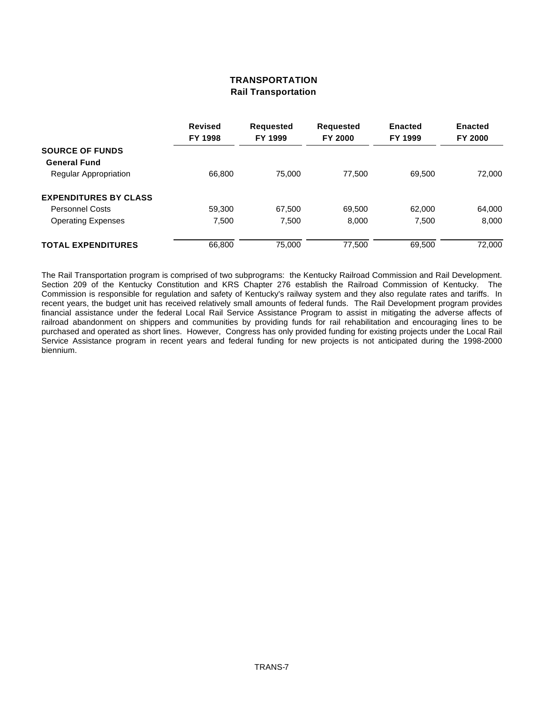# **TRANSPORTATION Rail Transportation**

|                              | <b>Revised</b><br>FY 1998 | <b>Requested</b><br>FY 1999 | <b>Requested</b><br><b>FY 2000</b> | <b>Enacted</b><br>FY 1999 | <b>Enacted</b><br><b>FY 2000</b> |
|------------------------------|---------------------------|-----------------------------|------------------------------------|---------------------------|----------------------------------|
| <b>SOURCE OF FUNDS</b>       |                           |                             |                                    |                           |                                  |
| <b>General Fund</b>          |                           |                             |                                    |                           |                                  |
| Regular Appropriation        | 66,800                    | 75,000                      | 77.500                             | 69.500                    | 72,000                           |
| <b>EXPENDITURES BY CLASS</b> |                           |                             |                                    |                           |                                  |
| <b>Personnel Costs</b>       | 59,300                    | 67,500                      | 69,500                             | 62,000                    | 64,000                           |
| <b>Operating Expenses</b>    | 7,500                     | 7,500                       | 8,000                              | 7,500                     | 8,000                            |
| <b>TOTAL EXPENDITURES</b>    | 66,800                    | 75,000                      | 77,500                             | 69,500                    | 72,000                           |

The Rail Transportation program is comprised of two subprograms: the Kentucky Railroad Commission and Rail Development. Section 209 of the Kentucky Constitution and KRS Chapter 276 establish the Railroad Commission of Kentucky. The Commission is responsible for regulation and safety of Kentucky's railway system and they also regulate rates and tariffs. In recent years, the budget unit has received relatively small amounts of federal funds. The Rail Development program provides financial assistance under the federal Local Rail Service Assistance Program to assist in mitigating the adverse affects of railroad abandonment on shippers and communities by providing funds for rail rehabilitation and encouraging lines to be purchased and operated as short lines. However, Congress has only provided funding for existing projects under the Local Rail Service Assistance program in recent years and federal funding for new projects is not anticipated during the 1998-2000 biennium.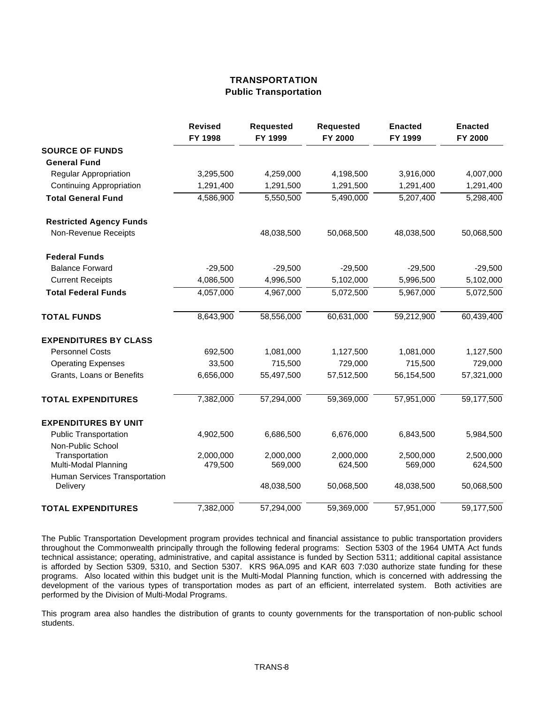# **TRANSPORTATION Public Transportation**

|                                           | <b>Revised</b><br>FY 1998 | <b>Requested</b><br>FY 1999 | <b>Requested</b><br>FY 2000 | <b>Enacted</b><br>FY 1999 | <b>Enacted</b><br>FY 2000 |
|-------------------------------------------|---------------------------|-----------------------------|-----------------------------|---------------------------|---------------------------|
| <b>SOURCE OF FUNDS</b>                    |                           |                             |                             |                           |                           |
| <b>General Fund</b>                       |                           |                             |                             |                           |                           |
| Regular Appropriation                     | 3,295,500                 | 4,259,000                   | 4,198,500                   | 3,916,000                 | 4,007,000                 |
| <b>Continuing Appropriation</b>           | 1,291,400                 | 1,291,500                   | 1,291,500                   | 1,291,400                 | 1,291,400                 |
| <b>Total General Fund</b>                 | 4,586,900                 | 5,550,500                   | 5,490,000                   | 5,207,400                 | 5,298,400                 |
| <b>Restricted Agency Funds</b>            |                           |                             |                             |                           |                           |
| Non-Revenue Receipts                      |                           | 48,038,500                  | 50,068,500                  | 48,038,500                | 50,068,500                |
| <b>Federal Funds</b>                      |                           |                             |                             |                           |                           |
| <b>Balance Forward</b>                    | $-29,500$                 | $-29,500$                   | $-29,500$                   | $-29,500$                 | $-29,500$                 |
| <b>Current Receipts</b>                   | 4,086,500                 | 4,996,500                   | 5,102,000                   | 5,996,500                 | 5,102,000                 |
| <b>Total Federal Funds</b>                | 4,057,000                 | 4,967,000                   | 5,072,500                   | 5,967,000                 | 5,072,500                 |
| <b>TOTAL FUNDS</b>                        | 8,643,900                 | 58,556,000                  | 60,631,000                  | 59,212,900                | 60,439,400                |
| <b>EXPENDITURES BY CLASS</b>              |                           |                             |                             |                           |                           |
| <b>Personnel Costs</b>                    | 692,500                   | 1,081,000                   | 1,127,500                   | 1,081,000                 | 1,127,500                 |
| <b>Operating Expenses</b>                 | 33,500                    | 715,500                     | 729,000                     | 715,500                   | 729,000                   |
| Grants, Loans or Benefits                 | 6,656,000                 | 55,497,500                  | 57,512,500                  | 56,154,500                | 57,321,000                |
| <b>TOTAL EXPENDITURES</b>                 | 7,382,000                 | 57,294,000                  | 59,369,000                  | 57,951,000                | 59,177,500                |
| <b>EXPENDITURES BY UNIT</b>               |                           |                             |                             |                           |                           |
| <b>Public Transportation</b>              | 4,902,500                 | 6,686,500                   | 6,676,000                   | 6,843,500                 | 5,984,500                 |
| Non-Public School                         |                           |                             |                             |                           |                           |
| Transportation                            | 2,000,000                 | 2,000,000                   | 2,000,000                   | 2,500,000                 | 2,500,000                 |
| Multi-Modal Planning                      | 479,500                   | 569,000                     | 624,500                     | 569,000                   | 624,500                   |
| Human Services Transportation<br>Delivery |                           | 48,038,500                  | 50,068,500                  | 48,038,500                | 50,068,500                |
| <b>TOTAL EXPENDITURES</b>                 | 7,382,000                 | 57,294,000                  | 59,369,000                  | 57,951,000                | 59,177,500                |

The Public Transportation Development program provides technical and financial assistance to public transportation providers throughout the Commonwealth principally through the following federal programs: Section 5303 of the 1964 UMTA Act funds technical assistance; operating, administrative, and capital assistance is funded by Section 5311; additional capital assistance is afforded by Section 5309, 5310, and Section 5307. KRS 96A.095 and KAR 603 7:030 authorize state funding for these programs. Also located within this budget unit is the Multi-Modal Planning function, which is concerned with addressing the development of the various types of transportation modes as part of an efficient, interrelated system. Both activities are performed by the Division of Multi-Modal Programs.

This program area also handles the distribution of grants to county governments for the transportation of non-public school students.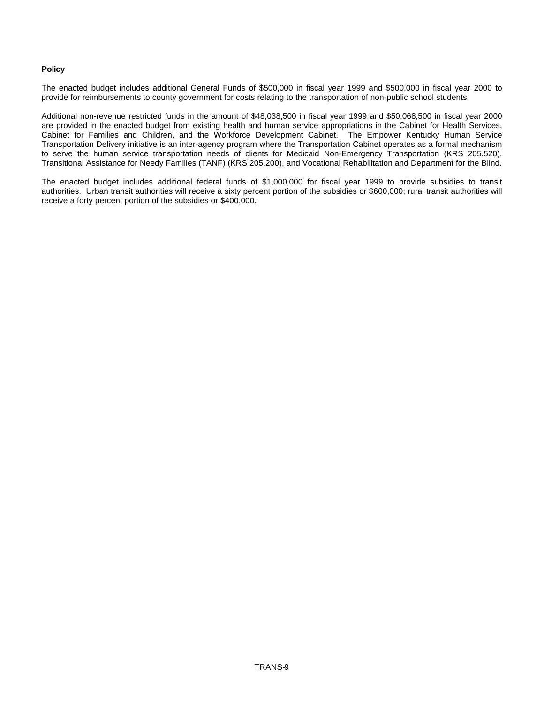## **Policy**

The enacted budget includes additional General Funds of \$500,000 in fiscal year 1999 and \$500,000 in fiscal year 2000 to provide for reimbursements to county government for costs relating to the transportation of non-public school students.

Additional non-revenue restricted funds in the amount of \$48,038,500 in fiscal year 1999 and \$50,068,500 in fiscal year 2000 are provided in the enacted budget from existing health and human service appropriations in the Cabinet for Health Services, Cabinet for Families and Children, and the Workforce Development Cabinet. The Empower Kentucky Human Service Transportation Delivery initiative is an inter-agency program where the Transportation Cabinet operates as a formal mechanism to serve the human service transportation needs of clients for Medicaid Non-Emergency Transportation (KRS 205.520), Transitional Assistance for Needy Families (TANF) (KRS 205.200), and Vocational Rehabilitation and Department for the Blind.

The enacted budget includes additional federal funds of \$1,000,000 for fiscal year 1999 to provide subsidies to transit authorities. Urban transit authorities will receive a sixty percent portion of the subsidies or \$600,000; rural transit authorities will receive a forty percent portion of the subsidies or \$400,000.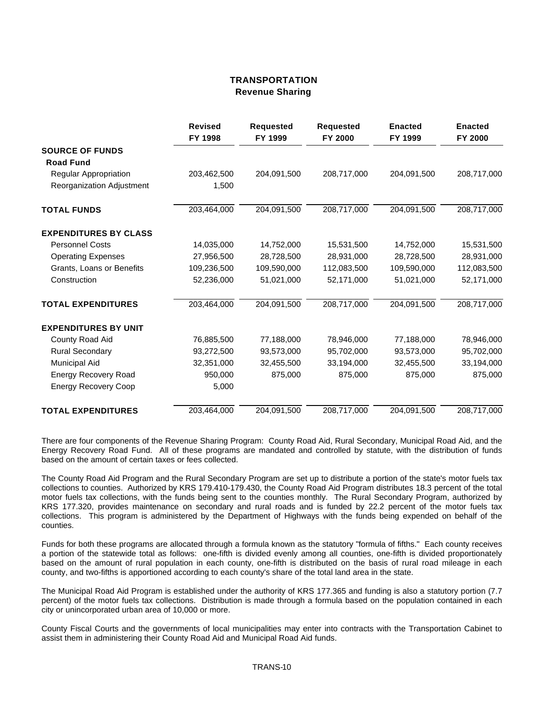## **TRANSPORTATION Revenue Sharing**

|                              | <b>Revised</b> | <b>Requested</b> | <b>Requested</b> | <b>Enacted</b> | <b>Enacted</b> |
|------------------------------|----------------|------------------|------------------|----------------|----------------|
|                              | FY 1998        | FY 1999          | FY 2000          | FY 1999        | FY 2000        |
| <b>SOURCE OF FUNDS</b>       |                |                  |                  |                |                |
| <b>Road Fund</b>             |                |                  |                  |                |                |
| Regular Appropriation        | 203,462,500    | 204,091,500      | 208,717,000      | 204,091,500    | 208,717,000    |
| Reorganization Adjustment    | 1,500          |                  |                  |                |                |
| <b>TOTAL FUNDS</b>           | 203,464,000    | 204,091,500      | 208,717,000      | 204,091,500    | 208,717,000    |
| <b>EXPENDITURES BY CLASS</b> |                |                  |                  |                |                |
| <b>Personnel Costs</b>       | 14,035,000     | 14,752,000       | 15,531,500       | 14,752,000     | 15,531,500     |
| <b>Operating Expenses</b>    | 27,956,500     | 28,728,500       | 28,931,000       | 28,728,500     | 28,931,000     |
| Grants, Loans or Benefits    | 109,236,500    | 109,590,000      | 112,083,500      | 109,590,000    | 112,083,500    |
| Construction                 | 52,236,000     | 51,021,000       | 52,171,000       | 51,021,000     | 52,171,000     |
| <b>TOTAL EXPENDITURES</b>    | 203,464,000    | 204,091,500      | 208,717,000      | 204,091,500    | 208,717,000    |
| <b>EXPENDITURES BY UNIT</b>  |                |                  |                  |                |                |
| County Road Aid              | 76,885,500     | 77,188,000       | 78,946,000       | 77,188,000     | 78,946,000     |
| <b>Rural Secondary</b>       | 93,272,500     | 93,573,000       | 95,702,000       | 93,573,000     | 95,702,000     |
| Municipal Aid                | 32,351,000     | 32,455,500       | 33,194,000       | 32,455,500     | 33,194,000     |
| <b>Energy Recovery Road</b>  | 950,000        | 875,000          | 875,000          | 875,000        | 875,000        |
| <b>Energy Recovery Coop</b>  | 5,000          |                  |                  |                |                |
| <b>TOTAL EXPENDITURES</b>    | 203,464,000    | 204,091,500      | 208,717,000      | 204,091,500    | 208,717,000    |

There are four components of the Revenue Sharing Program: County Road Aid, Rural Secondary, Municipal Road Aid, and the Energy Recovery Road Fund. All of these programs are mandated and controlled by statute, with the distribution of funds based on the amount of certain taxes or fees collected.

The County Road Aid Program and the Rural Secondary Program are set up to distribute a portion of the state's motor fuels tax collections to counties. Authorized by KRS 179.410-179.430, the County Road Aid Program distributes 18.3 percent of the total motor fuels tax collections, with the funds being sent to the counties monthly. The Rural Secondary Program, authorized by KRS 177.320, provides maintenance on secondary and rural roads and is funded by 22.2 percent of the motor fuels tax collections. This program is administered by the Department of Highways with the funds being expended on behalf of the counties.

Funds for both these programs are allocated through a formula known as the statutory "formula of fifths." Each county receives a portion of the statewide total as follows: one-fifth is divided evenly among all counties, one-fifth is divided proportionately based on the amount of rural population in each county, one-fifth is distributed on the basis of rural road mileage in each county, and two-fifths is apportioned according to each county's share of the total land area in the state.

The Municipal Road Aid Program is established under the authority of KRS 177.365 and funding is also a statutory portion (7.7 percent) of the motor fuels tax collections. Distribution is made through a formula based on the population contained in each city or unincorporated urban area of 10,000 or more.

County Fiscal Courts and the governments of local municipalities may enter into contracts with the Transportation Cabinet to assist them in administering their County Road Aid and Municipal Road Aid funds.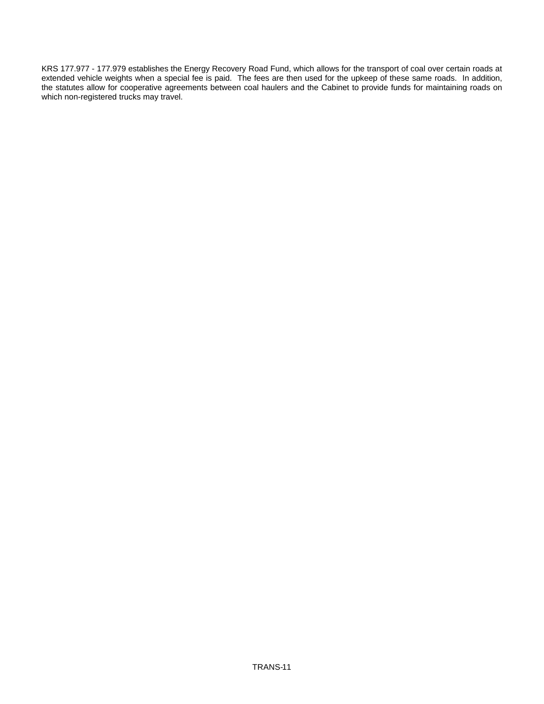KRS 177.977 - 177.979 establishes the Energy Recovery Road Fund, which allows for the transport of coal over certain roads at extended vehicle weights when a special fee is paid. The fees are then used for the upkeep of these same roads. In addition, the statutes allow for cooperative agreements between coal haulers and the Cabinet to provide funds for maintaining roads on which non-registered trucks may travel.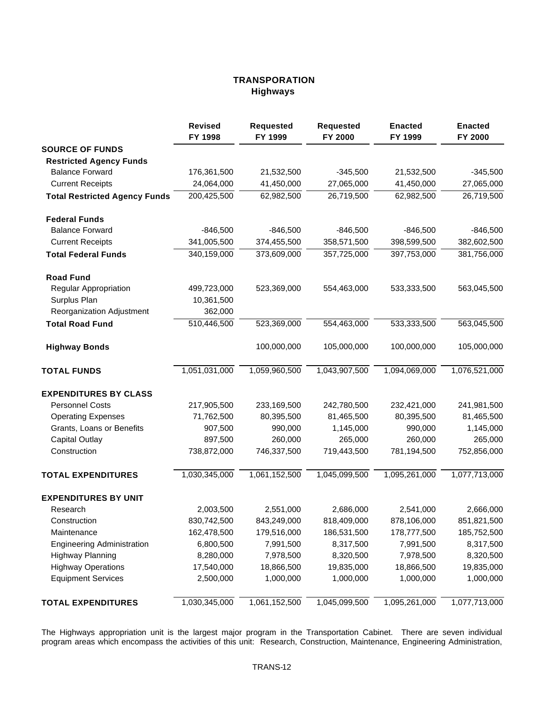# **TRANSPORATION Highways**

|                                      | <b>Revised</b><br>FY 1998 | <b>Requested</b><br>FY 1999 | <b>Requested</b><br>FY 2000 | <b>Enacted</b><br>FY 1999 | <b>Enacted</b><br>FY 2000 |
|--------------------------------------|---------------------------|-----------------------------|-----------------------------|---------------------------|---------------------------|
| <b>SOURCE OF FUNDS</b>               |                           |                             |                             |                           |                           |
| <b>Restricted Agency Funds</b>       |                           |                             |                             |                           |                           |
| <b>Balance Forward</b>               | 176,361,500               | 21,532,500                  | $-345,500$                  | 21,532,500                | $-345,500$                |
| <b>Current Receipts</b>              | 24,064,000                | 41,450,000                  | 27,065,000                  | 41,450,000                | 27,065,000                |
| <b>Total Restricted Agency Funds</b> | 200,425,500               | 62,982,500                  | 26,719,500                  | 62,982,500                | 26,719,500                |
| <b>Federal Funds</b>                 |                           |                             |                             |                           |                           |
| <b>Balance Forward</b>               | $-846,500$                | $-846,500$                  | $-846,500$                  | $-846,500$                | $-846,500$                |
| <b>Current Receipts</b>              | 341,005,500               | 374,455,500                 | 358,571,500                 | 398,599,500               | 382,602,500               |
| <b>Total Federal Funds</b>           | 340,159,000               | 373,609,000                 | 357,725,000                 | 397,753,000               | 381,756,000               |
| <b>Road Fund</b>                     |                           |                             |                             |                           |                           |
| <b>Regular Appropriation</b>         | 499,723,000               | 523,369,000                 | 554,463,000                 | 533,333,500               | 563,045,500               |
| Surplus Plan                         | 10,361,500                |                             |                             |                           |                           |
| Reorganization Adjustment            | 362,000                   |                             |                             |                           |                           |
| <b>Total Road Fund</b>               | 510,446,500               | 523,369,000                 | 554,463,000                 | 533,333,500               | 563,045,500               |
| <b>Highway Bonds</b>                 |                           | 100,000,000                 | 105,000,000                 | 100,000,000               | 105,000,000               |
| <b>TOTAL FUNDS</b>                   | 1,051,031,000             | 1,059,960,500               | 1,043,907,500               | 1,094,069,000             | 1,076,521,000             |
| <b>EXPENDITURES BY CLASS</b>         |                           |                             |                             |                           |                           |
| <b>Personnel Costs</b>               | 217,905,500               | 233,169,500                 | 242,780,500                 | 232,421,000               | 241,981,500               |
| <b>Operating Expenses</b>            | 71,762,500                | 80,395,500                  | 81,465,500                  | 80,395,500                | 81,465,500                |
| Grants, Loans or Benefits            | 907,500                   | 990,000                     | 1,145,000                   | 990,000                   | 1,145,000                 |
| <b>Capital Outlay</b>                | 897,500                   | 260,000                     | 265,000                     | 260,000                   | 265,000                   |
| Construction                         | 738,872,000               | 746,337,500                 | 719,443,500                 | 781,194,500               | 752,856,000               |
| <b>TOTAL EXPENDITURES</b>            | 1,030,345,000             | 1,061,152,500               | 1,045,099,500               | 1,095,261,000             | 1,077,713,000             |
| <b>EXPENDITURES BY UNIT</b>          |                           |                             |                             |                           |                           |
| Research                             | 2,003,500                 | 2,551,000                   | 2,686,000                   | 2,541,000                 | 2,666,000                 |
| Construction                         | 830,742,500               | 843,249,000                 | 818,409,000                 | 878,106,000               | 851,821,500               |
| Maintenance                          | 162,478,500               | 179,516,000                 | 186,531,500                 | 178,777,500               | 185,752,500               |
| <b>Engineering Administration</b>    | 6,800,500                 | 7,991,500                   | 8,317,500                   | 7,991,500                 | 8,317,500                 |
| <b>Highway Planning</b>              | 8,280,000                 | 7,978,500                   | 8,320,500                   | 7,978,500                 | 8,320,500                 |
| <b>Highway Operations</b>            | 17,540,000                | 18,866,500                  | 19,835,000                  | 18,866,500                | 19,835,000                |
| <b>Equipment Services</b>            | 2,500,000                 | 1,000,000                   | 1,000,000                   | 1,000,000                 | 1,000,000                 |
| <b>TOTAL EXPENDITURES</b>            | 1,030,345,000             | 1,061,152,500               | 1,045,099,500               | 1,095,261,000             | 1,077,713,000             |

The Highways appropriation unit is the largest major program in the Transportation Cabinet. There are seven individual program areas which encompass the activities of this unit: Research, Construction, Maintenance, Engineering Administration,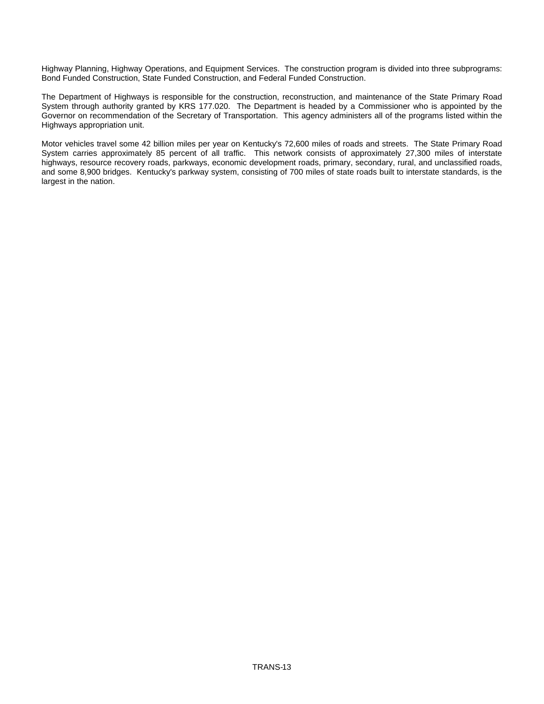Highway Planning, Highway Operations, and Equipment Services. The construction program is divided into three subprograms: Bond Funded Construction, State Funded Construction, and Federal Funded Construction.

The Department of Highways is responsible for the construction, reconstruction, and maintenance of the State Primary Road System through authority granted by KRS 177.020. The Department is headed by a Commissioner who is appointed by the Governor on recommendation of the Secretary of Transportation. This agency administers all of the programs listed within the Highways appropriation unit.

Motor vehicles travel some 42 billion miles per year on Kentucky's 72,600 miles of roads and streets. The State Primary Road System carries approximately 85 percent of all traffic. This network consists of approximately 27,300 miles of interstate highways, resource recovery roads, parkways, economic development roads, primary, secondary, rural, and unclassified roads, and some 8,900 bridges. Kentucky's parkway system, consisting of 700 miles of state roads built to interstate standards, is the largest in the nation.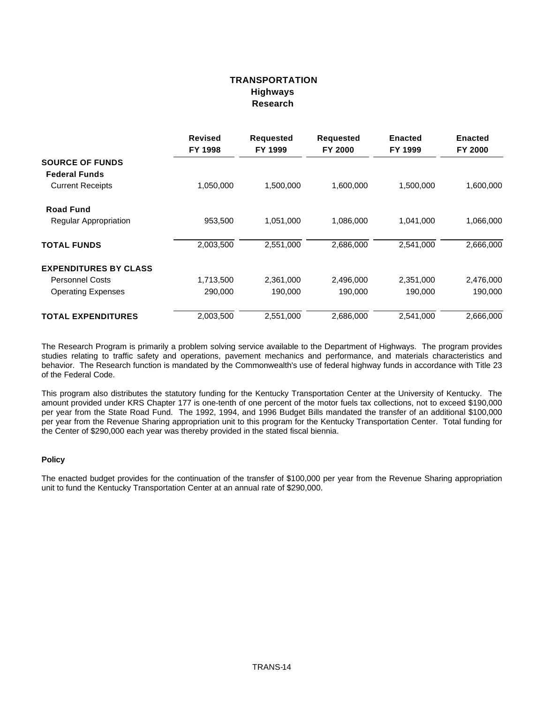# **TRANSPORTATION Highways Research**

|                              | <b>Revised</b><br>FY 1998 | <b>Requested</b><br>FY 1999 | <b>Requested</b><br>FY 2000 | <b>Enacted</b><br>FY 1999 | <b>Enacted</b><br>FY 2000 |
|------------------------------|---------------------------|-----------------------------|-----------------------------|---------------------------|---------------------------|
| <b>SOURCE OF FUNDS</b>       |                           |                             |                             |                           |                           |
| <b>Federal Funds</b>         |                           |                             |                             |                           |                           |
| <b>Current Receipts</b>      | 1,050,000                 | 1,500,000                   | 1,600,000                   | 1,500,000                 | 1,600,000                 |
| <b>Road Fund</b>             |                           |                             |                             |                           |                           |
| <b>Regular Appropriation</b> | 953,500                   | 1,051,000                   | 1,086,000                   | 1,041,000                 | 1,066,000                 |
| <b>TOTAL FUNDS</b>           | 2,003,500                 | 2,551,000                   | 2,686,000                   | 2,541,000                 | 2,666,000                 |
| <b>EXPENDITURES BY CLASS</b> |                           |                             |                             |                           |                           |
| <b>Personnel Costs</b>       | 1,713,500                 | 2,361,000                   | 2,496,000                   | 2,351,000                 | 2,476,000                 |
| <b>Operating Expenses</b>    | 290,000                   | 190,000                     | 190,000                     | 190,000                   | 190,000                   |
| <b>TOTAL EXPENDITURES</b>    | 2,003,500                 | 2,551,000                   | 2,686,000                   | 2,541,000                 | 2,666,000                 |

The Research Program is primarily a problem solving service available to the Department of Highways. The program provides studies relating to traffic safety and operations, pavement mechanics and performance, and materials characteristics and behavior. The Research function is mandated by the Commonwealth's use of federal highway funds in accordance with Title 23 of the Federal Code.

This program also distributes the statutory funding for the Kentucky Transportation Center at the University of Kentucky. The amount provided under KRS Chapter 177 is one-tenth of one percent of the motor fuels tax collections, not to exceed \$190,000 per year from the State Road Fund. The 1992, 1994, and 1996 Budget Bills mandated the transfer of an additional \$100,000 per year from the Revenue Sharing appropriation unit to this program for the Kentucky Transportation Center. Total funding for the Center of \$290,000 each year was thereby provided in the stated fiscal biennia.

## **Policy**

The enacted budget provides for the continuation of the transfer of \$100,000 per year from the Revenue Sharing appropriation unit to fund the Kentucky Transportation Center at an annual rate of \$290,000.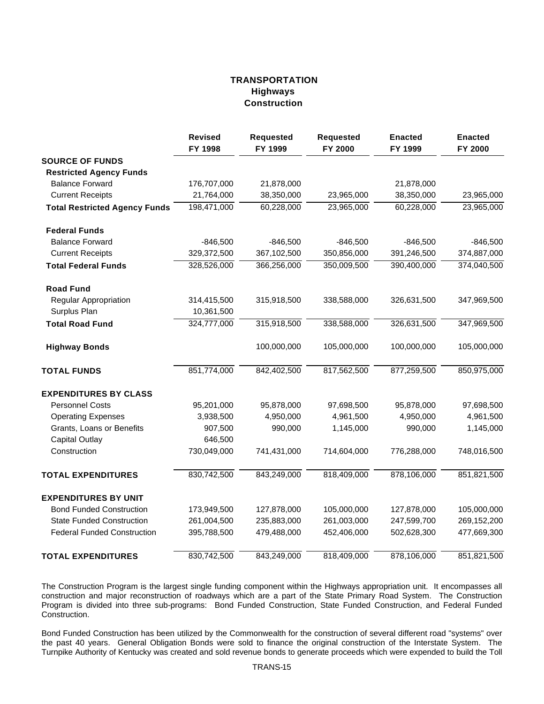# **TRANSPORTATION Highways Construction**

|                                      | <b>Revised</b><br>FY 1998 | <b>Requested</b><br>FY 1999 | <b>Requested</b><br>FY 2000 | <b>Enacted</b><br>FY 1999 | <b>Enacted</b><br>FY 2000 |
|--------------------------------------|---------------------------|-----------------------------|-----------------------------|---------------------------|---------------------------|
| <b>SOURCE OF FUNDS</b>               |                           |                             |                             |                           |                           |
| <b>Restricted Agency Funds</b>       |                           |                             |                             |                           |                           |
| <b>Balance Forward</b>               | 176,707,000               | 21,878,000                  |                             | 21,878,000                |                           |
| <b>Current Receipts</b>              | 21,764,000                | 38,350,000                  | 23,965,000                  | 38,350,000                | 23,965,000                |
| <b>Total Restricted Agency Funds</b> | 198,471,000               | 60,228,000                  | 23,965,000                  | 60,228,000                | 23,965,000                |
| <b>Federal Funds</b>                 |                           |                             |                             |                           |                           |
| <b>Balance Forward</b>               | $-846,500$                | $-846,500$                  | $-846,500$                  | $-846,500$                | $-846,500$                |
| <b>Current Receipts</b>              | 329,372,500               | 367,102,500                 | 350,856,000                 | 391,246,500               | 374,887,000               |
| <b>Total Federal Funds</b>           | 328,526,000               | 366,256,000                 | 350,009,500                 | 390,400,000               | 374,040,500               |
| <b>Road Fund</b>                     |                           |                             |                             |                           |                           |
| Regular Appropriation                | 314,415,500               | 315,918,500                 | 338,588,000                 | 326,631,500               | 347,969,500               |
| Surplus Plan                         | 10,361,500                |                             |                             |                           |                           |
| <b>Total Road Fund</b>               | 324,777,000               | 315,918,500                 | 338,588,000                 | 326,631,500               | 347,969,500               |
| <b>Highway Bonds</b>                 |                           | 100,000,000                 | 105,000,000                 | 100,000,000               | 105,000,000               |
| <b>TOTAL FUNDS</b>                   | 851,774,000               | 842,402,500                 | 817,562,500                 | 877,259,500               | 850,975,000               |
| <b>EXPENDITURES BY CLASS</b>         |                           |                             |                             |                           |                           |
| <b>Personnel Costs</b>               | 95,201,000                | 95,878,000                  | 97,698,500                  | 95,878,000                | 97,698,500                |
| <b>Operating Expenses</b>            | 3,938,500                 | 4,950,000                   | 4,961,500                   | 4,950,000                 | 4,961,500                 |
| Grants, Loans or Benefits            | 907,500                   | 990,000                     | 1,145,000                   | 990,000                   | 1,145,000                 |
| <b>Capital Outlay</b>                | 646,500                   |                             |                             |                           |                           |
| Construction                         | 730,049,000               | 741,431,000                 | 714,604,000                 | 776,288,000               | 748,016,500               |
| <b>TOTAL EXPENDITURES</b>            | 830,742,500               | 843,249,000                 | 818,409,000                 | 878,106,000               | 851,821,500               |
| <b>EXPENDITURES BY UNIT</b>          |                           |                             |                             |                           |                           |
| <b>Bond Funded Construction</b>      | 173,949,500               | 127,878,000                 | 105,000,000                 | 127,878,000               | 105,000,000               |
| <b>State Funded Construction</b>     | 261,004,500               | 235,883,000                 | 261,003,000                 | 247,599,700               | 269,152,200               |
| <b>Federal Funded Construction</b>   | 395,788,500               | 479,488,000                 | 452,406,000                 | 502,628,300               | 477,669,300               |
| <b>TOTAL EXPENDITURES</b>            | 830,742,500               | 843,249,000                 | 818,409,000                 | 878,106,000               | 851,821,500               |

The Construction Program is the largest single funding component within the Highways appropriation unit. It encompasses all construction and major reconstruction of roadways which are a part of the State Primary Road System. The Construction Program is divided into three sub-programs: Bond Funded Construction, State Funded Construction, and Federal Funded Construction.

Bond Funded Construction has been utilized by the Commonwealth for the construction of several different road "systems" over the past 40 years. General Obligation Bonds were sold to finance the original construction of the Interstate System. The Turnpike Authority of Kentucky was created and sold revenue bonds to generate proceeds which were expended to build the Toll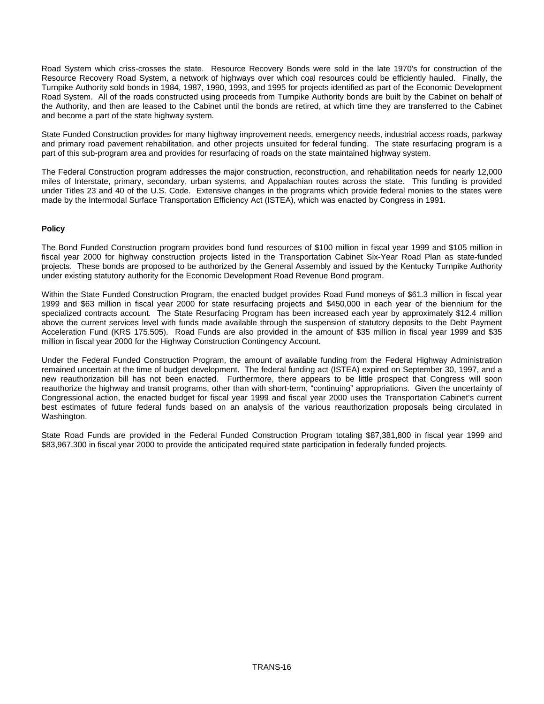Road System which criss-crosses the state. Resource Recovery Bonds were sold in the late 1970's for construction of the Resource Recovery Road System, a network of highways over which coal resources could be efficiently hauled. Finally, the Turnpike Authority sold bonds in 1984, 1987, 1990, 1993, and 1995 for projects identified as part of the Economic Development Road System. All of the roads constructed using proceeds from Turnpike Authority bonds are built by the Cabinet on behalf of the Authority, and then are leased to the Cabinet until the bonds are retired, at which time they are transferred to the Cabinet and become a part of the state highway system.

State Funded Construction provides for many highway improvement needs, emergency needs, industrial access roads, parkway and primary road pavement rehabilitation, and other projects unsuited for federal funding. The state resurfacing program is a part of this sub-program area and provides for resurfacing of roads on the state maintained highway system.

The Federal Construction program addresses the major construction, reconstruction, and rehabilitation needs for nearly 12,000 miles of Interstate, primary, secondary, urban systems, and Appalachian routes across the state. This funding is provided under Titles 23 and 40 of the U.S. Code. Extensive changes in the programs which provide federal monies to the states were made by the Intermodal Surface Transportation Efficiency Act (ISTEA), which was enacted by Congress in 1991.

## **Policy**

The Bond Funded Construction program provides bond fund resources of \$100 million in fiscal year 1999 and \$105 million in fiscal year 2000 for highway construction projects listed in the Transportation Cabinet Six-Year Road Plan as state-funded projects. These bonds are proposed to be authorized by the General Assembly and issued by the Kentucky Turnpike Authority under existing statutory authority for the Economic Development Road Revenue Bond program.

Within the State Funded Construction Program, the enacted budget provides Road Fund moneys of \$61.3 million in fiscal year 1999 and \$63 million in fiscal year 2000 for state resurfacing projects and \$450,000 in each year of the biennium for the specialized contracts account. The State Resurfacing Program has been increased each year by approximately \$12.4 million above the current services level with funds made available through the suspension of statutory deposits to the Debt Payment Acceleration Fund (KRS 175.505). Road Funds are also provided in the amount of \$35 million in fiscal year 1999 and \$35 million in fiscal year 2000 for the Highway Construction Contingency Account.

Under the Federal Funded Construction Program, the amount of available funding from the Federal Highway Administration remained uncertain at the time of budget development. The federal funding act (ISTEA) expired on September 30, 1997, and a new reauthorization bill has not been enacted. Furthermore, there appears to be little prospect that Congress will soon reauthorize the highway and transit programs, other than with short-term, "continuing" appropriations. Given the uncertainty of Congressional action, the enacted budget for fiscal year 1999 and fiscal year 2000 uses the Transportation Cabinet's current best estimates of future federal funds based on an analysis of the various reauthorization proposals being circulated in Washington.

State Road Funds are provided in the Federal Funded Construction Program totaling \$87,381,800 in fiscal year 1999 and \$83,967,300 in fiscal year 2000 to provide the anticipated required state participation in federally funded projects.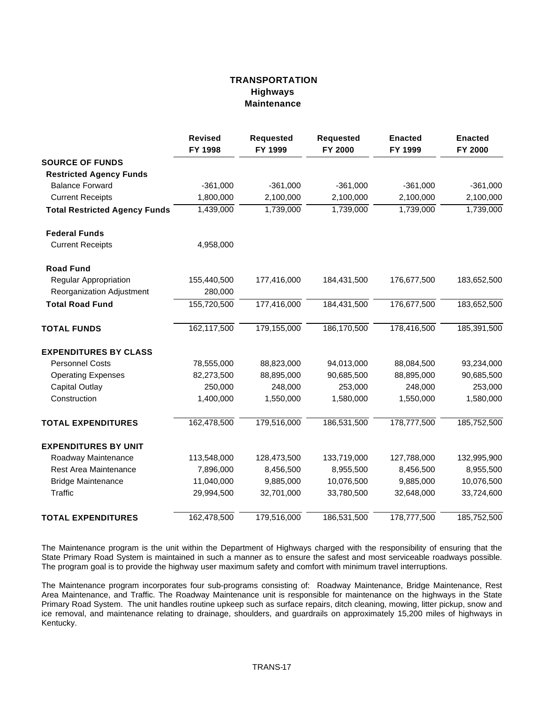## **TRANSPORTATION Highways Maintenance**

|                                      | <b>Revised</b><br>FY 1998 | <b>Requested</b><br>FY 1999 | <b>Requested</b><br>FY 2000 | <b>Enacted</b><br>FY 1999 | <b>Enacted</b><br>FY 2000 |
|--------------------------------------|---------------------------|-----------------------------|-----------------------------|---------------------------|---------------------------|
| <b>SOURCE OF FUNDS</b>               |                           |                             |                             |                           |                           |
| <b>Restricted Agency Funds</b>       |                           |                             |                             |                           |                           |
| <b>Balance Forward</b>               | $-361,000$                | $-361,000$                  | $-361,000$                  | $-361,000$                | $-361,000$                |
| <b>Current Receipts</b>              | 1,800,000                 | 2,100,000                   | 2,100,000                   | 2,100,000                 | 2,100,000                 |
| <b>Total Restricted Agency Funds</b> | 1,439,000                 | 1,739,000                   | 1,739,000                   | 1,739,000                 | 1,739,000                 |
| <b>Federal Funds</b>                 |                           |                             |                             |                           |                           |
| <b>Current Receipts</b>              | 4,958,000                 |                             |                             |                           |                           |
| <b>Road Fund</b>                     |                           |                             |                             |                           |                           |
| <b>Regular Appropriation</b>         | 155,440,500               | 177,416,000                 | 184,431,500                 | 176,677,500               | 183,652,500               |
| Reorganization Adjustment            | 280,000                   |                             |                             |                           |                           |
| <b>Total Road Fund</b>               | 155,720,500               | 177,416,000                 | 184,431,500                 | 176,677,500               | 183,652,500               |
| <b>TOTAL FUNDS</b>                   | 162,117,500               | 179,155,000                 | 186,170,500                 | 178,416,500               | 185,391,500               |
| <b>EXPENDITURES BY CLASS</b>         |                           |                             |                             |                           |                           |
| <b>Personnel Costs</b>               | 78,555,000                | 88,823,000                  | 94,013,000                  | 88,084,500                | 93,234,000                |
| <b>Operating Expenses</b>            | 82,273,500                | 88,895,000                  | 90,685,500                  | 88,895,000                | 90,685,500                |
| <b>Capital Outlay</b>                | 250,000                   | 248,000                     | 253,000                     | 248,000                   | 253,000                   |
| Construction                         | 1,400,000                 | 1,550,000                   | 1,580,000                   | 1,550,000                 | 1,580,000                 |
| <b>TOTAL EXPENDITURES</b>            | 162,478,500               | 179,516,000                 | 186,531,500                 | 178,777,500               | 185,752,500               |
| <b>EXPENDITURES BY UNIT</b>          |                           |                             |                             |                           |                           |
| Roadway Maintenance                  | 113,548,000               | 128,473,500                 | 133,719,000                 | 127,788,000               | 132,995,900               |
| <b>Rest Area Maintenance</b>         | 7,896,000                 | 8,456,500                   | 8,955,500                   | 8,456,500                 | 8,955,500                 |
| <b>Bridge Maintenance</b>            | 11,040,000                | 9,885,000                   | 10,076,500                  | 9,885,000                 | 10,076,500                |
| Traffic                              | 29,994,500                | 32,701,000                  | 33,780,500                  | 32,648,000                | 33,724,600                |
| <b>TOTAL EXPENDITURES</b>            | 162,478,500               | 179,516,000                 | 186,531,500                 | 178,777,500               | 185,752,500               |

The Maintenance program is the unit within the Department of Highways charged with the responsibility of ensuring that the State Primary Road System is maintained in such a manner as to ensure the safest and most serviceable roadways possible. The program goal is to provide the highway user maximum safety and comfort with minimum travel interruptions.

The Maintenance program incorporates four sub-programs consisting of: Roadway Maintenance, Bridge Maintenance, Rest Area Maintenance, and Traffic. The Roadway Maintenance unit is responsible for maintenance on the highways in the State Primary Road System. The unit handles routine upkeep such as surface repairs, ditch cleaning, mowing, litter pickup, snow and ice removal, and maintenance relating to drainage, shoulders, and guardrails on approximately 15,200 miles of highways in Kentucky.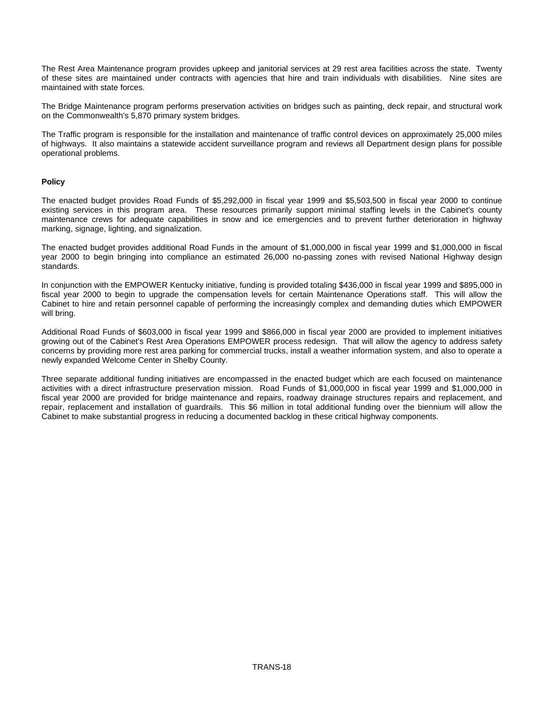The Rest Area Maintenance program provides upkeep and janitorial services at 29 rest area facilities across the state. Twenty of these sites are maintained under contracts with agencies that hire and train individuals with disabilities. Nine sites are maintained with state forces.

The Bridge Maintenance program performs preservation activities on bridges such as painting, deck repair, and structural work on the Commonwealth's 5,870 primary system bridges.

The Traffic program is responsible for the installation and maintenance of traffic control devices on approximately 25,000 miles of highways. It also maintains a statewide accident surveillance program and reviews all Department design plans for possible operational problems.

#### **Policy**

The enacted budget provides Road Funds of \$5,292,000 in fiscal year 1999 and \$5,503,500 in fiscal year 2000 to continue existing services in this program area. These resources primarily support minimal staffing levels in the Cabinet's county maintenance crews for adequate capabilities in snow and ice emergencies and to prevent further deterioration in highway marking, signage, lighting, and signalization.

The enacted budget provides additional Road Funds in the amount of \$1,000,000 in fiscal year 1999 and \$1,000,000 in fiscal year 2000 to begin bringing into compliance an estimated 26,000 no-passing zones with revised National Highway design standards.

In conjunction with the EMPOWER Kentucky initiative, funding is provided totaling \$436,000 in fiscal year 1999 and \$895,000 in fiscal year 2000 to begin to upgrade the compensation levels for certain Maintenance Operations staff. This will allow the Cabinet to hire and retain personnel capable of performing the increasingly complex and demanding duties which EMPOWER will bring.

Additional Road Funds of \$603,000 in fiscal year 1999 and \$866,000 in fiscal year 2000 are provided to implement initiatives growing out of the Cabinet's Rest Area Operations EMPOWER process redesign. That will allow the agency to address safety concerns by providing more rest area parking for commercial trucks, install a weather information system, and also to operate a newly expanded Welcome Center in Shelby County.

Three separate additional funding initiatives are encompassed in the enacted budget which are each focused on maintenance activities with a direct infrastructure preservation mission. Road Funds of \$1,000,000 in fiscal year 1999 and \$1,000,000 in fiscal year 2000 are provided for bridge maintenance and repairs, roadway drainage structures repairs and replacement, and repair, replacement and installation of guardrails. This \$6 million in total additional funding over the biennium will allow the Cabinet to make substantial progress in reducing a documented backlog in these critical highway components.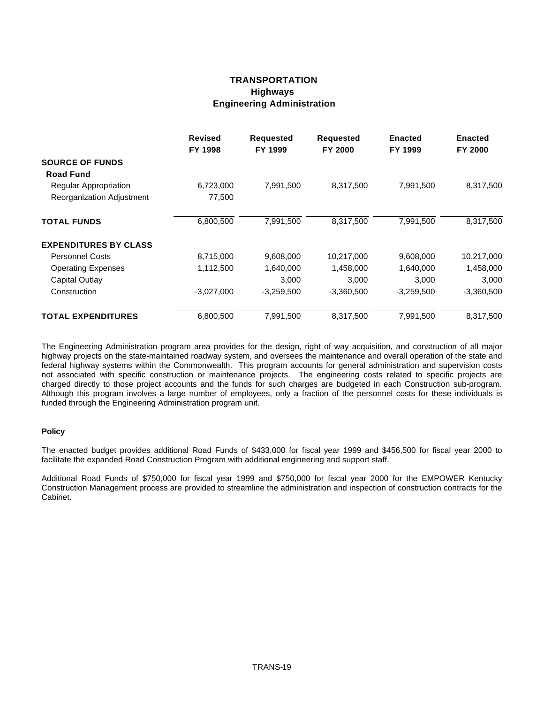### **TRANSPORTATION Highways Engineering Administration**

|                              | <b>Revised</b><br>FY 1998 | <b>Requested</b><br>FY 1999 | <b>Requested</b><br>FY 2000 | <b>Enacted</b><br>FY 1999 | <b>Enacted</b><br><b>FY 2000</b> |
|------------------------------|---------------------------|-----------------------------|-----------------------------|---------------------------|----------------------------------|
| <b>SOURCE OF FUNDS</b>       |                           |                             |                             |                           |                                  |
| <b>Road Fund</b>             |                           |                             |                             |                           |                                  |
| <b>Regular Appropriation</b> | 6,723,000                 | 7,991,500                   | 8,317,500                   | 7,991,500                 | 8,317,500                        |
| Reorganization Adjustment    | 77,500                    |                             |                             |                           |                                  |
| <b>TOTAL FUNDS</b>           | 6,800,500                 | 7,991,500                   | 8,317,500                   | 7,991,500                 | 8,317,500                        |
| <b>EXPENDITURES BY CLASS</b> |                           |                             |                             |                           |                                  |
| <b>Personnel Costs</b>       | 8,715,000                 | 9,608,000                   | 10,217,000                  | 9,608,000                 | 10,217,000                       |
| <b>Operating Expenses</b>    | 1,112,500                 | 1,640,000                   | 1,458,000                   | 1,640,000                 | 1,458,000                        |
| Capital Outlay               |                           | 3,000                       | 3,000                       | 3,000                     | 3,000                            |
| Construction                 | $-3,027,000$              | $-3,259,500$                | $-3,360,500$                | $-3,259,500$              | $-3,360,500$                     |
| <b>TOTAL EXPENDITURES</b>    | 6,800,500                 | 7,991,500                   | 8,317,500                   | 7,991,500                 | 8,317,500                        |

The Engineering Administration program area provides for the design, right of way acquisition, and construction of all major highway projects on the state-maintained roadway system, and oversees the maintenance and overall operation of the state and federal highway systems within the Commonwealth. This program accounts for general administration and supervision costs not associated with specific construction or maintenance projects. The engineering costs related to specific projects are charged directly to those project accounts and the funds for such charges are budgeted in each Construction sub-program. Although this program involves a large number of employees, only a fraction of the personnel costs for these individuals is funded through the Engineering Administration program unit.

#### **Policy**

The enacted budget provides additional Road Funds of \$433,000 for fiscal year 1999 and \$456,500 for fiscal year 2000 to facilitate the expanded Road Construction Program with additional engineering and support staff.

Additional Road Funds of \$750,000 for fiscal year 1999 and \$750,000 for fiscal year 2000 for the EMPOWER Kentucky Construction Management process are provided to streamline the administration and inspection of construction contracts for the Cabinet.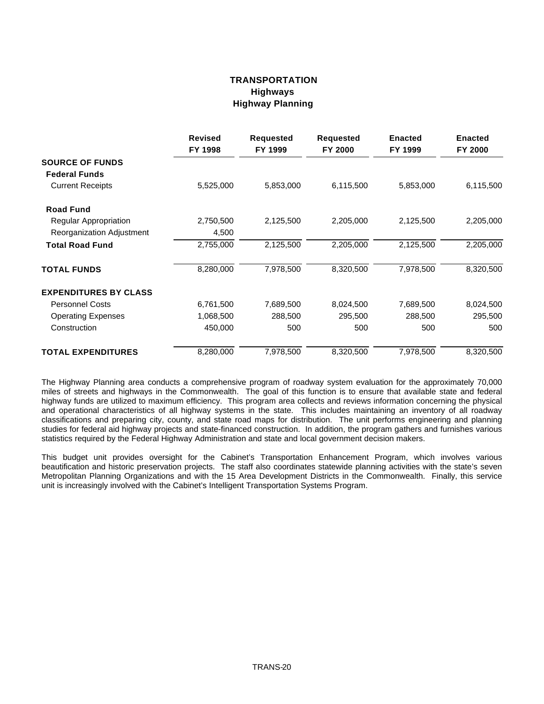## **TRANSPORTATION Highways Highway Planning**

|                              | <b>Revised</b><br>FY 1998 | <b>Requested</b><br>FY 1999 | <b>Requested</b><br>FY 2000 | <b>Enacted</b><br>FY 1999 | <b>Enacted</b><br>FY 2000 |
|------------------------------|---------------------------|-----------------------------|-----------------------------|---------------------------|---------------------------|
| <b>SOURCE OF FUNDS</b>       |                           |                             |                             |                           |                           |
| <b>Federal Funds</b>         |                           |                             |                             |                           |                           |
| <b>Current Receipts</b>      | 5,525,000                 | 5,853,000                   | 6,115,500                   | 5,853,000                 | 6,115,500                 |
| <b>Road Fund</b>             |                           |                             |                             |                           |                           |
| Regular Appropriation        | 2,750,500                 | 2,125,500                   | 2,205,000                   | 2,125,500                 | 2,205,000                 |
| Reorganization Adjustment    | 4,500                     |                             |                             |                           |                           |
| <b>Total Road Fund</b>       | 2,755,000                 | 2,125,500                   | 2,205,000                   | 2,125,500                 | 2,205,000                 |
| <b>TOTAL FUNDS</b>           | 8,280,000                 | 7,978,500                   | 8,320,500                   | 7,978,500                 | 8,320,500                 |
| <b>EXPENDITURES BY CLASS</b> |                           |                             |                             |                           |                           |
| <b>Personnel Costs</b>       | 6,761,500                 | 7,689,500                   | 8,024,500                   | 7,689,500                 | 8,024,500                 |
| <b>Operating Expenses</b>    | 1,068,500                 | 288,500                     | 295,500                     | 288,500                   | 295,500                   |
| Construction                 | 450,000                   | 500                         | 500                         | 500                       | 500                       |
| <b>TOTAL EXPENDITURES</b>    | 8,280,000                 | 7,978,500                   | 8,320,500                   | 7,978,500                 | 8,320,500                 |

The Highway Planning area conducts a comprehensive program of roadway system evaluation for the approximately 70,000 miles of streets and highways in the Commonwealth. The goal of this function is to ensure that available state and federal highway funds are utilized to maximum efficiency. This program area collects and reviews information concerning the physical and operational characteristics of all highway systems in the state. This includes maintaining an inventory of all roadway classifications and preparing city, county, and state road maps for distribution. The unit performs engineering and planning studies for federal aid highway projects and state-financed construction. In addition, the program gathers and furnishes various statistics required by the Federal Highway Administration and state and local government decision makers.

This budget unit provides oversight for the Cabinet's Transportation Enhancement Program, which involves various beautification and historic preservation projects. The staff also coordinates statewide planning activities with the state's seven Metropolitan Planning Organizations and with the 15 Area Development Districts in the Commonwealth. Finally, this service unit is increasingly involved with the Cabinet's Intelligent Transportation Systems Program.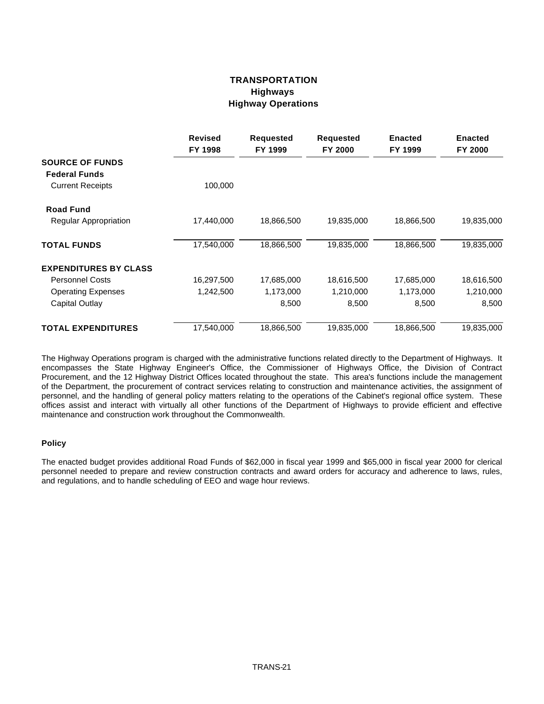## **TRANSPORTATION Highways Highway Operations**

|                              | <b>Revised</b><br>FY 1998 | <b>Requested</b><br>FY 1999 | Requested<br>FY 2000 | <b>Enacted</b><br>FY 1999 | <b>Enacted</b><br>FY 2000 |
|------------------------------|---------------------------|-----------------------------|----------------------|---------------------------|---------------------------|
| <b>SOURCE OF FUNDS</b>       |                           |                             |                      |                           |                           |
| <b>Federal Funds</b>         |                           |                             |                      |                           |                           |
| <b>Current Receipts</b>      | 100,000                   |                             |                      |                           |                           |
| <b>Road Fund</b>             |                           |                             |                      |                           |                           |
| <b>Regular Appropriation</b> | 17,440,000                | 18,866,500                  | 19,835,000           | 18,866,500                | 19,835,000                |
| <b>TOTAL FUNDS</b>           | 17,540,000                | 18,866,500                  | 19,835,000           | 18,866,500                | 19,835,000                |
| <b>EXPENDITURES BY CLASS</b> |                           |                             |                      |                           |                           |
| <b>Personnel Costs</b>       | 16,297,500                | 17,685,000                  | 18,616,500           | 17,685,000                | 18,616,500                |
| <b>Operating Expenses</b>    | 1,242,500                 | 1,173,000                   | 1,210,000            | 1,173,000                 | 1,210,000                 |
| Capital Outlay               |                           | 8,500                       | 8,500                | 8,500                     | 8,500                     |
| <b>TOTAL EXPENDITURES</b>    | 17,540,000                | 18,866,500                  | 19,835,000           | 18,866,500                | 19,835,000                |

The Highway Operations program is charged with the administrative functions related directly to the Department of Highways. It encompasses the State Highway Engineer's Office, the Commissioner of Highways Office, the Division of Contract Procurement, and the 12 Highway District Offices located throughout the state. This area's functions include the management of the Department, the procurement of contract services relating to construction and maintenance activities, the assignment of personnel, and the handling of general policy matters relating to the operations of the Cabinet's regional office system. These offices assist and interact with virtually all other functions of the Department of Highways to provide efficient and effective maintenance and construction work throughout the Commonwealth.

#### **Policy**

The enacted budget provides additional Road Funds of \$62,000 in fiscal year 1999 and \$65,000 in fiscal year 2000 for clerical personnel needed to prepare and review construction contracts and award orders for accuracy and adherence to laws, rules, and regulations, and to handle scheduling of EEO and wage hour reviews.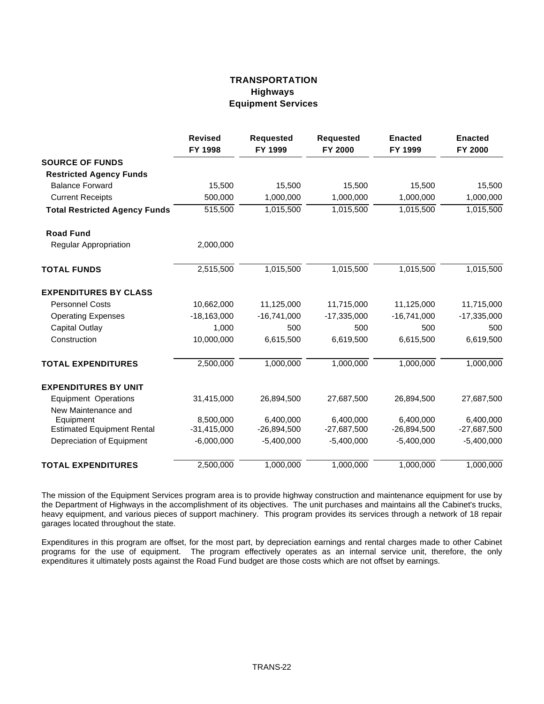### **TRANSPORTATION Highways Equipment Services**

|                                      | <b>Revised</b><br>FY 1998 | <b>Requested</b><br>FY 1999 | <b>Requested</b><br>FY 2000 | <b>Enacted</b><br>FY 1999 | <b>Enacted</b><br>FY 2000 |
|--------------------------------------|---------------------------|-----------------------------|-----------------------------|---------------------------|---------------------------|
| <b>SOURCE OF FUNDS</b>               |                           |                             |                             |                           |                           |
| <b>Restricted Agency Funds</b>       |                           |                             |                             |                           |                           |
| <b>Balance Forward</b>               | 15,500                    | 15,500                      | 15,500                      | 15,500                    | 15,500                    |
| <b>Current Receipts</b>              | 500,000                   | 1,000,000                   | 1,000,000                   | 1,000,000                 | 1,000,000                 |
| <b>Total Restricted Agency Funds</b> | 515,500                   | 1,015,500                   | 1,015,500                   | 1,015,500                 | 1,015,500                 |
| <b>Road Fund</b>                     |                           |                             |                             |                           |                           |
| <b>Regular Appropriation</b>         | 2,000,000                 |                             |                             |                           |                           |
| <b>TOTAL FUNDS</b>                   | 2,515,500                 | 1,015,500                   | 1,015,500                   | 1,015,500                 | 1,015,500                 |
| <b>EXPENDITURES BY CLASS</b>         |                           |                             |                             |                           |                           |
| <b>Personnel Costs</b>               | 10,662,000                | 11,125,000                  | 11,715,000                  | 11,125,000                | 11,715,000                |
| <b>Operating Expenses</b>            | $-18,163,000$             | $-16,741,000$               | $-17,335,000$               | $-16,741,000$             | $-17,335,000$             |
| <b>Capital Outlay</b>                | 1,000                     | 500                         | 500                         | 500                       | 500                       |
| Construction                         | 10,000,000                | 6,615,500                   | 6,619,500                   | 6,615,500                 | 6,619,500                 |
| <b>TOTAL EXPENDITURES</b>            | 2,500,000                 | 1,000,000                   | 1,000,000                   | 1,000,000                 | 1,000,000                 |
| <b>EXPENDITURES BY UNIT</b>          |                           |                             |                             |                           |                           |
| <b>Equipment Operations</b>          | 31,415,000                | 26,894,500                  | 27,687,500                  | 26,894,500                | 27,687,500                |
| New Maintenance and                  |                           |                             |                             |                           |                           |
| Equipment                            | 8,500,000                 | 6,400,000                   | 6,400,000                   | 6,400,000                 | 6,400,000                 |
| <b>Estimated Equipment Rental</b>    | $-31,415,000$             | $-26,894,500$               | $-27,687,500$               | $-26,894,500$             | $-27,687,500$             |
| Depreciation of Equipment            | $-6,000,000$              | $-5,400,000$                | $-5,400,000$                | $-5,400,000$              | $-5,400,000$              |
| <b>TOTAL EXPENDITURES</b>            | 2,500,000                 | 1,000,000                   | 1,000,000                   | 1,000,000                 | 1,000,000                 |

The mission of the Equipment Services program area is to provide highway construction and maintenance equipment for use by the Department of Highways in the accomplishment of its objectives. The unit purchases and maintains all the Cabinet's trucks, heavy equipment, and various pieces of support machinery. This program provides its services through a network of 18 repair garages located throughout the state.

Expenditures in this program are offset, for the most part, by depreciation earnings and rental charges made to other Cabinet programs for the use of equipment. The program effectively operates as an internal service unit, therefore, the only expenditures it ultimately posts against the Road Fund budget are those costs which are not offset by earnings.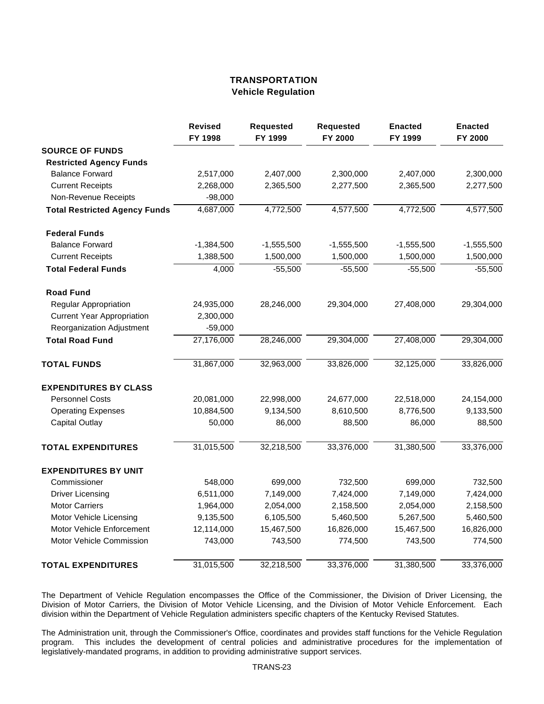### **TRANSPORTATION Vehicle Regulation**

|                                      | <b>Revised</b><br>FY 1998 | <b>Requested</b><br>FY 1999 | <b>Requested</b><br>FY 2000 | <b>Enacted</b><br>FY 1999 | <b>Enacted</b><br>FY 2000 |
|--------------------------------------|---------------------------|-----------------------------|-----------------------------|---------------------------|---------------------------|
| <b>SOURCE OF FUNDS</b>               |                           |                             |                             |                           |                           |
| <b>Restricted Agency Funds</b>       |                           |                             |                             |                           |                           |
| <b>Balance Forward</b>               | 2,517,000                 | 2,407,000                   | 2,300,000                   | 2,407,000                 | 2,300,000                 |
| <b>Current Receipts</b>              | 2,268,000                 | 2,365,500                   | 2,277,500                   | 2,365,500                 | 2,277,500                 |
| Non-Revenue Receipts                 | $-98,000$                 |                             |                             |                           |                           |
| <b>Total Restricted Agency Funds</b> | 4,687,000                 | 4,772,500                   | 4,577,500                   | 4,772,500                 | 4,577,500                 |
| <b>Federal Funds</b>                 |                           |                             |                             |                           |                           |
| <b>Balance Forward</b>               | $-1,384,500$              | $-1,555,500$                | $-1,555,500$                | $-1,555,500$              | $-1,555,500$              |
| <b>Current Receipts</b>              | 1,388,500                 | 1,500,000                   | 1,500,000                   | 1,500,000                 | 1,500,000                 |
| <b>Total Federal Funds</b>           | 4,000                     | $-55,500$                   | $-55,500$                   | $-55,500$                 | $-55,500$                 |
| <b>Road Fund</b>                     |                           |                             |                             |                           |                           |
| <b>Regular Appropriation</b>         | 24,935,000                | 28,246,000                  | 29,304,000                  | 27,408,000                | 29,304,000                |
| <b>Current Year Appropriation</b>    | 2,300,000                 |                             |                             |                           |                           |
| Reorganization Adjustment            | $-59,000$                 |                             |                             |                           |                           |
| <b>Total Road Fund</b>               | 27,176,000                | 28,246,000                  | 29,304,000                  | 27,408,000                | 29,304,000                |
| <b>TOTAL FUNDS</b>                   | 31,867,000                | 32,963,000                  | 33,826,000                  | 32,125,000                | 33,826,000                |
| <b>EXPENDITURES BY CLASS</b>         |                           |                             |                             |                           |                           |
| <b>Personnel Costs</b>               | 20,081,000                | 22,998,000                  | 24,677,000                  | 22,518,000                | 24,154,000                |
| <b>Operating Expenses</b>            | 10,884,500                | 9,134,500                   | 8,610,500                   | 8,776,500                 | 9,133,500                 |
| <b>Capital Outlay</b>                | 50,000                    | 86,000                      | 88,500                      | 86,000                    | 88,500                    |
| <b>TOTAL EXPENDITURES</b>            | 31,015,500                | 32,218,500                  | 33,376,000                  | 31,380,500                | 33,376,000                |
| <b>EXPENDITURES BY UNIT</b>          |                           |                             |                             |                           |                           |
| Commissioner                         | 548,000                   | 699,000                     | 732,500                     | 699,000                   | 732,500                   |
| <b>Driver Licensing</b>              | 6,511,000                 | 7,149,000                   | 7,424,000                   | 7,149,000                 | 7,424,000                 |
| <b>Motor Carriers</b>                | 1,964,000                 | 2,054,000                   | 2,158,500                   | 2,054,000                 | 2,158,500                 |
| Motor Vehicle Licensing              | 9,135,500                 | 6,105,500                   | 5,460,500                   | 5,267,500                 | 5,460,500                 |
| Motor Vehicle Enforcement            | 12,114,000                | 15,467,500                  | 16,826,000                  | 15,467,500                | 16,826,000                |
| Motor Vehicle Commission             | 743,000                   | 743,500                     | 774,500                     | 743,500                   | 774,500                   |
| <b>TOTAL EXPENDITURES</b>            | 31,015,500                | 32,218,500                  | 33,376,000                  | 31,380,500                | 33,376,000                |

The Department of Vehicle Regulation encompasses the Office of the Commissioner, the Division of Driver Licensing, the Division of Motor Carriers, the Division of Motor Vehicle Licensing, and the Division of Motor Vehicle Enforcement. Each division within the Department of Vehicle Regulation administers specific chapters of the Kentucky Revised Statutes.

The Administration unit, through the Commissioner's Office, coordinates and provides staff functions for the Vehicle Regulation program. This includes the development of central policies and administrative procedures for the implementation of legislatively-mandated programs, in addition to providing administrative support services.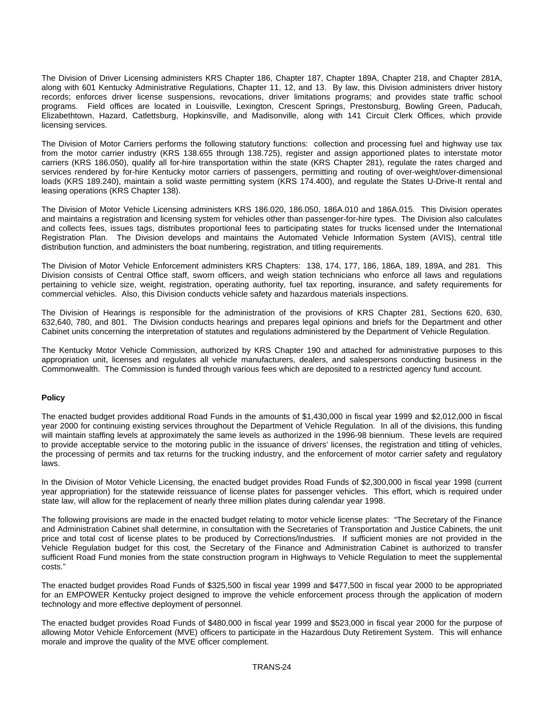The Division of Driver Licensing administers KRS Chapter 186, Chapter 187, Chapter 189A, Chapter 218, and Chapter 281A, along with 601 Kentucky Administrative Regulations, Chapter 11, 12, and 13. By law, this Division administers driver history records; enforces driver license suspensions, revocations, driver limitations programs; and provides state traffic school programs. Field offices are located in Louisville, Lexington, Crescent Springs, Prestonsburg, Bowling Green, Paducah, Elizabethtown, Hazard, Catlettsburg, Hopkinsville, and Madisonville, along with 141 Circuit Clerk Offices, which provide licensing services.

The Division of Motor Carriers performs the following statutory functions: collection and processing fuel and highway use tax from the motor carrier industry (KRS 138.655 through 138.725), register and assign apportioned plates to interstate motor carriers (KRS 186.050), qualify all for-hire transportation within the state (KRS Chapter 281), regulate the rates charged and services rendered by for-hire Kentucky motor carriers of passengers, permitting and routing of over-weight/over-dimensional loads (KRS 189.240), maintain a solid waste permitting system (KRS 174.400), and regulate the States U-Drive-It rental and leasing operations (KRS Chapter 138).

The Division of Motor Vehicle Licensing administers KRS 186.020, 186.050, 186A.010 and 186A.015. This Division operates and maintains a registration and licensing system for vehicles other than passenger-for-hire types. The Division also calculates and collects fees, issues tags, distributes proportional fees to participating states for trucks licensed under the International Registration Plan. The Division develops and maintains the Automated Vehicle Information System (AVIS), central title distribution function, and administers the boat numbering, registration, and titling requirements.

The Division of Motor Vehicle Enforcement administers KRS Chapters: 138, 174, 177, 186, 186A, 189, 189A, and 281. This Division consists of Central Office staff, sworn officers, and weigh station technicians who enforce all laws and regulations pertaining to vehicle size, weight, registration, operating authority, fuel tax reporting, insurance, and safety requirements for commercial vehicles. Also, this Division conducts vehicle safety and hazardous materials inspections.

The Division of Hearings is responsible for the administration of the provisions of KRS Chapter 281, Sections 620, 630, 632,640, 780, and 801. The Division conducts hearings and prepares legal opinions and briefs for the Department and other Cabinet units concerning the interpretation of statutes and regulations administered by the Department of Vehicle Regulation.

The Kentucky Motor Vehicle Commission, authorized by KRS Chapter 190 and attached for administrative purposes to this appropriation unit, licenses and regulates all vehicle manufacturers, dealers, and salespersons conducting business in the Commonwealth. The Commission is funded through various fees which are deposited to a restricted agency fund account.

#### **Policy**

The enacted budget provides additional Road Funds in the amounts of \$1,430,000 in fiscal year 1999 and \$2,012,000 in fiscal year 2000 for continuing existing services throughout the Department of Vehicle Regulation. In all of the divisions, this funding will maintain staffing levels at approximately the same levels as authorized in the 1996-98 biennium. These levels are required to provide acceptable service to the motoring public in the issuance of drivers' licenses, the registration and titling of vehicles, the processing of permits and tax returns for the trucking industry, and the enforcement of motor carrier safety and regulatory laws.

In the Division of Motor Vehicle Licensing, the enacted budget provides Road Funds of \$2,300,000 in fiscal year 1998 (current year appropriation) for the statewide reissuance of license plates for passenger vehicles. This effort, which is required under state law, will allow for the replacement of nearly three million plates during calendar year 1998.

The following provisions are made in the enacted budget relating to motor vehicle license plates: "The Secretary of the Finance and Administration Cabinet shall determine, in consultation with the Secretaries of Transportation and Justice Cabinets, the unit price and total cost of license plates to be produced by Corrections/Industries. If sufficient monies are not provided in the Vehicle Regulation budget for this cost, the Secretary of the Finance and Administration Cabinet is authorized to transfer sufficient Road Fund monies from the state construction program in Highways to Vehicle Regulation to meet the supplemental costs."

The enacted budget provides Road Funds of \$325,500 in fiscal year 1999 and \$477,500 in fiscal year 2000 to be appropriated for an EMPOWER Kentucky project designed to improve the vehicle enforcement process through the application of modern technology and more effective deployment of personnel.

The enacted budget provides Road Funds of \$480,000 in fiscal year 1999 and \$523,000 in fiscal year 2000 for the purpose of allowing Motor Vehicle Enforcement (MVE) officers to participate in the Hazardous Duty Retirement System. This will enhance morale and improve the quality of the MVE officer complement.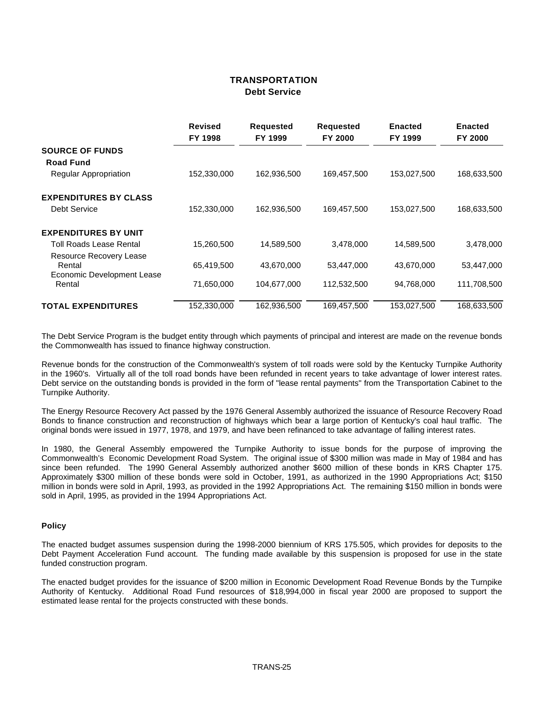### **TRANSPORTATION Debt Service**

|                                      | <b>Revised</b> | <b>Requested</b> | <b>Requested</b> | <b>Enacted</b> | <b>Enacted</b> |
|--------------------------------------|----------------|------------------|------------------|----------------|----------------|
|                                      | FY 1998        | FY 1999          | FY 2000          | FY 1999        | FY 2000        |
| <b>SOURCE OF FUNDS</b>               |                |                  |                  |                |                |
| <b>Road Fund</b>                     |                |                  |                  |                |                |
| <b>Regular Appropriation</b>         | 152,330,000    | 162,936,500      | 169,457,500      | 153,027,500    | 168,633,500    |
| <b>EXPENDITURES BY CLASS</b>         |                |                  |                  |                |                |
| Debt Service                         | 152,330,000    | 162,936,500      | 169,457,500      | 153,027,500    | 168,633,500    |
| <b>EXPENDITURES BY UNIT</b>          |                |                  |                  |                |                |
| Toll Roads Lease Rental              | 15,260,500     | 14,589,500       | 3,478,000        | 14,589,500     | 3,478,000      |
| Resource Recovery Lease<br>Rental    | 65,419,500     | 43,670,000       | 53,447,000       | 43,670,000     | 53,447,000     |
| Economic Development Lease<br>Rental | 71,650,000     | 104,677,000      | 112,532,500      | 94,768,000     | 111,708,500    |
| <b>TOTAL EXPENDITURES</b>            | 152,330,000    | 162,936,500      | 169,457,500      | 153,027,500    | 168.633.500    |

The Debt Service Program is the budget entity through which payments of principal and interest are made on the revenue bonds the Commonwealth has issued to finance highway construction.

Revenue bonds for the construction of the Commonwealth's system of toll roads were sold by the Kentucky Turnpike Authority in the 1960's. Virtually all of the toll road bonds have been refunded in recent years to take advantage of lower interest rates. Debt service on the outstanding bonds is provided in the form of "lease rental payments" from the Transportation Cabinet to the Turnpike Authority.

The Energy Resource Recovery Act passed by the 1976 General Assembly authorized the issuance of Resource Recovery Road Bonds to finance construction and reconstruction of highways which bear a large portion of Kentucky's coal haul traffic. The original bonds were issued in 1977, 1978, and 1979, and have been refinanced to take advantage of falling interest rates.

In 1980, the General Assembly empowered the Turnpike Authority to issue bonds for the purpose of improving the Commonwealth's Economic Development Road System. The original issue of \$300 million was made in May of 1984 and has since been refunded. The 1990 General Assembly authorized another \$600 million of these bonds in KRS Chapter 175. Approximately \$300 million of these bonds were sold in October, 1991, as authorized in the 1990 Appropriations Act; \$150 million in bonds were sold in April, 1993, as provided in the 1992 Appropriations Act. The remaining \$150 million in bonds were sold in April, 1995, as provided in the 1994 Appropriations Act.

#### **Policy**

The enacted budget assumes suspension during the 1998-2000 biennium of KRS 175.505, which provides for deposits to the Debt Payment Acceleration Fund account. The funding made available by this suspension is proposed for use in the state funded construction program.

The enacted budget provides for the issuance of \$200 million in Economic Development Road Revenue Bonds by the Turnpike Authority of Kentucky. Additional Road Fund resources of \$18,994,000 in fiscal year 2000 are proposed to support the estimated lease rental for the projects constructed with these bonds.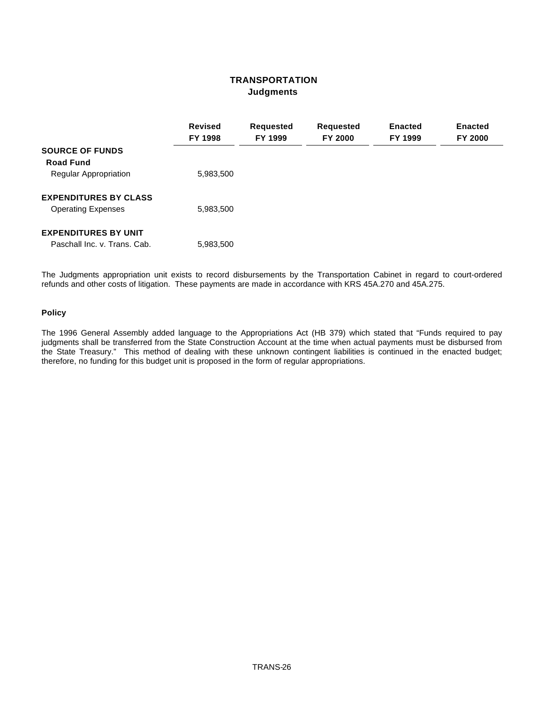### **TRANSPORTATION Judgments**

|                                            | <b>Revised</b><br>FY 1998 | <b>Requested</b><br>FY 1999 | <b>Requested</b><br>FY 2000 | <b>Enacted</b><br>FY 1999 | <b>Enacted</b><br><b>FY 2000</b> |
|--------------------------------------------|---------------------------|-----------------------------|-----------------------------|---------------------------|----------------------------------|
| <b>SOURCE OF FUNDS</b><br><b>Road Fund</b> |                           |                             |                             |                           |                                  |
| <b>Regular Appropriation</b>               | 5,983,500                 |                             |                             |                           |                                  |
| <b>EXPENDITURES BY CLASS</b>               |                           |                             |                             |                           |                                  |
| <b>Operating Expenses</b>                  | 5,983,500                 |                             |                             |                           |                                  |
| <b>EXPENDITURES BY UNIT</b>                |                           |                             |                             |                           |                                  |
| Paschall Inc. v. Trans. Cab.               | 5,983,500                 |                             |                             |                           |                                  |

The Judgments appropriation unit exists to record disbursements by the Transportation Cabinet in regard to court-ordered refunds and other costs of litigation. These payments are made in accordance with KRS 45A.270 and 45A.275.

#### **Policy**

The 1996 General Assembly added language to the Appropriations Act (HB 379) which stated that "Funds required to pay judgments shall be transferred from the State Construction Account at the time when actual payments must be disbursed from the State Treasury." This method of dealing with these unknown contingent liabilities is continued in the enacted budget; therefore, no funding for this budget unit is proposed in the form of regular appropriations.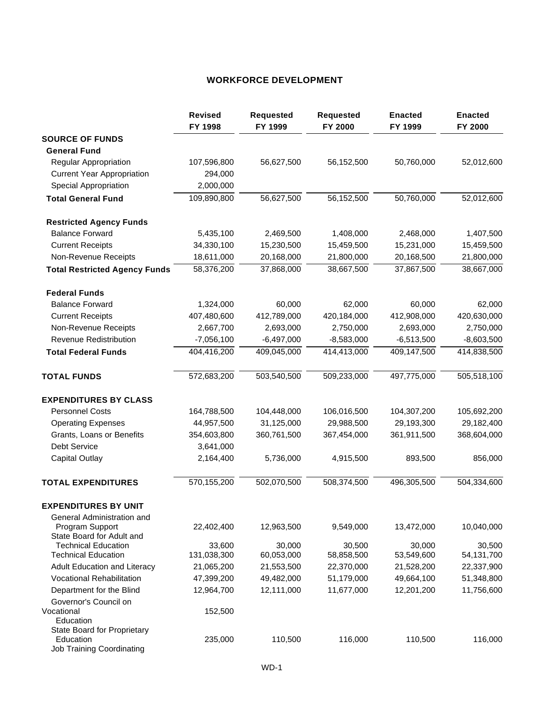## **WORKFORCE DEVELOPMENT**

|                                                  | <b>Revised</b><br>FY 1998 | <b>Requested</b><br>FY 1999 | <b>Requested</b><br>FY 2000 | <b>Enacted</b><br>FY 1999 | <b>Enacted</b><br>FY 2000 |
|--------------------------------------------------|---------------------------|-----------------------------|-----------------------------|---------------------------|---------------------------|
| <b>SOURCE OF FUNDS</b>                           |                           |                             |                             |                           |                           |
| <b>General Fund</b>                              |                           |                             |                             |                           |                           |
| Regular Appropriation                            | 107,596,800               | 56,627,500                  | 56,152,500                  | 50,760,000                | 52,012,600                |
| <b>Current Year Appropriation</b>                | 294,000                   |                             |                             |                           |                           |
| <b>Special Appropriation</b>                     | 2,000,000                 |                             |                             |                           |                           |
| <b>Total General Fund</b>                        | 109,890,800               | 56,627,500                  | 56,152,500                  | 50,760,000                | 52,012,600                |
| <b>Restricted Agency Funds</b>                   |                           |                             |                             |                           |                           |
| <b>Balance Forward</b>                           | 5,435,100                 | 2,469,500                   | 1,408,000                   | 2,468,000                 | 1,407,500                 |
| <b>Current Receipts</b>                          | 34,330,100                | 15,230,500                  | 15,459,500                  | 15,231,000                | 15,459,500                |
| Non-Revenue Receipts                             | 18,611,000                | 20,168,000                  | 21,800,000                  | 20,168,500                | 21,800,000                |
| <b>Total Restricted Agency Funds</b>             | 58,376,200                | 37,868,000                  | 38,667,500                  | 37,867,500                | 38,667,000                |
| <b>Federal Funds</b>                             |                           |                             |                             |                           |                           |
| <b>Balance Forward</b>                           | 1,324,000                 | 60,000                      | 62,000                      | 60,000                    | 62,000                    |
| <b>Current Receipts</b>                          | 407,480,600               | 412,789,000                 | 420,184,000                 | 412,908,000               | 420,630,000               |
| Non-Revenue Receipts                             | 2,667,700                 | 2,693,000                   | 2,750,000                   | 2,693,000                 | 2,750,000                 |
| <b>Revenue Redistribution</b>                    | $-7,056,100$              | $-6,497,000$                | $-8,583,000$                | $-6,513,500$              | $-8,603,500$              |
| <b>Total Federal Funds</b>                       | 404,416,200               | 409,045,000                 | 414,413,000                 | 409,147,500               | 414,838,500               |
| <b>TOTAL FUNDS</b>                               | 572,683,200               | 503,540,500                 | 509,233,000                 | 497,775,000               | 505,518,100               |
| <b>EXPENDITURES BY CLASS</b>                     |                           |                             |                             |                           |                           |
| <b>Personnel Costs</b>                           | 164,788,500               | 104,448,000                 | 106,016,500                 | 104,307,200               | 105,692,200               |
| <b>Operating Expenses</b>                        | 44,957,500                | 31,125,000                  | 29,988,500                  | 29,193,300                | 29,182,400                |
| Grants, Loans or Benefits                        | 354,603,800               | 360,761,500                 | 367,454,000                 | 361,911,500               | 368,604,000               |
| <b>Debt Service</b>                              | 3,641,000                 |                             |                             |                           |                           |
| Capital Outlay                                   | 2,164,400                 | 5,736,000                   | 4,915,500                   | 893,500                   | 856,000                   |
| <b>TOTAL EXPENDITURES</b>                        | 570,155,200               | 502,070,500                 | 508,374,500                 | 496,305,500               | 504,334,600               |
| <b>EXPENDITURES BY UNIT</b>                      |                           |                             |                             |                           |                           |
| General Administration and                       |                           |                             |                             |                           |                           |
| Program Support<br>State Board for Adult and     | 22,402,400                | 12,963,500                  | 9,549,000                   | 13,472,000                | 10,040,000                |
| <b>Technical Education</b>                       | 33,600                    | 30,000                      | 30,500                      | 30,000                    | 30,500                    |
| <b>Technical Education</b>                       | 131,038,300               | 60,053,000                  | 58,858,500                  | 53,549,600                | 54,131,700                |
| Adult Education and Literacy                     | 21,065,200                | 21,553,500                  | 22,370,000                  | 21,528,200                | 22,337,900                |
| Vocational Rehabilitation                        | 47,399,200                | 49,482,000                  | 51,179,000                  | 49,664,100                | 51,348,800                |
| Department for the Blind                         | 12,964,700                | 12,111,000                  | 11,677,000                  | 12,201,200                | 11,756,600                |
| Governor's Council on<br>Vocational<br>Education | 152,500                   |                             |                             |                           |                           |
| State Board for Proprietary                      |                           |                             |                             |                           |                           |
| Education<br><b>Job Training Coordinating</b>    | 235,000                   | 110,500                     | 116,000                     | 110,500                   | 116,000                   |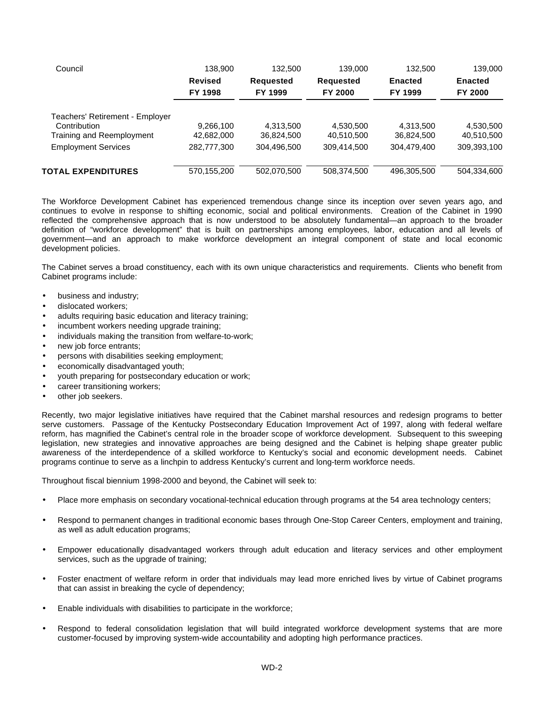| Council                         | 138,900        | 132,500          | 139,000          | 132,500        | 139,000        |
|---------------------------------|----------------|------------------|------------------|----------------|----------------|
|                                 | <b>Revised</b> | <b>Requested</b> | <b>Requested</b> | <b>Enacted</b> | <b>Enacted</b> |
|                                 | FY 1998        | FY 1999          | FY 2000          | FY 1999        | <b>FY 2000</b> |
| Teachers' Retirement - Employer |                |                  |                  |                |                |
| Contribution                    | 9,266,100      | 4,313,500        | 4,530,500        | 4,313,500      | 4,530,500      |
| Training and Reemployment       | 42,682,000     | 36,824,500       | 40,510,500       | 36,824,500     | 40,510,500     |
| <b>Employment Services</b>      | 282,777,300    | 304,496,500      | 309.414.500      | 304,479,400    | 309,393,100    |
| <b>TOTAL EXPENDITURES</b>       | 570.155.200    | 502.070.500      | 508.374.500      | 496.305.500    | 504,334,600    |

The Workforce Development Cabinet has experienced tremendous change since its inception over seven years ago, and continues to evolve in response to shifting economic, social and political environments. Creation of the Cabinet in 1990 reflected the comprehensive approach that is now understood to be absolutely fundamental—an approach to the broader definition of "workforce development" that is built on partnerships among employees, labor, education and all levels of government—and an approach to make workforce development an integral component of state and local economic development policies.

The Cabinet serves a broad constituency, each with its own unique characteristics and requirements. Clients who benefit from Cabinet programs include:

- business and industry;
- dislocated workers;
- adults requiring basic education and literacy training;
- incumbent workers needing upgrade training;
- individuals making the transition from welfare-to-work:
- new job force entrants;
- persons with disabilities seeking employment;
- economically disadvantaged youth;
- youth preparing for postsecondary education or work;
- career transitioning workers;
- other job seekers.

Recently, two major legislative initiatives have required that the Cabinet marshal resources and redesign programs to better serve customers. Passage of the Kentucky Postsecondary Education Improvement Act of 1997, along with federal welfare reform, has magnified the Cabinet's central role in the broader scope of workforce development. Subsequent to this sweeping legislation, new strategies and innovative approaches are being designed and the Cabinet is helping shape greater public awareness of the interdependence of a skilled workforce to Kentucky's social and economic development needs. Cabinet programs continue to serve as a linchpin to address Kentucky's current and long-term workforce needs.

Throughout fiscal biennium 1998-2000 and beyond, the Cabinet will seek to:

- Place more emphasis on secondary vocational-technical education through programs at the 54 area technology centers;
- Respond to permanent changes in traditional economic bases through One-Stop Career Centers, employment and training, as well as adult education programs;
- Empower educationally disadvantaged workers through adult education and literacy services and other employment services, such as the upgrade of training;
- Foster enactment of welfare reform in order that individuals may lead more enriched lives by virtue of Cabinet programs that can assist in breaking the cycle of dependency;
- Enable individuals with disabilities to participate in the workforce;
- Respond to federal consolidation legislation that will build integrated workforce development systems that are more customer-focused by improving system-wide accountability and adopting high performance practices.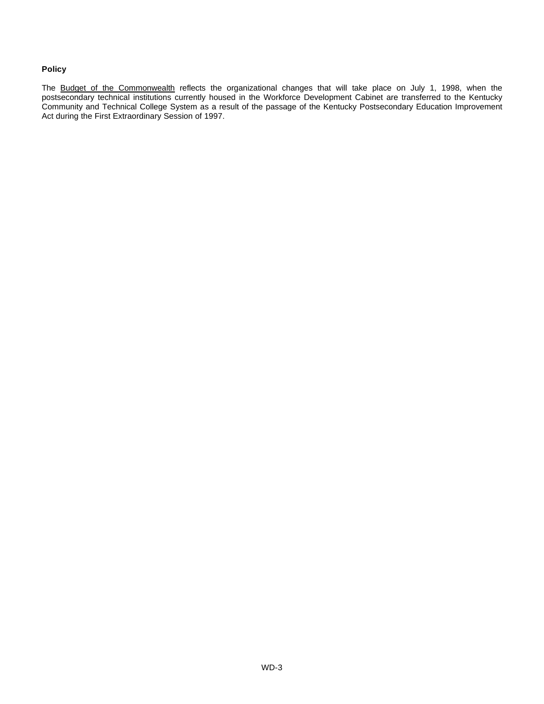### **Policy**

The Budget of the Commonwealth reflects the organizational changes that will take place on July 1, 1998, when the postsecondary technical institutions currently housed in the Workforce Development Cabinet are transferred to the Kentucky Community and Technical College System as a result of the passage of the Kentucky Postsecondary Education Improvement Act during the First Extraordinary Session of 1997.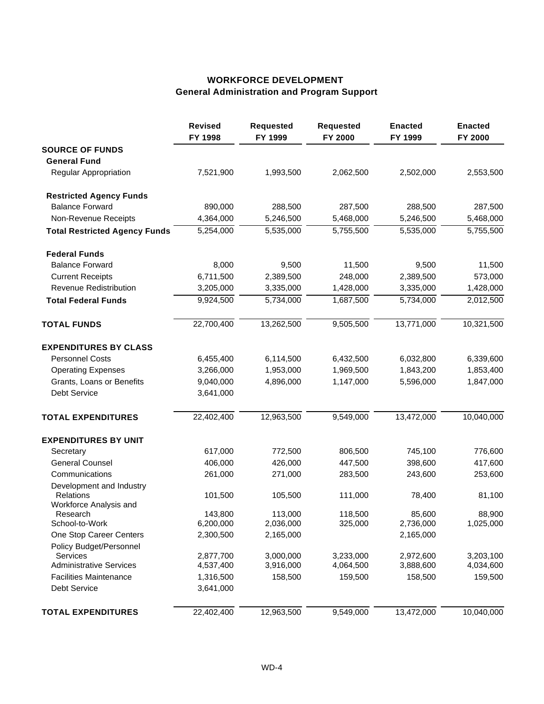# **WORKFORCE DEVELOPMENT General Administration and Program Support**

|                                                                 | <b>Revised</b><br>FY 1998 | <b>Requested</b><br>FY 1999 | <b>Requested</b><br>FY 2000 | <b>Enacted</b><br>FY 1999 | <b>Enacted</b><br>FY 2000 |
|-----------------------------------------------------------------|---------------------------|-----------------------------|-----------------------------|---------------------------|---------------------------|
| <b>SOURCE OF FUNDS</b>                                          |                           |                             |                             |                           |                           |
| <b>General Fund</b>                                             |                           |                             |                             |                           |                           |
| Regular Appropriation                                           | 7,521,900                 | 1,993,500                   | 2,062,500                   | 2,502,000                 | 2,553,500                 |
| <b>Restricted Agency Funds</b>                                  |                           |                             |                             |                           |                           |
| <b>Balance Forward</b>                                          | 890,000                   | 288,500                     | 287,500                     | 288,500                   | 287,500                   |
| Non-Revenue Receipts                                            | 4,364,000                 | 5,246,500                   | 5,468,000                   | 5,246,500                 | 5,468,000                 |
| <b>Total Restricted Agency Funds</b>                            | 5,254,000                 | 5,535,000                   | 5,755,500                   | 5,535,000                 | 5,755,500                 |
| <b>Federal Funds</b>                                            |                           |                             |                             |                           |                           |
| <b>Balance Forward</b>                                          | 8,000                     | 9,500                       | 11,500                      | 9,500                     | 11,500                    |
| <b>Current Receipts</b>                                         | 6,711,500                 | 2,389,500                   | 248,000                     | 2,389,500                 | 573,000                   |
| Revenue Redistribution                                          | 3,205,000                 | 3,335,000                   | 1,428,000                   | 3,335,000                 | 1,428,000                 |
| <b>Total Federal Funds</b>                                      | 9,924,500                 | 5,734,000                   | 1,687,500                   | 5,734,000                 | 2,012,500                 |
| <b>TOTAL FUNDS</b>                                              | 22,700,400                | 13,262,500                  | 9,505,500                   | 13,771,000                | 10,321,500                |
| <b>EXPENDITURES BY CLASS</b>                                    |                           |                             |                             |                           |                           |
| <b>Personnel Costs</b>                                          | 6,455,400                 | 6,114,500                   | 6,432,500                   | 6,032,800                 | 6,339,600                 |
| <b>Operating Expenses</b>                                       | 3,266,000                 | 1,953,000                   | 1,969,500                   | 1,843,200                 | 1,853,400                 |
| Grants, Loans or Benefits                                       | 9,040,000                 | 4,896,000                   | 1,147,000                   | 5,596,000                 | 1,847,000                 |
| <b>Debt Service</b>                                             | 3,641,000                 |                             |                             |                           |                           |
| <b>TOTAL EXPENDITURES</b>                                       | 22,402,400                | 12,963,500                  | 9,549,000                   | 13,472,000                | 10,040,000                |
| <b>EXPENDITURES BY UNIT</b>                                     |                           |                             |                             |                           |                           |
| Secretary                                                       | 617,000                   | 772,500                     | 806,500                     | 745,100                   | 776,600                   |
| <b>General Counsel</b>                                          | 406,000                   | 426,000                     | 447,500                     | 398,600                   | 417,600                   |
| Communications                                                  | 261,000                   | 271,000                     | 283,500                     | 243,600                   | 253,600                   |
| Development and Industry<br>Relations<br>Workforce Analysis and | 101,500                   | 105,500                     | 111,000                     | 78,400                    | 81,100                    |
| Research<br>School-to-Work                                      | 143,800<br>6,200,000      | 113,000<br>2,036,000        | 118,500<br>325,000          | 85,600<br>2,736,000       | 88,900<br>1,025,000       |
| One Stop Career Centers                                         | 2,300,500                 | 2,165,000                   |                             | 2,165,000                 |                           |
| Policy Budget/Personnel                                         |                           |                             |                             |                           |                           |
| <b>Services</b><br><b>Administrative Services</b>               | 2,877,700<br>4,537,400    | 3,000,000<br>3,916,000      | 3,233,000<br>4,064,500      | 2,972,600<br>3,888,600    | 3,203,100<br>4,034,600    |
| <b>Facilities Maintenance</b>                                   | 1,316,500                 | 158,500                     | 159,500                     | 158,500                   | 159,500                   |
| Debt Service                                                    | 3,641,000                 |                             |                             |                           |                           |
| <b>TOTAL EXPENDITURES</b>                                       | 22,402,400                | 12,963,500                  | 9,549,000                   | 13,472,000                | 10,040,000                |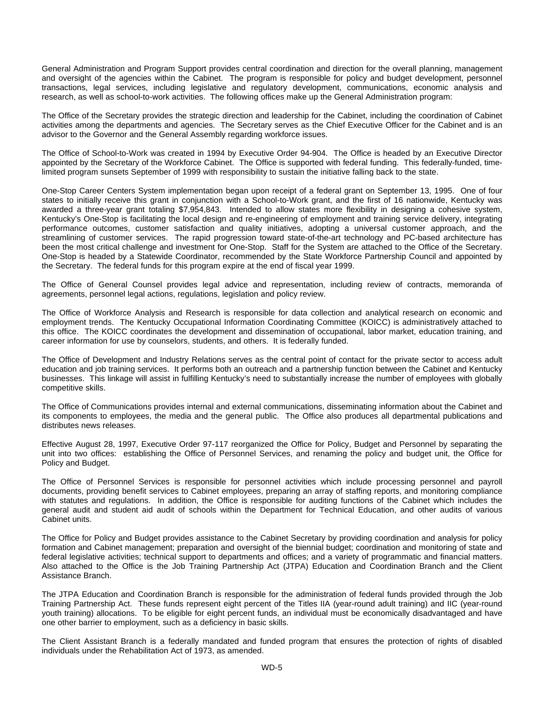General Administration and Program Support provides central coordination and direction for the overall planning, management and oversight of the agencies within the Cabinet. The program is responsible for policy and budget development, personnel transactions, legal services, including legislative and regulatory development, communications, economic analysis and research, as well as school-to-work activities. The following offices make up the General Administration program:

The Office of the Secretary provides the strategic direction and leadership for the Cabinet, including the coordination of Cabinet activities among the departments and agencies. The Secretary serves as the Chief Executive Officer for the Cabinet and is an advisor to the Governor and the General Assembly regarding workforce issues.

The Office of School-to-Work was created in 1994 by Executive Order 94-904. The Office is headed by an Executive Director appointed by the Secretary of the Workforce Cabinet. The Office is supported with federal funding. This federally-funded, timelimited program sunsets September of 1999 with responsibility to sustain the initiative falling back to the state.

One-Stop Career Centers System implementation began upon receipt of a federal grant on September 13, 1995. One of four states to initially receive this grant in conjunction with a School-to-Work grant, and the first of 16 nationwide, Kentucky was awarded a three-year grant totaling \$7,954,843. Intended to allow states more flexibility in designing a cohesive system, Kentucky's One-Stop is facilitating the local design and re-engineering of employment and training service delivery, integrating performance outcomes, customer satisfaction and quality initiatives, adopting a universal customer approach, and the streamlining of customer services. The rapid progression toward state-of-the-art technology and PC-based architecture has been the most critical challenge and investment for One-Stop. Staff for the System are attached to the Office of the Secretary. One-Stop is headed by a Statewide Coordinator, recommended by the State Workforce Partnership Council and appointed by the Secretary. The federal funds for this program expire at the end of fiscal year 1999.

The Office of General Counsel provides legal advice and representation, including review of contracts, memoranda of agreements, personnel legal actions, regulations, legislation and policy review.

The Office of Workforce Analysis and Research is responsible for data collection and analytical research on economic and employment trends. The Kentucky Occupational Information Coordinating Committee (KOICC) is administratively attached to this office. The KOICC coordinates the development and dissemination of occupational, labor market, education training, and career information for use by counselors, students, and others. It is federally funded.

The Office of Development and Industry Relations serves as the central point of contact for the private sector to access adult education and job training services. It performs both an outreach and a partnership function between the Cabinet and Kentucky businesses. This linkage will assist in fulfilling Kentucky's need to substantially increase the number of employees with globally competitive skills.

The Office of Communications provides internal and external communications, disseminating information about the Cabinet and its components to employees, the media and the general public. The Office also produces all departmental publications and distributes news releases.

Effective August 28, 1997, Executive Order 97-117 reorganized the Office for Policy, Budget and Personnel by separating the unit into two offices: establishing the Office of Personnel Services, and renaming the policy and budget unit, the Office for Policy and Budget.

The Office of Personnel Services is responsible for personnel activities which include processing personnel and payroll documents, providing benefit services to Cabinet employees, preparing an array of staffing reports, and monitoring compliance with statutes and regulations. In addition, the Office is responsible for auditing functions of the Cabinet which includes the general audit and student aid audit of schools within the Department for Technical Education, and other audits of various Cabinet units.

The Office for Policy and Budget provides assistance to the Cabinet Secretary by providing coordination and analysis for policy formation and Cabinet management; preparation and oversight of the biennial budget; coordination and monitoring of state and federal legislative activities; technical support to departments and offices; and a variety of programmatic and financial matters. Also attached to the Office is the Job Training Partnership Act (JTPA) Education and Coordination Branch and the Client Assistance Branch.

The JTPA Education and Coordination Branch is responsible for the administration of federal funds provided through the Job Training Partnership Act. These funds represent eight percent of the Titles IIA (year-round adult training) and IIC (year-round youth training) allocations. To be eligible for eight percent funds, an individual must be economically disadvantaged and have one other barrier to employment, such as a deficiency in basic skills.

The Client Assistant Branch is a federally mandated and funded program that ensures the protection of rights of disabled individuals under the Rehabilitation Act of 1973, as amended.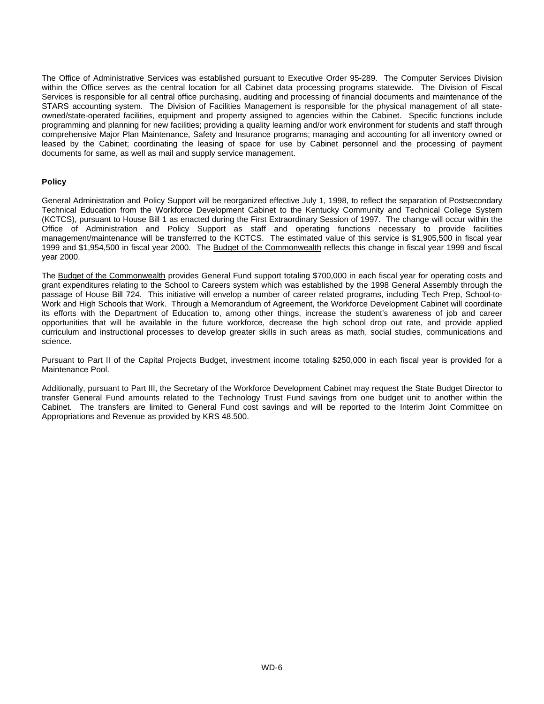The Office of Administrative Services was established pursuant to Executive Order 95-289. The Computer Services Division within the Office serves as the central location for all Cabinet data processing programs statewide. The Division of Fiscal Services is responsible for all central office purchasing, auditing and processing of financial documents and maintenance of the STARS accounting system. The Division of Facilities Management is responsible for the physical management of all stateowned/state-operated facilities, equipment and property assigned to agencies within the Cabinet. Specific functions include programming and planning for new facilities; providing a quality learning and/or work environment for students and staff through comprehensive Major Plan Maintenance, Safety and Insurance programs; managing and accounting for all inventory owned or leased by the Cabinet; coordinating the leasing of space for use by Cabinet personnel and the processing of payment documents for same, as well as mail and supply service management.

#### **Policy**

General Administration and Policy Support will be reorganized effective July 1, 1998, to reflect the separation of Postsecondary Technical Education from the Workforce Development Cabinet to the Kentucky Community and Technical College System (KCTCS), pursuant to House Bill 1 as enacted during the First Extraordinary Session of 1997. The change will occur within the Office of Administration and Policy Support as staff and operating functions necessary to provide facilities management/maintenance will be transferred to the KCTCS. The estimated value of this service is \$1,905,500 in fiscal year 1999 and \$1,954,500 in fiscal year 2000. The Budget of the Commonwealth reflects this change in fiscal year 1999 and fiscal year 2000.

The Budget of the Commonwealth provides General Fund support totaling \$700,000 in each fiscal year for operating costs and grant expenditures relating to the School to Careers system which was established by the 1998 General Assembly through the passage of House Bill 724. This initiative will envelop a number of career related programs, including Tech Prep, School-to-Work and High Schools that Work. Through a Memorandum of Agreement, the Workforce Development Cabinet will coordinate its efforts with the Department of Education to, among other things, increase the student's awareness of job and career opportunities that will be available in the future workforce, decrease the high school drop out rate, and provide applied curriculum and instructional processes to develop greater skills in such areas as math, social studies, communications and science.

Pursuant to Part II of the Capital Projects Budget, investment income totaling \$250,000 in each fiscal year is provided for a Maintenance Pool.

Additionally, pursuant to Part III, the Secretary of the Workforce Development Cabinet may request the State Budget Director to transfer General Fund amounts related to the Technology Trust Fund savings from one budget unit to another within the Cabinet. The transfers are limited to General Fund cost savings and will be reported to the Interim Joint Committee on Appropriations and Revenue as provided by KRS 48.500.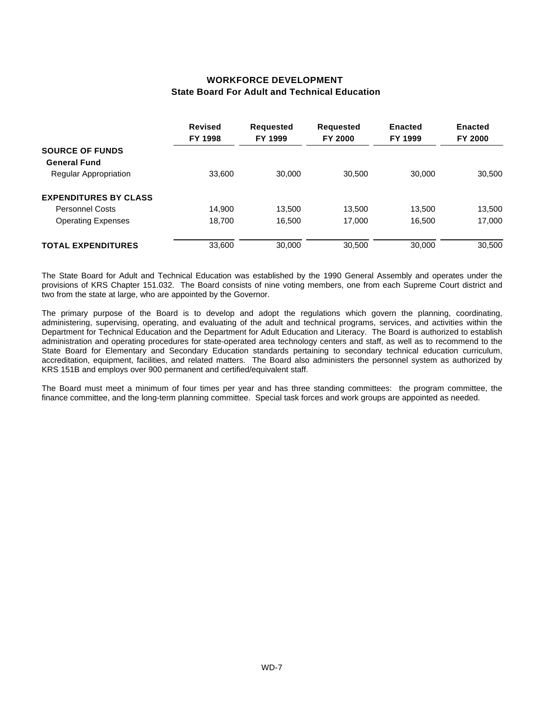## **WORKFORCE DEVELOPMENT State Board For Adult and Technical Education**

|                              | <b>Revised</b><br>FY 1998 | Requested<br>FY 1999 | <b>Requested</b><br>FY 2000 | <b>Enacted</b><br>FY 1999 | <b>Enacted</b><br>FY 2000 |
|------------------------------|---------------------------|----------------------|-----------------------------|---------------------------|---------------------------|
| <b>SOURCE OF FUNDS</b>       |                           |                      |                             |                           |                           |
| <b>General Fund</b>          |                           |                      |                             |                           |                           |
| <b>Regular Appropriation</b> | 33,600                    | 30,000               | 30,500                      | 30,000                    | 30,500                    |
| <b>EXPENDITURES BY CLASS</b> |                           |                      |                             |                           |                           |
| <b>Personnel Costs</b>       | 14,900                    | 13,500               | 13,500                      | 13.500                    | 13,500                    |
| <b>Operating Expenses</b>    | 18.700                    | 16,500               | 17.000                      | 16,500                    | 17,000                    |
| <b>TOTAL EXPENDITURES</b>    | 33,600                    | 30,000               | 30,500                      | 30,000                    | 30,500                    |

The State Board for Adult and Technical Education was established by the 1990 General Assembly and operates under the provisions of KRS Chapter 151.032. The Board consists of nine voting members, one from each Supreme Court district and two from the state at large, who are appointed by the Governor.

The primary purpose of the Board is to develop and adopt the regulations which govern the planning, coordinating, administering, supervising, operating, and evaluating of the adult and technical programs, services, and activities within the Department for Technical Education and the Department for Adult Education and Literacy. The Board is authorized to establish administration and operating procedures for state-operated area technology centers and staff, as well as to recommend to the State Board for Elementary and Secondary Education standards pertaining to secondary technical education curriculum, accreditation, equipment, facilities, and related matters. The Board also administers the personnel system as authorized by KRS 151B and employs over 900 permanent and certified/equivalent staff.

The Board must meet a minimum of four times per year and has three standing committees: the program committee, the finance committee, and the long-term planning committee. Special task forces and work groups are appointed as needed.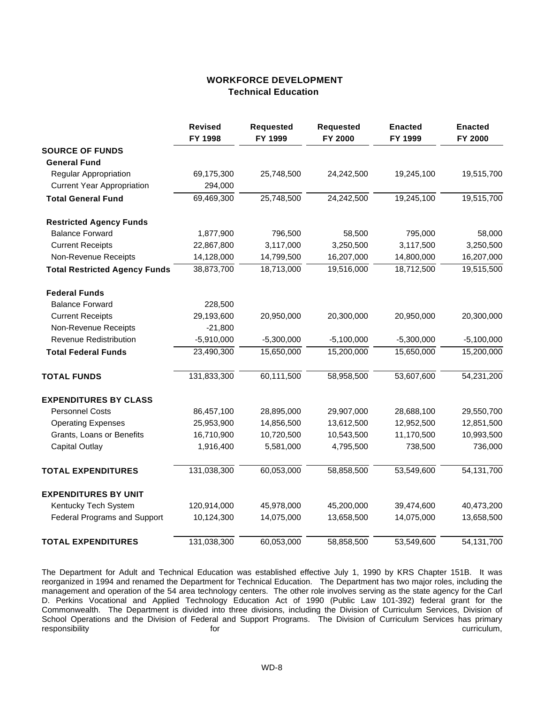### **WORKFORCE DEVELOPMENT Technical Education**

|                                      | <b>Revised</b><br>FY 1998 | <b>Requested</b><br>FY 1999 | <b>Requested</b><br>FY 2000 | <b>Enacted</b><br>FY 1999 | <b>Enacted</b><br>FY 2000 |
|--------------------------------------|---------------------------|-----------------------------|-----------------------------|---------------------------|---------------------------|
| <b>SOURCE OF FUNDS</b>               |                           |                             |                             |                           |                           |
| <b>General Fund</b>                  |                           |                             |                             |                           |                           |
| Regular Appropriation                | 69,175,300                | 25,748,500                  | 24,242,500                  | 19,245,100                | 19,515,700                |
| <b>Current Year Appropriation</b>    | 294,000                   |                             |                             |                           |                           |
| <b>Total General Fund</b>            | 69,469,300                | 25,748,500                  | 24,242,500                  | 19,245,100                | 19,515,700                |
| <b>Restricted Agency Funds</b>       |                           |                             |                             |                           |                           |
| <b>Balance Forward</b>               | 1,877,900                 | 796,500                     | 58,500                      | 795,000                   | 58,000                    |
| <b>Current Receipts</b>              | 22,867,800                | 3,117,000                   | 3,250,500                   | 3,117,500                 | 3,250,500                 |
| Non-Revenue Receipts                 | 14,128,000                | 14,799,500                  | 16,207,000                  | 14,800,000                | 16,207,000                |
| <b>Total Restricted Agency Funds</b> | 38,873,700                | 18,713,000                  | 19,516,000                  | 18,712,500                | 19,515,500                |
| <b>Federal Funds</b>                 |                           |                             |                             |                           |                           |
| <b>Balance Forward</b>               | 228,500                   |                             |                             |                           |                           |
| <b>Current Receipts</b>              | 29,193,600                | 20,950,000                  | 20,300,000                  | 20,950,000                | 20,300,000                |
| Non-Revenue Receipts                 | $-21,800$                 |                             |                             |                           |                           |
| Revenue Redistribution               | $-5,910,000$              | $-5,300,000$                | $-5,100,000$                | $-5,300,000$              | $-5,100,000$              |
| <b>Total Federal Funds</b>           | 23,490,300                | 15,650,000                  | 15,200,000                  | 15,650,000                | 15,200,000                |
| <b>TOTAL FUNDS</b>                   | 131,833,300               | 60,111,500                  | 58,958,500                  | 53,607,600                | 54,231,200                |
| <b>EXPENDITURES BY CLASS</b>         |                           |                             |                             |                           |                           |
| <b>Personnel Costs</b>               | 86,457,100                | 28,895,000                  | 29,907,000                  | 28,688,100                | 29,550,700                |
| <b>Operating Expenses</b>            | 25,953,900                | 14,856,500                  | 13,612,500                  | 12,952,500                | 12,851,500                |
| Grants, Loans or Benefits            | 16,710,900                | 10,720,500                  | 10,543,500                  | 11,170,500                | 10,993,500                |
| <b>Capital Outlay</b>                | 1,916,400                 | 5,581,000                   | 4,795,500                   | 738,500                   | 736,000                   |
| <b>TOTAL EXPENDITURES</b>            | 131,038,300               | 60,053,000                  | 58,858,500                  | 53,549,600                | 54,131,700                |
| <b>EXPENDITURES BY UNIT</b>          |                           |                             |                             |                           |                           |
| Kentucky Tech System                 | 120,914,000               | 45,978,000                  | 45,200,000                  | 39,474,600                | 40,473,200                |
| <b>Federal Programs and Support</b>  | 10,124,300                | 14,075,000                  | 13,658,500                  | 14,075,000                | 13,658,500                |
| <b>TOTAL EXPENDITURES</b>            | 131,038,300               | 60,053,000                  | 58,858,500                  | 53,549,600                | 54,131,700                |

The Department for Adult and Technical Education was established effective July 1, 1990 by KRS Chapter 151B. It was reorganized in 1994 and renamed the Department for Technical Education. The Department has two major roles, including the management and operation of the 54 area technology centers. The other role involves serving as the state agency for the Carl D. Perkins Vocational and Applied Technology Education Act of 1990 (Public Law 101-392) federal grant for the Commonwealth. The Department is divided into three divisions, including the Division of Curriculum Services, Division of School Operations and the Division of Federal and Support Programs. The Division of Curriculum Services has primary<br>responsibility curriculum, for responsibility for curriculum,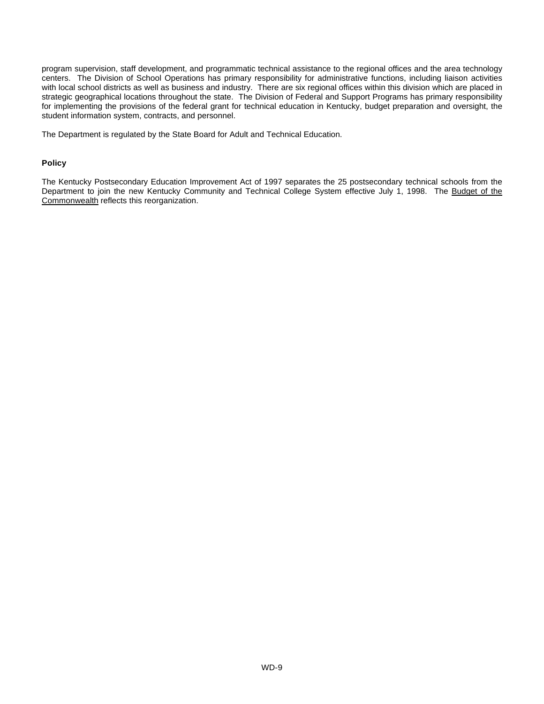program supervision, staff development, and programmatic technical assistance to the regional offices and the area technology centers. The Division of School Operations has primary responsibility for administrative functions, including liaison activities with local school districts as well as business and industry. There are six regional offices within this division which are placed in strategic geographical locations throughout the state. The Division of Federal and Support Programs has primary responsibility for implementing the provisions of the federal grant for technical education in Kentucky, budget preparation and oversight, the student information system, contracts, and personnel.

The Department is regulated by the State Board for Adult and Technical Education.

#### **Policy**

The Kentucky Postsecondary Education Improvement Act of 1997 separates the 25 postsecondary technical schools from the Department to join the new Kentucky Community and Technical College System effective July 1, 1998. The Budget of the Commonwealth reflects this reorganization.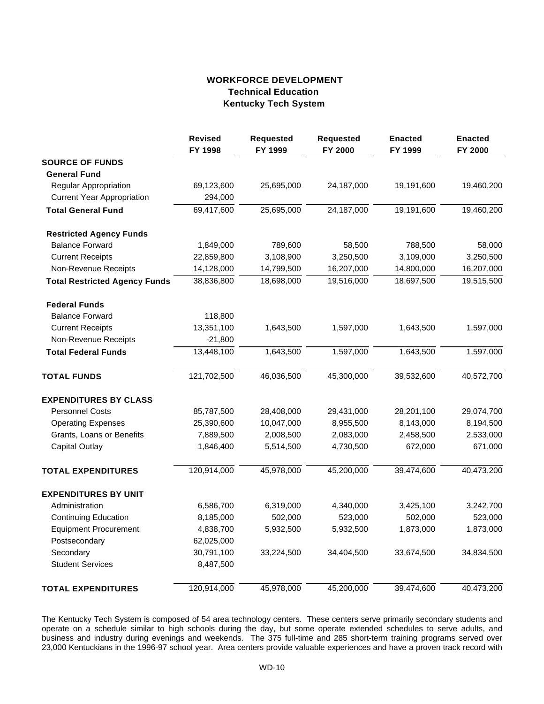## **WORKFORCE DEVELOPMENT Technical Education Kentucky Tech System**

|                                      | <b>Revised</b><br>FY 1998 | <b>Requested</b><br>FY 1999 | <b>Requested</b><br>FY 2000 | <b>Enacted</b><br>FY 1999 | <b>Enacted</b><br>FY 2000 |
|--------------------------------------|---------------------------|-----------------------------|-----------------------------|---------------------------|---------------------------|
| <b>SOURCE OF FUNDS</b>               |                           |                             |                             |                           |                           |
| <b>General Fund</b>                  |                           |                             |                             |                           |                           |
| Regular Appropriation                | 69,123,600                | 25,695,000                  | 24,187,000                  | 19,191,600                | 19,460,200                |
| <b>Current Year Appropriation</b>    | 294,000                   |                             |                             |                           |                           |
| <b>Total General Fund</b>            | 69,417,600                | 25,695,000                  | 24,187,000                  | 19,191,600                | 19,460,200                |
| <b>Restricted Agency Funds</b>       |                           |                             |                             |                           |                           |
| <b>Balance Forward</b>               | 1,849,000                 | 789,600                     | 58,500                      | 788,500                   | 58,000                    |
| <b>Current Receipts</b>              | 22,859,800                | 3,108,900                   | 3,250,500                   | 3,109,000                 | 3,250,500                 |
| Non-Revenue Receipts                 | 14,128,000                | 14,799,500                  | 16,207,000                  | 14,800,000                | 16,207,000                |
| <b>Total Restricted Agency Funds</b> | 38,836,800                | 18,698,000                  | 19,516,000                  | 18,697,500                | 19,515,500                |
| <b>Federal Funds</b>                 |                           |                             |                             |                           |                           |
| <b>Balance Forward</b>               | 118,800                   |                             |                             |                           |                           |
| <b>Current Receipts</b>              | 13,351,100                | 1,643,500                   | 1,597,000                   | 1,643,500                 | 1,597,000                 |
| Non-Revenue Receipts                 | $-21,800$                 |                             |                             |                           |                           |
| <b>Total Federal Funds</b>           | 13,448,100                | 1,643,500                   | 1,597,000                   | 1,643,500                 | 1,597,000                 |
| <b>TOTAL FUNDS</b>                   | 121,702,500               | 46,036,500                  | 45,300,000                  | 39,532,600                | 40,572,700                |
| <b>EXPENDITURES BY CLASS</b>         |                           |                             |                             |                           |                           |
| <b>Personnel Costs</b>               | 85,787,500                | 28,408,000                  | 29,431,000                  | 28,201,100                | 29,074,700                |
| <b>Operating Expenses</b>            | 25,390,600                | 10,047,000                  | 8,955,500                   | 8,143,000                 | 8,194,500                 |
| Grants, Loans or Benefits            | 7,889,500                 | 2,008,500                   | 2,083,000                   | 2,458,500                 | 2,533,000                 |
| <b>Capital Outlay</b>                | 1,846,400                 | 5,514,500                   | 4,730,500                   | 672,000                   | 671,000                   |
| <b>TOTAL EXPENDITURES</b>            | 120,914,000               | 45,978,000                  | 45,200,000                  | 39,474,600                | 40,473,200                |
| <b>EXPENDITURES BY UNIT</b>          |                           |                             |                             |                           |                           |
| Administration                       | 6,586,700                 | 6,319,000                   | 4,340,000                   | 3,425,100                 | 3,242,700                 |
| <b>Continuing Education</b>          | 8,185,000                 | 502,000                     | 523,000                     | 502,000                   | 523,000                   |
| <b>Equipment Procurement</b>         | 4,838,700                 | 5,932,500                   | 5,932,500                   | 1,873,000                 | 1,873,000                 |
| Postsecondary                        | 62,025,000                |                             |                             |                           |                           |
| Secondary                            | 30,791,100                | 33,224,500                  | 34,404,500                  | 33,674,500                | 34,834,500                |
| <b>Student Services</b>              | 8,487,500                 |                             |                             |                           |                           |
| <b>TOTAL EXPENDITURES</b>            | 120,914,000               | 45,978,000                  | 45,200,000                  | 39,474,600                | 40,473,200                |

The Kentucky Tech System is composed of 54 area technology centers. These centers serve primarily secondary students and operate on a schedule similar to high schools during the day, but some operate extended schedules to serve adults, and business and industry during evenings and weekends. The 375 full-time and 285 short-term training programs served over 23,000 Kentuckians in the 1996-97 school year. Area centers provide valuable experiences and have a proven track record with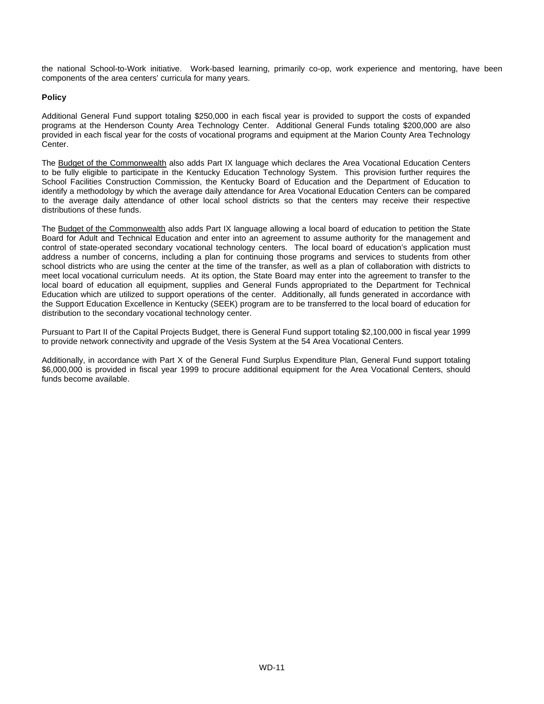the national School-to-Work initiative. Work-based learning, primarily co-op, work experience and mentoring, have been components of the area centers' curricula for many years.

#### **Policy**

Additional General Fund support totaling \$250,000 in each fiscal year is provided to support the costs of expanded programs at the Henderson County Area Technology Center. Additional General Funds totaling \$200,000 are also provided in each fiscal year for the costs of vocational programs and equipment at the Marion County Area Technology Center.

The Budget of the Commonwealth also adds Part IX language which declares the Area Vocational Education Centers to be fully eligible to participate in the Kentucky Education Technology System. This provision further requires the School Facilities Construction Commission, the Kentucky Board of Education and the Department of Education to identify a methodology by which the average daily attendance for Area Vocational Education Centers can be compared to the average daily attendance of other local school districts so that the centers may receive their respective distributions of these funds.

The Budget of the Commonwealth also adds Part IX language allowing a local board of education to petition the State Board for Adult and Technical Education and enter into an agreement to assume authority for the management and control of state-operated secondary vocational technology centers. The local board of education's application must address a number of concerns, including a plan for continuing those programs and services to students from other school districts who are using the center at the time of the transfer, as well as a plan of collaboration with districts to meet local vocational curriculum needs. At its option, the State Board may enter into the agreement to transfer to the local board of education all equipment, supplies and General Funds appropriated to the Department for Technical Education which are utilized to support operations of the center. Additionally, all funds generated in accordance with the Support Education Excellence in Kentucky (SEEK) program are to be transferred to the local board of education for distribution to the secondary vocational technology center.

Pursuant to Part II of the Capital Projects Budget, there is General Fund support totaling \$2,100,000 in fiscal year 1999 to provide network connectivity and upgrade of the Vesis System at the 54 Area Vocational Centers.

Additionally, in accordance with Part X of the General Fund Surplus Expenditure Plan, General Fund support totaling \$6,000,000 is provided in fiscal year 1999 to procure additional equipment for the Area Vocational Centers, should funds become available.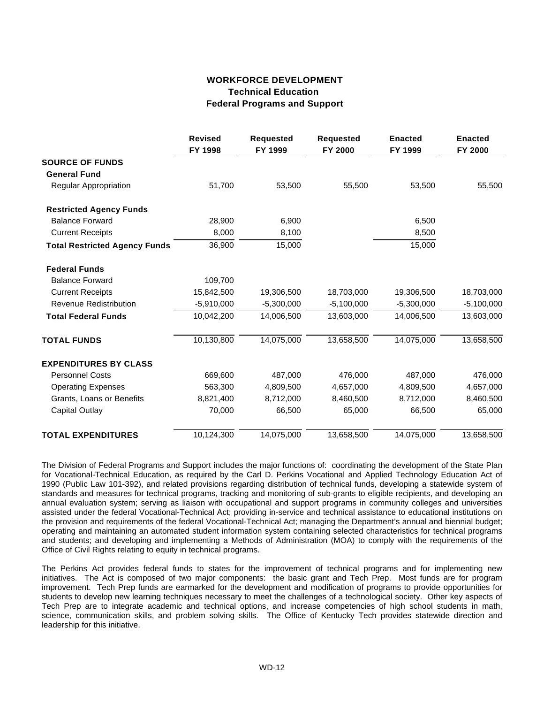## **WORKFORCE DEVELOPMENT Technical Education Federal Programs and Support**

|                                      | <b>Revised</b><br>FY 1998 | <b>Requested</b><br>FY 1999 | <b>Requested</b><br><b>FY 2000</b> | <b>Enacted</b><br>FY 1999 | <b>Enacted</b><br>FY 2000 |
|--------------------------------------|---------------------------|-----------------------------|------------------------------------|---------------------------|---------------------------|
| <b>SOURCE OF FUNDS</b>               |                           |                             |                                    |                           |                           |
| <b>General Fund</b>                  |                           |                             |                                    |                           |                           |
| <b>Regular Appropriation</b>         | 51,700                    | 53,500                      | 55,500                             | 53,500                    | 55,500                    |
| <b>Restricted Agency Funds</b>       |                           |                             |                                    |                           |                           |
| <b>Balance Forward</b>               | 28,900                    | 6,900                       |                                    | 6,500                     |                           |
| <b>Current Receipts</b>              | 8,000                     | 8,100                       |                                    | 8,500                     |                           |
| <b>Total Restricted Agency Funds</b> | 36,900                    | 15,000                      |                                    | 15,000                    |                           |
| <b>Federal Funds</b>                 |                           |                             |                                    |                           |                           |
| <b>Balance Forward</b>               | 109,700                   |                             |                                    |                           |                           |
| <b>Current Receipts</b>              | 15,842,500                | 19,306,500                  | 18,703,000                         | 19,306,500                | 18,703,000                |
| <b>Revenue Redistribution</b>        | $-5,910,000$              | $-5,300,000$                | $-5,100,000$                       | $-5,300,000$              | $-5,100,000$              |
| <b>Total Federal Funds</b>           | 10,042,200                | 14,006,500                  | 13,603,000                         | 14,006,500                | 13,603,000                |
| <b>TOTAL FUNDS</b>                   | 10,130,800                | 14,075,000                  | 13,658,500                         | 14,075,000                | 13,658,500                |
| <b>EXPENDITURES BY CLASS</b>         |                           |                             |                                    |                           |                           |
| <b>Personnel Costs</b>               | 669,600                   | 487,000                     | 476,000                            | 487,000                   | 476,000                   |
| <b>Operating Expenses</b>            | 563,300                   | 4,809,500                   | 4,657,000                          | 4,809,500                 | 4,657,000                 |
| Grants, Loans or Benefits            | 8,821,400                 | 8,712,000                   | 8,460,500                          | 8,712,000                 | 8,460,500                 |
| <b>Capital Outlay</b>                | 70,000                    | 66,500                      | 65,000                             | 66,500                    | 65,000                    |
| <b>TOTAL EXPENDITURES</b>            | 10,124,300                | 14,075,000                  | 13,658,500                         | 14,075,000                | 13,658,500                |

The Division of Federal Programs and Support includes the major functions of: coordinating the development of the State Plan for Vocational-Technical Education, as required by the Carl D. Perkins Vocational and Applied Technology Education Act of 1990 (Public Law 101-392), and related provisions regarding distribution of technical funds, developing a statewide system of standards and measures for technical programs, tracking and monitoring of sub-grants to eligible recipients, and developing an annual evaluation system; serving as liaison with occupational and support programs in community colleges and universities assisted under the federal Vocational-Technical Act; providing in-service and technical assistance to educational institutions on the provision and requirements of the federal Vocational-Technical Act; managing the Department's annual and biennial budget; operating and maintaining an automated student information system containing selected characteristics for technical programs and students; and developing and implementing a Methods of Administration (MOA) to comply with the requirements of the Office of Civil Rights relating to equity in technical programs.

The Perkins Act provides federal funds to states for the improvement of technical programs and for implementing new initiatives. The Act is composed of two major components: the basic grant and Tech Prep. Most funds are for program improvement. Tech Prep funds are earmarked for the development and modification of programs to provide opportunities for students to develop new learning techniques necessary to meet the challenges of a technological society. Other key aspects of Tech Prep are to integrate academic and technical options, and increase competencies of high school students in math, science, communication skills, and problem solving skills. The Office of Kentucky Tech provides statewide direction and leadership for this initiative.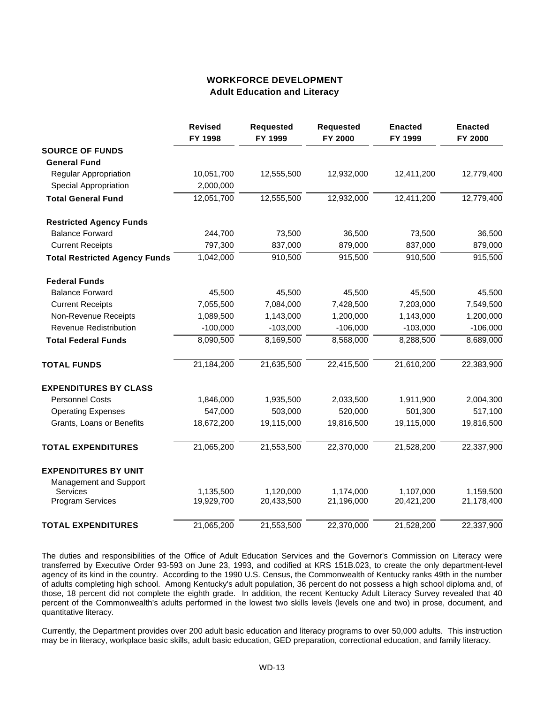### **WORKFORCE DEVELOPMENT Adult Education and Literacy**

|                                      | <b>Revised</b><br>FY 1998 | <b>Requested</b><br>FY 1999 | <b>Requested</b><br>FY 2000 | <b>Enacted</b><br>FY 1999 | <b>Enacted</b><br>FY 2000 |
|--------------------------------------|---------------------------|-----------------------------|-----------------------------|---------------------------|---------------------------|
| <b>SOURCE OF FUNDS</b>               |                           |                             |                             |                           |                           |
| <b>General Fund</b>                  |                           |                             |                             |                           |                           |
| <b>Regular Appropriation</b>         | 10,051,700                | 12,555,500                  | 12,932,000                  | 12,411,200                | 12,779,400                |
| Special Appropriation                | 2,000,000                 |                             |                             |                           |                           |
| <b>Total General Fund</b>            | 12,051,700                | 12,555,500                  | 12,932,000                  | 12,411,200                | 12,779,400                |
| <b>Restricted Agency Funds</b>       |                           |                             |                             |                           |                           |
| <b>Balance Forward</b>               | 244,700                   | 73,500                      | 36,500                      | 73,500                    | 36,500                    |
| <b>Current Receipts</b>              | 797,300                   | 837,000                     | 879,000                     | 837,000                   | 879,000                   |
| <b>Total Restricted Agency Funds</b> | 1,042,000                 | 910,500                     | 915,500                     | 910,500                   | 915,500                   |
| <b>Federal Funds</b>                 |                           |                             |                             |                           |                           |
| <b>Balance Forward</b>               | 45,500                    | 45,500                      | 45,500                      | 45,500                    | 45,500                    |
| <b>Current Receipts</b>              | 7,055,500                 | 7,084,000                   | 7,428,500                   | 7,203,000                 | 7,549,500                 |
| Non-Revenue Receipts                 | 1,089,500                 | 1,143,000                   | 1,200,000                   | 1,143,000                 | 1,200,000                 |
| <b>Revenue Redistribution</b>        | $-100,000$                | $-103,000$                  | $-106,000$                  | $-103,000$                | $-106,000$                |
| <b>Total Federal Funds</b>           | 8,090,500                 | 8,169,500                   | 8,568,000                   | 8,288,500                 | 8,689,000                 |
| <b>TOTAL FUNDS</b>                   | 21,184,200                | 21,635,500                  | 22,415,500                  | 21,610,200                | 22,383,900                |
| <b>EXPENDITURES BY CLASS</b>         |                           |                             |                             |                           |                           |
| <b>Personnel Costs</b>               | 1,846,000                 | 1,935,500                   | 2,033,500                   | 1,911,900                 | 2,004,300                 |
| <b>Operating Expenses</b>            | 547,000                   | 503,000                     | 520,000                     | 501,300                   | 517,100                   |
| Grants, Loans or Benefits            | 18,672,200                | 19,115,000                  | 19,816,500                  | 19,115,000                | 19,816,500                |
| <b>TOTAL EXPENDITURES</b>            | 21,065,200                | 21,553,500                  | 22,370,000                  | 21,528,200                | 22,337,900                |
| <b>EXPENDITURES BY UNIT</b>          |                           |                             |                             |                           |                           |
| Management and Support               |                           |                             |                             |                           |                           |
| <b>Services</b>                      | 1,135,500                 | 1,120,000                   | 1,174,000                   | 1,107,000                 | 1,159,500                 |
| <b>Program Services</b>              | 19,929,700                | 20,433,500                  | 21,196,000                  | 20,421,200                | 21,178,400                |
| <b>TOTAL EXPENDITURES</b>            | 21,065,200                | 21,553,500                  | 22,370,000                  | 21,528,200                | 22,337,900                |

The duties and responsibilities of the Office of Adult Education Services and the Governor's Commission on Literacy were transferred by Executive Order 93-593 on June 23, 1993, and codified at KRS 151B.023, to create the only department-level agency of its kind in the country. According to the 1990 U.S. Census, the Commonwealth of Kentucky ranks 49th in the number of adults completing high school. Among Kentucky's adult population, 36 percent do not possess a high school diploma and, of those, 18 percent did not complete the eighth grade. In addition, the recent Kentucky Adult Literacy Survey revealed that 40 percent of the Commonwealth's adults performed in the lowest two skills levels (levels one and two) in prose, document, and quantitative literacy.

Currently, the Department provides over 200 adult basic education and literacy programs to over 50,000 adults. This instruction may be in literacy, workplace basic skills, adult basic education, GED preparation, correctional education, and family literacy.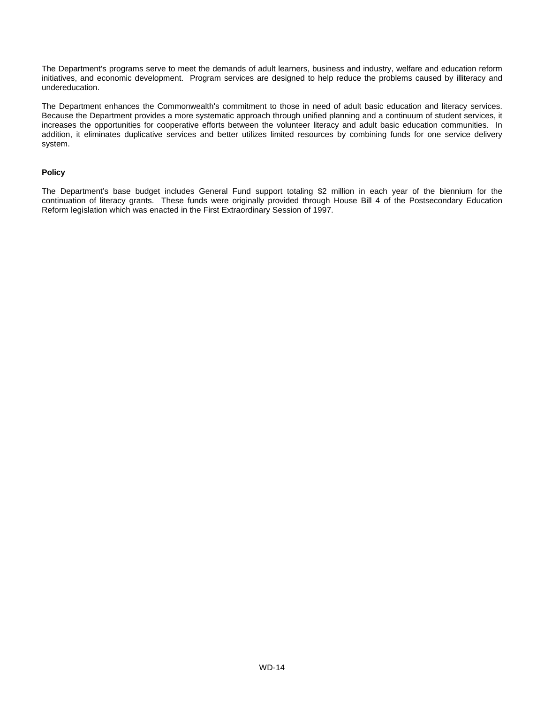The Department's programs serve to meet the demands of adult learners, business and industry, welfare and education reform initiatives, and economic development. Program services are designed to help reduce the problems caused by illiteracy and undereducation.

The Department enhances the Commonwealth's commitment to those in need of adult basic education and literacy services. Because the Department provides a more systematic approach through unified planning and a continuum of student services, it increases the opportunities for cooperative efforts between the volunteer literacy and adult basic education communities. In addition, it eliminates duplicative services and better utilizes limited resources by combining funds for one service delivery system.

#### **Policy**

The Department's base budget includes General Fund support totaling \$2 million in each year of the biennium for the continuation of literacy grants. These funds were originally provided through House Bill 4 of the Postsecondary Education Reform legislation which was enacted in the First Extraordinary Session of 1997.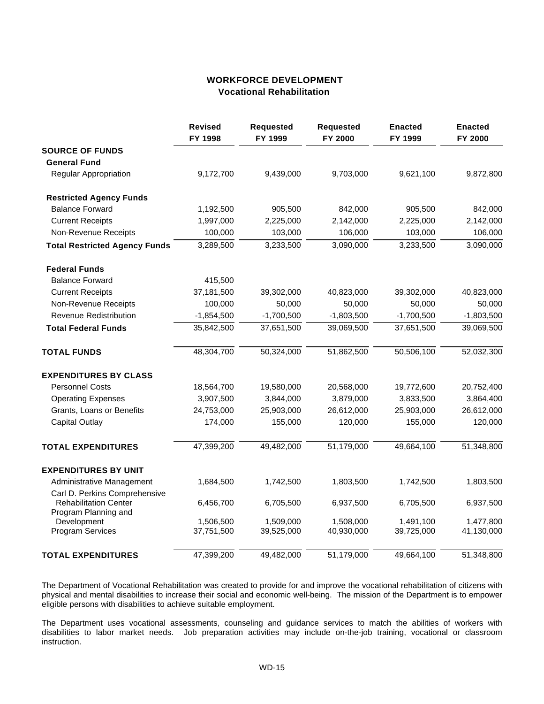## **WORKFORCE DEVELOPMENT Vocational Rehabilitation**

|                                                      | <b>Revised</b><br>FY 1998 | <b>Requested</b><br>FY 1999 | <b>Requested</b><br>FY 2000 | <b>Enacted</b><br>FY 1999 | <b>Enacted</b><br>FY 2000 |
|------------------------------------------------------|---------------------------|-----------------------------|-----------------------------|---------------------------|---------------------------|
| <b>SOURCE OF FUNDS</b>                               |                           |                             |                             |                           |                           |
| <b>General Fund</b>                                  |                           |                             |                             |                           |                           |
| Regular Appropriation                                | 9,172,700                 | 9,439,000                   | 9,703,000                   | 9,621,100                 | 9,872,800                 |
| <b>Restricted Agency Funds</b>                       |                           |                             |                             |                           |                           |
| <b>Balance Forward</b>                               | 1,192,500                 | 905,500                     | 842,000                     | 905,500                   | 842,000                   |
| <b>Current Receipts</b>                              | 1,997,000                 | 2,225,000                   | 2,142,000                   | 2,225,000                 | 2,142,000                 |
| Non-Revenue Receipts                                 | 100,000                   | 103,000                     | 106,000                     | 103,000                   | 106,000                   |
| <b>Total Restricted Agency Funds</b>                 | 3,289,500                 | 3,233,500                   | 3,090,000                   | 3,233,500                 | 3,090,000                 |
| <b>Federal Funds</b>                                 |                           |                             |                             |                           |                           |
| <b>Balance Forward</b>                               | 415,500                   |                             |                             |                           |                           |
| <b>Current Receipts</b>                              | 37,181,500                | 39,302,000                  | 40,823,000                  | 39,302,000                | 40,823,000                |
| Non-Revenue Receipts                                 | 100,000                   | 50,000                      | 50,000                      | 50,000                    | 50,000                    |
| <b>Revenue Redistribution</b>                        | $-1,854,500$              | $-1,700,500$                | $-1,803,500$                | $-1,700,500$              | $-1,803,500$              |
| <b>Total Federal Funds</b>                           | 35,842,500                | 37,651,500                  | 39,069,500                  | 37,651,500                | 39,069,500                |
| <b>TOTAL FUNDS</b>                                   | 48,304,700                | 50,324,000                  | 51,862,500                  | 50,506,100                | 52,032,300                |
| <b>EXPENDITURES BY CLASS</b>                         |                           |                             |                             |                           |                           |
| <b>Personnel Costs</b>                               | 18,564,700                | 19,580,000                  | 20,568,000                  | 19,772,600                | 20,752,400                |
| <b>Operating Expenses</b>                            | 3,907,500                 | 3,844,000                   | 3,879,000                   | 3,833,500                 | 3,864,400                 |
| Grants, Loans or Benefits                            | 24,753,000                | 25,903,000                  | 26,612,000                  | 25,903,000                | 26,612,000                |
| <b>Capital Outlay</b>                                | 174,000                   | 155,000                     | 120,000                     | 155,000                   | 120,000                   |
| <b>TOTAL EXPENDITURES</b>                            | 47,399,200                | 49,482,000                  | 51,179,000                  | 49,664,100                | 51,348,800                |
| <b>EXPENDITURES BY UNIT</b>                          |                           |                             |                             |                           |                           |
| Administrative Management                            | 1,684,500                 | 1,742,500                   | 1,803,500                   | 1,742,500                 | 1,803,500                 |
| Carl D. Perkins Comprehensive                        |                           |                             |                             |                           |                           |
| <b>Rehabilitation Center</b><br>Program Planning and | 6,456,700                 | 6,705,500                   | 6,937,500                   | 6,705,500                 | 6,937,500                 |
| Development                                          | 1,506,500                 | 1,509,000                   | 1,508,000                   | 1,491,100                 | 1,477,800                 |
| <b>Program Services</b>                              | 37,751,500                | 39,525,000                  | 40,930,000                  | 39,725,000                | 41,130,000                |
| <b>TOTAL EXPENDITURES</b>                            | 47,399,200                | 49,482,000                  | 51,179,000                  | 49,664,100                | 51,348,800                |

The Department of Vocational Rehabilitation was created to provide for and improve the vocational rehabilitation of citizens with physical and mental disabilities to increase their social and economic well-being. The mission of the Department is to empower eligible persons with disabilities to achieve suitable employment.

The Department uses vocational assessments, counseling and guidance services to match the abilities of workers with disabilities to labor market needs. Job preparation activities may include on-the-job training, vocational or classroom instruction.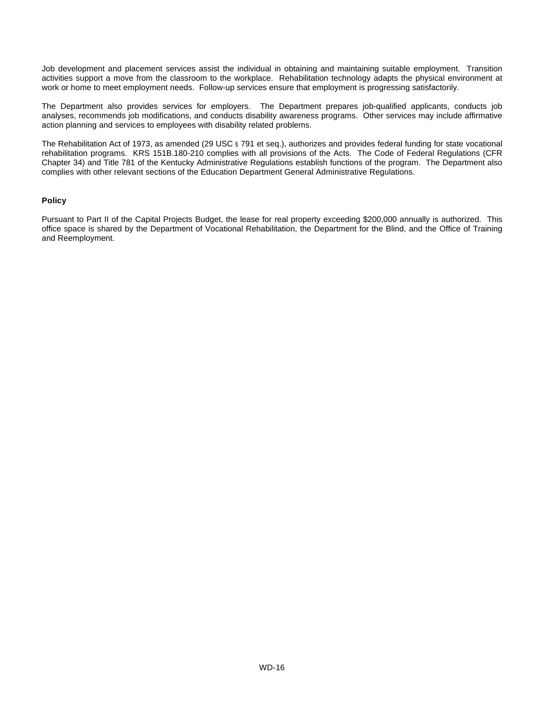Job development and placement services assist the individual in obtaining and maintaining suitable employment. Transition activities support a move from the classroom to the workplace. Rehabilitation technology adapts the physical environment at work or home to meet employment needs. Follow-up services ensure that employment is progressing satisfactorily.

The Department also provides services for employers. The Department prepares job-qualified applicants, conducts job analyses, recommends job modifications, and conducts disability awareness programs. Other services may include affirmative action planning and services to employees with disability related problems.

The Rehabilitation Act of 1973, as amended (29 USC § 791 et seq.), authorizes and provides federal funding for state vocational rehabilitation programs. KRS 151B.180-210 complies with all provisions of the Acts. The Code of Federal Regulations (CFR Chapter 34) and Title 781 of the Kentucky Administrative Regulations establish functions of the program. The Department also complies with other relevant sections of the Education Department General Administrative Regulations.

#### **Policy**

Pursuant to Part II of the Capital Projects Budget, the lease for real property exceeding \$200,000 annually is authorized. This office space is shared by the Department of Vocational Rehabilitation, the Department for the Blind, and the Office of Training and Reemployment.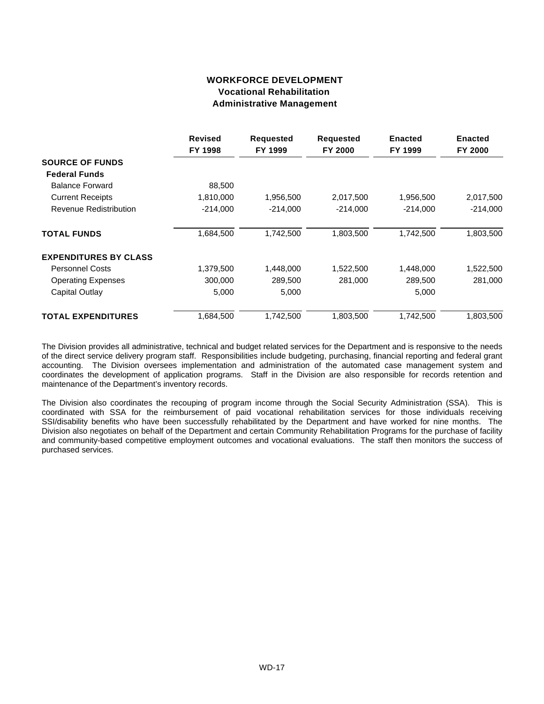## **WORKFORCE DEVELOPMENT Vocational Rehabilitation Administrative Management**

|                              | <b>Revised</b> | <b>Requested</b><br><b>Requested</b> |            | <b>Enacted</b> | <b>Enacted</b> |
|------------------------------|----------------|--------------------------------------|------------|----------------|----------------|
|                              | FY 1998        | FY 1999                              | FY 2000    | FY 1999        | FY 2000        |
| <b>SOURCE OF FUNDS</b>       |                |                                      |            |                |                |
| <b>Federal Funds</b>         |                |                                      |            |                |                |
| <b>Balance Forward</b>       | 88,500         |                                      |            |                |                |
| <b>Current Receipts</b>      | 1,810,000      | 1,956,500                            | 2,017,500  | 1,956,500      | 2,017,500      |
| Revenue Redistribution       | $-214,000$     | $-214.000$                           | $-214,000$ | $-214,000$     | $-214,000$     |
| <b>TOTAL FUNDS</b>           | 1,684,500      | 1,742,500                            | 1,803,500  | 1,742,500      | 1,803,500      |
| <b>EXPENDITURES BY CLASS</b> |                |                                      |            |                |                |
| <b>Personnel Costs</b>       | 1,379,500      | 1,448,000                            | 1,522,500  | 1,448,000      | 1,522,500      |
| <b>Operating Expenses</b>    | 300,000        | 289,500                              | 281,000    | 289,500        | 281,000        |
| Capital Outlay               | 5,000          | 5,000                                |            | 5,000          |                |
| <b>TOTAL EXPENDITURES</b>    | 1,684,500      | 1,742,500                            | 1,803,500  | 1,742,500      | 1,803,500      |

The Division provides all administrative, technical and budget related services for the Department and is responsive to the needs of the direct service delivery program staff. Responsibilities include budgeting, purchasing, financial reporting and federal grant accounting. The Division oversees implementation and administration of the automated case management system and coordinates the development of application programs. Staff in the Division are also responsible for records retention and maintenance of the Department's inventory records.

The Division also coordinates the recouping of program income through the Social Security Administration (SSA). This is coordinated with SSA for the reimbursement of paid vocational rehabilitation services for those individuals receiving SSI/disability benefits who have been successfully rehabilitated by the Department and have worked for nine months. The Division also negotiates on behalf of the Department and certain Community Rehabilitation Programs for the purchase of facility and community-based competitive employment outcomes and vocational evaluations. The staff then monitors the success of purchased services.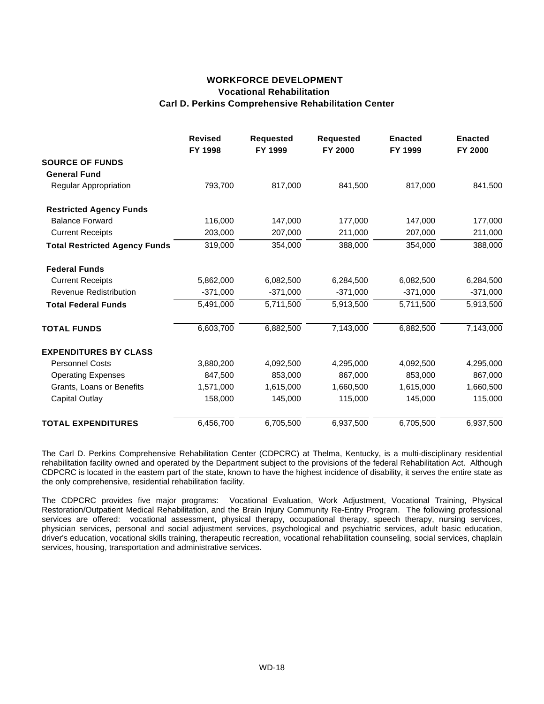### **WORKFORCE DEVELOPMENT Vocational Rehabilitation Carl D. Perkins Comprehensive Rehabilitation Center**

|                                      | <b>Revised</b><br>FY 1998 | <b>Requested</b><br>FY 1999 | <b>Requested</b><br>FY 2000 | <b>Enacted</b><br>FY 1999 | <b>Enacted</b><br>FY 2000 |
|--------------------------------------|---------------------------|-----------------------------|-----------------------------|---------------------------|---------------------------|
| <b>SOURCE OF FUNDS</b>               |                           |                             |                             |                           |                           |
| <b>General Fund</b>                  |                           |                             |                             |                           |                           |
| Regular Appropriation                | 793,700                   | 817,000                     | 841,500                     | 817,000                   | 841,500                   |
| <b>Restricted Agency Funds</b>       |                           |                             |                             |                           |                           |
| <b>Balance Forward</b>               | 116,000                   | 147,000                     | 177,000                     | 147,000                   | 177,000                   |
| <b>Current Receipts</b>              | 203,000                   | 207,000                     | 211,000                     | 207,000                   | 211,000                   |
| <b>Total Restricted Agency Funds</b> | 319,000                   | 354,000                     | 388,000                     | 354,000                   | 388,000                   |
| <b>Federal Funds</b>                 |                           |                             |                             |                           |                           |
| <b>Current Receipts</b>              | 5,862,000                 | 6,082,500                   | 6,284,500                   | 6,082,500                 | 6,284,500                 |
| Revenue Redistribution               | $-371,000$                | $-371,000$                  | $-371,000$                  | $-371,000$                | $-371,000$                |
| <b>Total Federal Funds</b>           | 5,491,000                 | 5,711,500                   | 5,913,500                   | 5,711,500                 | 5,913,500                 |
| <b>TOTAL FUNDS</b>                   | 6,603,700                 | 6,882,500                   | 7,143,000                   | 6,882,500                 | 7,143,000                 |
| <b>EXPENDITURES BY CLASS</b>         |                           |                             |                             |                           |                           |
| <b>Personnel Costs</b>               | 3,880,200                 | 4,092,500                   | 4,295,000                   | 4,092,500                 | 4,295,000                 |
| <b>Operating Expenses</b>            | 847,500                   | 853,000                     | 867,000                     | 853,000                   | 867,000                   |
| Grants, Loans or Benefits            | 1,571,000                 | 1,615,000                   | 1,660,500                   | 1,615,000                 | 1,660,500                 |
| <b>Capital Outlay</b>                | 158,000                   | 145,000                     | 115,000                     | 145,000                   | 115,000                   |
| <b>TOTAL EXPENDITURES</b>            | 6,456,700                 | 6,705,500                   | 6,937,500                   | 6,705,500                 | 6,937,500                 |

The Carl D. Perkins Comprehensive Rehabilitation Center (CDPCRC) at Thelma, Kentucky, is a multi-disciplinary residential rehabilitation facility owned and operated by the Department subject to the provisions of the federal Rehabilitation Act. Although CDPCRC is located in the eastern part of the state, known to have the highest incidence of disability, it serves the entire state as the only comprehensive, residential rehabilitation facility.

The CDPCRC provides five major programs: Vocational Evaluation, Work Adjustment, Vocational Training, Physical Restoration/Outpatient Medical Rehabilitation, and the Brain Injury Community Re-Entry Program. The following professional services are offered: vocational assessment, physical therapy, occupational therapy, speech therapy, nursing services, physician services, personal and social adjustment services, psychological and psychiatric services, adult basic education, driver's education, vocational skills training, therapeutic recreation, vocational rehabilitation counseling, social services, chaplain services, housing, transportation and administrative services.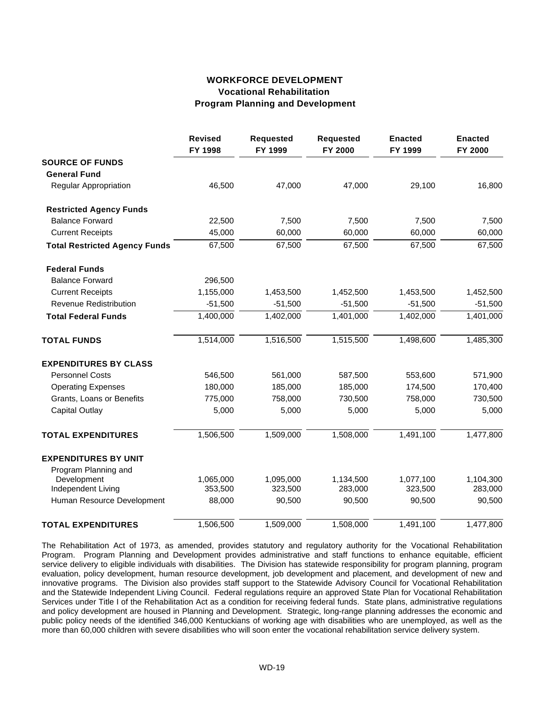## **WORKFORCE DEVELOPMENT Vocational Rehabilitation Program Planning and Development**

|                                      | <b>Revised</b><br>FY 1998 | <b>Requested</b><br>FY 1999 | <b>Requested</b><br>FY 2000 | <b>Enacted</b><br>FY 1999 | <b>Enacted</b><br>FY 2000 |
|--------------------------------------|---------------------------|-----------------------------|-----------------------------|---------------------------|---------------------------|
| <b>SOURCE OF FUNDS</b>               |                           |                             |                             |                           |                           |
| <b>General Fund</b>                  |                           |                             |                             |                           |                           |
| Regular Appropriation                | 46,500                    | 47,000                      | 47,000                      | 29,100                    | 16,800                    |
| <b>Restricted Agency Funds</b>       |                           |                             |                             |                           |                           |
| <b>Balance Forward</b>               | 22,500                    | 7,500                       | 7,500                       | 7,500                     | 7,500                     |
| <b>Current Receipts</b>              | 45,000                    | 60,000                      | 60,000                      | 60,000                    | 60,000                    |
| <b>Total Restricted Agency Funds</b> | 67,500                    | 67,500                      | 67,500                      | 67,500                    | 67,500                    |
| <b>Federal Funds</b>                 |                           |                             |                             |                           |                           |
| <b>Balance Forward</b>               | 296,500                   |                             |                             |                           |                           |
| <b>Current Receipts</b>              | 1,155,000                 | 1,453,500                   | 1,452,500                   | 1,453,500                 | 1,452,500                 |
| <b>Revenue Redistribution</b>        | $-51,500$                 | $-51,500$                   | $-51,500$                   | $-51,500$                 | $-51,500$                 |
| <b>Total Federal Funds</b>           | 1,400,000                 | 1,402,000                   | 1,401,000                   | 1,402,000                 | 1,401,000                 |
| <b>TOTAL FUNDS</b>                   | 1,514,000                 | 1,516,500                   | 1,515,500                   | 1,498,600                 | 1,485,300                 |
| <b>EXPENDITURES BY CLASS</b>         |                           |                             |                             |                           |                           |
| <b>Personnel Costs</b>               | 546,500                   | 561,000                     | 587,500                     | 553,600                   | 571,900                   |
| <b>Operating Expenses</b>            | 180,000                   | 185,000                     | 185,000                     | 174,500                   | 170,400                   |
| Grants, Loans or Benefits            | 775,000                   | 758,000                     | 730,500                     | 758,000                   | 730,500                   |
| <b>Capital Outlay</b>                | 5,000                     | 5,000                       | 5,000                       | 5,000                     | 5,000                     |
| <b>TOTAL EXPENDITURES</b>            | 1,506,500                 | 1,509,000                   | 1,508,000                   | 1,491,100                 | 1,477,800                 |
| <b>EXPENDITURES BY UNIT</b>          |                           |                             |                             |                           |                           |
| Program Planning and                 |                           |                             |                             |                           |                           |
| Development                          | 1,065,000                 | 1,095,000                   | 1,134,500                   | 1,077,100                 | 1,104,300                 |
| Independent Living                   | 353,500                   | 323,500                     | 283,000                     | 323,500                   | 283,000                   |
| Human Resource Development           | 88,000                    | 90,500                      | 90,500                      | 90,500                    | 90,500                    |
| <b>TOTAL EXPENDITURES</b>            | 1,506,500                 | 1,509,000                   | 1,508,000                   | 1,491,100                 | 1,477,800                 |

The Rehabilitation Act of 1973, as amended, provides statutory and regulatory authority for the Vocational Rehabilitation Program. Program Planning and Development provides administrative and staff functions to enhance equitable, efficient service delivery to eligible individuals with disabilities. The Division has statewide responsibility for program planning, program evaluation, policy development, human resource development, job development and placement, and development of new and innovative programs. The Division also provides staff support to the Statewide Advisory Council for Vocational Rehabilitation and the Statewide Independent Living Council. Federal regulations require an approved State Plan for Vocational Rehabilitation Services under Title I of the Rehabilitation Act as a condition for receiving federal funds. State plans, administrative regulations and policy development are housed in Planning and Development. Strategic, long-range planning addresses the economic and public policy needs of the identified 346,000 Kentuckians of working age with disabilities who are unemployed, as well as the more than 60,000 children with severe disabilities who will soon enter the vocational rehabilitation service delivery system.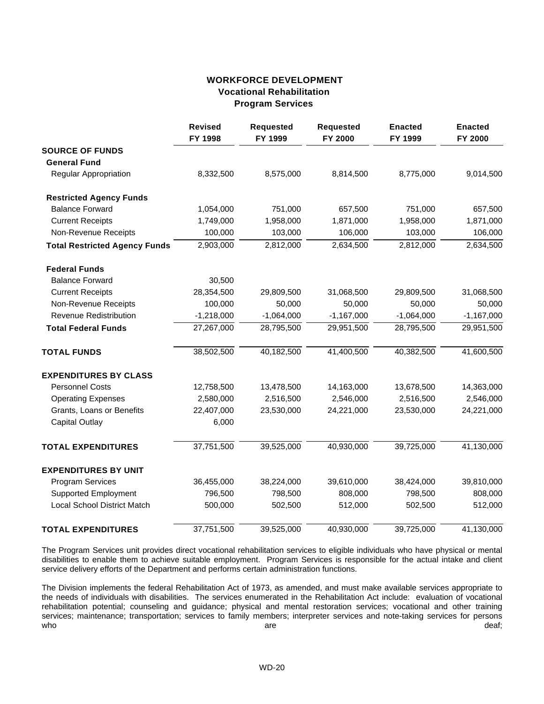## **WORKFORCE DEVELOPMENT Vocational Rehabilitation Program Services**

|                                      | <b>Revised</b><br>FY 1998 | <b>Requested</b><br>FY 1999 | <b>Requested</b><br>FY 2000 | <b>Enacted</b><br>FY 1999 | <b>Enacted</b><br>FY 2000 |
|--------------------------------------|---------------------------|-----------------------------|-----------------------------|---------------------------|---------------------------|
| <b>SOURCE OF FUNDS</b>               |                           |                             |                             |                           |                           |
| <b>General Fund</b>                  |                           |                             |                             |                           |                           |
| Regular Appropriation                | 8,332,500                 | 8,575,000                   | 8,814,500                   | 8,775,000                 | 9,014,500                 |
| <b>Restricted Agency Funds</b>       |                           |                             |                             |                           |                           |
| <b>Balance Forward</b>               | 1,054,000                 | 751,000                     | 657,500                     | 751,000                   | 657,500                   |
| <b>Current Receipts</b>              | 1,749,000                 | 1,958,000                   | 1,871,000                   | 1,958,000                 | 1,871,000                 |
| Non-Revenue Receipts                 | 100,000                   | 103,000                     | 106,000                     | 103,000                   | 106,000                   |
| <b>Total Restricted Agency Funds</b> | 2,903,000                 | 2,812,000                   | 2,634,500                   | 2,812,000                 | 2,634,500                 |
| <b>Federal Funds</b>                 |                           |                             |                             |                           |                           |
| <b>Balance Forward</b>               | 30,500                    |                             |                             |                           |                           |
| <b>Current Receipts</b>              | 28,354,500                | 29,809,500                  | 31,068,500                  | 29,809,500                | 31,068,500                |
| Non-Revenue Receipts                 | 100,000                   | 50,000                      | 50,000                      | 50,000                    | 50,000                    |
| <b>Revenue Redistribution</b>        | $-1,218,000$              | $-1,064,000$                | $-1,167,000$                | $-1,064,000$              | $-1,167,000$              |
| <b>Total Federal Funds</b>           | 27,267,000                | 28,795,500                  | 29,951,500                  | 28,795,500                | 29,951,500                |
| <b>TOTAL FUNDS</b>                   | 38,502,500                | 40,182,500                  | 41,400,500                  | 40,382,500                | 41,600,500                |
| <b>EXPENDITURES BY CLASS</b>         |                           |                             |                             |                           |                           |
| <b>Personnel Costs</b>               | 12,758,500                | 13,478,500                  | 14,163,000                  | 13,678,500                | 14,363,000                |
| <b>Operating Expenses</b>            | 2,580,000                 | 2,516,500                   | 2,546,000                   | 2,516,500                 | 2,546,000                 |
| Grants, Loans or Benefits            | 22,407,000                | 23,530,000                  | 24,221,000                  | 23,530,000                | 24,221,000                |
| <b>Capital Outlay</b>                | 6,000                     |                             |                             |                           |                           |
| <b>TOTAL EXPENDITURES</b>            | 37,751,500                | 39,525,000                  | 40,930,000                  | 39,725,000                | 41,130,000                |
| <b>EXPENDITURES BY UNIT</b>          |                           |                             |                             |                           |                           |
| <b>Program Services</b>              | 36,455,000                | 38,224,000                  | 39,610,000                  | 38,424,000                | 39,810,000                |
| <b>Supported Employment</b>          | 796,500                   | 798,500                     | 808,000                     | 798,500                   | 808,000                   |
| <b>Local School District Match</b>   | 500,000                   | 502,500                     | 512,000                     | 502,500                   | 512,000                   |
| <b>TOTAL EXPENDITURES</b>            | 37,751,500                | 39,525,000                  | 40,930,000                  | 39,725,000                | 41,130,000                |

The Program Services unit provides direct vocational rehabilitation services to eligible individuals who have physical or mental disabilities to enable them to achieve suitable employment. Program Services is responsible for the actual intake and client service delivery efforts of the Department and performs certain administration functions.

The Division implements the federal Rehabilitation Act of 1973, as amended, and must make available services appropriate to the needs of individuals with disabilities. The services enumerated in the Rehabilitation Act include: evaluation of vocational rehabilitation potential; counseling and guidance; physical and mental restoration services; vocational and other training services; maintenance; transportation; services to family members; interpreter services and note-taking services for persons who deaf; who deaf; who are deaf; who are deaf; and are deaf; and are deaf; and are deaf;  $\alpha$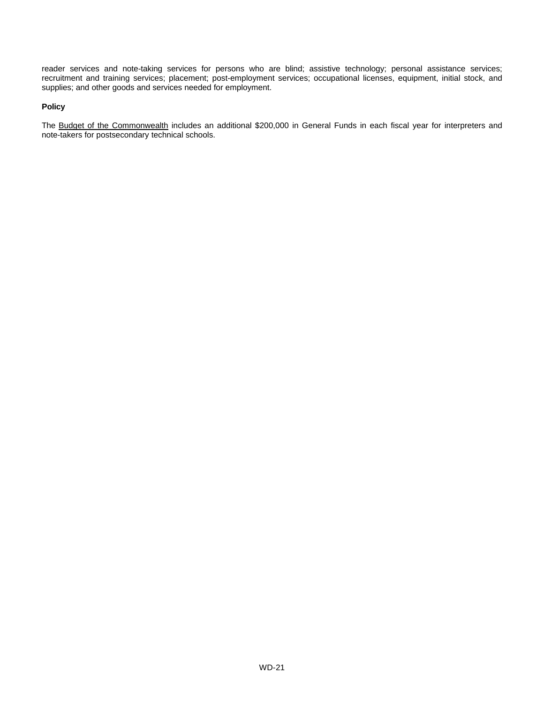reader services and note-taking services for persons who are blind; assistive technology; personal assistance services; recruitment and training services; placement; post-employment services; occupational licenses, equipment, initial stock, and supplies; and other goods and services needed for employment.

#### **Policy**

The Budget of the Commonwealth includes an additional \$200,000 in General Funds in each fiscal year for interpreters and note-takers for postsecondary technical schools.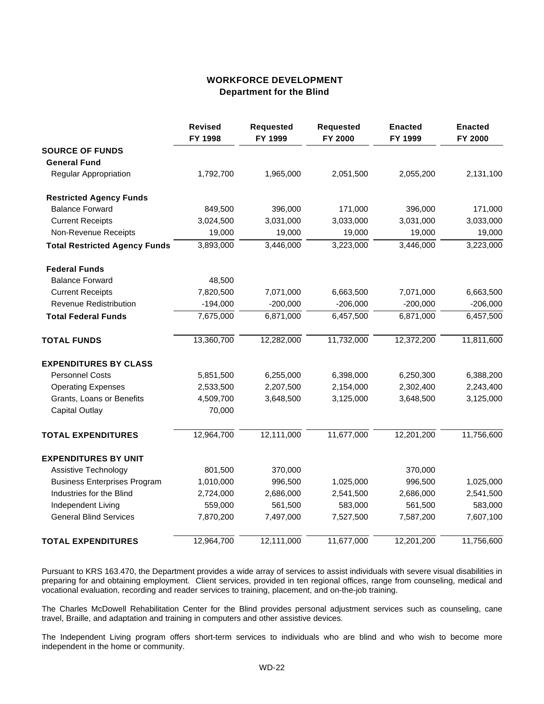### **WORKFORCE DEVELOPMENT Department for the Blind**

|                                      | <b>Revised</b><br>FY 1998 | <b>Requested</b><br>FY 1999 | <b>Requested</b><br>FY 2000 | <b>Enacted</b><br>FY 1999 | <b>Enacted</b><br>FY 2000 |
|--------------------------------------|---------------------------|-----------------------------|-----------------------------|---------------------------|---------------------------|
| <b>SOURCE OF FUNDS</b>               |                           |                             |                             |                           |                           |
| <b>General Fund</b>                  |                           |                             |                             |                           |                           |
| <b>Regular Appropriation</b>         | 1,792,700                 | 1,965,000                   | 2,051,500                   | 2,055,200                 | 2,131,100                 |
| <b>Restricted Agency Funds</b>       |                           |                             |                             |                           |                           |
| <b>Balance Forward</b>               | 849,500                   | 396,000                     | 171,000                     | 396,000                   | 171,000                   |
| <b>Current Receipts</b>              | 3,024,500                 | 3,031,000                   | 3,033,000                   | 3,031,000                 | 3,033,000                 |
| Non-Revenue Receipts                 | 19,000                    | 19,000                      | 19,000                      | 19,000                    | 19,000                    |
| <b>Total Restricted Agency Funds</b> | 3,893,000                 | 3,446,000                   | 3,223,000                   | 3,446,000                 | 3,223,000                 |
| <b>Federal Funds</b>                 |                           |                             |                             |                           |                           |
| <b>Balance Forward</b>               | 48,500                    |                             |                             |                           |                           |
| <b>Current Receipts</b>              | 7,820,500                 | 7,071,000                   | 6,663,500                   | 7,071,000                 | 6,663,500                 |
| <b>Revenue Redistribution</b>        | $-194,000$                | $-200,000$                  | $-206,000$                  | $-200,000$                | $-206,000$                |
| <b>Total Federal Funds</b>           | 7,675,000                 | 6,871,000                   | 6,457,500                   | 6,871,000                 | 6,457,500                 |
| <b>TOTAL FUNDS</b>                   | 13,360,700                | 12,282,000                  | 11,732,000                  | 12,372,200                | 11,811,600                |
| <b>EXPENDITURES BY CLASS</b>         |                           |                             |                             |                           |                           |
| <b>Personnel Costs</b>               | 5,851,500                 | 6,255,000                   | 6,398,000                   | 6,250,300                 | 6,388,200                 |
| <b>Operating Expenses</b>            | 2,533,500                 | 2,207,500                   | 2,154,000                   | 2,302,400                 | 2,243,400                 |
| Grants, Loans or Benefits            | 4,509,700                 | 3,648,500                   | 3,125,000                   | 3,648,500                 | 3,125,000                 |
| <b>Capital Outlay</b>                | 70,000                    |                             |                             |                           |                           |
| <b>TOTAL EXPENDITURES</b>            | 12,964,700                | 12,111,000                  | 11,677,000                  | 12,201,200                | 11,756,600                |
| <b>EXPENDITURES BY UNIT</b>          |                           |                             |                             |                           |                           |
| <b>Assistive Technology</b>          | 801,500                   | 370,000                     |                             | 370,000                   |                           |
| <b>Business Enterprises Program</b>  | 1,010,000                 | 996,500                     | 1,025,000                   | 996,500                   | 1,025,000                 |
| Industries for the Blind             | 2,724,000                 | 2,686,000                   | 2,541,500                   | 2,686,000                 | 2,541,500                 |
| Independent Living                   | 559,000                   | 561,500                     | 583,000                     | 561,500                   | 583,000                   |
| <b>General Blind Services</b>        | 7,870,200                 | 7,497,000                   | 7,527,500                   | 7,587,200                 | 7,607,100                 |
| <b>TOTAL EXPENDITURES</b>            | 12,964,700                | 12,111,000                  | 11,677,000                  | 12,201,200                | 11,756,600                |

Pursuant to KRS 163.470, the Department provides a wide array of services to assist individuals with severe visual disabilities in preparing for and obtaining employment. Client services, provided in ten regional offices, range from counseling, medical and vocational evaluation, recording and reader services to training, placement, and on-the-job training.

The Charles McDowell Rehabilitation Center for the Blind provides personal adjustment services such as counseling, cane travel, Braille, and adaptation and training in computers and other assistive devices.

The Independent Living program offers short-term services to individuals who are blind and who wish to become more independent in the home or community.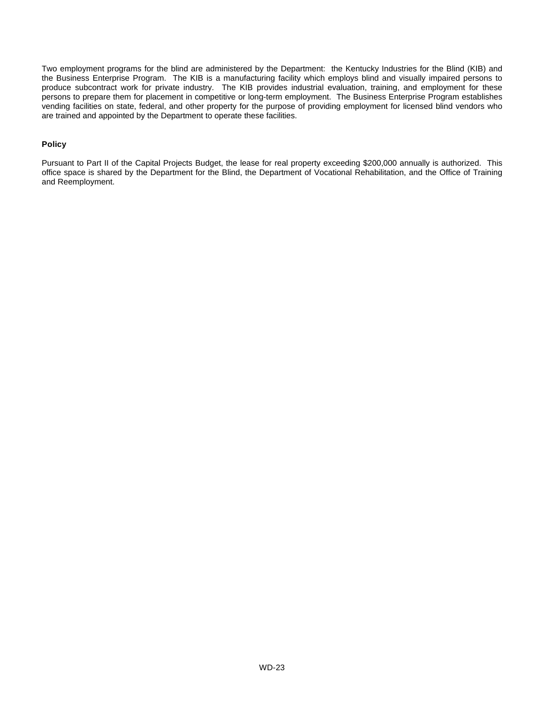Two employment programs for the blind are administered by the Department: the Kentucky Industries for the Blind (KIB) and the Business Enterprise Program. The KIB is a manufacturing facility which employs blind and visually impaired persons to produce subcontract work for private industry. The KIB provides industrial evaluation, training, and employment for these persons to prepare them for placement in competitive or long-term employment. The Business Enterprise Program establishes vending facilities on state, federal, and other property for the purpose of providing employment for licensed blind vendors who are trained and appointed by the Department to operate these facilities.

#### **Policy**

Pursuant to Part II of the Capital Projects Budget, the lease for real property exceeding \$200,000 annually is authorized. This office space is shared by the Department for the Blind, the Department of Vocational Rehabilitation, and the Office of Training and Reemployment.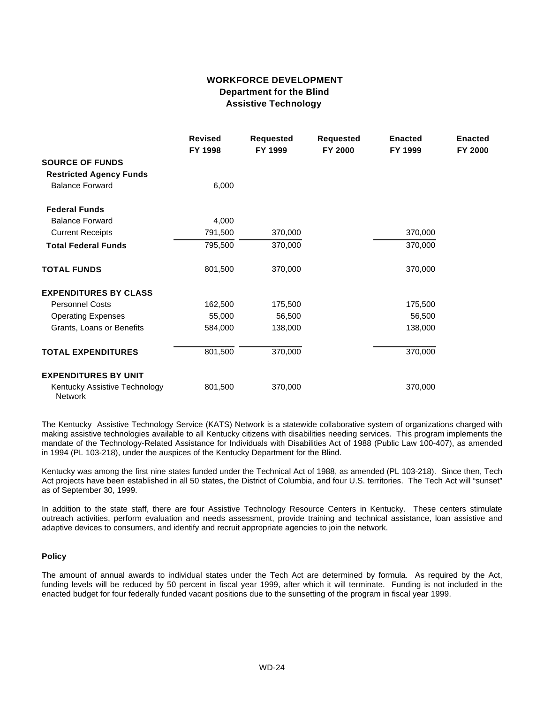## **WORKFORCE DEVELOPMENT Department for the Blind Assistive Technology**

|                                          | <b>Revised</b><br>FY 1998 | <b>Requested</b><br>FY 1999 | <b>Requested</b><br>FY 2000 | <b>Enacted</b><br>FY 1999 | <b>Enacted</b><br>FY 2000 |
|------------------------------------------|---------------------------|-----------------------------|-----------------------------|---------------------------|---------------------------|
| <b>SOURCE OF FUNDS</b>                   |                           |                             |                             |                           |                           |
| <b>Restricted Agency Funds</b>           |                           |                             |                             |                           |                           |
| <b>Balance Forward</b>                   | 6,000                     |                             |                             |                           |                           |
| <b>Federal Funds</b>                     |                           |                             |                             |                           |                           |
| <b>Balance Forward</b>                   | 4,000                     |                             |                             |                           |                           |
| <b>Current Receipts</b>                  | 791,500                   | 370,000                     |                             | 370,000                   |                           |
| <b>Total Federal Funds</b>               | 795,500                   | 370,000                     |                             | 370,000                   |                           |
| <b>TOTAL FUNDS</b>                       | 801,500                   | 370,000                     |                             | 370,000                   |                           |
| <b>EXPENDITURES BY CLASS</b>             |                           |                             |                             |                           |                           |
| <b>Personnel Costs</b>                   | 162,500                   | 175,500                     |                             | 175,500                   |                           |
| <b>Operating Expenses</b>                | 55,000                    | 56,500                      |                             | 56,500                    |                           |
| Grants, Loans or Benefits                | 584,000                   | 138,000                     |                             | 138,000                   |                           |
| <b>TOTAL EXPENDITURES</b>                | 801,500                   | 370,000                     |                             | 370,000                   |                           |
| <b>EXPENDITURES BY UNIT</b>              |                           |                             |                             |                           |                           |
| Kentucky Assistive Technology<br>Network | 801,500                   | 370,000                     |                             | 370,000                   |                           |

The Kentucky Assistive Technology Service (KATS) Network is a statewide collaborative system of organizations charged with making assistive technologies available to all Kentucky citizens with disabilities needing services. This program implements the mandate of the Technology-Related Assistance for Individuals with Disabilities Act of 1988 (Public Law 100-407), as amended in 1994 (PL 103-218), under the auspices of the Kentucky Department for the Blind.

Kentucky was among the first nine states funded under the Technical Act of 1988, as amended (PL 103-218). Since then, Tech Act projects have been established in all 50 states, the District of Columbia, and four U.S. territories. The Tech Act will "sunset" as of September 30, 1999.

In addition to the state staff, there are four Assistive Technology Resource Centers in Kentucky. These centers stimulate outreach activities, perform evaluation and needs assessment, provide training and technical assistance, loan assistive and adaptive devices to consumers, and identify and recruit appropriate agencies to join the network.

#### **Policy**

The amount of annual awards to individual states under the Tech Act are determined by formula. As required by the Act, funding levels will be reduced by 50 percent in fiscal year 1999, after which it will terminate. Funding is not included in the enacted budget for four federally funded vacant positions due to the sunsetting of the program in fiscal year 1999.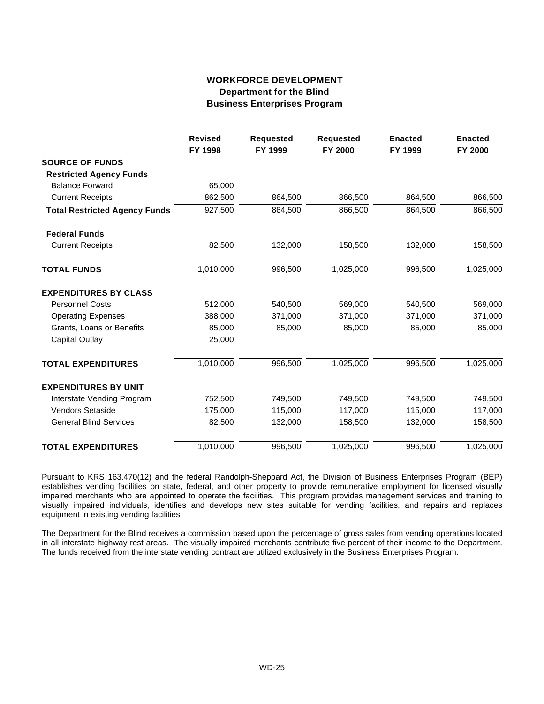## **WORKFORCE DEVELOPMENT Department for the Blind Business Enterprises Program**

|                                      | <b>Revised</b><br>FY 1998 | <b>Requested</b><br>FY 1999 | <b>Requested</b><br>FY 2000 | <b>Enacted</b><br>FY 1999 | <b>Enacted</b><br>FY 2000 |
|--------------------------------------|---------------------------|-----------------------------|-----------------------------|---------------------------|---------------------------|
| <b>SOURCE OF FUNDS</b>               |                           |                             |                             |                           |                           |
| <b>Restricted Agency Funds</b>       |                           |                             |                             |                           |                           |
| <b>Balance Forward</b>               | 65,000                    |                             |                             |                           |                           |
| <b>Current Receipts</b>              | 862,500                   | 864,500                     | 866,500                     | 864,500                   | 866,500                   |
| <b>Total Restricted Agency Funds</b> | 927,500                   | 864,500                     | 866,500                     | 864,500                   | 866,500                   |
| <b>Federal Funds</b>                 |                           |                             |                             |                           |                           |
| <b>Current Receipts</b>              | 82,500                    | 132,000                     | 158,500                     | 132,000                   | 158,500                   |
| <b>TOTAL FUNDS</b>                   | 1,010,000                 | 996,500                     | 1,025,000                   | 996,500                   | 1,025,000                 |
| <b>EXPENDITURES BY CLASS</b>         |                           |                             |                             |                           |                           |
| <b>Personnel Costs</b>               | 512,000                   | 540,500                     | 569,000                     | 540,500                   | 569,000                   |
| <b>Operating Expenses</b>            | 388,000                   | 371,000                     | 371,000                     | 371,000                   | 371,000                   |
| Grants, Loans or Benefits            | 85,000                    | 85,000                      | 85,000                      | 85,000                    | 85,000                    |
| <b>Capital Outlay</b>                | 25,000                    |                             |                             |                           |                           |
| <b>TOTAL EXPENDITURES</b>            | 1,010,000                 | 996,500                     | 1,025,000                   | 996,500                   | 1,025,000                 |
| <b>EXPENDITURES BY UNIT</b>          |                           |                             |                             |                           |                           |
| Interstate Vending Program           | 752,500                   | 749,500                     | 749,500                     | 749,500                   | 749,500                   |
| Vendors Setaside                     | 175,000                   | 115,000                     | 117,000                     | 115,000                   | 117,000                   |
| <b>General Blind Services</b>        | 82,500                    | 132,000                     | 158,500                     | 132,000                   | 158,500                   |
| <b>TOTAL EXPENDITURES</b>            | 1,010,000                 | 996,500                     | 1,025,000                   | 996,500                   | 1,025,000                 |

Pursuant to KRS 163.470(12) and the federal Randolph-Sheppard Act, the Division of Business Enterprises Program (BEP) establishes vending facilities on state, federal, and other property to provide remunerative employment for licensed visually impaired merchants who are appointed to operate the facilities. This program provides management services and training to visually impaired individuals, identifies and develops new sites suitable for vending facilities, and repairs and replaces equipment in existing vending facilities.

The Department for the Blind receives a commission based upon the percentage of gross sales from vending operations located in all interstate highway rest areas. The visually impaired merchants contribute five percent of their income to the Department. The funds received from the interstate vending contract are utilized exclusively in the Business Enterprises Program.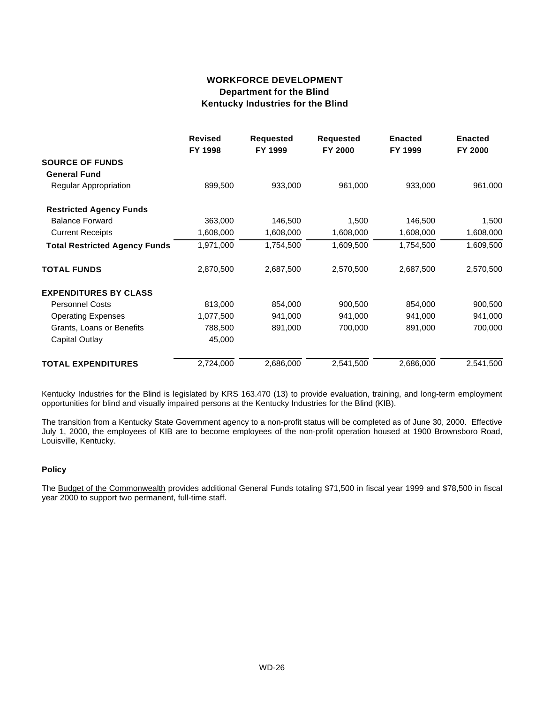## **WORKFORCE DEVELOPMENT Department for the Blind Kentucky Industries for the Blind**

|                                      | <b>Revised</b><br>FY 1998 | <b>Requested</b><br>FY 1999 | <b>Requested</b><br>FY 2000 | <b>Enacted</b><br>FY 1999 | <b>Enacted</b><br>FY 2000 |
|--------------------------------------|---------------------------|-----------------------------|-----------------------------|---------------------------|---------------------------|
| <b>SOURCE OF FUNDS</b>               |                           |                             |                             |                           |                           |
| <b>General Fund</b>                  |                           |                             |                             |                           |                           |
| <b>Regular Appropriation</b>         | 899,500                   | 933,000                     | 961,000                     | 933,000                   | 961,000                   |
| <b>Restricted Agency Funds</b>       |                           |                             |                             |                           |                           |
| <b>Balance Forward</b>               | 363,000                   | 146,500                     | 1,500                       | 146,500                   | 1,500                     |
| <b>Current Receipts</b>              | 1,608,000                 | 1,608,000                   | 1,608,000                   | 1,608,000                 | 1,608,000                 |
| <b>Total Restricted Agency Funds</b> | 1,971,000                 | 1,754,500                   | 1,609,500                   | 1,754,500                 | 1,609,500                 |
| <b>TOTAL FUNDS</b>                   | 2,870,500                 | 2,687,500                   | 2,570,500                   | 2,687,500                 | 2,570,500                 |
| <b>EXPENDITURES BY CLASS</b>         |                           |                             |                             |                           |                           |
| <b>Personnel Costs</b>               | 813,000                   | 854,000                     | 900,500                     | 854,000                   | 900,500                   |
| <b>Operating Expenses</b>            | 1,077,500                 | 941,000                     | 941,000                     | 941,000                   | 941,000                   |
| Grants, Loans or Benefits            | 788,500                   | 891,000                     | 700,000                     | 891,000                   | 700,000                   |
| <b>Capital Outlay</b>                | 45,000                    |                             |                             |                           |                           |
| <b>TOTAL EXPENDITURES</b>            | 2,724,000                 | 2,686,000                   | 2,541,500                   | 2,686,000                 | 2,541,500                 |

Kentucky Industries for the Blind is legislated by KRS 163.470 (13) to provide evaluation, training, and long-term employment opportunities for blind and visually impaired persons at the Kentucky Industries for the Blind (KIB).

The transition from a Kentucky State Government agency to a non-profit status will be completed as of June 30, 2000. Effective July 1, 2000, the employees of KIB are to become employees of the non-profit operation housed at 1900 Brownsboro Road, Louisville, Kentucky.

### **Policy**

The Budget of the Commonwealth provides additional General Funds totaling \$71,500 in fiscal year 1999 and \$78,500 in fiscal year 2000 to support two permanent, full-time staff.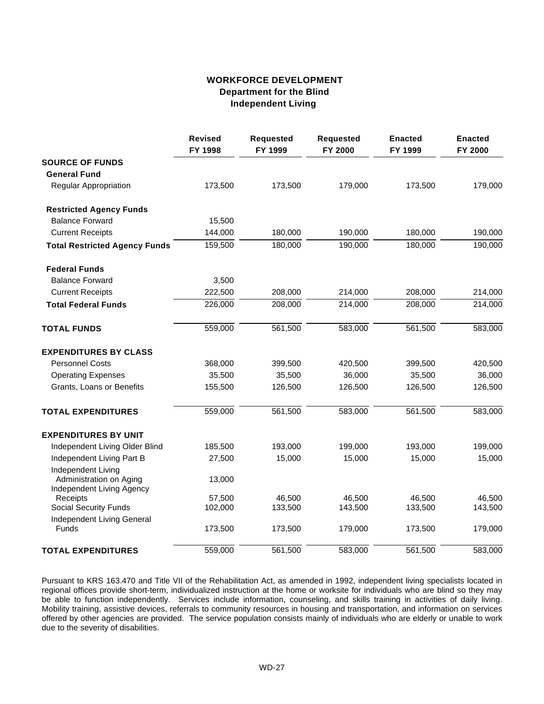## **WORKFORCE DEVELOPMENT Department for the Blind Independent Living**

|                                               | <b>Revised</b><br>FY 1998 | <b>Requested</b><br>FY 1999 | <b>Requested</b><br>FY 2000 | <b>Enacted</b><br>FY 1999 | <b>Enacted</b><br>FY 2000 |
|-----------------------------------------------|---------------------------|-----------------------------|-----------------------------|---------------------------|---------------------------|
| <b>SOURCE OF FUNDS</b>                        |                           |                             |                             |                           |                           |
| <b>General Fund</b>                           |                           |                             |                             |                           |                           |
| Regular Appropriation                         | 173,500                   | 173,500                     | 179,000                     | 173,500                   | 179,000                   |
| <b>Restricted Agency Funds</b>                |                           |                             |                             |                           |                           |
| <b>Balance Forward</b>                        | 15,500                    |                             |                             |                           |                           |
| <b>Current Receipts</b>                       | 144,000                   | 180,000                     | 190,000                     | 180,000                   | 190,000                   |
| <b>Total Restricted Agency Funds</b>          | 159,500                   | 180,000                     | 190,000                     | 180,000                   | 190,000                   |
| <b>Federal Funds</b>                          |                           |                             |                             |                           |                           |
| <b>Balance Forward</b>                        | 3,500                     |                             |                             |                           |                           |
| <b>Current Receipts</b>                       | 222,500                   | 208,000                     | 214,000                     | 208,000                   | 214,000                   |
| <b>Total Federal Funds</b>                    | 226,000                   | 208,000                     | 214,000                     | 208,000                   | 214,000                   |
| <b>TOTAL FUNDS</b>                            | 559,000                   | 561,500                     | 583,000                     | 561,500                   | 583,000                   |
| <b>EXPENDITURES BY CLASS</b>                  |                           |                             |                             |                           |                           |
| <b>Personnel Costs</b>                        | 368,000                   | 399,500                     | 420,500                     | 399,500                   | 420,500                   |
| <b>Operating Expenses</b>                     | 35,500                    | 35,500                      | 36,000                      | 35,500                    | 36,000                    |
| Grants, Loans or Benefits                     | 155,500                   | 126,500                     | 126,500                     | 126,500                   | 126,500                   |
| <b>TOTAL EXPENDITURES</b>                     | 559,000                   | 561,500                     | 583,000                     | 561,500                   | 583,000                   |
| <b>EXPENDITURES BY UNIT</b>                   |                           |                             |                             |                           |                           |
| Independent Living Older Blind                | 185,500                   | 193,000                     | 199,000                     | 193,000                   | 199,000                   |
| Independent Living Part B                     | 27,500                    | 15,000                      | 15,000                      | 15,000                    | 15,000                    |
| Independent Living<br>Administration on Aging | 13,000                    |                             |                             |                           |                           |
| Independent Living Agency<br>Receipts         | 57,500                    | 46,500                      | 46,500                      | 46,500                    | 46,500                    |
| <b>Social Security Funds</b>                  | 102,000                   | 133,500                     | 143,500                     | 133,500                   | 143,500                   |
| Independent Living General                    |                           |                             |                             |                           |                           |
| Funds                                         | 173,500                   | 173,500                     | 179,000                     | 173,500                   | 179,000                   |
| <b>TOTAL EXPENDITURES</b>                     | 559,000                   | 561,500                     | 583,000                     | 561,500                   | 583,000                   |

Pursuant to KRS 163.470 and Title VII of the Rehabilitation Act, as amended in 1992, independent living specialists located in regional offices provide short-term, individualized instruction at the home or worksite for individuals who are blind so they may be able to function independently. Services include information, counseling, and skills training in activities of daily living. Mobility training, assistive devices, referrals to community resources in housing and transportation, and information on services offered by other agencies are provided. The service population consists mainly of individuals who are elderly or unable to work due to the severity of disabilities.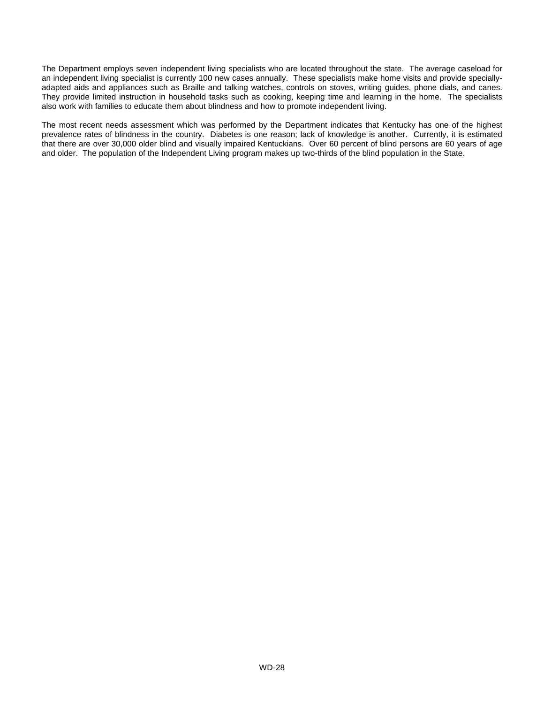The Department employs seven independent living specialists who are located throughout the state. The average caseload for an independent living specialist is currently 100 new cases annually. These specialists make home visits and provide speciallyadapted aids and appliances such as Braille and talking watches, controls on stoves, writing guides, phone dials, and canes. They provide limited instruction in household tasks such as cooking, keeping time and learning in the home. The specialists also work with families to educate them about blindness and how to promote independent living.

The most recent needs assessment which was performed by the Department indicates that Kentucky has one of the highest prevalence rates of blindness in the country. Diabetes is one reason; lack of knowledge is another. Currently, it is estimated that there are over 30,000 older blind and visually impaired Kentuckians. Over 60 percent of blind persons are 60 years of age and older. The population of the Independent Living program makes up two-thirds of the blind population in the State.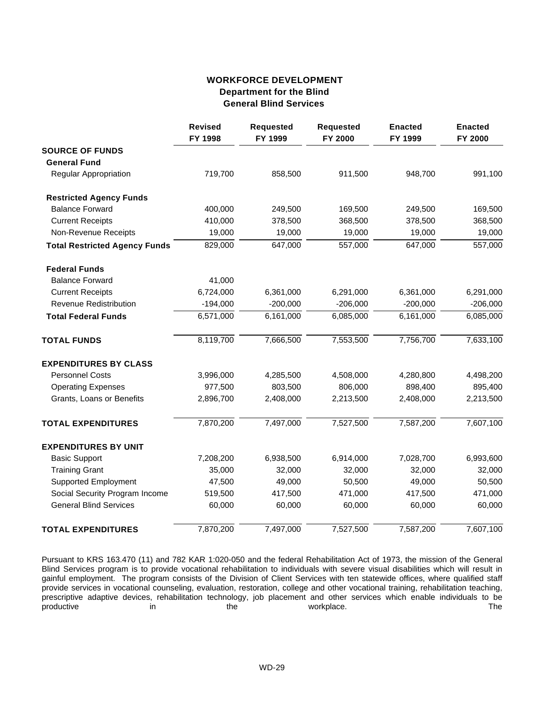## **WORKFORCE DEVELOPMENT Department for the Blind General Blind Services**

|                                      | <b>Revised</b><br>FY 1998 | <b>Requested</b><br>FY 1999 | <b>Requested</b><br>FY 2000 | <b>Enacted</b><br>FY 1999 | <b>Enacted</b><br>FY 2000 |
|--------------------------------------|---------------------------|-----------------------------|-----------------------------|---------------------------|---------------------------|
| <b>SOURCE OF FUNDS</b>               |                           |                             |                             |                           |                           |
| <b>General Fund</b>                  |                           |                             |                             |                           |                           |
| <b>Regular Appropriation</b>         | 719,700                   | 858,500                     | 911,500                     | 948,700                   | 991,100                   |
| <b>Restricted Agency Funds</b>       |                           |                             |                             |                           |                           |
| <b>Balance Forward</b>               | 400,000                   | 249,500                     | 169,500                     | 249,500                   | 169,500                   |
| <b>Current Receipts</b>              | 410,000                   | 378,500                     | 368,500                     | 378,500                   | 368,500                   |
| Non-Revenue Receipts                 | 19,000                    | 19,000                      | 19,000                      | 19,000                    | 19,000                    |
| <b>Total Restricted Agency Funds</b> | 829,000                   | 647,000                     | 557,000                     | 647,000                   | 557,000                   |
| <b>Federal Funds</b>                 |                           |                             |                             |                           |                           |
| <b>Balance Forward</b>               | 41,000                    |                             |                             |                           |                           |
| <b>Current Receipts</b>              | 6,724,000                 | 6,361,000                   | 6,291,000                   | 6,361,000                 | 6,291,000                 |
| <b>Revenue Redistribution</b>        | $-194,000$                | $-200,000$                  | $-206,000$                  | $-200,000$                | $-206,000$                |
| <b>Total Federal Funds</b>           | 6,571,000                 | 6,161,000                   | 6,085,000                   | 6,161,000                 | 6,085,000                 |
| <b>TOTAL FUNDS</b>                   | 8,119,700                 | 7,666,500                   | 7,553,500                   | 7,756,700                 | 7,633,100                 |
| <b>EXPENDITURES BY CLASS</b>         |                           |                             |                             |                           |                           |
| <b>Personnel Costs</b>               | 3,996,000                 | 4,285,500                   | 4,508,000                   | 4,280,800                 | 4,498,200                 |
| <b>Operating Expenses</b>            | 977,500                   | 803,500                     | 806,000                     | 898,400                   | 895,400                   |
| Grants, Loans or Benefits            | 2,896,700                 | 2,408,000                   | 2,213,500                   | 2,408,000                 | 2,213,500                 |
| <b>TOTAL EXPENDITURES</b>            | 7,870,200                 | 7,497,000                   | 7,527,500                   | 7,587,200                 | 7,607,100                 |
| <b>EXPENDITURES BY UNIT</b>          |                           |                             |                             |                           |                           |
| <b>Basic Support</b>                 | 7,208,200                 | 6,938,500                   | 6,914,000                   | 7,028,700                 | 6,993,600                 |
| <b>Training Grant</b>                | 35,000                    | 32,000                      | 32,000                      | 32,000                    | 32,000                    |
| <b>Supported Employment</b>          | 47,500                    | 49,000                      | 50,500                      | 49,000                    | 50,500                    |
| Social Security Program Income       | 519,500                   | 417,500                     | 471,000                     | 417,500                   | 471,000                   |
| <b>General Blind Services</b>        | 60,000                    | 60,000                      | 60,000                      | 60,000                    | 60,000                    |
| <b>TOTAL EXPENDITURES</b>            | 7,870,200                 | 7,497,000                   | 7,527,500                   | 7,587,200                 | 7,607,100                 |

Pursuant to KRS 163.470 (11) and 782 KAR 1:020-050 and the federal Rehabilitation Act of 1973, the mission of the General Blind Services program is to provide vocational rehabilitation to individuals with severe visual disabilities which will result in gainful employment. The program consists of the Division of Client Services with ten statewide offices, where qualified staff provide services in vocational counseling, evaluation, restoration, college and other vocational training, rehabilitation teaching, prescriptive adaptive devices, rehabilitation technology, job placement and other services which enable individuals to be<br>productive in the workplace. productive in the the workplace. The The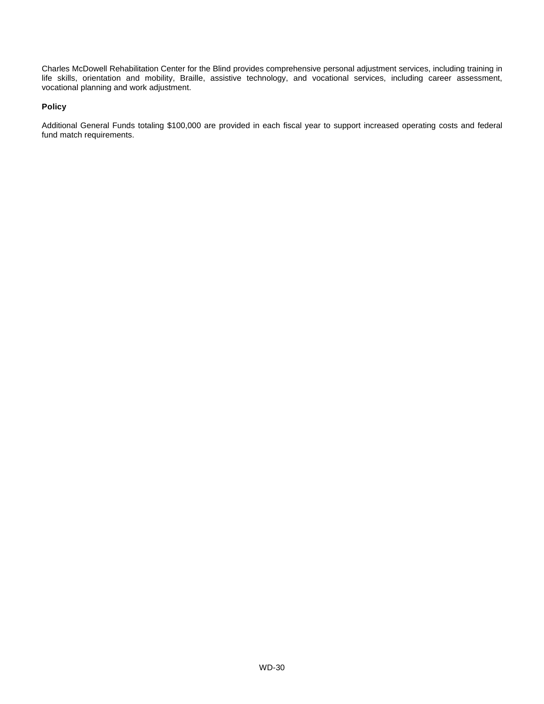Charles McDowell Rehabilitation Center for the Blind provides comprehensive personal adjustment services, including training in life skills, orientation and mobility, Braille, assistive technology, and vocational services, including career assessment, vocational planning and work adjustment.

#### **Policy**

Additional General Funds totaling \$100,000 are provided in each fiscal year to support increased operating costs and federal fund match requirements.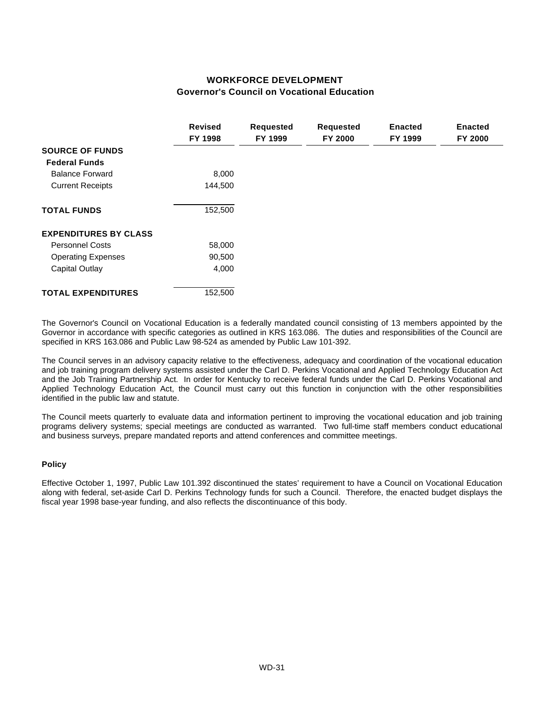# **WORKFORCE DEVELOPMENT Governor's Council on Vocational Education**

|                              | <b>Revised</b> | <b>Requested</b> | <b>Requested</b> | <b>Enacted</b> | <b>Enacted</b> |
|------------------------------|----------------|------------------|------------------|----------------|----------------|
|                              | FY 1998        | FY 1999          | FY 2000          | FY 1999        | FY 2000        |
| <b>SOURCE OF FUNDS</b>       |                |                  |                  |                |                |
| <b>Federal Funds</b>         |                |                  |                  |                |                |
| <b>Balance Forward</b>       | 8,000          |                  |                  |                |                |
| <b>Current Receipts</b>      | 144,500        |                  |                  |                |                |
| <b>TOTAL FUNDS</b>           | 152,500        |                  |                  |                |                |
| <b>EXPENDITURES BY CLASS</b> |                |                  |                  |                |                |
| <b>Personnel Costs</b>       | 58,000         |                  |                  |                |                |
| <b>Operating Expenses</b>    | 90,500         |                  |                  |                |                |
| Capital Outlay               | 4,000          |                  |                  |                |                |
| <b>TOTAL EXPENDITURES</b>    | 152,500        |                  |                  |                |                |

The Governor's Council on Vocational Education is a federally mandated council consisting of 13 members appointed by the Governor in accordance with specific categories as outlined in KRS 163.086. The duties and responsibilities of the Council are specified in KRS 163.086 and Public Law 98-524 as amended by Public Law 101-392.

The Council serves in an advisory capacity relative to the effectiveness, adequacy and coordination of the vocational education and job training program delivery systems assisted under the Carl D. Perkins Vocational and Applied Technology Education Act and the Job Training Partnership Act. In order for Kentucky to receive federal funds under the Carl D. Perkins Vocational and Applied Technology Education Act, the Council must carry out this function in conjunction with the other responsibilities identified in the public law and statute.

The Council meets quarterly to evaluate data and information pertinent to improving the vocational education and job training programs delivery systems; special meetings are conducted as warranted. Two full-time staff members conduct educational and business surveys, prepare mandated reports and attend conferences and committee meetings.

#### **Policy**

Effective October 1, 1997, Public Law 101.392 discontinued the states' requirement to have a Council on Vocational Education along with federal, set-aside Carl D. Perkins Technology funds for such a Council. Therefore, the enacted budget displays the fiscal year 1998 base-year funding, and also reflects the discontinuance of this body.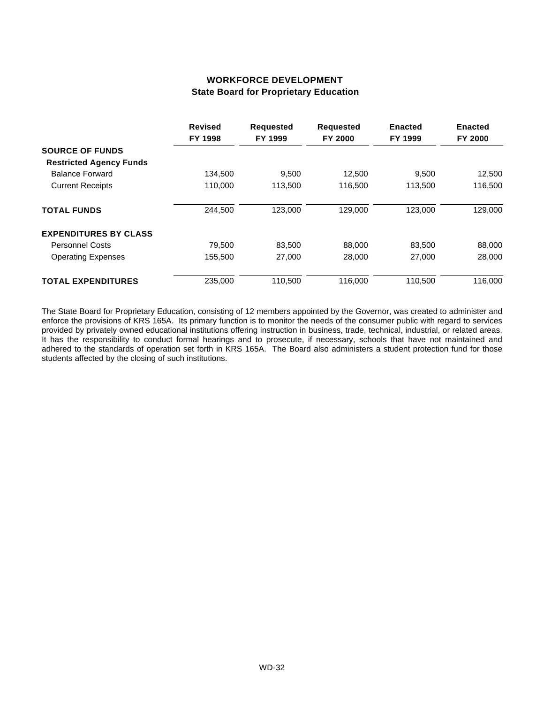# **WORKFORCE DEVELOPMENT State Board for Proprietary Education**

|                                | <b>Revised</b><br>FY 1998 | <b>Requested</b><br>FY 1999 | <b>Requested</b><br>FY 2000 | <b>Enacted</b><br>FY 1999 | <b>Enacted</b><br>FY 2000 |
|--------------------------------|---------------------------|-----------------------------|-----------------------------|---------------------------|---------------------------|
| <b>SOURCE OF FUNDS</b>         |                           |                             |                             |                           |                           |
| <b>Restricted Agency Funds</b> |                           |                             |                             |                           |                           |
| <b>Balance Forward</b>         | 134,500                   | 9,500                       | 12,500                      | 9,500                     | 12,500                    |
| <b>Current Receipts</b>        | 110,000                   | 113,500                     | 116,500                     | 113,500                   | 116,500                   |
| <b>TOTAL FUNDS</b>             | 244,500                   | 123.000                     | 129,000                     | 123,000                   | 129,000                   |
| <b>EXPENDITURES BY CLASS</b>   |                           |                             |                             |                           |                           |
| <b>Personnel Costs</b>         | 79.500                    | 83,500                      | 88,000                      | 83,500                    | 88,000                    |
| <b>Operating Expenses</b>      | 155,500                   | 27,000                      | 28,000                      | 27,000                    | 28,000                    |
| <b>TOTAL EXPENDITURES</b>      | 235,000                   | 110.500                     | 116,000                     | 110.500                   | 116.000                   |

The State Board for Proprietary Education, consisting of 12 members appointed by the Governor, was created to administer and enforce the provisions of KRS 165A. Its primary function is to monitor the needs of the consumer public with regard to services provided by privately owned educational institutions offering instruction in business, trade, technical, industrial, or related areas. It has the responsibility to conduct formal hearings and to prosecute, if necessary, schools that have not maintained and adhered to the standards of operation set forth in KRS 165A. The Board also administers a student protection fund for those students affected by the closing of such institutions.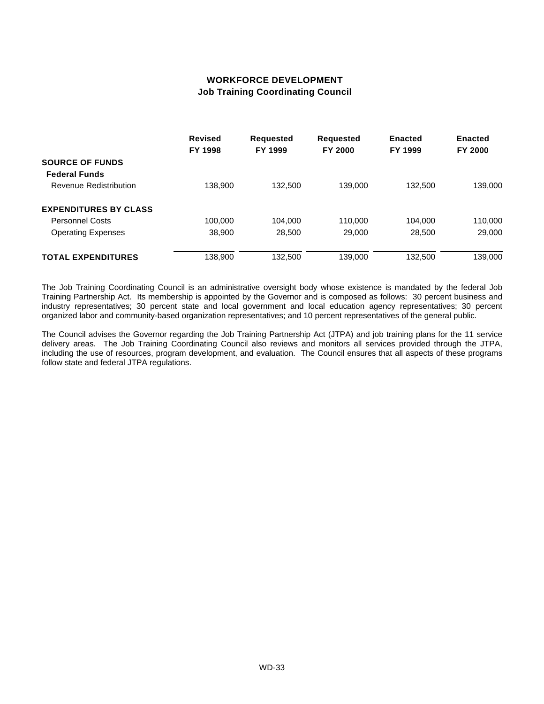# **WORKFORCE DEVELOPMENT Job Training Coordinating Council**

|                                                | <b>Revised</b><br>FY 1998 | <b>Requested</b><br>FY 1999 | <b>Requested</b><br>FY 2000 | <b>Enacted</b><br>FY 1999 | <b>Enacted</b><br>FY 2000 |
|------------------------------------------------|---------------------------|-----------------------------|-----------------------------|---------------------------|---------------------------|
| <b>SOURCE OF FUNDS</b>                         |                           |                             |                             |                           |                           |
| <b>Federal Funds</b><br>Revenue Redistribution | 138,900                   | 132,500                     | 139,000                     | 132,500                   | 139,000                   |
|                                                |                           |                             |                             |                           |                           |
| <b>EXPENDITURES BY CLASS</b>                   |                           |                             |                             |                           |                           |
| <b>Personnel Costs</b>                         | 100,000                   | 104.000                     | 110,000                     | 104.000                   | 110,000                   |
| <b>Operating Expenses</b>                      | 38.900                    | 28,500                      | 29,000                      | 28,500                    | 29,000                    |
| <b>TOTAL EXPENDITURES</b>                      | 138,900                   | 132,500                     | 139,000                     | 132.500                   | 139.000                   |

The Job Training Coordinating Council is an administrative oversight body whose existence is mandated by the federal Job Training Partnership Act. Its membership is appointed by the Governor and is composed as follows: 30 percent business and industry representatives; 30 percent state and local government and local education agency representatives; 30 percent organized labor and community-based organization representatives; and 10 percent representatives of the general public.

The Council advises the Governor regarding the Job Training Partnership Act (JTPA) and job training plans for the 11 service delivery areas. The Job Training Coordinating Council also reviews and monitors all services provided through the JTPA, including the use of resources, program development, and evaluation. The Council ensures that all aspects of these programs follow state and federal JTPA regulations.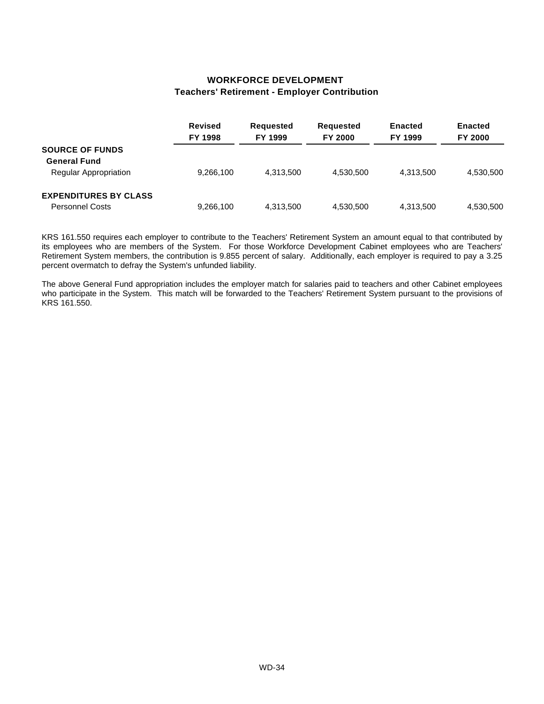#### **WORKFORCE DEVELOPMENT Teachers' Retirement - Employer Contribution**

|                              | <b>Revised</b><br>FY 1998 | <b>Requested</b><br>FY 1999 | <b>Requested</b><br><b>FY 2000</b> | <b>Enacted</b><br>FY 1999 | <b>Enacted</b><br><b>FY 2000</b> |
|------------------------------|---------------------------|-----------------------------|------------------------------------|---------------------------|----------------------------------|
| <b>SOURCE OF FUNDS</b>       |                           |                             |                                    |                           |                                  |
| <b>General Fund</b>          |                           |                             |                                    |                           |                                  |
| Regular Appropriation        | 9,266,100                 | 4.313.500                   | 4.530.500                          | 4.313.500                 | 4,530,500                        |
| <b>EXPENDITURES BY CLASS</b> |                           |                             |                                    |                           |                                  |
| <b>Personnel Costs</b>       | 9,266,100                 | 4,313,500                   | 4,530,500                          | 4,313,500                 | 4,530,500                        |

KRS 161.550 requires each employer to contribute to the Teachers' Retirement System an amount equal to that contributed by its employees who are members of the System. For those Workforce Development Cabinet employees who are Teachers' Retirement System members, the contribution is 9.855 percent of salary. Additionally, each employer is required to pay a 3.25 percent overmatch to defray the System's unfunded liability.

The above General Fund appropriation includes the employer match for salaries paid to teachers and other Cabinet employees who participate in the System. This match will be forwarded to the Teachers' Retirement System pursuant to the provisions of KRS 161.550.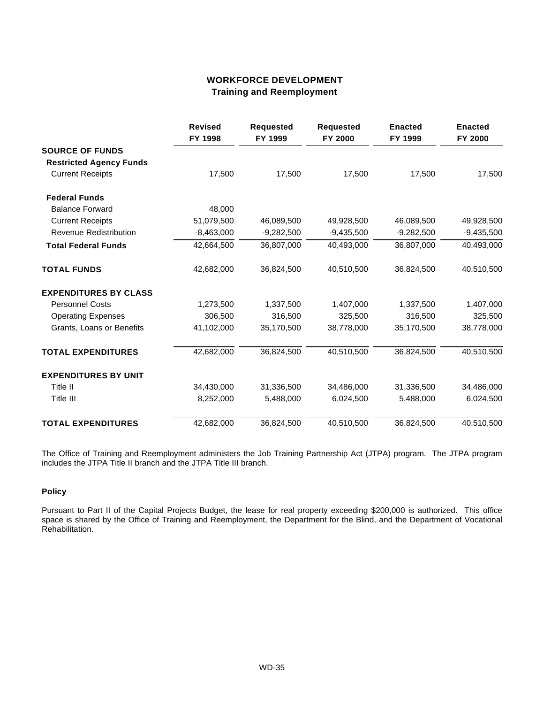# **WORKFORCE DEVELOPMENT Training and Reemployment**

|                                | <b>Revised</b><br>FY 1998 | <b>Requested</b><br>FY 1999 | <b>Requested</b><br>FY 2000 | <b>Enacted</b><br>FY 1999 | <b>Enacted</b><br>FY 2000 |
|--------------------------------|---------------------------|-----------------------------|-----------------------------|---------------------------|---------------------------|
| <b>SOURCE OF FUNDS</b>         |                           |                             |                             |                           |                           |
| <b>Restricted Agency Funds</b> |                           |                             |                             |                           |                           |
| <b>Current Receipts</b>        | 17,500                    | 17,500                      | 17,500                      | 17,500                    | 17,500                    |
| <b>Federal Funds</b>           |                           |                             |                             |                           |                           |
| <b>Balance Forward</b>         | 48,000                    |                             |                             |                           |                           |
| <b>Current Receipts</b>        | 51,079,500                | 46,089,500                  | 49,928,500                  | 46,089,500                | 49,928,500                |
| Revenue Redistribution         | $-8,463,000$              | $-9,282,500$                | $-9,435,500$                | $-9,282,500$              | $-9,435,500$              |
| <b>Total Federal Funds</b>     | 42,664,500                | 36,807,000                  | 40,493,000                  | 36,807,000                | 40,493,000                |
| <b>TOTAL FUNDS</b>             | 42,682,000                | 36,824,500                  | 40,510,500                  | 36,824,500                | 40,510,500                |
| <b>EXPENDITURES BY CLASS</b>   |                           |                             |                             |                           |                           |
| <b>Personnel Costs</b>         | 1,273,500                 | 1,337,500                   | 1,407,000                   | 1,337,500                 | 1,407,000                 |
| <b>Operating Expenses</b>      | 306,500                   | 316,500                     | 325,500                     | 316,500                   | 325,500                   |
| Grants, Loans or Benefits      | 41,102,000                | 35,170,500                  | 38,778,000                  | 35,170,500                | 38,778,000                |
| <b>TOTAL EXPENDITURES</b>      | 42,682,000                | 36,824,500                  | 40,510,500                  | 36,824,500                | 40,510,500                |
| <b>EXPENDITURES BY UNIT</b>    |                           |                             |                             |                           |                           |
| Title II                       | 34,430,000                | 31,336,500                  | 34,486,000                  | 31,336,500                | 34,486,000                |
| Title III                      | 8,252,000                 | 5,488,000                   | 6,024,500                   | 5,488,000                 | 6,024,500                 |
| <b>TOTAL EXPENDITURES</b>      | 42,682,000                | 36,824,500                  | 40,510,500                  | 36,824,500                | 40,510,500                |

The Office of Training and Reemployment administers the Job Training Partnership Act (JTPA) program. The JTPA program includes the JTPA Title II branch and the JTPA Title III branch.

#### **Policy**

Pursuant to Part II of the Capital Projects Budget, the lease for real property exceeding \$200,000 is authorized. This office space is shared by the Office of Training and Reemployment, the Department for the Blind, and the Department of Vocational Rehabilitation.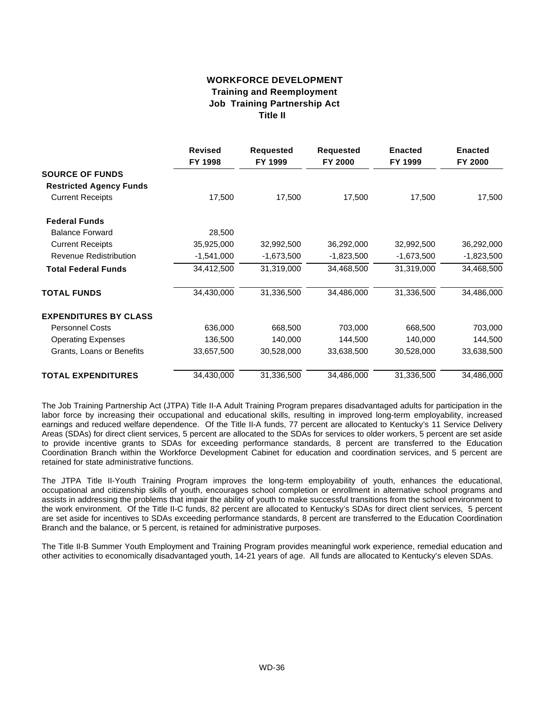## **WORKFORCE DEVELOPMENT Training and Reemployment Job Training Partnership Act Title II**

|                                | <b>Revised</b><br>FY 1998 | <b>Requested</b><br>FY 1999 | <b>Requested</b><br>FY 2000 | <b>Enacted</b><br>FY 1999 | <b>Enacted</b><br>FY 2000 |
|--------------------------------|---------------------------|-----------------------------|-----------------------------|---------------------------|---------------------------|
| <b>SOURCE OF FUNDS</b>         |                           |                             |                             |                           |                           |
| <b>Restricted Agency Funds</b> |                           |                             |                             |                           |                           |
| <b>Current Receipts</b>        | 17,500                    | 17,500                      | 17,500                      | 17,500                    | 17,500                    |
| <b>Federal Funds</b>           |                           |                             |                             |                           |                           |
| <b>Balance Forward</b>         | 28,500                    |                             |                             |                           |                           |
| <b>Current Receipts</b>        | 35,925,000                | 32,992,500                  | 36,292,000                  | 32,992,500                | 36,292,000                |
| Revenue Redistribution         | $-1,541,000$              | $-1,673,500$                | $-1,823,500$                | $-1,673,500$              | $-1,823,500$              |
| <b>Total Federal Funds</b>     | 34,412,500                | 31,319,000                  | 34,468,500                  | 31,319,000                | 34,468,500                |
| <b>TOTAL FUNDS</b>             | 34,430,000                | 31,336,500                  | 34,486,000                  | 31,336,500                | 34,486,000                |
| <b>EXPENDITURES BY CLASS</b>   |                           |                             |                             |                           |                           |
| <b>Personnel Costs</b>         | 636,000                   | 668,500                     | 703,000                     | 668,500                   | 703,000                   |
| <b>Operating Expenses</b>      | 136,500                   | 140,000                     | 144,500                     | 140,000                   | 144,500                   |
| Grants, Loans or Benefits      | 33,657,500                | 30,528,000                  | 33,638,500                  | 30,528,000                | 33,638,500                |
| <b>TOTAL EXPENDITURES</b>      | 34,430,000                | 31,336,500                  | 34,486,000                  | 31,336,500                | 34,486,000                |

The Job Training Partnership Act (JTPA) Title II-A Adult Training Program prepares disadvantaged adults for participation in the labor force by increasing their occupational and educational skills, resulting in improved long-term employability, increased earnings and reduced welfare dependence. Of the Title II-A funds, 77 percent are allocated to Kentucky's 11 Service Delivery Areas (SDAs) for direct client services, 5 percent are allocated to the SDAs for services to older workers, 5 percent are set aside to provide incentive grants to SDAs for exceeding performance standards, 8 percent are transferred to the Education Coordination Branch within the Workforce Development Cabinet for education and coordination services, and 5 percent are retained for state administrative functions.

The JTPA Title II-Youth Training Program improves the long-term employability of youth, enhances the educational, occupational and citizenship skills of youth, encourages school completion or enrollment in alternative school programs and assists in addressing the problems that impair the ability of youth to make successful transitions from the school environment to the work environment. Of the Title II-C funds, 82 percent are allocated to Kentucky's SDAs for direct client services, 5 percent are set aside for incentives to SDAs exceeding performance standards, 8 percent are transferred to the Education Coordination Branch and the balance, or 5 percent, is retained for administrative purposes.

The Title II-B Summer Youth Employment and Training Program provides meaningful work experience, remedial education and other activities to economically disadvantaged youth, 14-21 years of age. All funds are allocated to Kentucky's eleven SDAs.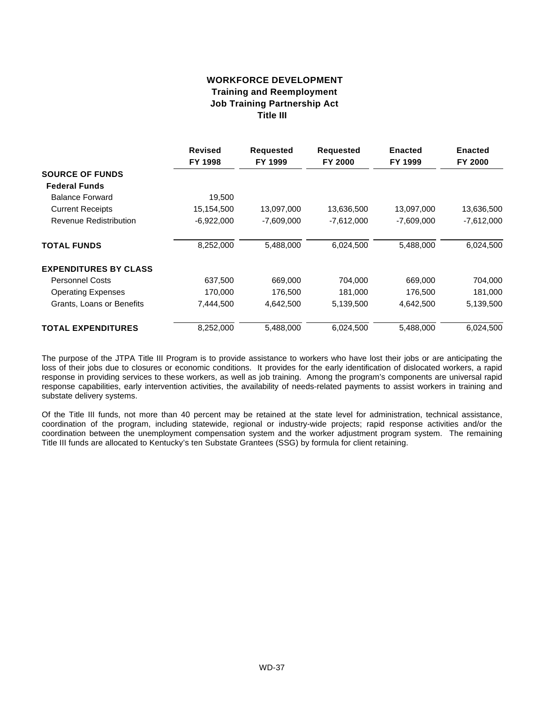## **WORKFORCE DEVELOPMENT Training and Reemployment Job Training Partnership Act Title III**

|                              | <b>Revised</b><br>FY 1998 | <b>Requested</b><br>FY 1999 | <b>Requested</b><br>FY 2000 | <b>Enacted</b><br>FY 1999 | <b>Enacted</b><br>FY 2000 |
|------------------------------|---------------------------|-----------------------------|-----------------------------|---------------------------|---------------------------|
| <b>SOURCE OF FUNDS</b>       |                           |                             |                             |                           |                           |
|                              |                           |                             |                             |                           |                           |
| <b>Federal Funds</b>         |                           |                             |                             |                           |                           |
| <b>Balance Forward</b>       | 19,500                    |                             |                             |                           |                           |
| <b>Current Receipts</b>      | 15,154,500                | 13,097,000                  | 13,636,500                  | 13,097,000                | 13,636,500                |
| Revenue Redistribution       | $-6,922,000$              | $-7,609,000$                | $-7,612,000$                | $-7,609,000$              | $-7,612,000$              |
| <b>TOTAL FUNDS</b>           | 8,252,000                 | 5,488,000                   | 6,024,500                   | 5,488,000                 | 6,024,500                 |
| <b>EXPENDITURES BY CLASS</b> |                           |                             |                             |                           |                           |
| <b>Personnel Costs</b>       | 637,500                   | 669,000                     | 704,000                     | 669,000                   | 704,000                   |
| <b>Operating Expenses</b>    | 170,000                   | 176,500                     | 181,000                     | 176,500                   | 181,000                   |
| Grants, Loans or Benefits    | 7,444,500                 | 4,642,500                   | 5,139,500                   | 4,642,500                 | 5,139,500                 |
| <b>TOTAL EXPENDITURES</b>    | 8,252,000                 | 5,488,000                   | 6,024,500                   | 5,488,000                 | 6,024,500                 |

The purpose of the JTPA Title III Program is to provide assistance to workers who have lost their jobs or are anticipating the loss of their jobs due to closures or economic conditions. It provides for the early identification of dislocated workers, a rapid response in providing services to these workers, as well as job training. Among the program's components are universal rapid response capabilities, early intervention activities, the availability of needs-related payments to assist workers in training and substate delivery systems.

Of the Title III funds, not more than 40 percent may be retained at the state level for administration, technical assistance, coordination of the program, including statewide, regional or industry-wide projects; rapid response activities and/or the coordination between the unemployment compensation system and the worker adjustment program system. The remaining Title III funds are allocated to Kentucky's ten Substate Grantees (SSG) by formula for client retaining.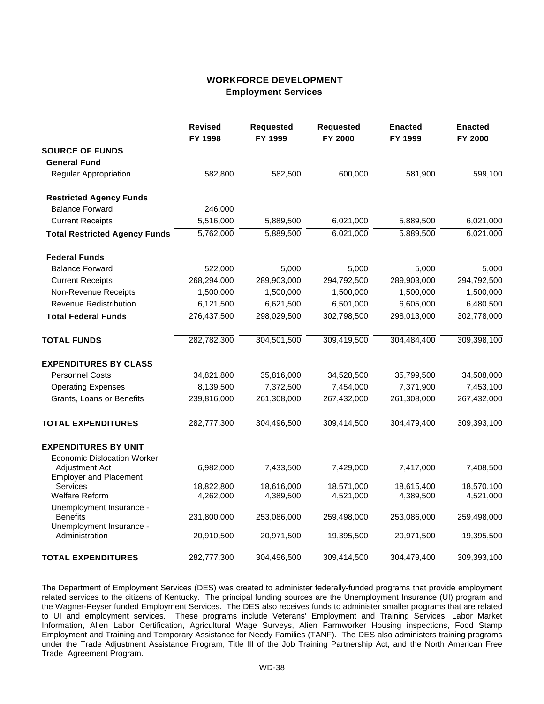## **WORKFORCE DEVELOPMENT Employment Services**

|                                                                         | <b>Revised</b><br>FY 1998 | Requested<br>FY 1999 | <b>Requested</b><br>FY 2000 | <b>Enacted</b><br>FY 1999 | <b>Enacted</b><br>FY 2000 |
|-------------------------------------------------------------------------|---------------------------|----------------------|-----------------------------|---------------------------|---------------------------|
| <b>SOURCE OF FUNDS</b>                                                  |                           |                      |                             |                           |                           |
| <b>General Fund</b>                                                     |                           |                      |                             |                           |                           |
| <b>Regular Appropriation</b>                                            | 582,800                   | 582,500              | 600,000                     | 581,900                   | 599,100                   |
| <b>Restricted Agency Funds</b>                                          |                           |                      |                             |                           |                           |
| <b>Balance Forward</b>                                                  | 246,000                   |                      |                             |                           |                           |
| <b>Current Receipts</b>                                                 | 5,516,000                 | 5,889,500            | 6,021,000                   | 5,889,500                 | 6,021,000                 |
| <b>Total Restricted Agency Funds</b>                                    | 5,762,000                 | 5,889,500            | 6,021,000                   | 5,889,500                 | 6,021,000                 |
| <b>Federal Funds</b>                                                    |                           |                      |                             |                           |                           |
| <b>Balance Forward</b>                                                  | 522,000                   | 5,000                | 5,000                       | 5,000                     | 5,000                     |
| <b>Current Receipts</b>                                                 | 268,294,000               | 289,903,000          | 294,792,500                 | 289,903,000               | 294,792,500               |
| Non-Revenue Receipts                                                    | 1,500,000                 | 1,500,000            | 1,500,000                   | 1,500,000                 | 1,500,000                 |
| <b>Revenue Redistribution</b>                                           | 6,121,500                 | 6,621,500            | 6,501,000                   | 6,605,000                 | 6,480,500                 |
| <b>Total Federal Funds</b>                                              | 276,437,500               | 298,029,500          | 302,798,500                 | 298,013,000               | 302,778,000               |
| <b>TOTAL FUNDS</b>                                                      | 282,782,300               | 304,501,500          | 309,419,500                 | 304,484,400               | 309,398,100               |
| <b>EXPENDITURES BY CLASS</b>                                            |                           |                      |                             |                           |                           |
| <b>Personnel Costs</b>                                                  | 34,821,800                | 35,816,000           | 34,528,500                  | 35,799,500                | 34,508,000                |
| <b>Operating Expenses</b>                                               | 8,139,500                 | 7,372,500            | 7,454,000                   | 7,371,900                 | 7,453,100                 |
| Grants, Loans or Benefits                                               | 239,816,000               | 261,308,000          | 267,432,000                 | 261,308,000               | 267,432,000               |
| <b>TOTAL EXPENDITURES</b>                                               | 282,777,300               | 304,496,500          | 309,414,500                 | 304,479,400               | 309,393,100               |
| <b>EXPENDITURES BY UNIT</b>                                             |                           |                      |                             |                           |                           |
| <b>Economic Dislocation Worker</b>                                      |                           |                      |                             |                           |                           |
| Adjustment Act<br><b>Employer and Placement</b>                         | 6,982,000                 | 7,433,500            | 7,429,000                   | 7,417,000                 | 7,408,500                 |
| Services                                                                | 18,822,800                | 18,616,000           | 18,571,000                  | 18,615,400                | 18,570,100                |
| <b>Welfare Reform</b>                                                   | 4,262,000                 | 4,389,500            | 4,521,000                   | 4,389,500                 | 4,521,000                 |
| Unemployment Insurance -<br><b>Benefits</b><br>Unemployment Insurance - | 231,800,000               | 253,086,000          | 259,498,000                 | 253,086,000               | 259,498,000               |
| Administration                                                          | 20,910,500                | 20,971,500           | 19,395,500                  | 20,971,500                | 19,395,500                |
| <b>TOTAL EXPENDITURES</b>                                               | 282,777,300               | 304,496,500          | 309,414,500                 | 304,479,400               | 309,393,100               |

The Department of Employment Services (DES) was created to administer federally-funded programs that provide employment related services to the citizens of Kentucky. The principal funding sources are the Unemployment Insurance (UI) program and the Wagner-Peyser funded Employment Services. The DES also receives funds to administer smaller programs that are related to UI and employment services. These programs include Veterans' Employment and Training Services, Labor Market Information, Alien Labor Certification, Agricultural Wage Surveys, Alien Farmworker Housing inspections, Food Stamp Employment and Training and Temporary Assistance for Needy Families (TANF). The DES also administers training programs under the Trade Adjustment Assistance Program, Title III of the Job Training Partnership Act, and the North American Free Trade Agreement Program.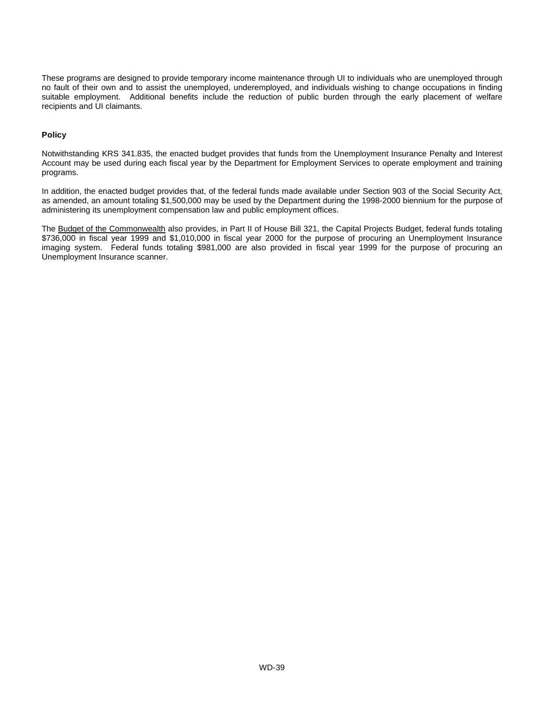These programs are designed to provide temporary income maintenance through UI to individuals who are unemployed through no fault of their own and to assist the unemployed, underemployed, and individuals wishing to change occupations in finding suitable employment. Additional benefits include the reduction of public burden through the early placement of welfare recipients and UI claimants.

#### **Policy**

Notwithstanding KRS 341.835, the enacted budget provides that funds from the Unemployment Insurance Penalty and Interest Account may be used during each fiscal year by the Department for Employment Services to operate employment and training programs.

In addition, the enacted budget provides that, of the federal funds made available under Section 903 of the Social Security Act, as amended, an amount totaling \$1,500,000 may be used by the Department during the 1998-2000 biennium for the purpose of administering its unemployment compensation law and public employment offices.

The Budget of the Commonwealth also provides, in Part II of House Bill 321, the Capital Projects Budget, federal funds totaling \$736,000 in fiscal year 1999 and \$1,010,000 in fiscal year 2000 for the purpose of procuring an Unemployment Insurance imaging system. Federal funds totaling \$981,000 are also provided in fiscal year 1999 for the purpose of procuring an Unemployment Insurance scanner.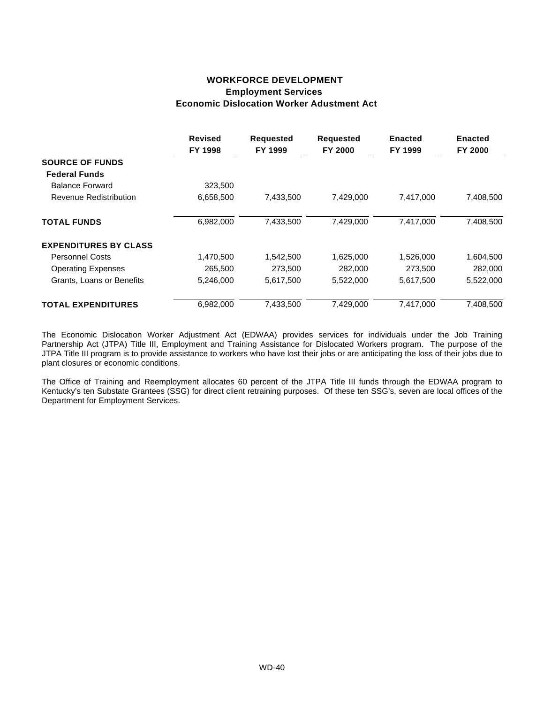### **WORKFORCE DEVELOPMENT Employment Services Economic Dislocation Worker Adustment Act**

|                              | <b>Revised</b><br>FY 1998 | <b>Requested</b><br>FY 1999 | <b>Requested</b><br>FY 2000 | <b>Enacted</b><br>FY 1999 | <b>Enacted</b><br><b>FY 2000</b> |
|------------------------------|---------------------------|-----------------------------|-----------------------------|---------------------------|----------------------------------|
| <b>SOURCE OF FUNDS</b>       |                           |                             |                             |                           |                                  |
| <b>Federal Funds</b>         |                           |                             |                             |                           |                                  |
| <b>Balance Forward</b>       | 323,500                   |                             |                             |                           |                                  |
| Revenue Redistribution       | 6,658,500                 | 7,433,500                   | 7,429,000                   | 7,417,000                 | 7,408,500                        |
| <b>TOTAL FUNDS</b>           | 6,982,000                 | 7,433,500                   | 7,429,000                   | 7,417,000                 | 7,408,500                        |
| <b>EXPENDITURES BY CLASS</b> |                           |                             |                             |                           |                                  |
| <b>Personnel Costs</b>       | 1,470,500                 | 1,542,500                   | 1,625,000                   | 1,526,000                 | 1,604,500                        |
| <b>Operating Expenses</b>    | 265,500                   | 273,500                     | 282,000                     | 273,500                   | 282,000                          |
| Grants, Loans or Benefits    | 5,246,000                 | 5,617,500                   | 5,522,000                   | 5,617,500                 | 5,522,000                        |
| <b>TOTAL EXPENDITURES</b>    | 6,982,000                 | 7,433,500                   | 7,429,000                   | 7,417,000                 | 7,408,500                        |

The Economic Dislocation Worker Adjustment Act (EDWAA) provides services for individuals under the Job Training Partnership Act (JTPA) Title III, Employment and Training Assistance for Dislocated Workers program. The purpose of the JTPA Title III program is to provide assistance to workers who have lost their jobs or are anticipating the loss of their jobs due to plant closures or economic conditions.

The Office of Training and Reemployment allocates 60 percent of the JTPA Title III funds through the EDWAA program to Kentucky's ten Substate Grantees (SSG) for direct client retraining purposes. Of these ten SSG's, seven are local offices of the Department for Employment Services.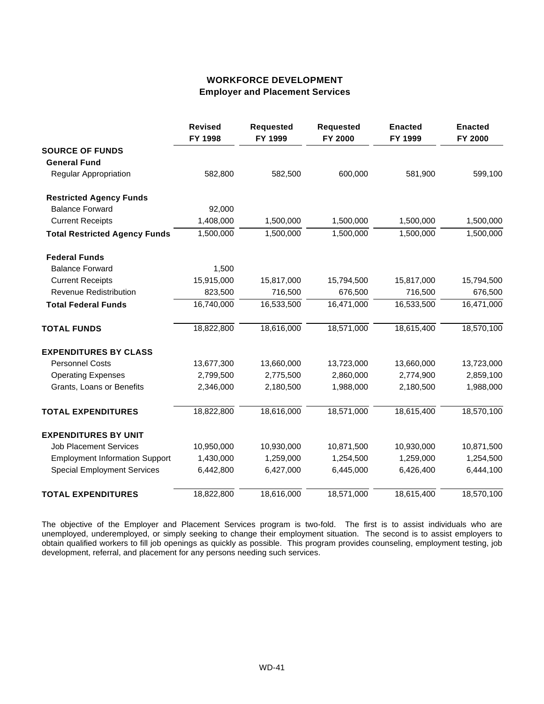# **WORKFORCE DEVELOPMENT Employer and Placement Services**

|                                       | <b>Revised</b><br>FY 1998 | <b>Requested</b><br>FY 1999 | <b>Requested</b><br>FY 2000 | <b>Enacted</b><br>FY 1999 | <b>Enacted</b><br>FY 2000 |
|---------------------------------------|---------------------------|-----------------------------|-----------------------------|---------------------------|---------------------------|
| <b>SOURCE OF FUNDS</b>                |                           |                             |                             |                           |                           |
| <b>General Fund</b>                   |                           |                             |                             |                           |                           |
| <b>Regular Appropriation</b>          | 582,800                   | 582,500                     | 600,000                     | 581,900                   | 599,100                   |
| <b>Restricted Agency Funds</b>        |                           |                             |                             |                           |                           |
| <b>Balance Forward</b>                | 92,000                    |                             |                             |                           |                           |
| <b>Current Receipts</b>               | 1,408,000                 | 1,500,000                   | 1,500,000                   | 1,500,000                 | 1,500,000                 |
| <b>Total Restricted Agency Funds</b>  | 1,500,000                 | 1,500,000                   | 1,500,000                   | 1,500,000                 | 1,500,000                 |
| <b>Federal Funds</b>                  |                           |                             |                             |                           |                           |
| <b>Balance Forward</b>                | 1,500                     |                             |                             |                           |                           |
| <b>Current Receipts</b>               | 15,915,000                | 15,817,000                  | 15,794,500                  | 15,817,000                | 15,794,500                |
| <b>Revenue Redistribution</b>         | 823,500                   | 716,500                     | 676,500                     | 716,500                   | 676,500                   |
| <b>Total Federal Funds</b>            | 16,740,000                | 16,533,500                  | 16,471,000                  | 16,533,500                | 16,471,000                |
| <b>TOTAL FUNDS</b>                    | 18,822,800                | 18,616,000                  | 18,571,000                  | 18,615,400                | 18,570,100                |
| <b>EXPENDITURES BY CLASS</b>          |                           |                             |                             |                           |                           |
| <b>Personnel Costs</b>                | 13,677,300                | 13,660,000                  | 13,723,000                  | 13,660,000                | 13,723,000                |
| <b>Operating Expenses</b>             | 2,799,500                 | 2,775,500                   | 2,860,000                   | 2,774,900                 | 2,859,100                 |
| Grants, Loans or Benefits             | 2,346,000                 | 2,180,500                   | 1,988,000                   | 2,180,500                 | 1,988,000                 |
| <b>TOTAL EXPENDITURES</b>             | 18,822,800                | 18,616,000                  | 18,571,000                  | 18,615,400                | 18,570,100                |
| <b>EXPENDITURES BY UNIT</b>           |                           |                             |                             |                           |                           |
| <b>Job Placement Services</b>         | 10,950,000                | 10,930,000                  | 10,871,500                  | 10,930,000                | 10,871,500                |
| <b>Employment Information Support</b> | 1,430,000                 | 1,259,000                   | 1,254,500                   | 1,259,000                 | 1,254,500                 |
| <b>Special Employment Services</b>    | 6,442,800                 | 6,427,000                   | 6,445,000                   | 6,426,400                 | 6,444,100                 |
| <b>TOTAL EXPENDITURES</b>             | 18,822,800                | 18,616,000                  | 18,571,000                  | 18,615,400                | 18,570,100                |

The objective of the Employer and Placement Services program is two-fold. The first is to assist individuals who are unemployed, underemployed, or simply seeking to change their employment situation. The second is to assist employers to obtain qualified workers to fill job openings as quickly as possible. This program provides counseling, employment testing, job development, referral, and placement for any persons needing such services.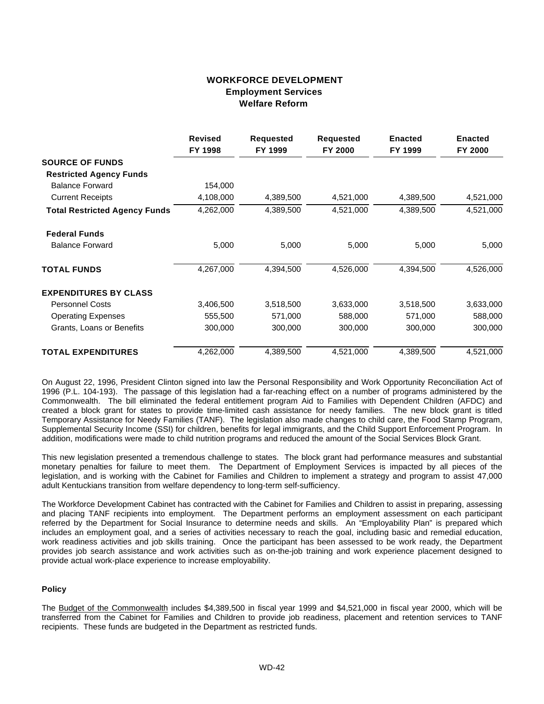## **WORKFORCE DEVELOPMENT Employment Services Welfare Reform**

|                                      | <b>Revised</b><br>FY 1998 | <b>Requested</b><br>FY 1999 | <b>Requested</b><br>FY 2000 | <b>Enacted</b><br>FY 1999 | <b>Enacted</b><br>FY 2000 |
|--------------------------------------|---------------------------|-----------------------------|-----------------------------|---------------------------|---------------------------|
| <b>SOURCE OF FUNDS</b>               |                           |                             |                             |                           |                           |
| <b>Restricted Agency Funds</b>       |                           |                             |                             |                           |                           |
| <b>Balance Forward</b>               | 154,000                   |                             |                             |                           |                           |
| <b>Current Receipts</b>              | 4,108,000                 | 4,389,500                   | 4,521,000                   | 4,389,500                 | 4,521,000                 |
| <b>Total Restricted Agency Funds</b> | 4,262,000                 | 4,389,500                   | 4,521,000                   | 4,389,500                 | 4,521,000                 |
| <b>Federal Funds</b>                 |                           |                             |                             |                           |                           |
| <b>Balance Forward</b>               | 5,000                     | 5,000                       | 5,000                       | 5,000                     | 5,000                     |
| <b>TOTAL FUNDS</b>                   | 4,267,000                 | 4,394,500                   | 4,526,000                   | 4,394,500                 | 4,526,000                 |
| <b>EXPENDITURES BY CLASS</b>         |                           |                             |                             |                           |                           |
| <b>Personnel Costs</b>               | 3,406,500                 | 3,518,500                   | 3,633,000                   | 3,518,500                 | 3,633,000                 |
| <b>Operating Expenses</b>            | 555,500                   | 571,000                     | 588,000                     | 571,000                   | 588,000                   |
| Grants, Loans or Benefits            | 300,000                   | 300,000                     | 300,000                     | 300,000                   | 300,000                   |
| <b>TOTAL EXPENDITURES</b>            | 4,262,000                 | 4,389,500                   | 4,521,000                   | 4,389,500                 | 4,521,000                 |

On August 22, 1996, President Clinton signed into law the Personal Responsibility and Work Opportunity Reconciliation Act of 1996 (P.L. 104-193). The passage of this legislation had a far-reaching effect on a number of programs administered by the Commonwealth. The bill eliminated the federal entitlement program Aid to Families with Dependent Children (AFDC) and created a block grant for states to provide time-limited cash assistance for needy families. The new block grant is titled Temporary Assistance for Needy Families (TANF). The legislation also made changes to child care, the Food Stamp Program, Supplemental Security Income (SSI) for children, benefits for legal immigrants, and the Child Support Enforcement Program. In addition, modifications were made to child nutrition programs and reduced the amount of the Social Services Block Grant.

This new legislation presented a tremendous challenge to states. The block grant had performance measures and substantial monetary penalties for failure to meet them. The Department of Employment Services is impacted by all pieces of the legislation, and is working with the Cabinet for Families and Children to implement a strategy and program to assist 47,000 adult Kentuckians transition from welfare dependency to long-term self-sufficiency.

The Workforce Development Cabinet has contracted with the Cabinet for Families and Children to assist in preparing, assessing and placing TANF recipients into employment. The Department performs an employment assessment on each participant referred by the Department for Social Insurance to determine needs and skills. An "Employability Plan" is prepared which includes an employment goal, and a series of activities necessary to reach the goal, including basic and remedial education, work readiness activities and job skills training. Once the participant has been assessed to be work ready, the Department provides job search assistance and work activities such as on-the-job training and work experience placement designed to provide actual work-place experience to increase employability.

#### **Policy**

The Budget of the Commonwealth includes \$4,389,500 in fiscal year 1999 and \$4,521,000 in fiscal year 2000, which will be transferred from the Cabinet for Families and Children to provide job readiness, placement and retention services to TANF recipients. These funds are budgeted in the Department as restricted funds.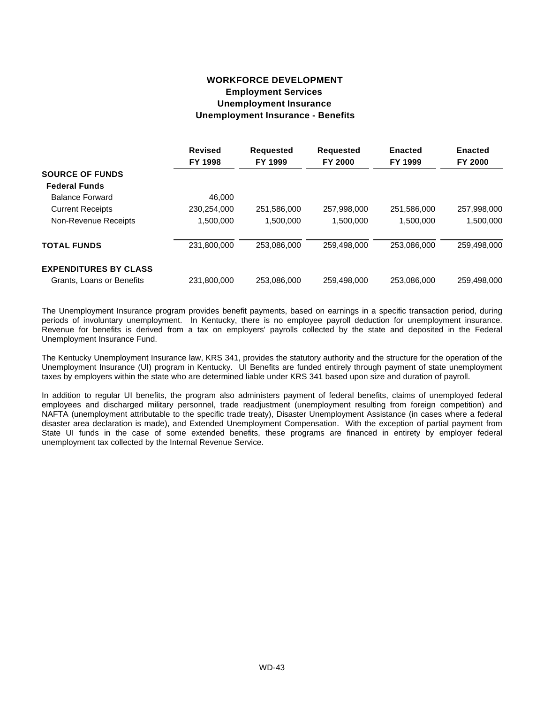# **WORKFORCE DEVELOPMENT Employment Services Unemployment Insurance Unemployment Insurance - Benefits**

|                              | <b>Revised</b><br>FY 1998 | <b>Requested</b><br>FY 1999 | <b>Requested</b><br>FY 2000 | <b>Enacted</b><br>FY 1999 | <b>Enacted</b><br>FY 2000 |
|------------------------------|---------------------------|-----------------------------|-----------------------------|---------------------------|---------------------------|
| <b>SOURCE OF FUNDS</b>       |                           |                             |                             |                           |                           |
| <b>Federal Funds</b>         |                           |                             |                             |                           |                           |
| <b>Balance Forward</b>       | 46.000                    |                             |                             |                           |                           |
| <b>Current Receipts</b>      | 230,254,000               | 251,586,000                 | 257,998,000                 | 251,586,000               | 257,998,000               |
| Non-Revenue Receipts         | 1,500,000                 | 1.500.000                   | 1,500,000                   | 1,500,000                 | 1,500,000                 |
| <b>TOTAL FUNDS</b>           | 231,800,000               | 253.086.000                 | 259,498,000                 | 253.086.000               | 259,498,000               |
| <b>EXPENDITURES BY CLASS</b> |                           |                             |                             |                           |                           |
| Grants, Loans or Benefits    | 231,800,000               | 253.086.000                 | 259.498.000                 | 253.086.000               | 259.498.000               |

The Unemployment Insurance program provides benefit payments, based on earnings in a specific transaction period, during periods of involuntary unemployment. In Kentucky, there is no employee payroll deduction for unemployment insurance. Revenue for benefits is derived from a tax on employers' payrolls collected by the state and deposited in the Federal Unemployment Insurance Fund.

The Kentucky Unemployment Insurance law, KRS 341, provides the statutory authority and the structure for the operation of the Unemployment Insurance (UI) program in Kentucky. UI Benefits are funded entirely through payment of state unemployment taxes by employers within the state who are determined liable under KRS 341 based upon size and duration of payroll.

In addition to regular UI benefits, the program also administers payment of federal benefits, claims of unemployed federal employees and discharged military personnel, trade readjustment (unemployment resulting from foreign competition) and NAFTA (unemployment attributable to the specific trade treaty), Disaster Unemployment Assistance (in cases where a federal disaster area declaration is made), and Extended Unemployment Compensation. With the exception of partial payment from State UI funds in the case of some extended benefits, these programs are financed in entirety by employer federal unemployment tax collected by the Internal Revenue Service.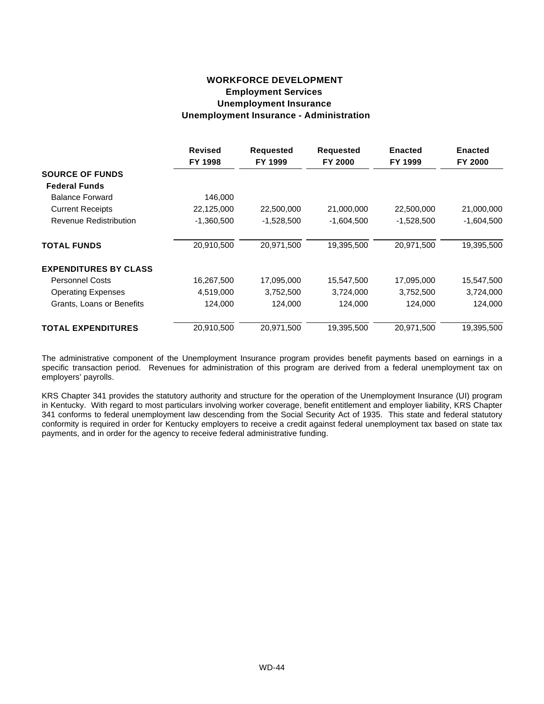## **WORKFORCE DEVELOPMENT Employment Services Unemployment Insurance Unemployment Insurance - Administration**

|                              | <b>Revised</b><br>FY 1998 | <b>Requested</b><br>FY 1999 | <b>Requested</b><br><b>FY 2000</b> | <b>Enacted</b><br>FY 1999 | <b>Enacted</b><br>FY 2000 |
|------------------------------|---------------------------|-----------------------------|------------------------------------|---------------------------|---------------------------|
| <b>SOURCE OF FUNDS</b>       |                           |                             |                                    |                           |                           |
| <b>Federal Funds</b>         |                           |                             |                                    |                           |                           |
| <b>Balance Forward</b>       | 146,000                   |                             |                                    |                           |                           |
| <b>Current Receipts</b>      | 22,125,000                | 22,500,000                  | 21,000,000                         | 22,500,000                | 21,000,000                |
| Revenue Redistribution       | $-1,360,500$              | $-1,528,500$                | $-1,604,500$                       | $-1,528,500$              | $-1,604,500$              |
| <b>TOTAL FUNDS</b>           | 20,910,500                | 20,971,500                  | 19,395,500                         | 20,971,500                | 19,395,500                |
| <b>EXPENDITURES BY CLASS</b> |                           |                             |                                    |                           |                           |
| <b>Personnel Costs</b>       | 16,267,500                | 17,095,000                  | 15,547,500                         | 17,095,000                | 15,547,500                |
| <b>Operating Expenses</b>    | 4,519,000                 | 3,752,500                   | 3,724,000                          | 3,752,500                 | 3,724,000                 |
| Grants, Loans or Benefits    | 124,000                   | 124,000                     | 124,000                            | 124,000                   | 124,000                   |
| <b>TOTAL EXPENDITURES</b>    | 20,910,500                | 20,971,500                  | 19,395,500                         | 20,971,500                | 19,395,500                |

The administrative component of the Unemployment Insurance program provides benefit payments based on earnings in a specific transaction period. Revenues for administration of this program are derived from a federal unemployment tax on employers' payrolls.

KRS Chapter 341 provides the statutory authority and structure for the operation of the Unemployment Insurance (UI) program in Kentucky. With regard to most particulars involving worker coverage, benefit entitlement and employer liability, KRS Chapter 341 conforms to federal unemployment law descending from the Social Security Act of 1935. This state and federal statutory conformity is required in order for Kentucky employers to receive a credit against federal unemployment tax based on state tax payments, and in order for the agency to receive federal administrative funding.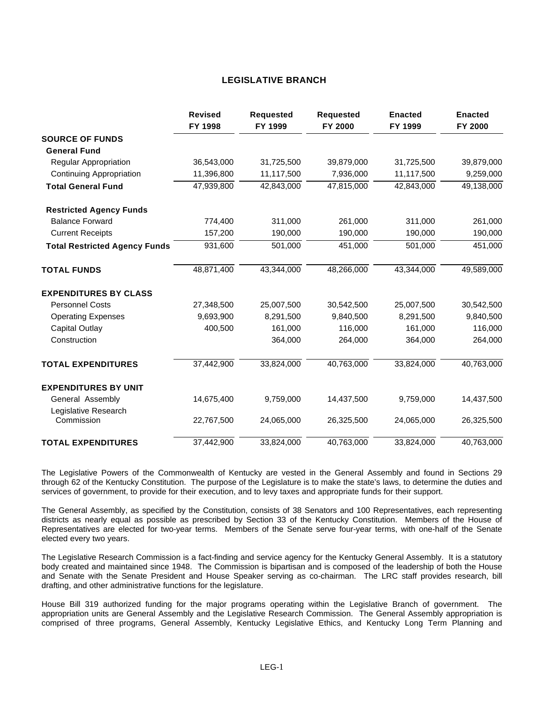#### **LEGISLATIVE BRANCH**

|                                      | <b>Revised</b><br>FY 1998 | <b>Requested</b><br>FY 1999 | <b>Requested</b><br>FY 2000 | <b>Enacted</b><br>FY 1999 | <b>Enacted</b><br>FY 2000 |
|--------------------------------------|---------------------------|-----------------------------|-----------------------------|---------------------------|---------------------------|
| <b>SOURCE OF FUNDS</b>               |                           |                             |                             |                           |                           |
| <b>General Fund</b>                  |                           |                             |                             |                           |                           |
| Regular Appropriation                | 36,543,000                | 31,725,500                  | 39,879,000                  | 31,725,500                | 39,879,000                |
| <b>Continuing Appropriation</b>      | 11,396,800                | 11,117,500                  | 7,936,000                   | 11,117,500                | 9,259,000                 |
| <b>Total General Fund</b>            | 47,939,800                | 42,843,000                  | 47,815,000                  | 42,843,000                | 49,138,000                |
| <b>Restricted Agency Funds</b>       |                           |                             |                             |                           |                           |
| <b>Balance Forward</b>               | 774,400                   | 311,000                     | 261,000                     | 311,000                   | 261,000                   |
| <b>Current Receipts</b>              | 157,200                   | 190,000                     | 190,000                     | 190,000                   | 190,000                   |
| <b>Total Restricted Agency Funds</b> | 931,600                   | 501,000                     | 451,000                     | 501,000                   | 451,000                   |
| <b>TOTAL FUNDS</b>                   | 48,871,400                | 43,344,000                  | 48,266,000                  | 43,344,000                | 49,589,000                |
| <b>EXPENDITURES BY CLASS</b>         |                           |                             |                             |                           |                           |
| <b>Personnel Costs</b>               | 27,348,500                | 25,007,500                  | 30,542,500                  | 25,007,500                | 30,542,500                |
| <b>Operating Expenses</b>            | 9,693,900                 | 8,291,500                   | 9,840,500                   | 8,291,500                 | 9,840,500                 |
| <b>Capital Outlay</b>                | 400,500                   | 161,000                     | 116,000                     | 161,000                   | 116,000                   |
| Construction                         |                           | 364,000                     | 264,000                     | 364,000                   | 264,000                   |
| <b>TOTAL EXPENDITURES</b>            | 37,442,900                | 33,824,000                  | 40,763,000                  | 33,824,000                | 40,763,000                |
| <b>EXPENDITURES BY UNIT</b>          |                           |                             |                             |                           |                           |
| General Assembly                     | 14,675,400                | 9,759,000                   | 14,437,500                  | 9,759,000                 | 14,437,500                |
| Legislative Research<br>Commission   | 22,767,500                | 24,065,000                  | 26,325,500                  | 24,065,000                | 26,325,500                |
| <b>TOTAL EXPENDITURES</b>            | 37,442,900                | 33,824,000                  | 40,763,000                  | 33,824,000                | 40,763,000                |

The Legislative Powers of the Commonwealth of Kentucky are vested in the General Assembly and found in Sections 29 through 62 of the Kentucky Constitution. The purpose of the Legislature is to make the state's laws, to determine the duties and services of government, to provide for their execution, and to levy taxes and appropriate funds for their support.

The General Assembly, as specified by the Constitution, consists of 38 Senators and 100 Representatives, each representing districts as nearly equal as possible as prescribed by Section 33 of the Kentucky Constitution. Members of the House of Representatives are elected for two-year terms. Members of the Senate serve four-year terms, with one-half of the Senate elected every two years.

The Legislative Research Commission is a fact-finding and service agency for the Kentucky General Assembly. It is a statutory body created and maintained since 1948. The Commission is bipartisan and is composed of the leadership of both the House and Senate with the Senate President and House Speaker serving as co-chairman. The LRC staff provides research, bill drafting, and other administrative functions for the legislature.

House Bill 319 authorized funding for the major programs operating within the Legislative Branch of government. The appropriation units are General Assembly and the Legislative Research Commission. The General Assembly appropriation is comprised of three programs, General Assembly, Kentucky Legislative Ethics, and Kentucky Long Term Planning and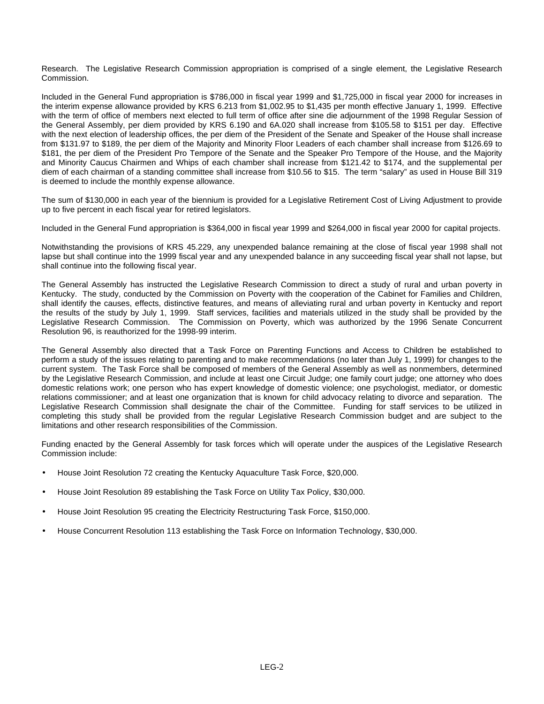Research. The Legislative Research Commission appropriation is comprised of a single element, the Legislative Research Commission.

Included in the General Fund appropriation is \$786,000 in fiscal year 1999 and \$1,725,000 in fiscal year 2000 for increases in the interim expense allowance provided by KRS 6.213 from \$1,002.95 to \$1,435 per month effective January 1, 1999. Effective with the term of office of members next elected to full term of office after sine die adjournment of the 1998 Regular Session of the General Assembly, per diem provided by KRS 6.190 and 6A.020 shall increase from \$105.58 to \$151 per day. Effective with the next election of leadership offices, the per diem of the President of the Senate and Speaker of the House shall increase from \$131.97 to \$189, the per diem of the Majority and Minority Floor Leaders of each chamber shall increase from \$126.69 to \$181, the per diem of the President Pro Tempore of the Senate and the Speaker Pro Tempore of the House, and the Majority and Minority Caucus Chairmen and Whips of each chamber shall increase from \$121.42 to \$174, and the supplemental per diem of each chairman of a standing committee shall increase from \$10.56 to \$15. The term "salary" as used in House Bill 319 is deemed to include the monthly expense allowance.

The sum of \$130,000 in each year of the biennium is provided for a Legislative Retirement Cost of Living Adjustment to provide up to five percent in each fiscal year for retired legislators.

Included in the General Fund appropriation is \$364,000 in fiscal year 1999 and \$264,000 in fiscal year 2000 for capital projects.

Notwithstanding the provisions of KRS 45.229, any unexpended balance remaining at the close of fiscal year 1998 shall not lapse but shall continue into the 1999 fiscal year and any unexpended balance in any succeeding fiscal year shall not lapse, but shall continue into the following fiscal year.

The General Assembly has instructed the Legislative Research Commission to direct a study of rural and urban poverty in Kentucky. The study, conducted by the Commission on Poverty with the cooperation of the Cabinet for Families and Children, shall identify the causes, effects, distinctive features, and means of alleviating rural and urban poverty in Kentucky and report the results of the study by July 1, 1999. Staff services, facilities and materials utilized in the study shall be provided by the Legislative Research Commission. The Commission on Poverty, which was authorized by the 1996 Senate Concurrent Resolution 96, is reauthorized for the 1998-99 interim.

The General Assembly also directed that a Task Force on Parenting Functions and Access to Children be established to perform a study of the issues relating to parenting and to make recommendations (no later than July 1, 1999) for changes to the current system. The Task Force shall be composed of members of the General Assembly as well as nonmembers, determined by the Legislative Research Commission, and include at least one Circuit Judge; one family court judge; one attorney who does domestic relations work; one person who has expert knowledge of domestic violence; one psychologist, mediator, or domestic relations commissioner; and at least one organization that is known for child advocacy relating to divorce and separation. The Legislative Research Commission shall designate the chair of the Committee. Funding for staff services to be utilized in completing this study shall be provided from the regular Legislative Research Commission budget and are subject to the limitations and other research responsibilities of the Commission.

Funding enacted by the General Assembly for task forces which will operate under the auspices of the Legislative Research Commission include:

- House Joint Resolution 72 creating the Kentucky Aquaculture Task Force, \$20,000.
- House Joint Resolution 89 establishing the Task Force on Utility Tax Policy, \$30,000.
- House Joint Resolution 95 creating the Electricity Restructuring Task Force, \$150,000.
- House Concurrent Resolution 113 establishing the Task Force on Information Technology, \$30,000.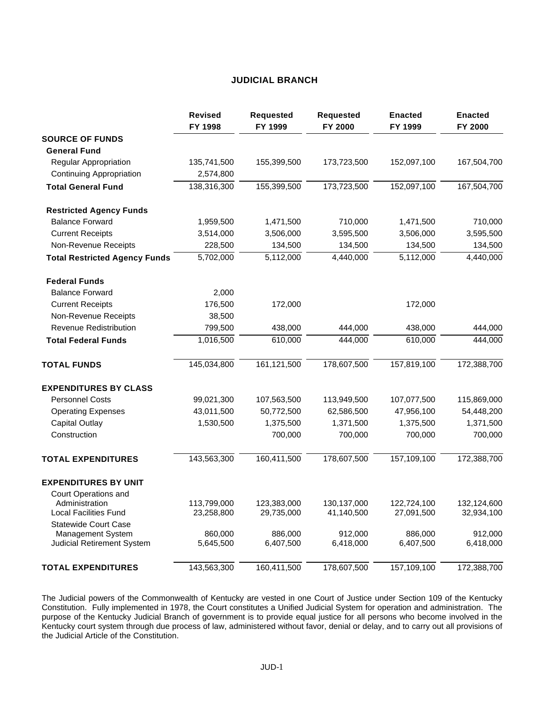#### **JUDICIAL BRANCH**

|                                                | <b>Revised</b><br>FY 1998 | <b>Requested</b><br>FY 1999 | <b>Requested</b><br>FY 2000 | <b>Enacted</b><br>FY 1999 | <b>Enacted</b><br>FY 2000 |
|------------------------------------------------|---------------------------|-----------------------------|-----------------------------|---------------------------|---------------------------|
| <b>SOURCE OF FUNDS</b>                         |                           |                             |                             |                           |                           |
| <b>General Fund</b>                            |                           |                             |                             |                           |                           |
| Regular Appropriation                          | 135,741,500               | 155,399,500                 | 173,723,500                 | 152,097,100               | 167,504,700               |
| <b>Continuing Appropriation</b>                | 2,574,800                 |                             |                             |                           |                           |
| <b>Total General Fund</b>                      | 138,316,300               | 155,399,500                 | 173,723,500                 | 152,097,100               | 167,504,700               |
| <b>Restricted Agency Funds</b>                 |                           |                             |                             |                           |                           |
| <b>Balance Forward</b>                         | 1,959,500                 | 1,471,500                   | 710,000                     | 1,471,500                 | 710,000                   |
| <b>Current Receipts</b>                        | 3,514,000                 | 3,506,000                   | 3,595,500                   | 3,506,000                 | 3,595,500                 |
| Non-Revenue Receipts                           | 228,500                   | 134,500                     | 134,500                     | 134,500                   | 134,500                   |
| <b>Total Restricted Agency Funds</b>           | 5,702,000                 | 5,112,000                   | 4,440,000                   | 5,112,000                 | 4,440,000                 |
| <b>Federal Funds</b>                           |                           |                             |                             |                           |                           |
| <b>Balance Forward</b>                         | 2,000                     |                             |                             |                           |                           |
| <b>Current Receipts</b>                        | 176,500                   | 172,000                     |                             | 172,000                   |                           |
| Non-Revenue Receipts                           | 38,500                    |                             |                             |                           |                           |
| Revenue Redistribution                         | 799,500                   | 438,000                     | 444,000                     | 438,000                   | 444,000                   |
| <b>Total Federal Funds</b>                     | 1,016,500                 | 610,000                     | 444,000                     | 610,000                   | 444,000                   |
| <b>TOTAL FUNDS</b>                             | 145,034,800               | 161,121,500                 | 178,607,500                 | 157,819,100               | 172,388,700               |
| <b>EXPENDITURES BY CLASS</b>                   |                           |                             |                             |                           |                           |
| <b>Personnel Costs</b>                         | 99,021,300                | 107,563,500                 | 113,949,500                 | 107,077,500               | 115,869,000               |
| <b>Operating Expenses</b>                      | 43,011,500                | 50,772,500                  | 62,586,500                  | 47,956,100                | 54,448,200                |
| <b>Capital Outlay</b>                          | 1,530,500                 | 1,375,500                   | 1,371,500                   | 1,375,500                 | 1,371,500                 |
| Construction                                   |                           | 700,000                     | 700,000                     | 700,000                   | 700,000                   |
| <b>TOTAL EXPENDITURES</b>                      | 143,563,300               | 160,411,500                 | 178,607,500                 | 157,109,100               | 172,388,700               |
| <b>EXPENDITURES BY UNIT</b>                    |                           |                             |                             |                           |                           |
| Court Operations and                           |                           |                             |                             |                           |                           |
| Administration<br><b>Local Facilities Fund</b> | 113,799,000<br>23,258,800 | 123,383,000<br>29,735,000   | 130,137,000<br>41,140,500   | 122,724,100<br>27,091,500 | 132,124,600<br>32,934,100 |
| <b>Statewide Court Case</b>                    |                           |                             |                             |                           |                           |
| Management System                              | 860,000                   | 886,000                     | 912,000                     | 886,000                   | 912,000                   |
| Judicial Retirement System                     | 5,645,500                 | 6,407,500                   | 6,418,000                   | 6,407,500                 | 6,418,000                 |
| <b>TOTAL EXPENDITURES</b>                      | 143,563,300               | 160,411,500                 | 178,607,500                 | 157,109,100               | 172,388,700               |

The Judicial powers of the Commonwealth of Kentucky are vested in one Court of Justice under Section 109 of the Kentucky Constitution. Fully implemented in 1978, the Court constitutes a Unified Judicial System for operation and administration. The purpose of the Kentucky Judicial Branch of government is to provide equal justice for all persons who become involved in the Kentucky court system through due process of law, administered without favor, denial or delay, and to carry out all provisions of the Judicial Article of the Constitution.